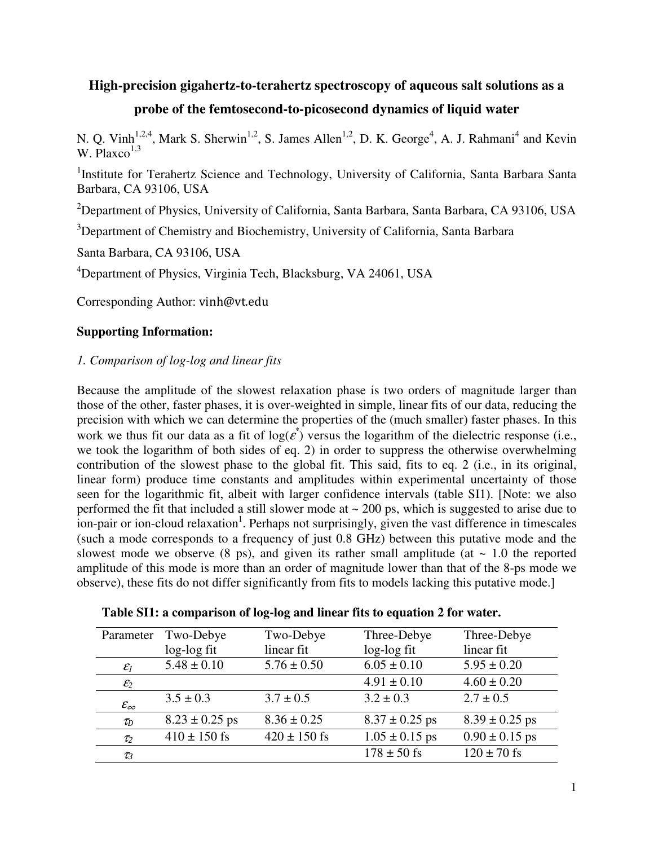# **High-precision gigahertz-to-terahertz spectroscopy of aqueous salt solutions as a**

# **probe of the femtosecond-to-picosecond dynamics of liquid water**

N. Q. Vinh<sup>1,2,4</sup>, Mark S. Sherwin<sup>1,2</sup>, S. James Allen<sup>1,2</sup>, D. K. George<sup>4</sup>, A. J. Rahmani<sup>4</sup> and Kevin W. Plaxco $^{1,3}$ 

<sup>1</sup>Institute for Terahertz Science and Technology, University of California, Santa Barbara Santa Barbara, CA 93106, USA

<sup>2</sup>Department of Physics, University of California, Santa Barbara, Santa Barbara, CA 93106, USA

<sup>3</sup>Department of Chemistry and Biochemistry, University of California, Santa Barbara

Santa Barbara, CA 93106, USA

<sup>4</sup>Department of Physics, Virginia Tech, Blacksburg, VA 24061, USA

Corresponding Author: vinh@vt.edu

## **Supporting Information:**

## *1. Comparison of log-log and linear fits*

Because the amplitude of the slowest relaxation phase is two orders of magnitude larger than those of the other, faster phases, it is over-weighted in simple, linear fits of our data, reducing the precision with which we can determine the properties of the (much smaller) faster phases. In this work we thus fit our data as a fit of  $log(\varepsilon^*)$  versus the logarithm of the dielectric response (i.e., we took the logarithm of both sides of eq. 2) in order to suppress the otherwise overwhelming contribution of the slowest phase to the global fit. This said, fits to eq. 2 (i.e., in its original, linear form) produce time constants and amplitudes within experimental uncertainty of those seen for the logarithmic fit, albeit with larger confidence intervals (table SI1). [Note: we also performed the fit that included a still slower mode at  $\sim$  200 ps, which is suggested to arise due to ion-pair or ion-cloud relaxation<sup>1</sup>. Perhaps not surprisingly, given the vast difference in timescales (such a mode corresponds to a frequency of just 0.8 GHz) between this putative mode and the slowest mode we observe  $(8 \text{ ps})$ , and given its rather small amplitude  $(at \sim 1.0$  the reported amplitude of this mode is more than an order of magnitude lower than that of the 8-ps mode we observe), these fits do not differ significantly from fits to models lacking this putative mode.]

| Table SI1: a comparison of log-log and linear fits to equation 2 for water. |  |  |  |  |
|-----------------------------------------------------------------------------|--|--|--|--|
|-----------------------------------------------------------------------------|--|--|--|--|

|                        | Parameter Two-Debye | Two-Debye        | Three-Debye        | Three-Debye        |
|------------------------|---------------------|------------------|--------------------|--------------------|
|                        | $log-log fit$       | linear fit       | log-log fit        | linear fit         |
| $\mathcal{E}_I$        | $5.48 \pm 0.10$     | $5.76 \pm 0.50$  | $6.05 \pm 0.10$    | $5.95 \pm 0.20$    |
| $\mathcal{E}_2$        |                     |                  | $4.91 \pm 0.10$    | $4.60 \pm 0.20$    |
| $\mathcal{E}_{\infty}$ | $3.5 \pm 0.3$       | $3.7 \pm 0.5$    | $3.2 \pm 0.3$      | $2.7 \pm 0.5$      |
| $\tau_D$               | $8.23 \pm 0.25$ ps  | $8.36 \pm 0.25$  | $8.37 \pm 0.25$ ps | $8.39 \pm 0.25$ ps |
| $\tau_2$               | $410 \pm 150$ fs    | $420 \pm 150$ fs | $1.05 \pm 0.15$ ps | $0.90 \pm 0.15$ ps |
| $\tau_3$               |                     |                  | $178 \pm 50$ fs    | $120 \pm 70$ fs    |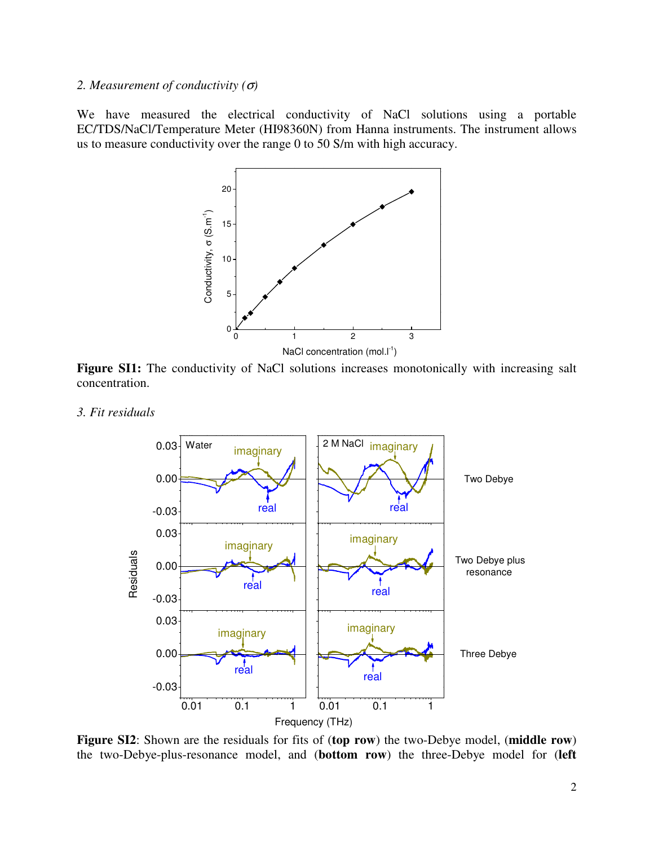#### *2. Measurement of conductivity (*σ*)*

We have measured the electrical conductivity of NaCl solutions using a portable EC/TDS/NaCl/Temperature Meter (HI98360N) from Hanna instruments. The instrument allows us to measure conductivity over the range 0 to 50 S/m with high accuracy.



Figure SI1: The conductivity of NaCl solutions increases monotonically with increasing salt concentration.

*3. Fit residuals* 



**Figure SI2**: Shown are the residuals for fits of (**top row**) the two-Debye model, (**middle row**) the two-Debye-plus-resonance model, and (**bottom row**) the three-Debye model for (**left**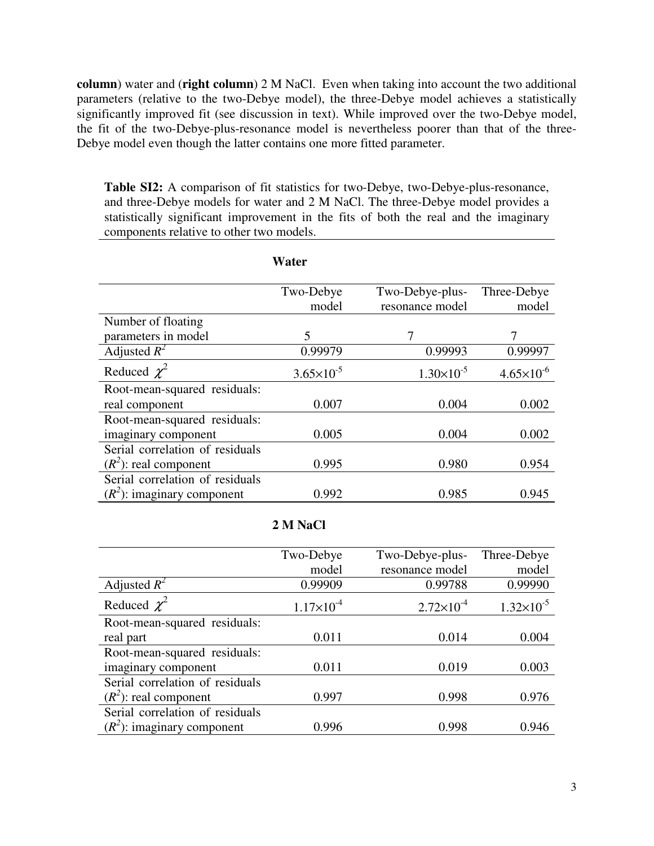**column**) water and (**right column**) 2 M NaCl. Even when taking into account the two additional parameters (relative to the two-Debye model), the three-Debye model achieves a statistically significantly improved fit (see discussion in text). While improved over the two-Debye model, the fit of the two-Debye-plus-resonance model is nevertheless poorer than that of the three-Debye model even though the latter contains one more fitted parameter.

**Table SI2:** A comparison of fit statistics for two-Debye, two-Debye-plus-resonance, and three-Debye models for water and 2 M NaCl. The three-Debye model provides a statistically significant improvement in the fits of both the real and the imaginary components relative to other two models.

|                                 | Water                 |                     |                       |
|---------------------------------|-----------------------|---------------------|-----------------------|
|                                 | Two-Debye             | Two-Debye-plus-     | Three-Debye           |
|                                 | model                 | resonance model     | model                 |
| Number of floating              |                       |                     |                       |
| parameters in model             | 5                     |                     |                       |
| Adjusted $R^2$                  | 0.99979               | 0.99993             | 0.99997               |
| Reduced $\chi^2$                | $3.65 \times 10^{-5}$ | $1.30\times10^{-5}$ | $4.65 \times 10^{-6}$ |
| Root-mean-squared residuals:    |                       |                     |                       |
| real component                  | 0.007                 | 0.004               | 0.002                 |
| Root-mean-squared residuals:    |                       |                     |                       |
| imaginary component             | 0.005                 | 0.004               | 0.002                 |
| Serial correlation of residuals |                       |                     |                       |
| $(R2)$ : real component         | 0.995                 | 0.980               | 0.954                 |
| Serial correlation of residuals |                       |                     |                       |
| $(R^2)$ : imaginary component   | 0.992                 | 0.985               | 0.945                 |

### **2 M NaCl**

|                                 | Two-Debye           | Two-Debye-plus-     | Three-Debye         |
|---------------------------------|---------------------|---------------------|---------------------|
|                                 | model               | resonance model     | model               |
| Adjusted $R^2$                  | 0.99909             | 0.99788             | 0.99990             |
| Reduced $\chi^2$                | $1.17\times10^{-4}$ | $2.72\times10^{-4}$ | $1.32\times10^{-5}$ |
| Root-mean-squared residuals:    |                     |                     |                     |
| real part                       | 0.011               | 0.014               | 0.004               |
| Root-mean-squared residuals:    |                     |                     |                     |
| imaginary component             | 0.011               | 0.019               | 0.003               |
| Serial correlation of residuals |                     |                     |                     |
| $(R2)$ : real component         | 0.997               | 0.998               | 0.976               |
| Serial correlation of residuals |                     |                     |                     |
| $(R2)$ : imaginary component    | 0.996               | 0.998               | 0.946               |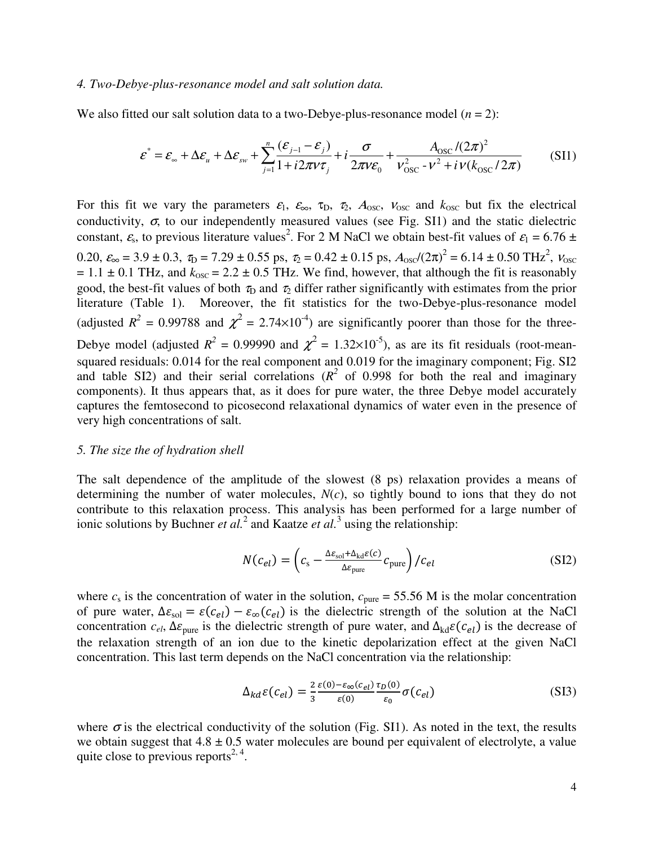#### *4. Two-Debye-plus-resonance model and salt solution data.*

We also fitted our salt solution data to a two-Debye-plus-resonance model (*n* = 2):

$$
\varepsilon^* = \varepsilon_{\infty} + \Delta \varepsilon_u + \Delta \varepsilon_{sw} + \sum_{j=1}^n \frac{(\varepsilon_{j-1} - \varepsilon_j)}{1 + i2\pi v \tau_j} + i \frac{\sigma}{2\pi v \varepsilon_0} + \frac{A_{\text{osc}}/(2\pi)^2}{v_{\text{osc}}^2 - v^2 + i v (k_{\text{osc}}/2\pi)} \tag{SI1}
$$

For this fit we vary the parameters  $\varepsilon_1$ ,  $\varepsilon_{\infty}$ ,  $\tau_{\rm D}$ ,  $\tau_{\rm 2}$ ,  $A_{\rm osc}$ ,  $V_{\rm osc}$  and  $k_{\rm osc}$  but fix the electrical conductivity,  $\sigma$ , to our independently measured values (see Fig. SI1) and the static dielectric constant,  $\varepsilon_s$ , to previous literature values<sup>2</sup>. For 2 M NaCl we obtain best-fit values of  $\varepsilon_1 = 6.76 \pm 10^{-10}$ 0.20,  $\varepsilon_{\infty} = 3.9 \pm 0.3$ ,  $\tau_{\text{D}} = 7.29 \pm 0.55$  ps,  $\tau_{\text{2}} = 0.42 \pm 0.15$  ps,  $A_{\text{osc}}/(2\pi)^2 = 6.14 \pm 0.50$  THz<sup>2</sup>,  $v_{\text{osc}}$  $= 1.1 \pm 0.1$  THz, and  $k_{\text{osc}} = 2.2 \pm 0.5$  THz. We find, however, that although the fit is reasonably good, the best-fit values of both  $\tau_D$  and  $\tau_D$  differ rather significantly with estimates from the prior literature (Table 1). Moreover, the fit statistics for the two-Debye-plus-resonance model (adjusted  $R^2 = 0.99788$  and  $\chi^2 = 2.74 \times 10^{-4}$ ) are significantly poorer than those for the three-Debye model (adjusted  $R^2 = 0.99990$  and  $\chi^2 = 1.32 \times 10^{-5}$ ), as are its fit residuals (root-meansquared residuals: 0.014 for the real component and 0.019 for the imaginary component; Fig. SI2 and table SI2) and their serial correlations ( $R^2$  of 0.998 for both the real and imaginary components). It thus appears that, as it does for pure water, the three Debye model accurately captures the femtosecond to picosecond relaxational dynamics of water even in the presence of very high concentrations of salt.

#### *5. The size the of hydration shell*

The salt dependence of the amplitude of the slowest (8 ps) relaxation provides a means of determining the number of water molecules, *N*(*c*), so tightly bound to ions that they do not contribute to this relaxation process. This analysis has been performed for a large number of ionic solutions by Buchner *et al.*<sup>2</sup> and Kaatze *et al.*<sup>3</sup> using the relationship:

$$
N(c_{el}) = \left(c_{\rm s} - \frac{\Delta \varepsilon_{\rm sol} + \Delta_{\rm kd}\varepsilon(c)}{\Delta \varepsilon_{\rm pure}} c_{\rm pure}\right) / c_{el}
$$
(SI2)

where  $c_s$  is the concentration of water in the solution,  $c_{pure} = 55.56$  M is the molar concentration of pure water,  $\Delta \varepsilon_{\text{sol}} = \varepsilon (c_{el}) - \varepsilon_{\infty} (c_{el})$  is the dielectric strength of the solution at the NaCl concentration  $c_{el}$ ,  $\Delta \varepsilon_{pure}$  is the dielectric strength of pure water, and  $\Delta_{kd}\varepsilon(c_{el})$  is the decrease of the relaxation strength of an ion due to the kinetic depolarization effect at the given NaCl concentration. This last term depends on the NaCl concentration via the relationship:

$$
\Delta_{kd}\varepsilon(c_{el}) = \frac{2}{3}\frac{\varepsilon(0) - \varepsilon_{\infty}(c_{el})}{\varepsilon(0)}\frac{\tau_D(0)}{\varepsilon_0}\sigma(c_{el})
$$
\n(SI3)

where  $\sigma$  is the electrical conductivity of the solution (Fig. SI1). As noted in the text, the results we obtain suggest that  $4.8 \pm 0.5$  water molecules are bound per equivalent of electrolyte, a value quite close to previous reports<sup>2, 4</sup>.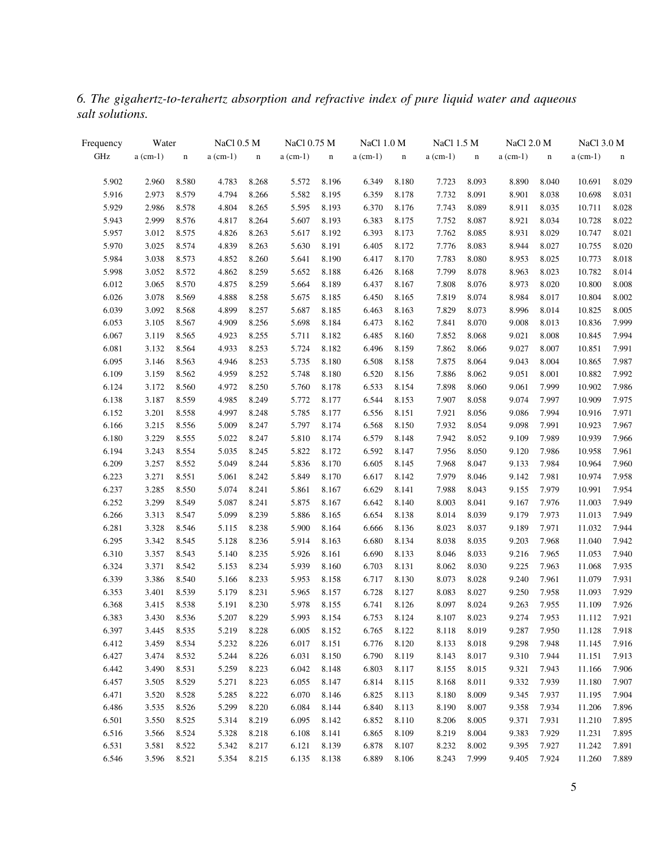*6. The gigahertz-to-terahertz absorption and refractive index of pure liquid water and aqueous salt solutions.*

| Frequency | Water      |             | <b>NaCl 0.5 M</b> |             | NaCl 0.75 M |             | NaCl 1.0 M |             | NaCl 1.5 M |             | NaCl 2.0 M |             | <b>NaCl 3.0 M</b> |             |
|-----------|------------|-------------|-------------------|-------------|-------------|-------------|------------|-------------|------------|-------------|------------|-------------|-------------------|-------------|
| GHz       | $a$ (cm-1) | $\mathbf n$ | $a$ (cm-1)        | $\mathbf n$ | $a$ (cm-1)  | $\mathbf n$ | $a$ (cm-1) | $\mathbf n$ | $a$ (cm-1) | $\mathbf n$ | $a$ (cm-1) | $\mathbf n$ | $a$ (cm-1)        | $\mathbf n$ |
| 5.902     | 2.960      | 8.580       | 4.783             | 8.268       | 5.572       | 8.196       | 6.349      | 8.180       | 7.723      | 8.093       | 8.890      | 8.040       | 10.691            | 8.029       |
| 5.916     | 2.973      | 8.579       | 4.794             | 8.266       | 5.582       | 8.195       | 6.359      | 8.178       | 7.732      | 8.091       | 8.901      | 8.038       | 10.698            | 8.031       |
| 5.929     | 2.986      | 8.578       | 4.804             | 8.265       | 5.595       | 8.193       | 6.370      | 8.176       | 7.743      | 8.089       | 8.911      | 8.035       | 10.711            | 8.028       |
| 5.943     | 2.999      | 8.576       | 4.817             | 8.264       | 5.607       | 8.193       | 6.383      | 8.175       | 7.752      | 8.087       | 8.921      | 8.034       | 10.728            | 8.022       |
| 5.957     | 3.012      | 8.575       | 4.826             | 8.263       | 5.617       | 8.192       | 6.393      | 8.173       | 7.762      | 8.085       | 8.931      | 8.029       | 10.747            | 8.021       |
| 5.970     | 3.025      | 8.574       | 4.839             | 8.263       | 5.630       | 8.191       | 6.405      | 8.172       | 7.776      | 8.083       | 8.944      | 8.027       | 10.755            | 8.020       |
| 5.984     | 3.038      | 8.573       | 4.852             | 8.260       | 5.641       | 8.190       | 6.417      | 8.170       | 7.783      | 8.080       | 8.953      | 8.025       | 10.773            | 8.018       |
| 5.998     | 3.052      | 8.572       | 4.862             | 8.259       | 5.652       | 8.188       | 6.426      | 8.168       | 7.799      | 8.078       | 8.963      | 8.023       | 10.782            | 8.014       |
| 6.012     | 3.065      | 8.570       | 4.875             | 8.259       | 5.664       | 8.189       | 6.437      | 8.167       | 7.808      | 8.076       | 8.973      | 8.020       | 10.800            | 8.008       |
| 6.026     | 3.078      | 8.569       | 4.888             | 8.258       | 5.675       | 8.185       | 6.450      | 8.165       | 7.819      | 8.074       | 8.984      | 8.017       | 10.804            | 8.002       |
| 6.039     | 3.092      | 8.568       | 4.899             | 8.257       | 5.687       | 8.185       | 6.463      | 8.163       | 7.829      | 8.073       | 8.996      | 8.014       | 10.825            | 8.005       |
| 6.053     | 3.105      | 8.567       | 4.909             | 8.256       | 5.698       | 8.184       | 6.473      | 8.162       | 7.841      | 8.070       | 9.008      | 8.013       | 10.836            | 7.999       |
| 6.067     | 3.119      | 8.565       | 4.923             | 8.255       | 5.711       | 8.182       | 6.485      | 8.160       | 7.852      | 8.068       | 9.021      | 8.008       | 10.845            | 7.994       |
| 6.081     | 3.132      | 8.564       | 4.933             | 8.253       | 5.724       | 8.182       | 6.496      | 8.159       | 7.862      | 8.066       | 9.027      | 8.007       | 10.851            | 7.991       |
| 6.095     | 3.146      | 8.563       | 4.946             | 8.253       | 5.735       | 8.180       | 6.508      | 8.158       | 7.875      | 8.064       | 9.043      | 8.004       | 10.865            | 7.987       |
| 6.109     | 3.159      | 8.562       | 4.959             | 8.252       | 5.748       | 8.180       | 6.520      | 8.156       | 7.886      | 8.062       | 9.051      | 8.001       | 10.882            | 7.992       |
| 6.124     | 3.172      | 8.560       | 4.972             | 8.250       | 5.760       | 8.178       | 6.533      | 8.154       | 7.898      | 8.060       | 9.061      | 7.999       | 10.902            | 7.986       |
| 6.138     | 3.187      | 8.559       | 4.985             | 8.249       | 5.772       | 8.177       | 6.544      | 8.153       | 7.907      | 8.058       | 9.074      | 7.997       | 10.909            | 7.975       |
| 6.152     | 3.201      | 8.558       | 4.997             | 8.248       | 5.785       | 8.177       | 6.556      | 8.151       | 7.921      | 8.056       | 9.086      | 7.994       | 10.916            | 7.971       |
| 6.166     | 3.215      | 8.556       | 5.009             | 8.247       | 5.797       | 8.174       | 6.568      | 8.150       | 7.932      | 8.054       | 9.098      | 7.991       | 10.923            | 7.967       |
| 6.180     | 3.229      | 8.555       | 5.022             | 8.247       | 5.810       | 8.174       | 6.579      | 8.148       | 7.942      | 8.052       | 9.109      | 7.989       | 10.939            | 7.966       |
| 6.194     | 3.243      | 8.554       | 5.035             | 8.245       | 5.822       | 8.172       | 6.592      | 8.147       | 7.956      | 8.050       | 9.120      | 7.986       | 10.958            | 7.961       |
| 6.209     | 3.257      | 8.552       | 5.049             | 8.244       | 5.836       | 8.170       | 6.605      | 8.145       | 7.968      | 8.047       | 9.133      | 7.984       | 10.964            | 7.960       |
| 6.223     | 3.271      | 8.551       | 5.061             | 8.242       | 5.849       | 8.170       | 6.617      | 8.142       | 7.979      | 8.046       | 9.142      | 7.981       | 10.974            | 7.958       |
| 6.237     | 3.285      | 8.550       | 5.074             | 8.241       | 5.861       | 8.167       | 6.629      | 8.141       | 7.988      | 8.043       | 9.155      | 7.979       | 10.991            | 7.954       |
| 6.252     | 3.299      | 8.549       | 5.087             | 8.241       | 5.875       | 8.167       | 6.642      | 8.140       | 8.003      | 8.041       | 9.167      | 7.976       | 11.003            | 7.949       |
| 6.266     | 3.313      | 8.547       | 5.099             | 8.239       | 5.886       | 8.165       | 6.654      | 8.138       | 8.014      | 8.039       | 9.179      | 7.973       | 11.013            | 7.949       |
| 6.281     | 3.328      | 8.546       | 5.115             | 8.238       | 5.900       | 8.164       | 6.666      | 8.136       | 8.023      | 8.037       | 9.189      | 7.971       | 11.032            | 7.944       |
| 6.295     | 3.342      | 8.545       | 5.128             | 8.236       | 5.914       | 8.163       | 6.680      | 8.134       | 8.038      | 8.035       | 9.203      | 7.968       | 11.040            | 7.942       |
| 6.310     | 3.357      | 8.543       | 5.140             | 8.235       | 5.926       | 8.161       | 6.690      | 8.133       | 8.046      | 8.033       | 9.216      | 7.965       | 11.053            | 7.940       |
| 6.324     | 3.371      | 8.542       | 5.153             | 8.234       | 5.939       | 8.160       | 6.703      | 8.131       | 8.062      | 8.030       | 9.225      | 7.963       | 11.068            | 7.935       |
| 6.339     | 3.386      | 8.540       | 5.166             | 8.233       | 5.953       | 8.158       | 6.717      | 8.130       | 8.073      | 8.028       | 9.240      | 7.961       | 11.079            | 7.931       |
| 6.353     | 3.401      | 8.539       | 5.179             | 8.231       | 5.965       | 8.157       | 6.728      | 8.127       | 8.083      | 8.027       | 9.250      | 7.958       | 11.093            | 7.929       |
| 6.368     | 3.415      | 8.538       | 5.191             | 8.230       | 5.978       | 8.155       | 6.741      | 8.126       | 8.097      | 8.024       | 9.263      | 7.955       | 11.109            | 7.926       |
| 6.383     | 3.430      | 8.536       | 5.207             | 8.229       | 5.993 8.154 |             | 6.753      | 8.124       | 8.107      | 8.023       |            | 9.274 7.953 | 11.112            | 7.921       |
| 6.397     | 3.445      | 8.535       | 5.219             | 8.228       | 6.005       | 8.152       | 6.765      | 8.122       | 8.118      | 8.019       | 9.287      | 7.950       | 11.128            | 7.918       |
| 6.412     | 3.459      | 8.534       | 5.232             | 8.226       | 6.017       | 8.151       | 6.776      | 8.120       | 8.133      | 8.018       | 9.298      | 7.948       | 11.145            | 7.916       |
| 6.427     | 3.474      | 8.532       | 5.244             | 8.226       | 6.031       | 8.150       | 6.790      | 8.119       | 8.143      | 8.017       | 9.310      | 7.944       | 11.151            | 7.913       |
| 6.442     | 3.490      | 8.531       | 5.259             | 8.223       | 6.042       | 8.148       | 6.803      | 8.117       | 8.155      | 8.015       | 9.321      | 7.943       | 11.166            | 7.906       |
| 6.457     | 3.505      | 8.529       | 5.271             | 8.223       | 6.055       | 8.147       | 6.814      | 8.115       | 8.168      | 8.011       | 9.332      | 7.939       | 11.180            | 7.907       |
| 6.471     | 3.520      | 8.528       | 5.285             | 8.222       | 6.070       | 8.146       | 6.825      | 8.113       | 8.180      | 8.009       | 9.345      | 7.937       | 11.195            | 7.904       |
| 6.486     | 3.535      | 8.526       | 5.299             | 8.220       | 6.084       | 8.144       | 6.840      | 8.113       | 8.190      | 8.007       | 9.358      | 7.934       | 11.206            | 7.896       |
| 6.501     | 3.550      | 8.525       | 5.314             | 8.219       | 6.095       | 8.142       | 6.852      | 8.110       | 8.206      | 8.005       | 9.371      | 7.931       | 11.210            | 7.895       |
| 6.516     | 3.566      | 8.524       | 5.328             | 8.218       | 6.108       | 8.141       | 6.865      | 8.109       | 8.219      | 8.004       | 9.383      | 7.929       | 11.231            | 7.895       |
| 6.531     | 3.581      | 8.522       | 5.342             | 8.217       | 6.121       | 8.139       | 6.878      | 8.107       | 8.232      | 8.002       | 9.395      | 7.927       | 11.242            | 7.891       |
| 6.546     | 3.596      | 8.521       | 5.354             | 8.215       | 6.135       | 8.138       | 6.889      | 8.106       | 8.243      | 7.999       | 9.405      | 7.924       | 11.260            | 7.889       |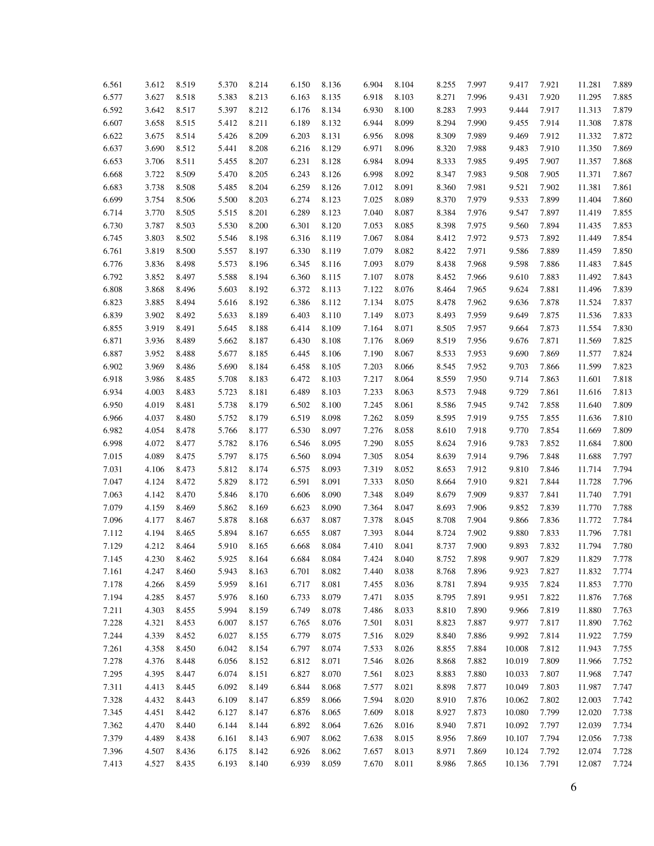| 6.561 | 3.612 | 8.519 | 5.370 | 8.214 | 6.150 | 8.136 | 6.904 | 8.104 | 8.255 | 7.997 | 9.417  | 7.921 | 11.281           | 7.889 |
|-------|-------|-------|-------|-------|-------|-------|-------|-------|-------|-------|--------|-------|------------------|-------|
| 6.577 | 3.627 | 8.518 | 5.383 | 8.213 | 6.163 | 8.135 | 6.918 | 8.103 | 8.271 | 7.996 | 9.431  | 7.920 | 11.295           | 7.885 |
| 6.592 | 3.642 | 8.517 | 5.397 | 8.212 | 6.176 | 8.134 | 6.930 | 8.100 | 8.283 | 7.993 | 9.444  | 7.917 | 11.313           | 7.879 |
| 6.607 | 3.658 | 8.515 | 5.412 | 8.211 | 6.189 | 8.132 | 6.944 | 8.099 | 8.294 | 7.990 | 9.455  | 7.914 | 11.308           | 7.878 |
| 6.622 | 3.675 | 8.514 | 5.426 | 8.209 | 6.203 | 8.131 | 6.956 | 8.098 | 8.309 | 7.989 | 9.469  | 7.912 | 11.332           | 7.872 |
| 6.637 | 3.690 | 8.512 | 5.441 | 8.208 | 6.216 | 8.129 | 6.971 | 8.096 | 8.320 | 7.988 | 9.483  | 7.910 | 11.350           | 7.869 |
| 6.653 | 3.706 | 8.511 | 5.455 | 8.207 | 6.231 | 8.128 | 6.984 | 8.094 | 8.333 | 7.985 | 9.495  | 7.907 | 11.357           | 7.868 |
| 6.668 | 3.722 | 8.509 | 5.470 | 8.205 | 6.243 | 8.126 | 6.998 | 8.092 | 8.347 | 7.983 | 9.508  | 7.905 | 11.371           | 7.867 |
| 6.683 | 3.738 | 8.508 | 5.485 | 8.204 | 6.259 | 8.126 | 7.012 | 8.091 | 8.360 | 7.981 | 9.521  | 7.902 | 11.381           | 7.861 |
| 6.699 | 3.754 | 8.506 | 5.500 | 8.203 | 6.274 | 8.123 | 7.025 | 8.089 | 8.370 | 7.979 | 9.533  | 7.899 | 11.404           | 7.860 |
| 6.714 | 3.770 | 8.505 | 5.515 | 8.201 | 6.289 | 8.123 | 7.040 | 8.087 | 8.384 | 7.976 | 9.547  | 7.897 | 11.419           | 7.855 |
|       | 3.787 | 8.503 | 5.530 | 8.200 | 6.301 | 8.120 | 7.053 | 8.085 |       | 7.975 | 9.560  | 7.894 |                  | 7.853 |
| 6.730 | 3.803 | 8.502 | 5.546 | 8.198 | 6.316 | 8.119 | 7.067 | 8.084 | 8.398 | 7.972 | 9.573  | 7.892 | 11.435<br>11.449 | 7.854 |
| 6.745 |       |       |       |       |       |       |       |       | 8.412 |       |        |       |                  |       |
| 6.761 | 3.819 | 8.500 | 5.557 | 8.197 | 6.330 | 8.119 | 7.079 | 8.082 | 8.422 | 7.971 | 9.586  | 7.889 | 11.459           | 7.850 |
| 6.776 | 3.836 | 8.498 | 5.573 | 8.196 | 6.345 | 8.116 | 7.093 | 8.079 | 8.438 | 7.968 | 9.598  | 7.886 | 11.483           | 7.845 |
| 6.792 | 3.852 | 8.497 | 5.588 | 8.194 | 6.360 | 8.115 | 7.107 | 8.078 | 8.452 | 7.966 | 9.610  | 7.883 | 11.492           | 7.843 |
| 6.808 | 3.868 | 8.496 | 5.603 | 8.192 | 6.372 | 8.113 | 7.122 | 8.076 | 8.464 | 7.965 | 9.624  | 7.881 | 11.496           | 7.839 |
| 6.823 | 3.885 | 8.494 | 5.616 | 8.192 | 6.386 | 8.112 | 7.134 | 8.075 | 8.478 | 7.962 | 9.636  | 7.878 | 11.524           | 7.837 |
| 6.839 | 3.902 | 8.492 | 5.633 | 8.189 | 6.403 | 8.110 | 7.149 | 8.073 | 8.493 | 7.959 | 9.649  | 7.875 | 11.536           | 7.833 |
| 6.855 | 3.919 | 8.491 | 5.645 | 8.188 | 6.414 | 8.109 | 7.164 | 8.071 | 8.505 | 7.957 | 9.664  | 7.873 | 11.554           | 7.830 |
| 6.871 | 3.936 | 8.489 | 5.662 | 8.187 | 6.430 | 8.108 | 7.176 | 8.069 | 8.519 | 7.956 | 9.676  | 7.871 | 11.569           | 7.825 |
| 6.887 | 3.952 | 8.488 | 5.677 | 8.185 | 6.445 | 8.106 | 7.190 | 8.067 | 8.533 | 7.953 | 9.690  | 7.869 | 11.577           | 7.824 |
| 6.902 | 3.969 | 8.486 | 5.690 | 8.184 | 6.458 | 8.105 | 7.203 | 8.066 | 8.545 | 7.952 | 9.703  | 7.866 | 11.599           | 7.823 |
| 6.918 | 3.986 | 8.485 | 5.708 | 8.183 | 6.472 | 8.103 | 7.217 | 8.064 | 8.559 | 7.950 | 9.714  | 7.863 | 11.601           | 7.818 |
| 6.934 | 4.003 | 8.483 | 5.723 | 8.181 | 6.489 | 8.103 | 7.233 | 8.063 | 8.573 | 7.948 | 9.729  | 7.861 | 11.616           | 7.813 |
| 6.950 | 4.019 | 8.481 | 5.738 | 8.179 | 6.502 | 8.100 | 7.245 | 8.061 | 8.586 | 7.945 | 9.742  | 7.858 | 11.640           | 7.809 |
| 6.966 | 4.037 | 8.480 | 5.752 | 8.179 | 6.519 | 8.098 | 7.262 | 8.059 | 8.595 | 7.919 | 9.755  | 7.855 | 11.636           | 7.810 |
| 6.982 | 4.054 | 8.478 | 5.766 | 8.177 | 6.530 | 8.097 | 7.276 | 8.058 | 8.610 | 7.918 | 9.770  | 7.854 | 11.669           | 7.809 |
| 6.998 | 4.072 | 8.477 | 5.782 | 8.176 | 6.546 | 8.095 | 7.290 | 8.055 | 8.624 | 7.916 | 9.783  | 7.852 | 11.684           | 7.800 |
| 7.015 | 4.089 | 8.475 | 5.797 | 8.175 | 6.560 | 8.094 | 7.305 | 8.054 | 8.639 | 7.914 | 9.796  | 7.848 | 11.688           | 7.797 |
| 7.031 | 4.106 | 8.473 | 5.812 | 8.174 | 6.575 | 8.093 | 7.319 | 8.052 | 8.653 | 7.912 | 9.810  | 7.846 | 11.714           | 7.794 |
| 7.047 | 4.124 | 8.472 | 5.829 | 8.172 | 6.591 | 8.091 | 7.333 | 8.050 | 8.664 | 7.910 | 9.821  | 7.844 | 11.728           | 7.796 |
| 7.063 | 4.142 | 8.470 | 5.846 | 8.170 | 6.606 | 8.090 | 7.348 | 8.049 | 8.679 | 7.909 | 9.837  | 7.841 | 11.740           | 7.791 |
| 7.079 | 4.159 | 8.469 | 5.862 | 8.169 | 6.623 | 8.090 | 7.364 | 8.047 | 8.693 | 7.906 | 9.852  | 7.839 | 11.770           | 7.788 |
| 7.096 | 4.177 | 8.467 | 5.878 | 8.168 | 6.637 | 8.087 | 7.378 | 8.045 | 8.708 | 7.904 | 9.866  | 7.836 | 11.772           | 7.784 |
| 7.112 | 4.194 | 8.465 | 5.894 | 8.167 | 6.655 | 8.087 | 7.393 | 8.044 | 8.724 | 7.902 | 9.880  | 7.833 | 11.796           | 7.781 |
| 7.129 | 4.212 | 8.464 | 5.910 | 8.165 | 6.668 | 8.084 | 7.410 | 8.041 | 8.737 | 7.900 | 9.893  | 7.832 | 11.794           | 7.780 |
| 7.145 | 4.230 | 8.462 | 5.925 | 8.164 | 6.684 | 8.084 | 7.424 | 8.040 | 8.752 | 7.898 | 9.907  | 7.829 | 11.829           | 7.778 |
| 7.161 | 4.247 | 8.460 | 5.943 | 8.163 | 6.701 | 8.082 | 7.440 | 8.038 | 8.768 | 7.896 | 9.923  | 7.827 | 11.832           | 7.774 |
| 7.178 | 4.266 | 8.459 | 5.959 | 8.161 | 6.717 | 8.081 | 7.455 | 8.036 | 8.781 | 7.894 | 9.935  | 7.824 | 11.853           | 7.770 |
| 7.194 | 4.285 | 8.457 | 5.976 | 8.160 | 6.733 | 8.079 | 7.471 | 8.035 | 8.795 | 7.891 | 9.951  | 7.822 | 11.876           | 7.768 |
| 7.211 | 4.303 | 8.455 | 5.994 | 8.159 | 6.749 | 8.078 | 7.486 | 8.033 | 8.810 | 7.890 | 9.966  | 7.819 | 11.880           | 7.763 |
| 7.228 | 4.321 | 8.453 | 6.007 | 8.157 | 6.765 | 8.076 | 7.501 | 8.031 | 8.823 | 7.887 | 9.977  | 7.817 | 11.890           | 7.762 |
| 7.244 | 4.339 | 8.452 | 6.027 | 8.155 | 6.779 | 8.075 | 7.516 | 8.029 | 8.840 | 7.886 | 9.992  | 7.814 | 11.922           | 7.759 |
| 7.261 | 4.358 | 8.450 | 6.042 | 8.154 | 6.797 | 8.074 | 7.533 | 8.026 | 8.855 | 7.884 | 10.008 | 7.812 | 11.943           | 7.755 |
| 7.278 | 4.376 | 8.448 | 6.056 | 8.152 | 6.812 | 8.071 | 7.546 | 8.026 | 8.868 | 7.882 | 10.019 | 7.809 | 11.966           | 7.752 |
| 7.295 | 4.395 | 8.447 | 6.074 | 8.151 | 6.827 | 8.070 | 7.561 | 8.023 | 8.883 | 7.880 | 10.033 | 7.807 | 11.968           | 7.747 |
| 7.311 | 4.413 | 8.445 | 6.092 | 8.149 | 6.844 | 8.068 | 7.577 | 8.021 | 8.898 | 7.877 | 10.049 | 7.803 | 11.987           | 7.747 |
| 7.328 | 4.432 | 8.443 | 6.109 | 8.147 | 6.859 | 8.066 | 7.594 | 8.020 | 8.910 | 7.876 | 10.062 | 7.802 | 12.003           | 7.742 |
| 7.345 | 4.451 | 8.442 | 6.127 | 8.147 | 6.876 | 8.065 | 7.609 | 8.018 | 8.927 | 7.873 | 10.080 | 7.799 | 12.020           | 7.738 |
| 7.362 | 4.470 | 8.440 | 6.144 | 8.144 | 6.892 | 8.064 | 7.626 | 8.016 | 8.940 | 7.871 | 10.092 | 7.797 | 12.039           | 7.734 |
| 7.379 | 4.489 | 8.438 | 6.161 | 8.143 | 6.907 | 8.062 | 7.638 | 8.015 | 8.956 | 7.869 | 10.107 | 7.794 | 12.056           | 7.738 |
| 7.396 | 4.507 | 8.436 | 6.175 | 8.142 | 6.926 | 8.062 | 7.657 | 8.013 | 8.971 | 7.869 | 10.124 | 7.792 | 12.074           | 7.728 |
| 7.413 | 4.527 | 8.435 | 6.193 | 8.140 | 6.939 | 8.059 | 7.670 | 8.011 | 8.986 | 7.865 | 10.136 | 7.791 | 12.087           | 7.724 |
|       |       |       |       |       |       |       |       |       |       |       |        |       |                  |       |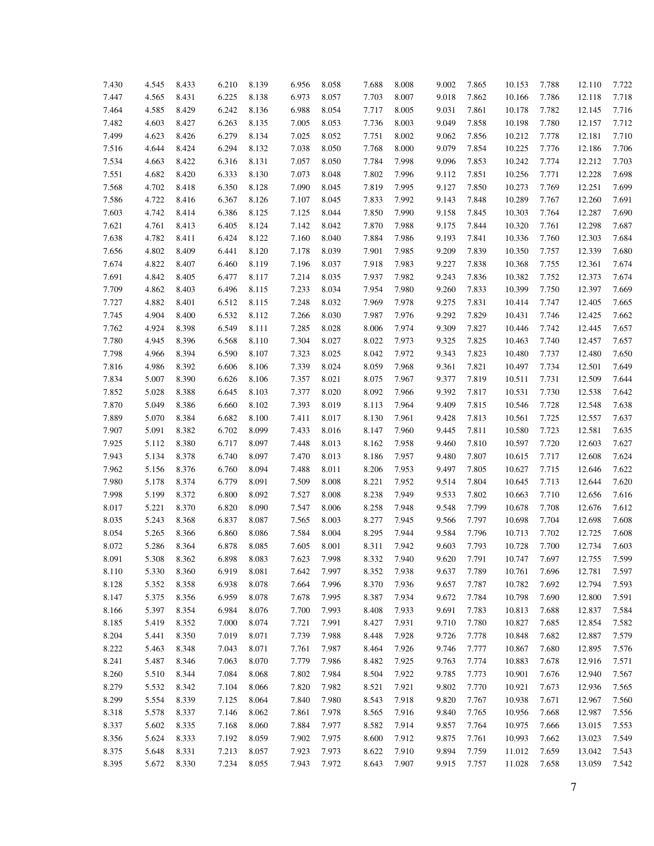| 7.430 | 4.545 | 8.433 | 6.210 | 8.139 | 6.956 | 8.058 | 7.688 | 8.008 | 9.002 | 7.865 | 10.153 | 7.788 | 12.110 | 7.722 |
|-------|-------|-------|-------|-------|-------|-------|-------|-------|-------|-------|--------|-------|--------|-------|
| 7.447 | 4.565 | 8.431 | 6.225 | 8.138 | 6.973 | 8.057 | 7.703 | 8.007 | 9.018 | 7.862 | 10.166 | 7.786 | 12.118 | 7.718 |
| 7.464 | 4.585 | 8.429 | 6.242 | 8.136 | 6.988 | 8.054 | 7.717 | 8.005 | 9.031 | 7.861 | 10.178 | 7.782 | 12.145 | 7.716 |
| 7.482 | 4.603 | 8.427 | 6.263 | 8.135 | 7.005 | 8.053 | 7.736 | 8.003 | 9.049 | 7.858 | 10.198 | 7.780 | 12.157 | 7.712 |
| 7.499 | 4.623 | 8.426 | 6.279 | 8.134 | 7.025 | 8.052 | 7.751 | 8.002 | 9.062 | 7.856 | 10.212 | 7.778 | 12.181 | 7.710 |
| 7.516 | 4.644 | 8.424 | 6.294 | 8.132 | 7.038 | 8.050 | 7.768 | 8.000 | 9.079 | 7.854 | 10.225 | 7.776 | 12.186 | 7.706 |
| 7.534 | 4.663 | 8.422 | 6.316 | 8.131 | 7.057 | 8.050 | 7.784 | 7.998 | 9.096 | 7.853 | 10.242 | 7.774 | 12.212 | 7.703 |
| 7.551 | 4.682 | 8.420 | 6.333 | 8.130 | 7.073 | 8.048 | 7.802 | 7.996 | 9.112 | 7.851 | 10.256 | 7.771 | 12.228 | 7.698 |
| 7.568 | 4.702 | 8.418 | 6.350 | 8.128 | 7.090 | 8.045 | 7.819 | 7.995 | 9.127 | 7.850 | 10.273 | 7.769 | 12.251 | 7.699 |
| 7.586 | 4.722 | 8.416 | 6.367 | 8.126 | 7.107 | 8.045 | 7.833 | 7.992 | 9.143 | 7.848 | 10.289 | 7.767 | 12.260 | 7.691 |
| 7.603 | 4.742 | 8.414 | 6.386 | 8.125 | 7.125 | 8.044 | 7.850 | 7.990 | 9.158 | 7.845 | 10.303 | 7.764 | 12.287 | 7.690 |
| 7.621 | 4.761 | 8.413 | 6.405 | 8.124 | 7.142 | 8.042 | 7.870 | 7.988 | 9.175 | 7.844 | 10.320 | 7.761 | 12.298 | 7.687 |
| 7.638 | 4.782 | 8.411 | 6.424 | 8.122 | 7.160 | 8.040 | 7.884 | 7.986 | 9.193 | 7.841 | 10.336 | 7.760 | 12.303 | 7.684 |
| 7.656 | 4.802 | 8.409 | 6.441 | 8.120 | 7.178 | 8.039 | 7.901 | 7.985 | 9.209 | 7.839 | 10.350 | 7.757 | 12.339 | 7.680 |
| 7.674 | 4.822 | 8.407 | 6.460 | 8.119 | 7.196 | 8.037 | 7.918 | 7.983 | 9.227 | 7.838 | 10.368 | 7.755 | 12.361 | 7.674 |
| 7.691 | 4.842 | 8.405 | 6.477 | 8.117 | 7.214 | 8.035 | 7.937 | 7.982 | 9.243 | 7.836 | 10.382 | 7.752 | 12.373 | 7.674 |
| 7.709 | 4.862 | 8.403 | 6.496 | 8.115 | 7.233 | 8.034 | 7.954 | 7.980 | 9.260 | 7.833 | 10.399 | 7.750 | 12.397 | 7.669 |
| 7.727 | 4.882 | 8.401 | 6.512 | 8.115 | 7.248 | 8.032 | 7.969 | 7.978 | 9.275 | 7.831 | 10.414 | 7.747 | 12.405 | 7.665 |
| 7.745 | 4.904 | 8.400 | 6.532 | 8.112 | 7.266 | 8.030 | 7.987 | 7.976 | 9.292 | 7.829 | 10.431 | 7.746 | 12.425 | 7.662 |
| 7.762 | 4.924 | 8.398 | 6.549 | 8.111 | 7.285 | 8.028 | 8.006 | 7.974 | 9.309 | 7.827 | 10.446 | 7.742 | 12.445 | 7.657 |
| 7.780 | 4.945 | 8.396 | 6.568 | 8.110 | 7.304 | 8.027 | 8.022 | 7.973 | 9.325 | 7.825 | 10.463 | 7.740 | 12.457 | 7.657 |
| 7.798 | 4.966 | 8.394 | 6.590 | 8.107 | 7.323 | 8.025 | 8.042 | 7.972 | 9.343 | 7.823 | 10.480 | 7.737 | 12.480 | 7.650 |
| 7.816 | 4.986 | 8.392 | 6.606 | 8.106 | 7.339 | 8.024 | 8.059 | 7.968 | 9.361 | 7.821 | 10.497 | 7.734 | 12.501 | 7.649 |
| 7.834 | 5.007 | 8.390 | 6.626 | 8.106 | 7.357 | 8.021 | 8.075 | 7.967 | 9.377 | 7.819 | 10.511 | 7.731 | 12.509 | 7.644 |
| 7.852 | 5.028 | 8.388 | 6.645 | 8.103 | 7.377 | 8.020 | 8.092 | 7.966 | 9.392 | 7.817 | 10.531 | 7.730 | 12.538 | 7.642 |
| 7.870 | 5.049 | 8.386 | 6.660 | 8.102 | 7.393 | 8.019 | 8.113 | 7.964 | 9.409 | 7.815 | 10.546 | 7.728 | 12.548 | 7.638 |
| 7.889 | 5.070 | 8.384 | 6.682 | 8.100 | 7.411 | 8.017 | 8.130 | 7.961 | 9.428 | 7.813 | 10.561 | 7.725 | 12.557 | 7.637 |
| 7.907 | 5.091 | 8.382 | 6.702 | 8.099 | 7.433 | 8.016 | 8.147 | 7.960 | 9.445 | 7.811 | 10.580 | 7.723 | 12.581 | 7.635 |
| 7.925 | 5.112 | 8.380 | 6.717 | 8.097 | 7.448 | 8.013 | 8.162 | 7.958 | 9.460 | 7.810 | 10.597 | 7.720 | 12.603 | 7.627 |
| 7.943 | 5.134 | 8.378 | 6.740 | 8.097 | 7.470 | 8.013 | 8.186 | 7.957 | 9.480 | 7.807 | 10.615 | 7.717 | 12.608 | 7.624 |
| 7.962 | 5.156 | 8.376 | 6.760 | 8.094 | 7.488 | 8.011 | 8.206 | 7.953 | 9.497 | 7.805 | 10.627 | 7.715 | 12.646 | 7.622 |
| 7.980 | 5.178 | 8.374 | 6.779 | 8.091 | 7.509 | 8.008 | 8.221 | 7.952 | 9.514 | 7.804 | 10.645 | 7.713 | 12.644 | 7.620 |
| 7.998 | 5.199 | 8.372 | 6.800 | 8.092 | 7.527 | 8.008 | 8.238 | 7.949 | 9.533 | 7.802 | 10.663 | 7.710 | 12.656 | 7.616 |
| 8.017 | 5.221 | 8.370 | 6.820 | 8.090 | 7.547 | 8.006 | 8.258 | 7.948 | 9.548 | 7.799 | 10.678 | 7.708 | 12.676 | 7.612 |
| 8.035 | 5.243 | 8.368 | 6.837 | 8.087 | 7.565 | 8.003 | 8.277 | 7.945 | 9.566 | 7.797 | 10.698 | 7.704 | 12.698 | 7.608 |
| 8.054 | 5.265 | 8.366 | 6.860 | 8.086 | 7.584 | 8.004 | 8.295 | 7.944 | 9.584 | 7.796 | 10.713 | 7.702 | 12.725 | 7.608 |
| 8.072 | 5.286 | 8.364 | 6.878 | 8.085 | 7.605 | 8.001 | 8.311 | 7.942 | 9.603 | 7.793 | 10.728 | 7.700 | 12.734 | 7.603 |
| 8.091 | 5.308 | 8.362 | 6.898 | 8.083 | 7.623 | 7.998 | 8.332 | 7.940 | 9.620 | 7.791 | 10.747 | 7.697 | 12.755 | 7.599 |
| 8.110 | 5.330 | 8.360 | 6.919 | 8.081 | 7.642 | 7.997 | 8.352 | 7.938 | 9.637 | 7.789 | 10.761 | 7.696 | 12.781 | 7.597 |
| 8.128 | 5.352 | 8.358 | 6.938 | 8.078 | 7.664 | 7.996 | 8.370 | 7.936 | 9.657 | 7.787 | 10.782 | 7.692 | 12.794 | 7.593 |
|       |       |       |       |       |       |       |       |       | 9.672 |       |        |       |        |       |
| 8.147 | 5.375 | 8.356 | 6.959 | 8.078 | 7.678 | 7.995 | 8.387 | 7.934 |       | 7.784 | 10.798 | 7.690 | 12.800 | 7.591 |
| 8.166 | 5.397 | 8.354 | 6.984 | 8.076 | 7.700 | 7.993 | 8.408 | 7.933 | 9.691 | 7.783 | 10.813 | 7.688 | 12.837 | 7.584 |
| 8.185 | 5.419 | 8.352 | 7.000 | 8.074 | 7.721 | 7.991 | 8.427 | 7.931 | 9.710 | 7.780 | 10.827 | 7.685 | 12.854 | 7.582 |
| 8.204 | 5.441 | 8.350 | 7.019 | 8.071 | 7.739 | 7.988 | 8.448 | 7.928 | 9.726 | 7.778 | 10.848 | 7.682 | 12.887 | 7.579 |
| 8.222 | 5.463 | 8.348 | 7.043 | 8.071 | 7.761 | 7.987 | 8.464 | 7.926 | 9.746 | 7.777 | 10.867 | 7.680 | 12.895 | 7.576 |
| 8.241 | 5.487 | 8.346 | 7.063 | 8.070 | 7.779 | 7.986 | 8.482 | 7.925 | 9.763 | 7.774 | 10.883 | 7.678 | 12.916 | 7.571 |
| 8.260 | 5.510 | 8.344 | 7.084 | 8.068 | 7.802 | 7.984 | 8.504 | 7.922 | 9.785 | 7.773 | 10.901 | 7.676 | 12.940 | 7.567 |
| 8.279 | 5.532 | 8.342 | 7.104 | 8.066 | 7.820 | 7.982 | 8.521 | 7.921 | 9.802 | 7.770 | 10.921 | 7.673 | 12.936 | 7.565 |
| 8.299 | 5.554 | 8.339 | 7.125 | 8.064 | 7.840 | 7.980 | 8.543 | 7.918 | 9.820 | 7.767 | 10.938 | 7.671 | 12.967 | 7.560 |
| 8.318 | 5.578 | 8.337 | 7.146 | 8.062 | 7.861 | 7.978 | 8.565 | 7.916 | 9.840 | 7.765 | 10.956 | 7.668 | 12.987 | 7.556 |
| 8.337 | 5.602 | 8.335 | 7.168 | 8.060 | 7.884 | 7.977 | 8.582 | 7.914 | 9.857 | 7.764 | 10.975 | 7.666 | 13.015 | 7.553 |
| 8.356 | 5.624 | 8.333 | 7.192 | 8.059 | 7.902 | 7.975 | 8.600 | 7.912 | 9.875 | 7.761 | 10.993 | 7.662 | 13.023 | 7.549 |
| 8.375 | 5.648 | 8.331 | 7.213 | 8.057 | 7.923 | 7.973 | 8.622 | 7.910 | 9.894 | 7.759 | 11.012 | 7.659 | 13.042 | 7.543 |
| 8.395 | 5.672 | 8.330 | 7.234 | 8.055 | 7.943 | 7.972 | 8.643 | 7.907 | 9.915 | 7.757 | 11.028 | 7.658 | 13.059 | 7.542 |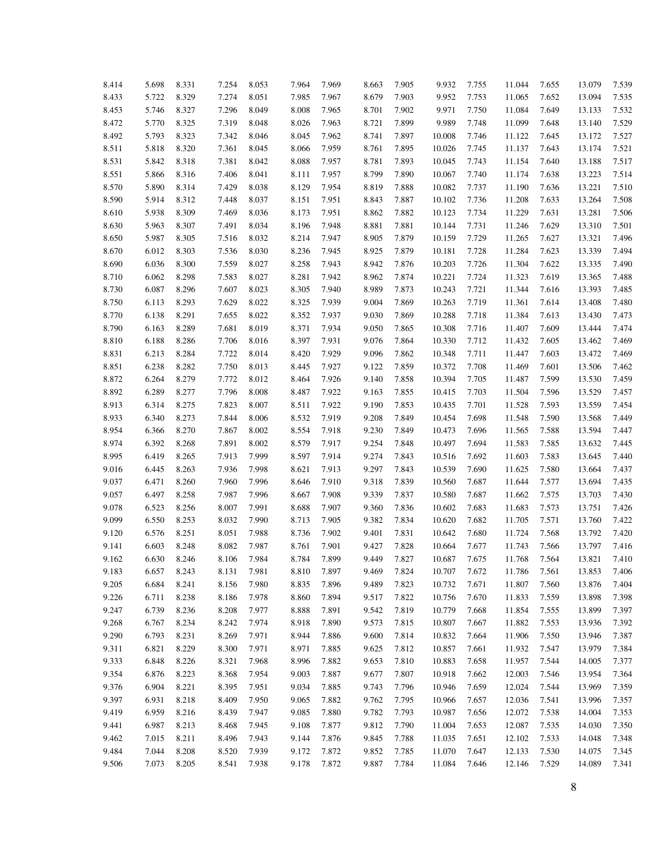| 8.414 | 5.698 | 8.331 | 7.254 | 8.053 | 7.964 | 7.969 | 8.663 | 7.905 | 9.932  | 7.755 | 11.044 | 7.655 | 13.079 | 7.539 |
|-------|-------|-------|-------|-------|-------|-------|-------|-------|--------|-------|--------|-------|--------|-------|
| 8.433 | 5.722 | 8.329 | 7.274 | 8.051 | 7.985 | 7.967 | 8.679 | 7.903 | 9.952  | 7.753 | 11.065 | 7.652 | 13.094 | 7.535 |
| 8.453 | 5.746 | 8.327 | 7.296 | 8.049 | 8.008 | 7.965 | 8.701 | 7.902 | 9.971  | 7.750 | 11.084 | 7.649 | 13.133 | 7.532 |
| 8.472 | 5.770 | 8.325 | 7.319 | 8.048 | 8.026 | 7.963 | 8.721 | 7.899 | 9.989  | 7.748 | 11.099 | 7.648 | 13.140 | 7.529 |
| 8.492 | 5.793 | 8.323 | 7.342 | 8.046 | 8.045 | 7.962 | 8.741 | 7.897 | 10.008 | 7.746 | 11.122 | 7.645 | 13.172 | 7.527 |
| 8.511 | 5.818 | 8.320 | 7.361 | 8.045 | 8.066 | 7.959 | 8.761 | 7.895 | 10.026 | 7.745 | 11.137 | 7.643 | 13.174 | 7.521 |
| 8.531 | 5.842 | 8.318 | 7.381 | 8.042 | 8.088 | 7.957 | 8.781 | 7.893 | 10.045 | 7.743 | 11.154 | 7.640 | 13.188 | 7.517 |
| 8.551 | 5.866 | 8.316 | 7.406 | 8.041 | 8.111 | 7.957 | 8.799 | 7.890 | 10.067 | 7.740 | 11.174 | 7.638 | 13.223 | 7.514 |
| 8.570 | 5.890 | 8.314 | 7.429 | 8.038 | 8.129 | 7.954 | 8.819 | 7.888 | 10.082 | 7.737 | 11.190 | 7.636 | 13.221 | 7.510 |
| 8.590 | 5.914 | 8.312 | 7.448 | 8.037 | 8.151 | 7.951 | 8.843 | 7.887 | 10.102 | 7.736 | 11.208 | 7.633 | 13.264 | 7.508 |
| 8.610 | 5.938 | 8.309 | 7.469 | 8.036 | 8.173 | 7.951 | 8.862 | 7.882 | 10.123 | 7.734 | 11.229 | 7.631 | 13.281 | 7.506 |
| 8.630 | 5.963 | 8.307 | 7.491 | 8.034 | 8.196 | 7.948 | 8.881 | 7.881 | 10.144 | 7.731 | 11.246 | 7.629 | 13.310 | 7.501 |
| 8.650 | 5.987 | 8.305 | 7.516 | 8.032 | 8.214 | 7.947 | 8.905 | 7.879 | 10.159 | 7.729 | 11.265 | 7.627 | 13.321 | 7.496 |
| 8.670 | 6.012 | 8.303 | 7.536 | 8.030 | 8.236 | 7.945 | 8.925 | 7.879 | 10.181 | 7.728 | 11.284 | 7.623 | 13.339 | 7.494 |
| 8.690 | 6.036 | 8.300 | 7.559 | 8.027 | 8.258 | 7.943 | 8.942 | 7.876 | 10.203 | 7.726 | 11.304 | 7.622 | 13.335 | 7.490 |
| 8.710 | 6.062 | 8.298 | 7.583 | 8.027 | 8.281 | 7.942 | 8.962 | 7.874 | 10.221 | 7.724 | 11.323 | 7.619 | 13.365 | 7.488 |
| 8.730 | 6.087 | 8.296 | 7.607 | 8.023 | 8.305 | 7.940 | 8.989 | 7.873 | 10.243 | 7.721 | 11.344 | 7.616 | 13.393 | 7.485 |
| 8.750 | 6.113 | 8.293 | 7.629 | 8.022 | 8.325 | 7.939 | 9.004 | 7.869 | 10.263 | 7.719 | 11.361 | 7.614 | 13.408 | 7.480 |
| 8.770 | 6.138 | 8.291 | 7.655 | 8.022 | 8.352 | 7.937 | 9.030 | 7.869 | 10.288 | 7.718 | 11.384 | 7.613 | 13.430 | 7.473 |
| 8.790 | 6.163 | 8.289 | 7.681 | 8.019 | 8.371 | 7.934 | 9.050 | 7.865 | 10.308 | 7.716 | 11.407 | 7.609 | 13.444 | 7.474 |
| 8.810 | 6.188 | 8.286 | 7.706 | 8.016 | 8.397 | 7.931 | 9.076 | 7.864 | 10.330 | 7.712 | 11.432 | 7.605 | 13.462 | 7.469 |
| 8.831 | 6.213 | 8.284 | 7.722 | 8.014 | 8.420 | 7.929 | 9.096 | 7.862 | 10.348 | 7.711 | 11.447 | 7.603 | 13.472 | 7.469 |
| 8.851 | 6.238 | 8.282 | 7.750 | 8.013 | 8.445 | 7.927 | 9.122 | 7.859 | 10.372 | 7.708 | 11.469 | 7.601 | 13.506 | 7.462 |
| 8.872 | 6.264 | 8.279 | 7.772 | 8.012 | 8.464 | 7.926 | 9.140 | 7.858 | 10.394 | 7.705 | 11.487 | 7.599 | 13.530 | 7.459 |
| 8.892 | 6.289 | 8.277 | 7.796 | 8.008 | 8.487 | 7.922 | 9.163 | 7.855 | 10.415 | 7.703 | 11.504 | 7.596 | 13.529 | 7.457 |
| 8.913 | 6.314 | 8.275 | 7.823 | 8.007 | 8.511 | 7.922 | 9.190 | 7.853 | 10.435 | 7.701 | 11.528 | 7.593 | 13.559 | 7.454 |
| 8.933 | 6.340 | 8.273 | 7.844 | 8.006 | 8.532 | 7.919 | 9.208 | 7.849 | 10.454 | 7.698 | 11.548 | 7.590 | 13.568 | 7.449 |
| 8.954 | 6.366 | 8.270 | 7.867 | 8.002 | 8.554 | 7.918 | 9.230 | 7.849 | 10.473 | 7.696 | 11.565 | 7.588 | 13.594 | 7.447 |
| 8.974 | 6.392 | 8.268 | 7.891 | 8.002 | 8.579 | 7.917 | 9.254 | 7.848 | 10.497 | 7.694 | 11.583 | 7.585 | 13.632 | 7.445 |
| 8.995 | 6.419 | 8.265 | 7.913 | 7.999 | 8.597 | 7.914 | 9.274 | 7.843 | 10.516 | 7.692 | 11.603 | 7.583 | 13.645 | 7.440 |
| 9.016 | 6.445 | 8.263 | 7.936 | 7.998 | 8.621 | 7.913 | 9.297 | 7.843 | 10.539 | 7.690 | 11.625 | 7.580 | 13.664 | 7.437 |
| 9.037 | 6.471 | 8.260 | 7.960 | 7.996 | 8.646 | 7.910 | 9.318 | 7.839 | 10.560 | 7.687 | 11.644 | 7.577 | 13.694 | 7.435 |
| 9.057 | 6.497 | 8.258 | 7.987 | 7.996 | 8.667 | 7.908 | 9.339 | 7.837 | 10.580 | 7.687 | 11.662 | 7.575 | 13.703 | 7.430 |
| 9.078 | 6.523 | 8.256 | 8.007 | 7.991 | 8.688 | 7.907 | 9.360 | 7.836 | 10.602 | 7.683 | 11.683 | 7.573 | 13.751 | 7.426 |
| 9.099 | 6.550 | 8.253 | 8.032 | 7.990 | 8.713 | 7.905 | 9.382 | 7.834 | 10.620 | 7.682 | 11.705 | 7.571 | 13.760 | 7.422 |
| 9.120 | 6.576 | 8.251 | 8.051 | 7.988 | 8.736 | 7.902 | 9.401 | 7.831 | 10.642 | 7.680 | 11.724 | 7.568 | 13.792 | 7.420 |
| 9.141 | 6.603 | 8.248 | 8.082 | 7.987 | 8.761 | 7.901 | 9.427 | 7.828 | 10.664 | 7.677 | 11.743 | 7.566 | 13.797 | 7.416 |
| 9.162 | 6.630 | 8.246 | 8.106 | 7.984 | 8.784 | 7.899 | 9.449 | 7.827 | 10.687 | 7.675 | 11.768 | 7.564 | 13.821 | 7.410 |
| 9.183 | 6.657 | 8.243 | 8.131 | 7.981 | 8.810 | 7.897 | 9.469 | 7.824 | 10.707 | 7.672 | 11.786 | 7.561 | 13.853 | 7.406 |
| 9.205 | 6.684 | 8.241 | 8.156 | 7.980 | 8.835 | 7.896 | 9.489 | 7.823 | 10.732 | 7.671 | 11.807 | 7.560 | 13.876 | 7.404 |
| 9.226 | 6.711 | 8.238 | 8.186 | 7.978 | 8.860 | 7.894 | 9.517 | 7.822 | 10.756 | 7.670 | 11.833 | 7.559 | 13.898 | 7.398 |
| 9.247 | 6.739 | 8.236 | 8.208 | 7.977 | 8.888 | 7.891 | 9.542 | 7.819 | 10.779 | 7.668 | 11.854 | 7.555 | 13.899 | 7.397 |
| 9.268 | 6.767 | 8.234 | 8.242 | 7.974 | 8.918 | 7.890 | 9.573 | 7.815 | 10.807 | 7.667 | 11.882 | 7.553 | 13.936 | 7.392 |
| 9.290 | 6.793 | 8.231 | 8.269 | 7.971 | 8.944 | 7.886 | 9.600 | 7.814 | 10.832 | 7.664 | 11.906 | 7.550 | 13.946 | 7.387 |
| 9.311 | 6.821 | 8.229 | 8.300 | 7.971 | 8.971 | 7.885 | 9.625 | 7.812 | 10.857 | 7.661 | 11.932 | 7.547 | 13.979 | 7.384 |
| 9.333 | 6.848 | 8.226 | 8.321 | 7.968 | 8.996 | 7.882 | 9.653 | 7.810 | 10.883 | 7.658 | 11.957 | 7.544 | 14.005 | 7.377 |
| 9.354 | 6.876 | 8.223 | 8.368 | 7.954 | 9.003 | 7.887 | 9.677 | 7.807 | 10.918 | 7.662 | 12.003 | 7.546 | 13.954 | 7.364 |
| 9.376 | 6.904 | 8.221 | 8.395 | 7.951 | 9.034 | 7.885 | 9.743 | 7.796 | 10.946 | 7.659 | 12.024 | 7.544 | 13.969 | 7.359 |
| 9.397 | 6.931 | 8.218 | 8.409 | 7.950 | 9.065 | 7.882 | 9.762 | 7.795 | 10.966 | 7.657 | 12.036 | 7.541 | 13.996 | 7.357 |
| 9.419 | 6.959 | 8.216 | 8.439 | 7.947 | 9.085 | 7.880 | 9.782 | 7.793 | 10.987 | 7.656 | 12.072 | 7.538 | 14.004 | 7.353 |
| 9.441 | 6.987 | 8.213 | 8.468 | 7.945 | 9.108 | 7.877 | 9.812 | 7.790 | 11.004 | 7.653 | 12.087 | 7.535 | 14.030 | 7.350 |
| 9.462 | 7.015 | 8.211 | 8.496 | 7.943 | 9.144 | 7.876 | 9.845 | 7.788 | 11.035 | 7.651 | 12.102 | 7.533 | 14.048 | 7.348 |
| 9.484 | 7.044 | 8.208 | 8.520 | 7.939 | 9.172 | 7.872 | 9.852 | 7.785 | 11.070 | 7.647 | 12.133 | 7.530 | 14.075 | 7.345 |
| 9.506 | 7.073 | 8.205 | 8.541 | 7.938 | 9.178 | 7.872 | 9.887 | 7.784 | 11.084 | 7.646 | 12.146 | 7.529 | 14.089 | 7.341 |
|       |       |       |       |       |       |       |       |       |        |       |        |       |        |       |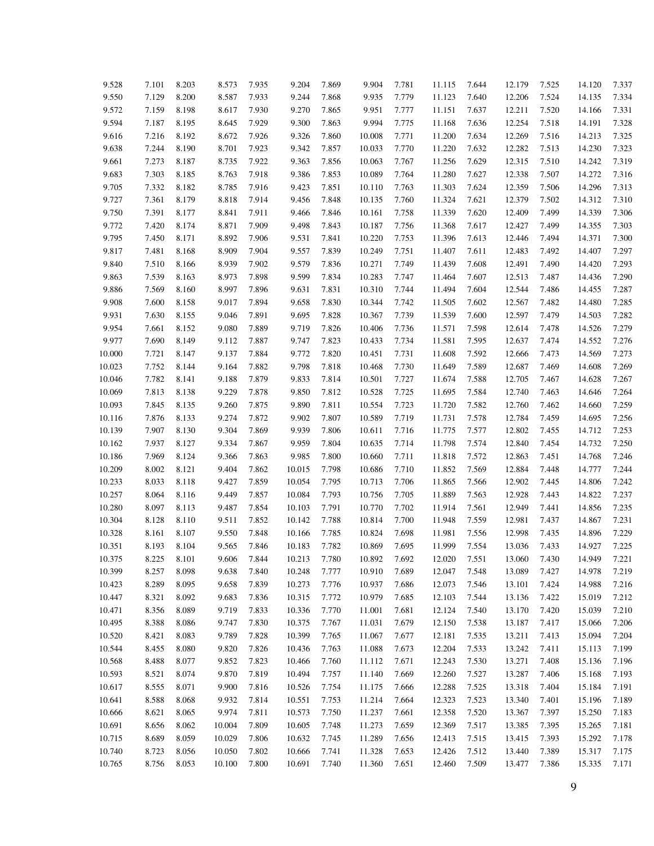| 9.528  | 7.101 | 8.203 | 8.573  | 7.935 | 9.204  | 7.869 | 9.904  | 7.781 | 11.115           | 7.644 | 12.179 | 7.525 | 14.120 | 7.337 |
|--------|-------|-------|--------|-------|--------|-------|--------|-------|------------------|-------|--------|-------|--------|-------|
| 9.550  | 7.129 | 8.200 | 8.587  | 7.933 | 9.244  | 7.868 | 9.935  | 7.779 | 11.123           | 7.640 | 12.206 | 7.524 | 14.135 | 7.334 |
| 9.572  | 7.159 | 8.198 | 8.617  | 7.930 | 9.270  | 7.865 | 9.951  | 7.777 | 11.151           | 7.637 | 12.211 | 7.520 | 14.166 | 7.331 |
| 9.594  | 7.187 | 8.195 | 8.645  | 7.929 | 9.300  | 7.863 | 9.994  | 7.775 | 11.168           | 7.636 | 12.254 | 7.518 | 14.191 | 7.328 |
| 9.616  | 7.216 | 8.192 | 8.672  | 7.926 | 9.326  | 7.860 | 10.008 | 7.771 | 11.200           | 7.634 | 12.269 | 7.516 | 14.213 | 7.325 |
| 9.638  | 7.244 | 8.190 | 8.701  | 7.923 | 9.342  | 7.857 | 10.033 | 7.770 | 11.220           | 7.632 | 12.282 | 7.513 | 14.230 | 7.323 |
| 9.661  | 7.273 | 8.187 | 8.735  | 7.922 | 9.363  | 7.856 | 10.063 | 7.767 | 11.256           | 7.629 | 12.315 | 7.510 | 14.242 | 7.319 |
| 9.683  | 7.303 | 8.185 | 8.763  | 7.918 | 9.386  | 7.853 | 10.089 | 7.764 | 11.280           | 7.627 | 12.338 | 7.507 | 14.272 | 7.316 |
| 9.705  | 7.332 | 8.182 | 8.785  | 7.916 | 9.423  | 7.851 | 10.110 | 7.763 | 11.303           | 7.624 | 12.359 | 7.506 | 14.296 | 7.313 |
| 9.727  | 7.361 | 8.179 | 8.818  | 7.914 | 9.456  | 7.848 | 10.135 | 7.760 | 11.324           | 7.621 | 12.379 | 7.502 | 14.312 | 7.310 |
| 9.750  | 7.391 | 8.177 | 8.841  | 7.911 | 9.466  | 7.846 | 10.161 | 7.758 | 11.339           | 7.620 | 12.409 | 7.499 | 14.339 | 7.306 |
| 9.772  | 7.420 | 8.174 | 8.871  | 7.909 | 9.498  | 7.843 | 10.187 | 7.756 | 11.368           | 7.617 | 12.427 | 7.499 | 14.355 | 7.303 |
| 9.795  | 7.450 | 8.171 | 8.892  | 7.906 | 9.531  | 7.841 | 10.220 | 7.753 | 11.396           | 7.613 | 12.446 | 7.494 | 14.371 | 7.300 |
| 9.817  | 7.481 | 8.168 | 8.909  | 7.904 | 9.557  | 7.839 | 10.249 | 7.751 | 11.407           | 7.611 | 12.483 | 7.492 | 14.407 | 7.297 |
|        | 7.510 | 8.166 | 8.939  | 7.902 | 9.579  | 7.836 | 10.271 | 7.749 | 11.439           | 7.608 | 12.491 | 7.490 | 14.420 | 7.293 |
| 9.840  | 7.539 | 8.163 | 8.973  | 7.898 | 9.599  | 7.834 | 10.283 | 7.747 |                  | 7.607 |        | 7.487 |        | 7.290 |
| 9.863  | 7.569 | 8.160 | 8.997  | 7.896 |        |       | 10.310 | 7.744 | 11.464<br>11.494 | 7.604 | 12.513 |       | 14.436 | 7.287 |
| 9.886  |       |       |        |       | 9.631  | 7.831 |        |       |                  |       | 12.544 | 7.486 | 14.455 |       |
| 9.908  | 7.600 | 8.158 | 9.017  | 7.894 | 9.658  | 7.830 | 10.344 | 7.742 | 11.505           | 7.602 | 12.567 | 7.482 | 14.480 | 7.285 |
| 9.931  | 7.630 | 8.155 | 9.046  | 7.891 | 9.695  | 7.828 | 10.367 | 7.739 | 11.539           | 7.600 | 12.597 | 7.479 | 14.503 | 7.282 |
| 9.954  | 7.661 | 8.152 | 9.080  | 7.889 | 9.719  | 7.826 | 10.406 | 7.736 | 11.571           | 7.598 | 12.614 | 7.478 | 14.526 | 7.279 |
| 9.977  | 7.690 | 8.149 | 9.112  | 7.887 | 9.747  | 7.823 | 10.433 | 7.734 | 11.581           | 7.595 | 12.637 | 7.474 | 14.552 | 7.276 |
| 10.000 | 7.721 | 8.147 | 9.137  | 7.884 | 9.772  | 7.820 | 10.451 | 7.731 | 11.608           | 7.592 | 12.666 | 7.473 | 14.569 | 7.273 |
| 10.023 | 7.752 | 8.144 | 9.164  | 7.882 | 9.798  | 7.818 | 10.468 | 7.730 | 11.649           | 7.589 | 12.687 | 7.469 | 14.608 | 7.269 |
| 10.046 | 7.782 | 8.141 | 9.188  | 7.879 | 9.833  | 7.814 | 10.501 | 7.727 | 11.674           | 7.588 | 12.705 | 7.467 | 14.628 | 7.267 |
| 10.069 | 7.813 | 8.138 | 9.229  | 7.878 | 9.850  | 7.812 | 10.528 | 7.725 | 11.695           | 7.584 | 12.740 | 7.463 | 14.646 | 7.264 |
| 10.093 | 7.845 | 8.135 | 9.260  | 7.875 | 9.890  | 7.811 | 10.554 | 7.723 | 11.720           | 7.582 | 12.760 | 7.462 | 14.660 | 7.259 |
| 10.116 | 7.876 | 8.133 | 9.274  | 7.872 | 9.902  | 7.807 | 10.589 | 7.719 | 11.731           | 7.578 | 12.784 | 7.459 | 14.695 | 7.256 |
| 10.139 | 7.907 | 8.130 | 9.304  | 7.869 | 9.939  | 7.806 | 10.611 | 7.716 | 11.775           | 7.577 | 12.802 | 7.455 | 14.712 | 7.253 |
| 10.162 | 7.937 | 8.127 | 9.334  | 7.867 | 9.959  | 7.804 | 10.635 | 7.714 | 11.798           | 7.574 | 12.840 | 7.454 | 14.732 | 7.250 |
| 10.186 | 7.969 | 8.124 | 9.366  | 7.863 | 9.985  | 7.800 | 10.660 | 7.711 | 11.818           | 7.572 | 12.863 | 7.451 | 14.768 | 7.246 |
| 10.209 | 8.002 | 8.121 | 9.404  | 7.862 | 10.015 | 7.798 | 10.686 | 7.710 | 11.852           | 7.569 | 12.884 | 7.448 | 14.777 | 7.244 |
| 10.233 | 8.033 | 8.118 | 9.427  | 7.859 | 10.054 | 7.795 | 10.713 | 7.706 | 11.865           | 7.566 | 12.902 | 7.445 | 14.806 | 7.242 |
| 10.257 | 8.064 | 8.116 | 9.449  | 7.857 | 10.084 | 7.793 | 10.756 | 7.705 | 11.889           | 7.563 | 12.928 | 7.443 | 14.822 | 7.237 |
| 10.280 | 8.097 | 8.113 | 9.487  | 7.854 | 10.103 | 7.791 | 10.770 | 7.702 | 11.914           | 7.561 | 12.949 | 7.441 | 14.856 | 7.235 |
| 10.304 | 8.128 | 8.110 | 9.511  | 7.852 | 10.142 | 7.788 | 10.814 | 7.700 | 11.948           | 7.559 | 12.981 | 7.437 | 14.867 | 7.231 |
| 10.328 | 8.161 | 8.107 | 9.550  | 7.848 | 10.166 | 7.785 | 10.824 | 7.698 | 11.981           | 7.556 | 12.998 | 7.435 | 14.896 | 7.229 |
| 10.351 | 8.193 | 8.104 | 9.565  | 7.846 | 10.183 | 7.782 | 10.869 | 7.695 | 11.999           | 7.554 | 13.036 | 7.433 | 14.927 | 7.225 |
| 10.375 | 8.225 | 8.101 | 9.606  | 7.844 | 10.213 | 7.780 | 10.892 | 7.692 | 12.020           | 7.551 | 13.060 | 7.430 | 14.949 | 7.221 |
| 10.399 | 8.257 | 8.098 | 9.638  | 7.840 | 10.248 | 7.777 | 10.910 | 7.689 | 12.047           | 7.548 | 13.089 | 7.427 | 14.978 | 7.219 |
| 10.423 | 8.289 | 8.095 | 9.658  | 7.839 | 10.273 | 7.776 | 10.937 | 7.686 | 12.073           | 7.546 | 13.101 | 7.424 | 14.988 | 7.216 |
| 10.447 | 8.321 | 8.092 | 9.683  | 7.836 | 10.315 | 7.772 | 10.979 | 7.685 | 12.103           | 7.544 | 13.136 | 7.422 | 15.019 | 7.212 |
| 10.471 | 8.356 | 8.089 | 9.719  | 7.833 | 10.336 | 7.770 | 11.001 | 7.681 | 12.124           | 7.540 | 13.170 | 7.420 | 15.039 | 7.210 |
| 10.495 | 8.388 | 8.086 | 9.747  | 7.830 | 10.375 | 7.767 | 11.031 | 7.679 | 12.150           | 7.538 | 13.187 | 7.417 | 15.066 | 7.206 |
| 10.520 | 8.421 | 8.083 | 9.789  | 7.828 | 10.399 | 7.765 | 11.067 | 7.677 | 12.181           | 7.535 | 13.211 | 7.413 | 15.094 | 7.204 |
| 10.544 | 8.455 | 8.080 | 9.820  | 7.826 | 10.436 | 7.763 | 11.088 | 7.673 | 12.204           | 7.533 | 13.242 | 7.411 | 15.113 | 7.199 |
| 10.568 | 8.488 | 8.077 | 9.852  | 7.823 | 10.466 | 7.760 | 11.112 | 7.671 | 12.243           | 7.530 | 13.271 | 7.408 | 15.136 | 7.196 |
| 10.593 | 8.521 | 8.074 | 9.870  | 7.819 | 10.494 | 7.757 | 11.140 | 7.669 | 12.260           | 7.527 | 13.287 | 7.406 | 15.168 | 7.193 |
| 10.617 | 8.555 | 8.071 | 9.900  | 7.816 | 10.526 | 7.754 | 11.175 | 7.666 | 12.288           | 7.525 | 13.318 | 7.404 | 15.184 | 7.191 |
| 10.641 | 8.588 | 8.068 | 9.932  | 7.814 | 10.551 | 7.753 | 11.214 | 7.664 | 12.323           | 7.523 | 13.340 | 7.401 | 15.196 | 7.189 |
| 10.666 | 8.621 | 8.065 | 9.974  | 7.811 | 10.573 | 7.750 | 11.237 | 7.661 | 12.358           | 7.520 | 13.367 | 7.397 | 15.250 | 7.183 |
| 10.691 | 8.656 | 8.062 | 10.004 | 7.809 | 10.605 | 7.748 | 11.273 | 7.659 | 12.369           | 7.517 | 13.385 | 7.395 | 15.265 | 7.181 |
| 10.715 | 8.689 | 8.059 | 10.029 | 7.806 | 10.632 | 7.745 | 11.289 | 7.656 | 12.413           | 7.515 | 13.415 | 7.393 | 15.292 | 7.178 |
| 10.740 | 8.723 | 8.056 | 10.050 | 7.802 | 10.666 | 7.741 | 11.328 | 7.653 | 12.426           | 7.512 | 13.440 | 7.389 | 15.317 | 7.175 |
| 10.765 | 8.756 | 8.053 | 10.100 | 7.800 | 10.691 | 7.740 | 11.360 | 7.651 | 12.460           | 7.509 | 13.477 | 7.386 | 15.335 | 7.171 |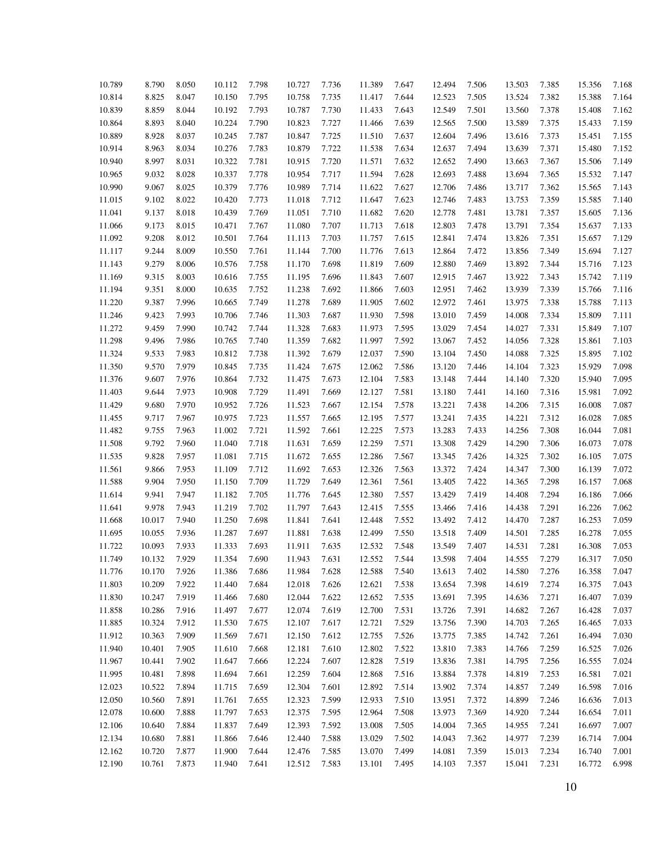| 10.789 | 8.790  | 8.050 |        | 7.798 | 10.727 | 7.736 | 11.389 | 7.647 | 12.494 | 7.506 |        | 7.385 |        | 7.168 |
|--------|--------|-------|--------|-------|--------|-------|--------|-------|--------|-------|--------|-------|--------|-------|
|        |        |       | 10.112 |       |        |       |        |       |        |       | 13.503 |       | 15.356 |       |
| 10.814 | 8.825  | 8.047 | 10.150 | 7.795 | 10.758 | 7.735 | 11.417 | 7.644 | 12.523 | 7.505 | 13.524 | 7.382 | 15.388 | 7.164 |
| 10.839 | 8.859  | 8.044 | 10.192 | 7.793 | 10.787 | 7.730 | 11.433 | 7.643 | 12.549 | 7.501 | 13.560 | 7.378 | 15.408 | 7.162 |
| 10.864 | 8.893  | 8.040 | 10.224 | 7.790 | 10.823 | 7.727 | 11.466 | 7.639 | 12.565 | 7.500 | 13.589 | 7.375 | 15.433 | 7.159 |
| 10.889 | 8.928  | 8.037 | 10.245 | 7.787 | 10.847 | 7.725 | 11.510 | 7.637 | 12.604 | 7.496 | 13.616 | 7.373 | 15.451 | 7.155 |
| 10.914 | 8.963  | 8.034 | 10.276 | 7.783 | 10.879 | 7.722 | 11.538 | 7.634 | 12.637 | 7.494 | 13.639 | 7.371 | 15.480 | 7.152 |
| 10.940 | 8.997  | 8.031 | 10.322 | 7.781 | 10.915 | 7.720 | 11.571 | 7.632 | 12.652 | 7.490 | 13.663 | 7.367 | 15.506 | 7.149 |
| 10.965 | 9.032  | 8.028 | 10.337 | 7.778 | 10.954 | 7.717 | 11.594 | 7.628 | 12.693 | 7.488 | 13.694 | 7.365 | 15.532 | 7.147 |
| 10.990 | 9.067  | 8.025 | 10.379 | 7.776 | 10.989 | 7.714 | 11.622 | 7.627 | 12.706 | 7.486 | 13.717 | 7.362 | 15.565 | 7.143 |
| 11.015 | 9.102  | 8.022 | 10.420 | 7.773 | 11.018 | 7.712 | 11.647 | 7.623 | 12.746 | 7.483 | 13.753 | 7.359 | 15.585 | 7.140 |
| 11.041 | 9.137  | 8.018 | 10.439 | 7.769 | 11.051 | 7.710 | 11.682 | 7.620 | 12.778 | 7.481 | 13.781 | 7.357 | 15.605 | 7.136 |
| 11.066 | 9.173  | 8.015 | 10.471 | 7.767 | 11.080 | 7.707 | 11.713 | 7.618 | 12.803 | 7.478 | 13.791 | 7.354 | 15.637 | 7.133 |
| 11.092 | 9.208  | 8.012 | 10.501 | 7.764 | 11.113 | 7.703 | 11.757 | 7.615 | 12.841 | 7.474 | 13.826 | 7.351 | 15.657 | 7.129 |
| 11.117 | 9.244  | 8.009 | 10.550 | 7.761 | 11.144 | 7.700 | 11.776 | 7.613 | 12.864 | 7.472 | 13.856 | 7.349 | 15.694 | 7.127 |
| 11.143 | 9.279  | 8.006 | 10.576 | 7.758 | 11.170 | 7.698 | 11.819 | 7.609 | 12.880 | 7.469 | 13.892 | 7.344 | 15.716 | 7.123 |
| 11.169 | 9.315  | 8.003 | 10.616 | 7.755 | 11.195 | 7.696 | 11.843 | 7.607 | 12.915 | 7.467 | 13.922 | 7.343 | 15.742 | 7.119 |
| 11.194 | 9.351  | 8.000 | 10.635 | 7.752 | 11.238 | 7.692 | 11.866 | 7.603 | 12.951 | 7.462 | 13.939 | 7.339 | 15.766 | 7.116 |
| 11.220 | 9.387  | 7.996 | 10.665 | 7.749 | 11.278 | 7.689 | 11.905 | 7.602 | 12.972 | 7.461 | 13.975 | 7.338 | 15.788 | 7.113 |
| 11.246 | 9.423  | 7.993 | 10.706 | 7.746 | 11.303 | 7.687 | 11.930 | 7.598 | 13.010 | 7.459 | 14.008 | 7.334 | 15.809 | 7.111 |
| 11.272 | 9.459  | 7.990 | 10.742 | 7.744 | 11.328 | 7.683 | 11.973 | 7.595 | 13.029 | 7.454 | 14.027 | 7.331 | 15.849 | 7.107 |
| 11.298 | 9.496  | 7.986 | 10.765 | 7.740 | 11.359 | 7.682 | 11.997 | 7.592 | 13.067 | 7.452 | 14.056 | 7.328 | 15.861 | 7.103 |
| 11.324 | 9.533  | 7.983 | 10.812 | 7.738 | 11.392 | 7.679 | 12.037 | 7.590 | 13.104 | 7.450 | 14.088 | 7.325 | 15.895 | 7.102 |
| 11.350 | 9.570  | 7.979 | 10.845 | 7.735 | 11.424 | 7.675 | 12.062 | 7.586 | 13.120 | 7.446 | 14.104 | 7.323 | 15.929 | 7.098 |
| 11.376 | 9.607  | 7.976 | 10.864 | 7.732 | 11.475 | 7.673 | 12.104 | 7.583 | 13.148 | 7.444 | 14.140 | 7.320 | 15.940 | 7.095 |
| 11.403 | 9.644  | 7.973 | 10.908 | 7.729 | 11.491 | 7.669 | 12.127 | 7.581 | 13.180 | 7.441 | 14.160 | 7.316 | 15.981 | 7.092 |
| 11.429 | 9.680  | 7.970 | 10.952 | 7.726 | 11.523 | 7.667 | 12.154 | 7.578 | 13.221 | 7.438 | 14.206 | 7.315 | 16.008 | 7.087 |
| 11.455 | 9.717  | 7.967 | 10.975 | 7.723 | 11.557 | 7.665 | 12.195 | 7.577 | 13.241 | 7.435 | 14.221 | 7.312 | 16.028 | 7.085 |
| 11.482 | 9.755  | 7.963 | 11.002 | 7.721 | 11.592 | 7.661 | 12.225 | 7.573 | 13.283 | 7.433 | 14.256 | 7.308 | 16.044 | 7.081 |
| 11.508 | 9.792  | 7.960 | 11.040 | 7.718 | 11.631 | 7.659 | 12.259 | 7.571 | 13.308 | 7.429 | 14.290 | 7.306 | 16.073 | 7.078 |
| 11.535 | 9.828  | 7.957 | 11.081 | 7.715 | 11.672 | 7.655 | 12.286 | 7.567 | 13.345 | 7.426 | 14.325 | 7.302 | 16.105 | 7.075 |
| 11.561 | 9.866  | 7.953 | 11.109 | 7.712 | 11.692 | 7.653 | 12.326 | 7.563 | 13.372 | 7.424 | 14.347 | 7.300 | 16.139 | 7.072 |
| 11.588 | 9.904  | 7.950 | 11.150 | 7.709 | 11.729 | 7.649 | 12.361 | 7.561 | 13.405 | 7.422 | 14.365 | 7.298 | 16.157 | 7.068 |
| 11.614 | 9.941  | 7.947 | 11.182 | 7.705 | 11.776 | 7.645 | 12.380 | 7.557 | 13.429 | 7.419 | 14.408 | 7.294 | 16.186 | 7.066 |
| 11.641 | 9.978  | 7.943 | 11.219 | 7.702 | 11.797 | 7.643 | 12.415 | 7.555 | 13.466 | 7.416 | 14.438 | 7.291 | 16.226 | 7.062 |
| 11.668 | 10.017 | 7.940 | 11.250 | 7.698 | 11.841 | 7.641 | 12.448 | 7.552 | 13.492 | 7.412 | 14.470 | 7.287 | 16.253 | 7.059 |
| 11.695 | 10.055 | 7.936 | 11.287 | 7.697 | 11.881 | 7.638 | 12.499 | 7.550 | 13.518 | 7.409 | 14.501 | 7.285 | 16.278 | 7.055 |
| 11.722 | 10.093 | 7.933 | 11.333 | 7.693 | 11.911 | 7.635 | 12.532 | 7.548 | 13.549 | 7.407 | 14.531 | 7.281 | 16.308 | 7.053 |
| 11.749 | 10.132 | 7.929 | 11.354 | 7.690 | 11.943 | 7.631 | 12.552 | 7.544 | 13.598 | 7.404 | 14.555 | 7.279 | 16.317 | 7.050 |
| 11.776 | 10.170 | 7.926 | 11.386 | 7.686 | 11.984 | 7.628 | 12.588 | 7.540 | 13.613 | 7.402 | 14.580 | 7.276 | 16.358 | 7.047 |
| 11.803 | 10.209 | 7.922 | 11.440 | 7.684 | 12.018 | 7.626 | 12.621 | 7.538 | 13.654 | 7.398 | 14.619 | 7.274 | 16.375 | 7.043 |
| 11.830 | 10.247 | 7.919 | 11.466 | 7.680 | 12.044 | 7.622 | 12.652 | 7.535 | 13.691 | 7.395 | 14.636 | 7.271 | 16.407 | 7.039 |
| 11.858 | 10.286 | 7.916 | 11.497 | 7.677 | 12.074 | 7.619 | 12.700 | 7.531 | 13.726 | 7.391 | 14.682 | 7.267 | 16.428 | 7.037 |
| 11.885 | 10.324 | 7.912 | 11.530 | 7.675 | 12.107 | 7.617 | 12.721 | 7.529 | 13.756 | 7.390 | 14.703 | 7.265 | 16.465 | 7.033 |
| 11.912 | 10.363 | 7.909 | 11.569 | 7.671 | 12.150 | 7.612 | 12.755 | 7.526 | 13.775 | 7.385 | 14.742 | 7.261 | 16.494 | 7.030 |
| 11.940 | 10.401 | 7.905 | 11.610 | 7.668 | 12.181 | 7.610 | 12.802 | 7.522 | 13.810 | 7.383 | 14.766 | 7.259 | 16.525 | 7.026 |
| 11.967 | 10.441 | 7.902 | 11.647 | 7.666 | 12.224 | 7.607 | 12.828 | 7.519 | 13.836 | 7.381 | 14.795 | 7.256 | 16.555 | 7.024 |
| 11.995 | 10.481 | 7.898 | 11.694 | 7.661 | 12.259 | 7.604 | 12.868 | 7.516 | 13.884 | 7.378 | 14.819 | 7.253 | 16.581 | 7.021 |
| 12.023 | 10.522 | 7.894 | 11.715 | 7.659 | 12.304 | 7.601 | 12.892 | 7.514 | 13.902 | 7.374 | 14.857 | 7.249 | 16.598 | 7.016 |
| 12.050 | 10.560 | 7.891 | 11.761 | 7.655 | 12.323 | 7.599 | 12.933 | 7.510 | 13.951 | 7.372 | 14.899 | 7.246 | 16.636 | 7.013 |
| 12.078 | 10.600 | 7.888 | 11.797 | 7.653 | 12.375 | 7.595 | 12.964 | 7.508 | 13.973 | 7.369 | 14.920 | 7.244 | 16.654 | 7.011 |
| 12.106 | 10.640 | 7.884 | 11.837 | 7.649 | 12.393 | 7.592 | 13.008 | 7.505 | 14.004 | 7.365 | 14.955 | 7.241 | 16.697 | 7.007 |
| 12.134 | 10.680 | 7.881 | 11.866 | 7.646 | 12.440 | 7.588 | 13.029 | 7.502 | 14.043 | 7.362 | 14.977 | 7.239 | 16.714 | 7.004 |
| 12.162 | 10.720 | 7.877 | 11.900 | 7.644 | 12.476 | 7.585 | 13.070 | 7.499 | 14.081 | 7.359 | 15.013 | 7.234 | 16.740 | 7.001 |
| 12.190 | 10.761 | 7.873 | 11.940 | 7.641 | 12.512 | 7.583 | 13.101 | 7.495 | 14.103 | 7.357 | 15.041 | 7.231 | 16.772 | 6.998 |
|        |        |       |        |       |        |       |        |       |        |       |        |       |        |       |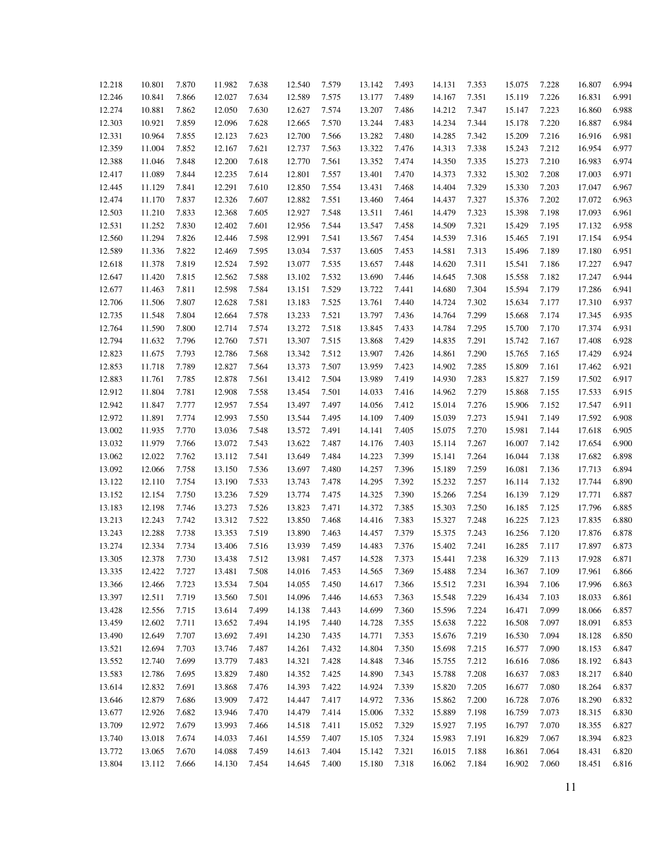| 12.218 | 10.801 | 7.870 | 11.982 | 7.638 | 12.540           | 7.579 | 13.142 | 7.493 | 14.131           | 7.353 | 15.075 | 7.228 | 16.807 | 6.994 |
|--------|--------|-------|--------|-------|------------------|-------|--------|-------|------------------|-------|--------|-------|--------|-------|
| 12.246 | 10.841 | 7.866 | 12.027 | 7.634 | 12.589           | 7.575 | 13.177 | 7.489 | 14.167           | 7.351 | 15.119 | 7.226 | 16.831 | 6.991 |
| 12.274 | 10.881 | 7.862 | 12.050 | 7.630 | 12.627           | 7.574 | 13.207 | 7.486 | 14.212           | 7.347 | 15.147 | 7.223 | 16.860 | 6.988 |
| 12.303 | 10.921 | 7.859 | 12.096 | 7.628 | 12.665           | 7.570 | 13.244 | 7.483 | 14.234           | 7.344 | 15.178 | 7.220 | 16.887 | 6.984 |
| 12.331 | 10.964 | 7.855 | 12.123 | 7.623 | 12.700           | 7.566 | 13.282 | 7.480 | 14.285           | 7.342 | 15.209 | 7.216 | 16.916 | 6.981 |
| 12.359 | 11.004 | 7.852 | 12.167 | 7.621 | 12.737           | 7.563 | 13.322 | 7.476 | 14.313           | 7.338 | 15.243 | 7.212 | 16.954 | 6.977 |
| 12.388 | 11.046 | 7.848 | 12.200 | 7.618 | 12.770           | 7.561 | 13.352 | 7.474 | 14.350           | 7.335 | 15.273 | 7.210 | 16.983 | 6.974 |
| 12.417 | 11.089 | 7.844 | 12.235 | 7.614 | 12.801           | 7.557 | 13.401 | 7.470 | 14.373           | 7.332 | 15.302 | 7.208 | 17.003 | 6.971 |
| 12.445 | 11.129 | 7.841 | 12.291 | 7.610 | 12.850           | 7.554 | 13.431 | 7.468 | 14.404           | 7.329 | 15.330 | 7.203 | 17.047 | 6.967 |
| 12.474 | 11.170 | 7.837 | 12.326 | 7.607 | 12.882           | 7.551 | 13.460 | 7.464 | 14.437           | 7.327 | 15.376 | 7.202 | 17.072 | 6.963 |
| 12.503 | 11.210 | 7.833 | 12.368 | 7.605 | 12.927           | 7.548 | 13.511 | 7.461 | 14.479           | 7.323 | 15.398 | 7.198 | 17.093 | 6.961 |
| 12.531 | 11.252 | 7.830 | 12.402 | 7.601 | 12.956           | 7.544 | 13.547 | 7.458 | 14.509           | 7.321 | 15.429 | 7.195 | 17.132 | 6.958 |
| 12.560 | 11.294 | 7.826 | 12.446 | 7.598 | 12.991           | 7.541 | 13.567 | 7.454 | 14.539           | 7.316 | 15.465 | 7.191 | 17.154 | 6.954 |
| 12.589 | 11.336 | 7.822 | 12.469 | 7.595 | 13.034           | 7.537 | 13.605 | 7.453 | 14.581           | 7.313 | 15.496 | 7.189 | 17.180 | 6.951 |
| 12.618 | 11.378 | 7.819 | 12.524 | 7.592 | 13.077           | 7.535 | 13.657 | 7.448 | 14.620           | 7.311 | 15.541 | 7.186 | 17.227 | 6.947 |
| 12.647 | 11.420 | 7.815 | 12.562 | 7.588 | 13.102           | 7.532 | 13.690 | 7.446 | 14.645           | 7.308 | 15.558 | 7.182 | 17.247 | 6.944 |
| 12.677 | 11.463 | 7.811 | 12.598 | 7.584 | 13.151           | 7.529 | 13.722 | 7.441 | 14.680           | 7.304 | 15.594 | 7.179 | 17.286 | 6.941 |
| 12.706 | 11.506 | 7.807 | 12.628 | 7.581 | 13.183           | 7.525 | 13.761 | 7.440 | 14.724           | 7.302 | 15.634 | 7.177 | 17.310 | 6.937 |
| 12.735 | 11.548 | 7.804 | 12.664 | 7.578 | 13.233           | 7.521 | 13.797 | 7.436 | 14.764           | 7.299 | 15.668 | 7.174 | 17.345 | 6.935 |
| 12.764 | 11.590 | 7.800 | 12.714 | 7.574 | 13.272           | 7.518 | 13.845 | 7.433 | 14.784           | 7.295 | 15.700 | 7.170 | 17.374 | 6.931 |
| 12.794 | 11.632 | 7.796 | 12.760 | 7.571 | 13.307           | 7.515 | 13.868 | 7.429 | 14.835           | 7.291 | 15.742 | 7.167 | 17.408 | 6.928 |
|        |        |       | 12.786 |       |                  |       | 13.907 |       |                  |       |        |       |        | 6.924 |
| 12.823 | 11.675 | 7.793 |        | 7.568 | 13.342<br>13.373 | 7.512 | 13.959 | 7.426 | 14.861<br>14.902 | 7.290 | 15.765 | 7.165 | 17.429 | 6.921 |
| 12.853 | 11.718 | 7.789 | 12.827 | 7.564 |                  | 7.507 |        | 7.423 |                  | 7.285 | 15.809 | 7.161 | 17.462 |       |
| 12.883 | 11.761 | 7.785 | 12.878 | 7.561 | 13.412           | 7.504 | 13.989 | 7.419 | 14.930           | 7.283 | 15.827 | 7.159 | 17.502 | 6.917 |
| 12.912 | 11.804 | 7.781 | 12.908 | 7.558 | 13.454           | 7.501 | 14.033 | 7.416 | 14.962           | 7.279 | 15.868 | 7.155 | 17.533 | 6.915 |
| 12.942 | 11.847 | 7.777 | 12.957 | 7.554 | 13.497           | 7.497 | 14.056 | 7.412 | 15.014           | 7.276 | 15.906 | 7.152 | 17.547 | 6.911 |
| 12.972 | 11.891 | 7.774 | 12.993 | 7.550 | 13.544           | 7.495 | 14.109 | 7.409 | 15.039           | 7.273 | 15.941 | 7.149 | 17.592 | 6.908 |
| 13.002 | 11.935 | 7.770 | 13.036 | 7.548 | 13.572           | 7.491 | 14.141 | 7.405 | 15.075           | 7.270 | 15.981 | 7.144 | 17.618 | 6.905 |
| 13.032 | 11.979 | 7.766 | 13.072 | 7.543 | 13.622           | 7.487 | 14.176 | 7.403 | 15.114           | 7.267 | 16.007 | 7.142 | 17.654 | 6.900 |
| 13.062 | 12.022 | 7.762 | 13.112 | 7.541 | 13.649           | 7.484 | 14.223 | 7.399 | 15.141           | 7.264 | 16.044 | 7.138 | 17.682 | 6.898 |
| 13.092 | 12.066 | 7.758 | 13.150 | 7.536 | 13.697           | 7.480 | 14.257 | 7.396 | 15.189           | 7.259 | 16.081 | 7.136 | 17.713 | 6.894 |
| 13.122 | 12.110 | 7.754 | 13.190 | 7.533 | 13.743           | 7.478 | 14.295 | 7.392 | 15.232           | 7.257 | 16.114 | 7.132 | 17.744 | 6.890 |
| 13.152 | 12.154 | 7.750 | 13.236 | 7.529 | 13.774           | 7.475 | 14.325 | 7.390 | 15.266           | 7.254 | 16.139 | 7.129 | 17.771 | 6.887 |
| 13.183 | 12.198 | 7.746 | 13.273 | 7.526 | 13.823           | 7.471 | 14.372 | 7.385 | 15.303           | 7.250 | 16.185 | 7.125 | 17.796 | 6.885 |
| 13.213 | 12.243 | 7.742 | 13.312 | 7.522 | 13.850           | 7.468 | 14.416 | 7.383 | 15.327           | 7.248 | 16.225 | 7.123 | 17.835 | 6.880 |
| 13.243 | 12.288 | 7.738 | 13.353 | 7.519 | 13.890           | 7.463 | 14.457 | 7.379 | 15.375           | 7.243 | 16.256 | 7.120 | 17.876 | 6.878 |
| 13.274 | 12.334 | 7.734 | 13.406 | 7.516 | 13.939           | 7.459 | 14.483 | 7.376 | 15.402           | 7.241 | 16.285 | 7.117 | 17.897 | 6.873 |
| 13.305 | 12.378 | 7.730 | 13.438 | 7.512 | 13.981           | 7.457 | 14.528 | 7.373 | 15.441           | 7.238 | 16.329 | 7.113 | 17.928 | 6.871 |
| 13.335 | 12.422 | 7.727 | 13.481 | 7.508 | 14.016           | 7.453 | 14.565 | 7.369 | 15.488           | 7.234 | 16.367 | 7.109 | 17.961 | 6.866 |
| 13.366 | 12.466 | 7.723 | 13.534 | 7.504 | 14.055           | 7.450 | 14.617 | 7.366 | 15.512           | 7.231 | 16.394 | 7.106 | 17.996 | 6.863 |
| 13.397 | 12.511 | 7.719 | 13.560 | 7.501 | 14.096           | 7.446 | 14.653 | 7.363 | 15.548           | 7.229 | 16.434 | 7.103 | 18.033 | 6.861 |
| 13.428 | 12.556 | 7.715 | 13.614 | 7.499 | 14.138           | 7.443 | 14.699 | 7.360 | 15.596           | 7.224 | 16.471 | 7.099 | 18.066 | 6.857 |
| 13.459 | 12.602 | 7.711 | 13.652 | 7.494 | 14.195           | 7.440 | 14.728 | 7.355 | 15.638           | 7.222 | 16.508 | 7.097 | 18.091 | 6.853 |
| 13.490 | 12.649 | 7.707 | 13.692 | 7.491 | 14.230           | 7.435 | 14.771 | 7.353 | 15.676           | 7.219 | 16.530 | 7.094 | 18.128 | 6.850 |
| 13.521 | 12.694 | 7.703 | 13.746 | 7.487 | 14.261           | 7.432 | 14.804 | 7.350 | 15.698           | 7.215 | 16.577 | 7.090 | 18.153 | 6.847 |
| 13.552 | 12.740 | 7.699 | 13.779 | 7.483 | 14.321           | 7.428 | 14.848 | 7.346 | 15.755           | 7.212 | 16.616 | 7.086 | 18.192 | 6.843 |
| 13.583 | 12.786 | 7.695 | 13.829 | 7.480 | 14.352           | 7.425 | 14.890 | 7.343 | 15.788           | 7.208 | 16.637 | 7.083 | 18.217 | 6.840 |
| 13.614 | 12.832 | 7.691 | 13.868 | 7.476 | 14.393           | 7.422 | 14.924 | 7.339 | 15.820           | 7.205 | 16.677 | 7.080 | 18.264 | 6.837 |
| 13.646 | 12.879 | 7.686 | 13.909 | 7.472 | 14.447           | 7.417 | 14.972 | 7.336 | 15.862           | 7.200 | 16.728 | 7.076 | 18.290 | 6.832 |
| 13.677 | 12.926 | 7.682 | 13.946 | 7.470 | 14.479           | 7.414 | 15.006 | 7.332 | 15.889           | 7.198 | 16.759 | 7.073 | 18.315 | 6.830 |
| 13.709 | 12.972 | 7.679 | 13.993 | 7.466 | 14.518           | 7.411 | 15.052 | 7.329 | 15.927           | 7.195 | 16.797 | 7.070 | 18.355 | 6.827 |
| 13.740 | 13.018 | 7.674 | 14.033 | 7.461 | 14.559           | 7.407 | 15.105 | 7.324 | 15.983           | 7.191 | 16.829 | 7.067 | 18.394 | 6.823 |
| 13.772 | 13.065 | 7.670 | 14.088 | 7.459 | 14.613           | 7.404 | 15.142 | 7.321 | 16.015           | 7.188 | 16.861 | 7.064 | 18.431 | 6.820 |
| 13.804 | 13.112 | 7.666 | 14.130 | 7.454 | 14.645           | 7.400 | 15.180 | 7.318 | 16.062           | 7.184 | 16.902 | 7.060 | 18.451 | 6.816 |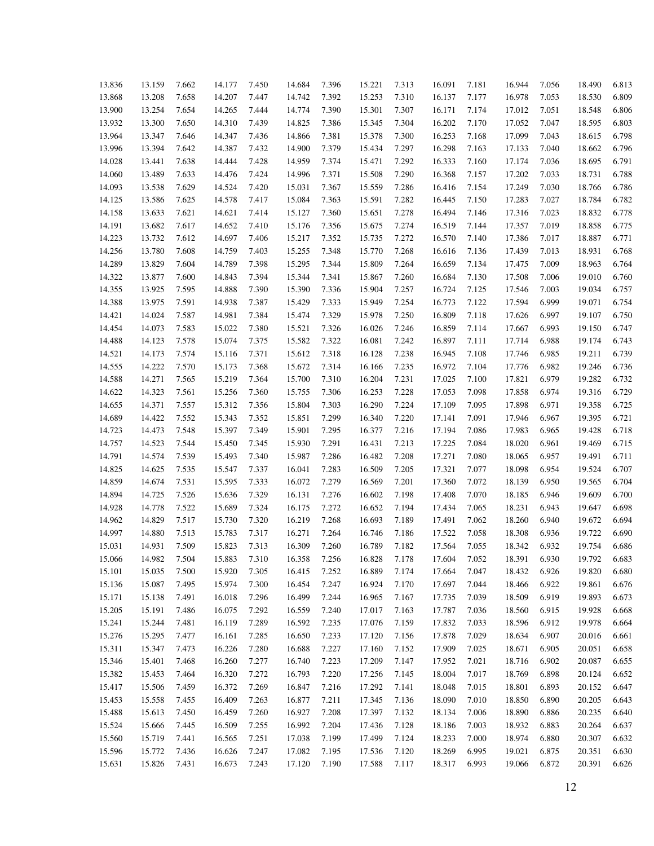| 13.836 | 13.159           | 7.662 | 14.177           | 7.450          | 14.684           | 7.396 | 15.221 | 7.313          | 16.091 | 7.181          | 16.944           | 7.056          | 18.490 | 6.813          |
|--------|------------------|-------|------------------|----------------|------------------|-------|--------|----------------|--------|----------------|------------------|----------------|--------|----------------|
| 13.868 | 13.208           | 7.658 | 14.207           | 7.447          | 14.742           | 7.392 | 15.253 | 7.310          | 16.137 | 7.177          | 16.978           | 7.053          | 18.530 | 6.809          |
| 13.900 | 13.254           | 7.654 | 14.265           | 7.444          | 14.774           | 7.390 | 15.301 | 7.307          | 16.171 | 7.174          | 17.012           | 7.051          | 18.548 | 6.806          |
| 13.932 | 13.300           | 7.650 | 14.310           | 7.439          | 14.825           | 7.386 | 15.345 | 7.304          | 16.202 | 7.170          | 17.052           | 7.047          | 18.595 | 6.803          |
| 13.964 | 13.347           | 7.646 | 14.347           | 7.436          | 14.866           | 7.381 | 15.378 | 7.300          | 16.253 | 7.168          | 17.099           | 7.043          | 18.615 | 6.798          |
| 13.996 | 13.394           | 7.642 | 14.387           | 7.432          | 14.900           | 7.379 | 15.434 | 7.297          | 16.298 | 7.163          | 17.133           | 7.040          | 18.662 | 6.796          |
| 14.028 | 13.441           | 7.638 | 14.444           | 7.428          | 14.959           | 7.374 | 15.471 | 7.292          | 16.333 | 7.160          | 17.174           | 7.036          | 18.695 | 6.791          |
| 14.060 | 13.489           | 7.633 | 14.476           | 7.424          | 14.996           | 7.371 | 15.508 | 7.290          | 16.368 | 7.157          | 17.202           | 7.033          | 18.731 | 6.788          |
| 14.093 | 13.538           | 7.629 | 14.524           | 7.420          | 15.031           | 7.367 | 15.559 | 7.286          | 16.416 | 7.154          | 17.249           | 7.030          | 18.766 | 6.786          |
| 14.125 | 13.586           | 7.625 | 14.578           | 7.417          | 15.084           | 7.363 | 15.591 | 7.282          | 16.445 | 7.150          | 17.283           | 7.027          | 18.784 | 6.782          |
| 14.158 | 13.633           | 7.621 | 14.621           | 7.414          | 15.127           | 7.360 | 15.651 | 7.278          | 16.494 | 7.146          | 17.316           | 7.023          | 18.832 | 6.778          |
| 14.191 | 13.682           | 7.617 | 14.652           | 7.410          | 15.176           | 7.356 | 15.675 | 7.274          | 16.519 | 7.144          | 17.357           | 7.019          | 18.858 | 6.775          |
| 14.223 | 13.732           | 7.612 | 14.697           | 7.406          | 15.217           | 7.352 | 15.735 | 7.272          | 16.570 | 7.140          | 17.386           | 7.017          | 18.887 | 6.771          |
| 14.256 | 13.780           | 7.608 | 14.759           | 7.403          | 15.255           | 7.348 | 15.770 | 7.268          | 16.616 | 7.136          | 17.439           | 7.013          | 18.931 | 6.768          |
| 14.289 | 13.829           | 7.604 | 14.789           | 7.398          | 15.295           | 7.344 | 15.809 | 7.264          | 16.659 | 7.134          | 17.475           | 7.009          | 18.963 | 6.764          |
| 14.322 | 13.877           | 7.600 | 14.843           | 7.394          | 15.344           | 7.341 | 15.867 | 7.260          | 16.684 | 7.130          | 17.508           | 7.006          | 19.010 | 6.760          |
| 14.355 | 13.925           | 7.595 | 14.888           | 7.390          | 15.390           | 7.336 | 15.904 | 7.257          | 16.724 | 7.125          | 17.546           | 7.003          | 19.034 | 6.757          |
| 14.388 | 13.975           | 7.591 | 14.938           | 7.387          | 15.429           | 7.333 | 15.949 | 7.254          | 16.773 | 7.122          | 17.594           | 6.999          | 19.071 | 6.754          |
| 14.421 | 14.024           | 7.587 | 14.981           | 7.384          | 15.474           | 7.329 | 15.978 | 7.250          | 16.809 | 7.118          | 17.626           | 6.997          | 19.107 | 6.750          |
| 14.454 | 14.073           | 7.583 | 15.022           | 7.380          | 15.521           | 7.326 | 16.026 | 7.246          | 16.859 | 7.114          | 17.667           | 6.993          | 19.150 | 6.747          |
| 14.488 | 14.123           | 7.578 | 15.074           | 7.375          | 15.582           | 7.322 | 16.081 | 7.242          | 16.897 | 7.111          | 17.714           | 6.988          | 19.174 | 6.743          |
| 14.521 | 14.173           | 7.574 | 15.116           | 7.371          | 15.612           | 7.318 | 16.128 | 7.238          | 16.945 | 7.108          | 17.746           | 6.985          | 19.211 | 6.739          |
| 14.555 | 14.222           | 7.570 | 15.173           | 7.368          | 15.672           | 7.314 | 16.166 | 7.235          | 16.972 | 7.104          | 17.776           | 6.982          | 19.246 | 6.736          |
| 14.588 | 14.271           | 7.565 | 15.219           | 7.364          | 15.700           | 7.310 | 16.204 | 7.231          | 17.025 | 7.100          | 17.821           | 6.979          | 19.282 | 6.732          |
| 14.622 | 14.323           | 7.561 | 15.256           | 7.360          | 15.755           | 7.306 | 16.253 | 7.228          | 17.053 | 7.098          | 17.858           | 6.974          | 19.316 | 6.729          |
| 14.655 | 14.371           | 7.557 | 15.312           | 7.356          | 15.804           | 7.303 | 16.290 | 7.224          | 17.109 | 7.095          | 17.898           | 6.971          | 19.358 | 6.725          |
| 14.689 | 14.422           | 7.552 | 15.343           | 7.352          | 15.851           | 7.299 | 16.340 | 7.220          | 17.141 | 7.091          | 17.946           | 6.967          | 19.395 | 6.721          |
|        | 14.473           |       | 15.397           |                | 15.901           |       |        |                |        | 7.086          |                  | 6.965          |        | 6.718          |
| 14.723 | 14.523           | 7.548 | 15.450           | 7.349          | 15.930           | 7.295 | 16.377 | 7.216          | 17.194 | 7.084          | 17.983           | 6.961          | 19.428 | 6.715          |
| 14.757 |                  | 7.544 |                  | 7.345          |                  | 7.291 | 16.431 | 7.213          | 17.225 |                | 18.020           |                | 19.469 |                |
| 14.791 | 14.574           | 7.539 | 15.493           | 7.340          | 15.987           | 7.286 | 16.482 | 7.208          | 17.271 | 7.080          | 18.065           | 6.957          | 19.491 | 6.711<br>6.707 |
| 14.825 | 14.625<br>14.674 | 7.535 | 15.547<br>15.595 | 7.337          | 16.041<br>16.072 | 7.283 | 16.509 | 7.205          | 17.321 | 7.077<br>7.072 | 18.098           | 6.954<br>6.950 | 19.524 | 6.704          |
| 14.859 | 14.725           | 7.531 | 15.636           | 7.333          | 16.131           | 7.279 | 16.569 | 7.201<br>7.198 | 17.360 | 7.070          | 18.139           | 6.946          | 19.565 | 6.700          |
| 14.894 | 14.778           | 7.526 | 15.689           | 7.329          | 16.175           | 7.276 | 16.602 | 7.194          | 17.408 | 7.065          | 18.185           | 6.943          | 19.609 | 6.698          |
| 14.928 | 14.829           | 7.522 |                  | 7.324          | 16.219           | 7.272 | 16.652 | 7.189          | 17.434 | 7.062          | 18.231<br>18.260 | 6.940          | 19.647 | 6.694          |
| 14.962 |                  | 7.517 | 15.730           | 7.320          |                  | 7.268 | 16.693 |                | 17.491 |                |                  |                | 19.672 | 6.690          |
| 14.997 | 14.880           | 7.513 | 15.783           | 7.317          | 16.271           | 7.264 | 16.746 | 7.186          | 17.522 | 7.058          | 18.308           | 6.936          | 19.722 |                |
| 15.031 | 14.931           | 7.509 | 15.823           | 7.313<br>7.310 | 16.309           | 7.260 | 16.789 | 7.182          | 17.564 | 7.055<br>7.052 | 18.342           | 6.932          | 19.754 | 6.686          |
| 15.066 | 14.982           | 7.504 | 15.883           |                | 16.358           | 7.256 | 16.828 | 7.178          | 17.604 |                | 18.391           | 6.930          | 19.792 | 6.683          |
| 15.101 | 15.035           | 7.500 | 15.920           | 7.305          | 16.415           | 7.252 | 16.889 | 7.174          | 17.664 | 7.047          | 18.432           | 6.926          | 19.820 | 6.680          |
| 15.136 | 15.087           | 7.495 | 15.974           | 7.300          | 16.454           | 7.247 | 16.924 | 7.170          | 17.697 | 7.044          | 18.466           | 6.922          | 19.861 | 6.676          |
| 15.171 | 15.138           | 7.491 | 16.018           | 7.296          | 16.499           | 7.244 | 16.965 | 7.167          | 17.735 | 7.039          | 18.509           | 6.919          | 19.893 | 6.673          |
| 15.205 | 15.191           | 7.486 | 16.075           | 7.292          | 16.559           | 7.240 | 17.017 | 7.163          | 17.787 | 7.036          | 18.560           | 6.915          | 19.928 | 6.668          |
| 15.241 | 15.244           | 7.481 | 16.119           | 7.289          | 16.592           | 7.235 | 17.076 | 7.159          | 17.832 | 7.033          | 18.596           | 6.912          | 19.978 | 6.664          |
| 15.276 | 15.295           | 7.477 | 16.161           | 7.285          | 16.650           | 7.233 | 17.120 | 7.156          | 17.878 | 7.029          | 18.634           | 6.907          | 20.016 | 6.661          |
| 15.311 | 15.347           | 7.473 | 16.226           | 7.280          | 16.688           | 7.227 | 17.160 | 7.152          | 17.909 | 7.025          | 18.671           | 6.905          | 20.051 | 6.658          |
| 15.346 | 15.401           | 7.468 | 16.260           | 7.277          | 16.740           | 7.223 | 17.209 | 7.147          | 17.952 | 7.021          | 18.716           | 6.902          | 20.087 | 6.655          |
| 15.382 | 15.453           | 7.464 | 16.320           | 7.272          | 16.793           | 7.220 | 17.256 | 7.145          | 18.004 | 7.017          | 18.769           | 6.898          | 20.124 | 6.652          |
| 15.417 | 15.506           | 7.459 | 16.372           | 7.269          | 16.847           | 7.216 | 17.292 | 7.141          | 18.048 | 7.015          | 18.801           | 6.893          | 20.152 | 6.647          |
| 15.453 | 15.558           | 7.455 | 16.409           | 7.263          | 16.877           | 7.211 | 17.345 | 7.136          | 18.090 | 7.010          | 18.850           | 6.890          | 20.205 | 6.643          |
| 15.488 | 15.613           | 7.450 | 16.459           | 7.260          | 16.927           | 7.208 | 17.397 | 7.132          | 18.134 | 7.006          | 18.890           | 6.886          | 20.235 | 6.640          |
| 15.524 | 15.666           | 7.445 | 16.509           | 7.255          | 16.992           | 7.204 | 17.436 | 7.128          | 18.186 | 7.003          | 18.932           | 6.883          | 20.264 | 6.637          |
| 15.560 | 15.719           | 7.441 | 16.565           | 7.251          | 17.038           | 7.199 | 17.499 | 7.124          | 18.233 | 7.000          | 18.974           | 6.880          | 20.307 | 6.632          |
| 15.596 | 15.772           | 7.436 | 16.626           | 7.247          | 17.082           | 7.195 | 17.536 | 7.120          | 18.269 | 6.995          | 19.021           | 6.875          | 20.351 | 6.630          |
| 15.631 | 15.826           | 7.431 | 16.673           | 7.243          | 17.120           | 7.190 | 17.588 | 7.117          | 18.317 | 6.993          | 19.066           | 6.872          | 20.391 | 6.626          |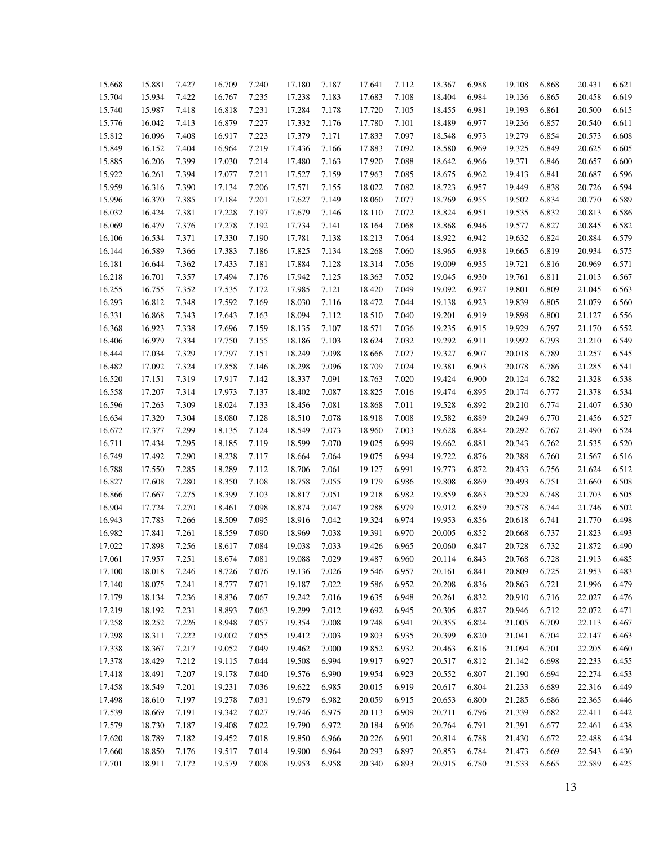| 15.668 | 15.881 | 7.427 | 16.709 | 7.240 | 17.180 | 7.187 | 17.641 | 7.112 | 18.367 | 6.988 | 19.108 | 6.868 | 20.431 | 6.621 |
|--------|--------|-------|--------|-------|--------|-------|--------|-------|--------|-------|--------|-------|--------|-------|
| 15.704 | 15.934 | 7.422 | 16.767 | 7.235 | 17.238 | 7.183 | 17.683 | 7.108 | 18.404 | 6.984 | 19.136 | 6.865 | 20.458 | 6.619 |
| 15.740 | 15.987 | 7.418 | 16.818 | 7.231 | 17.284 | 7.178 | 17.720 | 7.105 | 18.455 | 6.981 | 19.193 | 6.861 | 20.500 | 6.615 |
| 15.776 | 16.042 | 7.413 | 16.879 | 7.227 | 17.332 | 7.176 | 17.780 | 7.101 | 18.489 | 6.977 | 19.236 | 6.857 | 20.540 | 6.611 |
| 15.812 | 16.096 | 7.408 | 16.917 | 7.223 | 17.379 | 7.171 | 17.833 | 7.097 | 18.548 | 6.973 | 19.279 | 6.854 | 20.573 | 6.608 |
| 15.849 | 16.152 | 7.404 | 16.964 | 7.219 | 17.436 | 7.166 | 17.883 | 7.092 | 18.580 | 6.969 | 19.325 | 6.849 | 20.625 | 6.605 |
| 15.885 | 16.206 | 7.399 | 17.030 | 7.214 | 17.480 | 7.163 | 17.920 | 7.088 | 18.642 | 6.966 | 19.371 | 6.846 | 20.657 | 6.600 |
| 15.922 | 16.261 | 7.394 | 17.077 | 7.211 | 17.527 | 7.159 | 17.963 | 7.085 | 18.675 | 6.962 | 19.413 | 6.841 | 20.687 | 6.596 |
| 15.959 | 16.316 | 7.390 | 17.134 | 7.206 | 17.571 | 7.155 | 18.022 | 7.082 | 18.723 | 6.957 | 19.449 | 6.838 | 20.726 | 6.594 |
| 15.996 | 16.370 | 7.385 | 17.184 | 7.201 | 17.627 | 7.149 | 18.060 | 7.077 | 18.769 | 6.955 | 19.502 | 6.834 | 20.770 | 6.589 |
| 16.032 | 16.424 | 7.381 | 17.228 | 7.197 | 17.679 | 7.146 | 18.110 | 7.072 | 18.824 | 6.951 | 19.535 | 6.832 | 20.813 | 6.586 |
| 16.069 | 16.479 | 7.376 | 17.278 | 7.192 | 17.734 | 7.141 | 18.164 | 7.068 | 18.868 | 6.946 | 19.577 | 6.827 | 20.845 | 6.582 |
| 16.106 | 16.534 | 7.371 | 17.330 | 7.190 | 17.781 | 7.138 | 18.213 | 7.064 | 18.922 | 6.942 | 19.632 | 6.824 | 20.884 | 6.579 |
| 16.144 | 16.589 | 7.366 | 17.383 | 7.186 | 17.825 | 7.134 | 18.268 | 7.060 | 18.965 | 6.938 | 19.665 | 6.819 | 20.934 | 6.575 |
| 16.181 | 16.644 | 7.362 | 17.433 | 7.181 | 17.884 | 7.128 | 18.314 | 7.056 | 19.009 | 6.935 | 19.721 | 6.816 | 20.969 | 6.571 |
| 16.218 | 16.701 | 7.357 | 17.494 | 7.176 | 17.942 | 7.125 | 18.363 | 7.052 | 19.045 | 6.930 | 19.761 | 6.811 | 21.013 | 6.567 |
| 16.255 | 16.755 | 7.352 | 17.535 | 7.172 | 17.985 | 7.121 | 18.420 | 7.049 | 19.092 | 6.927 | 19.801 | 6.809 | 21.045 | 6.563 |
| 16.293 | 16.812 | 7.348 | 17.592 | 7.169 | 18.030 | 7.116 | 18.472 | 7.044 | 19.138 | 6.923 | 19.839 | 6.805 | 21.079 | 6.560 |
| 16.331 | 16.868 | 7.343 | 17.643 | 7.163 | 18.094 | 7.112 | 18.510 | 7.040 | 19.201 | 6.919 | 19.898 | 6.800 | 21.127 | 6.556 |
| 16.368 | 16.923 | 7.338 | 17.696 | 7.159 | 18.135 | 7.107 | 18.571 | 7.036 | 19.235 | 6.915 | 19.929 | 6.797 | 21.170 | 6.552 |
| 16.406 | 16.979 | 7.334 | 17.750 | 7.155 | 18.186 | 7.103 | 18.624 | 7.032 | 19.292 | 6.911 | 19.992 | 6.793 | 21.210 | 6.549 |
| 16.444 | 17.034 | 7.329 | 17.797 | 7.151 | 18.249 | 7.098 | 18.666 | 7.027 | 19.327 | 6.907 | 20.018 | 6.789 | 21.257 | 6.545 |
| 16.482 | 17.092 | 7.324 | 17.858 | 7.146 | 18.298 | 7.096 | 18.709 | 7.024 | 19.381 | 6.903 | 20.078 | 6.786 | 21.285 | 6.541 |
| 16.520 | 17.151 | 7.319 | 17.917 | 7.142 | 18.337 | 7.091 | 18.763 | 7.020 | 19.424 | 6.900 | 20.124 | 6.782 | 21.328 | 6.538 |
| 16.558 | 17.207 | 7.314 | 17.973 | 7.137 | 18.402 | 7.087 | 18.825 | 7.016 | 19.474 | 6.895 | 20.174 | 6.777 | 21.378 | 6.534 |
| 16.596 | 17.263 | 7.309 | 18.024 | 7.133 | 18.456 | 7.081 | 18.868 | 7.011 | 19.528 | 6.892 | 20.210 | 6.774 | 21.407 | 6.530 |
| 16.634 | 17.320 | 7.304 | 18.080 | 7.128 | 18.510 | 7.078 | 18.918 | 7.008 | 19.582 | 6.889 | 20.249 | 6.770 | 21.456 | 6.527 |
| 16.672 | 17.377 | 7.299 | 18.135 | 7.124 | 18.549 | 7.073 | 18.960 | 7.003 | 19.628 | 6.884 | 20.292 | 6.767 | 21.490 | 6.524 |
| 16.711 | 17.434 | 7.295 | 18.185 | 7.119 | 18.599 | 7.070 | 19.025 | 6.999 | 19.662 | 6.881 | 20.343 | 6.762 | 21.535 | 6.520 |
| 16.749 | 17.492 | 7.290 | 18.238 | 7.117 | 18.664 | 7.064 | 19.075 | 6.994 | 19.722 | 6.876 | 20.388 | 6.760 | 21.567 | 6.516 |
| 16.788 | 17.550 | 7.285 | 18.289 | 7.112 | 18.706 | 7.061 | 19.127 | 6.991 | 19.773 | 6.872 | 20.433 | 6.756 | 21.624 | 6.512 |
| 16.827 | 17.608 | 7.280 | 18.350 | 7.108 | 18.758 | 7.055 | 19.179 | 6.986 | 19.808 | 6.869 | 20.493 | 6.751 | 21.660 | 6.508 |
| 16.866 | 17.667 | 7.275 | 18.399 | 7.103 | 18.817 | 7.051 | 19.218 | 6.982 | 19.859 | 6.863 | 20.529 | 6.748 | 21.703 | 6.505 |
| 16.904 | 17.724 | 7.270 | 18.461 | 7.098 | 18.874 | 7.047 | 19.288 | 6.979 | 19.912 | 6.859 | 20.578 | 6.744 | 21.746 | 6.502 |
| 16.943 | 17.783 | 7.266 | 18.509 | 7.095 | 18.916 | 7.042 | 19.324 | 6.974 | 19.953 | 6.856 | 20.618 | 6.741 | 21.770 | 6.498 |
| 16.982 | 17.841 | 7.261 | 18.559 | 7.090 | 18.969 | 7.038 | 19.391 | 6.970 | 20.005 | 6.852 | 20.668 | 6.737 | 21.823 | 6.493 |
| 17.022 | 17.898 | 7.256 | 18.617 | 7.084 | 19.038 | 7.033 | 19.426 | 6.965 | 20.060 | 6.847 | 20.728 | 6.732 | 21.872 | 6.490 |
| 17.061 | 17.957 | 7.251 | 18.674 | 7.081 | 19.088 | 7.029 | 19.487 | 6.960 | 20.114 | 6.843 | 20.768 | 6.728 | 21.913 | 6.485 |
| 17.100 | 18.018 | 7.246 | 18.726 | 7.076 | 19.136 | 7.026 | 19.546 | 6.957 | 20.161 | 6.841 | 20.809 | 6.725 | 21.953 | 6.483 |
| 17.140 | 18.075 | 7.241 | 18.777 | 7.071 | 19.187 | 7.022 | 19.586 | 6.952 | 20.208 | 6.836 | 20.863 | 6.721 | 21.996 | 6.479 |
| 17.179 | 18.134 | 7.236 | 18.836 | 7.067 | 19.242 | 7.016 | 19.635 | 6.948 | 20.261 | 6.832 | 20.910 | 6.716 | 22.027 | 6.476 |
| 17.219 | 18.192 | 7.231 | 18.893 | 7.063 | 19.299 | 7.012 | 19.692 | 6.945 | 20.305 | 6.827 | 20.946 | 6.712 | 22.072 | 6.471 |
| 17.258 | 18.252 | 7.226 | 18.948 | 7.057 | 19.354 | 7.008 | 19.748 | 6.941 | 20.355 | 6.824 | 21.005 | 6.709 | 22.113 | 6.467 |
| 17.298 | 18.311 | 7.222 | 19.002 | 7.055 | 19.412 | 7.003 | 19.803 | 6.935 | 20.399 | 6.820 | 21.041 | 6.704 | 22.147 | 6.463 |
| 17.338 | 18.367 | 7.217 | 19.052 | 7.049 | 19.462 | 7.000 | 19.852 | 6.932 | 20.463 | 6.816 | 21.094 | 6.701 | 22.205 | 6.460 |
| 17.378 | 18.429 | 7.212 | 19.115 | 7.044 | 19.508 | 6.994 | 19.917 | 6.927 | 20.517 | 6.812 | 21.142 | 6.698 | 22.233 | 6.455 |
| 17.418 | 18.491 | 7.207 | 19.178 | 7.040 | 19.576 | 6.990 | 19.954 | 6.923 | 20.552 | 6.807 | 21.190 | 6.694 | 22.274 | 6.453 |
| 17.458 | 18.549 | 7.201 | 19.231 | 7.036 | 19.622 | 6.985 | 20.015 | 6.919 | 20.617 | 6.804 | 21.233 | 6.689 | 22.316 | 6.449 |
| 17.498 | 18.610 | 7.197 | 19.278 | 7.031 | 19.679 | 6.982 | 20.059 | 6.915 | 20.653 | 6.800 | 21.285 | 6.686 | 22.365 | 6.446 |
| 17.539 | 18.669 | 7.191 | 19.342 | 7.027 | 19.746 | 6.975 | 20.113 | 6.909 | 20.711 | 6.796 | 21.339 | 6.682 | 22.411 | 6.442 |
| 17.579 | 18.730 | 7.187 | 19.408 | 7.022 | 19.790 | 6.972 | 20.184 | 6.906 | 20.764 | 6.791 | 21.391 | 6.677 | 22.461 | 6.438 |
| 17.620 | 18.789 | 7.182 | 19.452 | 7.018 | 19.850 | 6.966 | 20.226 | 6.901 | 20.814 | 6.788 | 21.430 | 6.672 | 22.488 | 6.434 |
| 17.660 | 18.850 | 7.176 | 19.517 | 7.014 | 19.900 | 6.964 | 20.293 | 6.897 | 20.853 | 6.784 | 21.473 | 6.669 | 22.543 | 6.430 |
| 17.701 | 18.911 | 7.172 | 19.579 | 7.008 | 19.953 | 6.958 | 20.340 | 6.893 | 20.915 | 6.780 | 21.533 | 6.665 | 22.589 | 6.425 |
|        |        |       |        |       |        |       |        |       |        |       |        |       |        |       |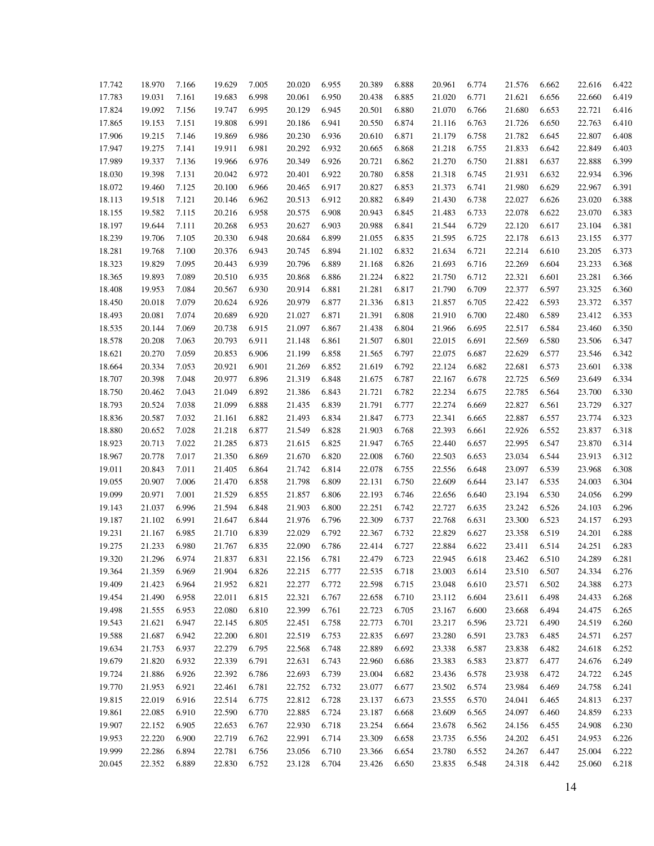| 17.742 | 18.970 | 7.166 | 19.629 | 7.005 | 20.020 | 6.955 | 20.389 | 6.888 | 20.961 | 6.774 | 21.576 | 6.662 | 22.616 | 6.422 |
|--------|--------|-------|--------|-------|--------|-------|--------|-------|--------|-------|--------|-------|--------|-------|
| 17.783 | 19.031 | 7.161 | 19.683 | 6.998 | 20.061 | 6.950 | 20.438 | 6.885 | 21.020 | 6.771 | 21.621 | 6.656 | 22.660 | 6.419 |
| 17.824 | 19.092 | 7.156 | 19.747 | 6.995 | 20.129 | 6.945 | 20.501 | 6.880 | 21.070 | 6.766 | 21.680 | 6.653 | 22.721 | 6.416 |
| 17.865 | 19.153 | 7.151 | 19.808 | 6.991 | 20.186 | 6.941 | 20.550 | 6.874 | 21.116 | 6.763 | 21.726 | 6.650 | 22.763 | 6.410 |
| 17.906 | 19.215 | 7.146 | 19.869 | 6.986 | 20.230 | 6.936 | 20.610 | 6.871 | 21.179 | 6.758 | 21.782 | 6.645 | 22.807 | 6.408 |
| 17.947 | 19.275 | 7.141 | 19.911 | 6.981 | 20.292 | 6.932 | 20.665 | 6.868 | 21.218 | 6.755 | 21.833 | 6.642 | 22.849 | 6.403 |
| 17.989 | 19.337 | 7.136 | 19.966 | 6.976 | 20.349 | 6.926 | 20.721 | 6.862 | 21.270 | 6.750 | 21.881 | 6.637 | 22.888 | 6.399 |
| 18.030 | 19.398 | 7.131 | 20.042 | 6.972 | 20.401 | 6.922 | 20.780 | 6.858 | 21.318 | 6.745 | 21.931 | 6.632 | 22.934 | 6.396 |
| 18.072 | 19.460 | 7.125 | 20.100 | 6.966 | 20.465 | 6.917 | 20.827 | 6.853 | 21.373 | 6.741 | 21.980 | 6.629 | 22.967 | 6.391 |
| 18.113 | 19.518 | 7.121 | 20.146 | 6.962 | 20.513 | 6.912 | 20.882 | 6.849 | 21.430 | 6.738 | 22.027 | 6.626 | 23.020 | 6.388 |
| 18.155 | 19.582 | 7.115 | 20.216 | 6.958 | 20.575 | 6.908 | 20.943 | 6.845 | 21.483 | 6.733 | 22.078 | 6.622 | 23.070 | 6.383 |
| 18.197 | 19.644 | 7.111 | 20.268 | 6.953 | 20.627 | 6.903 | 20.988 | 6.841 | 21.544 | 6.729 | 22.120 | 6.617 | 23.104 | 6.381 |
| 18.239 | 19.706 | 7.105 | 20.330 | 6.948 | 20.684 | 6.899 | 21.055 | 6.835 | 21.595 | 6.725 | 22.178 | 6.613 | 23.155 | 6.377 |
| 18.281 | 19.768 | 7.100 | 20.376 | 6.943 | 20.745 | 6.894 | 21.102 | 6.832 | 21.634 | 6.721 | 22.214 | 6.610 | 23.205 | 6.373 |
| 18.323 | 19.829 | 7.095 | 20.443 | 6.939 | 20.796 | 6.889 | 21.168 | 6.826 | 21.693 | 6.716 | 22.269 | 6.604 | 23.233 | 6.368 |
| 18.365 | 19.893 | 7.089 | 20.510 | 6.935 | 20.868 | 6.886 | 21.224 | 6.822 | 21.750 | 6.712 | 22.321 | 6.601 | 23.281 | 6.366 |
| 18.408 | 19.953 | 7.084 | 20.567 | 6.930 | 20.914 | 6.881 | 21.281 | 6.817 | 21.790 | 6.709 | 22.377 | 6.597 | 23.325 | 6.360 |
| 18.450 | 20.018 | 7.079 | 20.624 | 6.926 | 20.979 | 6.877 | 21.336 | 6.813 | 21.857 | 6.705 | 22.422 | 6.593 | 23.372 | 6.357 |
| 18.493 | 20.081 | 7.074 | 20.689 | 6.920 | 21.027 | 6.871 | 21.391 | 6.808 | 21.910 | 6.700 | 22.480 | 6.589 | 23.412 | 6.353 |
| 18.535 | 20.144 | 7.069 | 20.738 | 6.915 | 21.097 | 6.867 | 21.438 | 6.804 | 21.966 | 6.695 | 22.517 | 6.584 | 23.460 | 6.350 |
| 18.578 | 20.208 | 7.063 | 20.793 | 6.911 | 21.148 | 6.861 | 21.507 | 6.801 | 22.015 | 6.691 | 22.569 | 6.580 | 23.506 | 6.347 |
| 18.621 | 20.270 | 7.059 | 20.853 | 6.906 | 21.199 | 6.858 | 21.565 | 6.797 | 22.075 | 6.687 | 22.629 | 6.577 | 23.546 | 6.342 |
| 18.664 | 20.334 | 7.053 | 20.921 | 6.901 | 21.269 | 6.852 | 21.619 | 6.792 | 22.124 | 6.682 | 22.681 | 6.573 | 23.601 | 6.338 |
| 18.707 | 20.398 | 7.048 | 20.977 | 6.896 | 21.319 | 6.848 | 21.675 | 6.787 | 22.167 | 6.678 | 22.725 | 6.569 | 23.649 | 6.334 |
| 18.750 | 20.462 | 7.043 | 21.049 | 6.892 | 21.386 | 6.843 | 21.721 | 6.782 | 22.234 | 6.675 | 22.785 | 6.564 | 23.700 | 6.330 |
| 18.793 | 20.524 | 7.038 | 21.099 | 6.888 | 21.435 | 6.839 | 21.791 | 6.777 | 22.274 | 6.669 | 22.827 | 6.561 | 23.729 | 6.327 |
| 18.836 | 20.587 | 7.032 | 21.161 | 6.882 | 21.493 | 6.834 | 21.847 | 6.773 | 22.341 | 6.665 | 22.887 | 6.557 | 23.774 | 6.323 |
| 18.880 | 20.652 | 7.028 | 21.218 | 6.877 | 21.549 | 6.828 | 21.903 | 6.768 | 22.393 | 6.661 | 22.926 | 6.552 | 23.837 | 6.318 |
| 18.923 | 20.713 | 7.022 | 21.285 | 6.873 | 21.615 | 6.825 | 21.947 | 6.765 | 22.440 | 6.657 | 22.995 | 6.547 | 23.870 | 6.314 |
| 18.967 | 20.778 | 7.017 | 21.350 | 6.869 | 21.670 | 6.820 | 22.008 | 6.760 | 22.503 | 6.653 | 23.034 | 6.544 | 23.913 | 6.312 |
| 19.011 | 20.843 | 7.011 | 21.405 | 6.864 | 21.742 | 6.814 | 22.078 | 6.755 | 22.556 | 6.648 | 23.097 | 6.539 | 23.968 | 6.308 |
| 19.055 | 20.907 | 7.006 | 21.470 | 6.858 | 21.798 | 6.809 | 22.131 | 6.750 | 22.609 | 6.644 | 23.147 | 6.535 | 24.003 | 6.304 |
| 19.099 | 20.971 | 7.001 | 21.529 | 6.855 | 21.857 | 6.806 | 22.193 | 6.746 | 22.656 | 6.640 | 23.194 | 6.530 | 24.056 | 6.299 |
| 19.143 | 21.037 | 6.996 | 21.594 | 6.848 | 21.903 | 6.800 | 22.251 | 6.742 | 22.727 | 6.635 | 23.242 | 6.526 | 24.103 | 6.296 |
| 19.187 | 21.102 | 6.991 | 21.647 | 6.844 | 21.976 | 6.796 | 22.309 | 6.737 | 22.768 | 6.631 | 23.300 | 6.523 | 24.157 | 6.293 |
| 19.231 | 21.167 | 6.985 | 21.710 | 6.839 | 22.029 | 6.792 | 22.367 | 6.732 | 22.829 | 6.627 | 23.358 | 6.519 | 24.201 | 6.288 |
| 19.275 | 21.233 | 6.980 | 21.767 | 6.835 | 22.090 | 6.786 | 22.414 | 6.727 | 22.884 | 6.622 | 23.411 | 6.514 | 24.251 | 6.283 |
| 19.320 | 21.296 | 6.974 | 21.837 | 6.831 | 22.156 | 6.781 | 22.479 | 6.723 | 22.945 | 6.618 | 23.462 | 6.510 | 24.289 | 6.281 |
| 19.364 | 21.359 | 6.969 | 21.904 | 6.826 | 22.215 | 6.777 | 22.535 | 6.718 | 23.003 | 6.614 | 23.510 | 6.507 | 24.334 | 6.276 |
| 19.409 | 21.423 | 6.964 | 21.952 | 6.821 | 22.277 | 6.772 | 22.598 | 6.715 | 23.048 | 6.610 | 23.571 | 6.502 | 24.388 | 6.273 |
| 19.454 | 21.490 | 6.958 | 22.011 | 6.815 | 22.321 | 6.767 | 22.658 | 6.710 | 23.112 | 6.604 | 23.611 | 6.498 | 24.433 | 6.268 |
| 19.498 | 21.555 | 6.953 | 22.080 | 6.810 | 22.399 | 6.761 | 22.723 | 6.705 | 23.167 | 6.600 | 23.668 | 6.494 | 24.475 | 6.265 |
| 19.543 | 21.621 | 6.947 | 22.145 | 6.805 | 22.451 | 6.758 | 22.773 | 6.701 | 23.217 | 6.596 | 23.721 | 6.490 | 24.519 | 6.260 |
| 19.588 | 21.687 | 6.942 | 22.200 | 6.801 | 22.519 | 6.753 | 22.835 | 6.697 | 23.280 | 6.591 | 23.783 | 6.485 | 24.571 | 6.257 |
| 19.634 | 21.753 | 6.937 | 22.279 | 6.795 | 22.568 | 6.748 | 22.889 | 6.692 | 23.338 | 6.587 | 23.838 | 6.482 | 24.618 | 6.252 |
| 19.679 | 21.820 | 6.932 | 22.339 | 6.791 | 22.631 | 6.743 | 22.960 | 6.686 | 23.383 | 6.583 | 23.877 | 6.477 | 24.676 | 6.249 |
| 19.724 | 21.886 | 6.926 | 22.392 | 6.786 | 22.693 | 6.739 | 23.004 | 6.682 | 23.436 | 6.578 | 23.938 | 6.472 | 24.722 | 6.245 |
| 19.770 | 21.953 | 6.921 | 22.461 | 6.781 | 22.752 | 6.732 | 23.077 | 6.677 | 23.502 | 6.574 | 23.984 | 6.469 | 24.758 | 6.241 |
| 19.815 | 22.019 | 6.916 | 22.514 | 6.775 | 22.812 | 6.728 | 23.137 | 6.673 | 23.555 | 6.570 | 24.041 | 6.465 | 24.813 | 6.237 |
| 19.861 | 22.085 | 6.910 | 22.590 | 6.770 | 22.885 | 6.724 | 23.187 | 6.668 | 23.609 | 6.565 | 24.097 | 6.460 | 24.859 | 6.233 |
| 19.907 | 22.152 | 6.905 | 22.653 | 6.767 | 22.930 | 6.718 | 23.254 | 6.664 | 23.678 | 6.562 | 24.156 | 6.455 | 24.908 | 6.230 |
| 19.953 | 22.220 | 6.900 | 22.719 | 6.762 | 22.991 | 6.714 | 23.309 | 6.658 | 23.735 | 6.556 | 24.202 | 6.451 | 24.953 | 6.226 |
| 19.999 | 22.286 | 6.894 | 22.781 | 6.756 | 23.056 | 6.710 | 23.366 | 6.654 | 23.780 | 6.552 | 24.267 | 6.447 | 25.004 | 6.222 |
| 20.045 | 22.352 | 6.889 | 22.830 | 6.752 | 23.128 | 6.704 | 23.426 | 6.650 | 23.835 | 6.548 | 24.318 | 6.442 | 25.060 | 6.218 |
|        |        |       |        |       |        |       |        |       |        |       |        |       |        |       |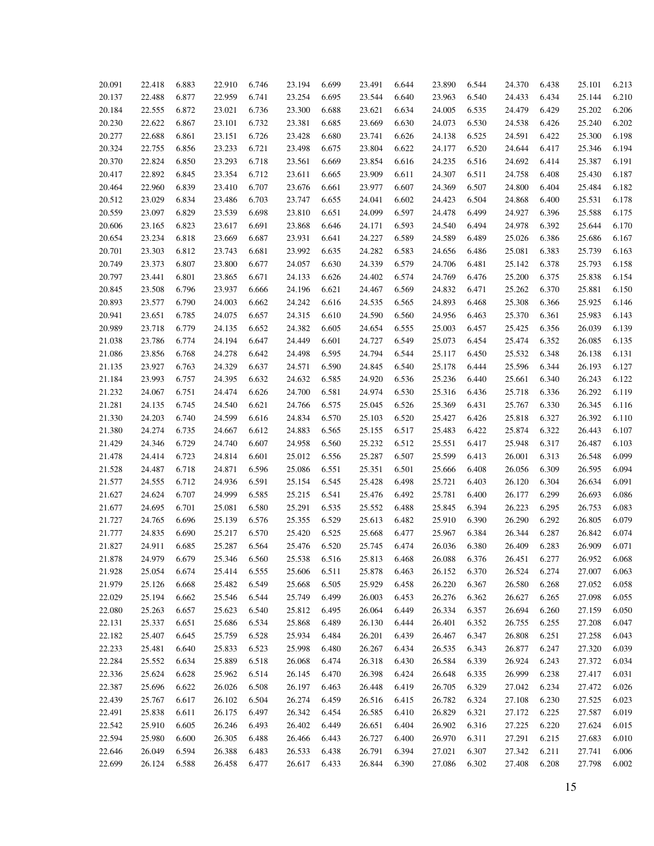| 20.091 | 22.418 | 6.883 | 22.910 | 6.746          | 23.194           | 6.699 | 23.491 | 6.644          | 23.890 | 6.544 | 24.370 | 6.438 | 25.101 | 6.213 |
|--------|--------|-------|--------|----------------|------------------|-------|--------|----------------|--------|-------|--------|-------|--------|-------|
| 20.137 | 22.488 | 6.877 | 22.959 | 6.741          | 23.254           | 6.695 | 23.544 | 6.640          | 23.963 | 6.540 | 24.433 | 6.434 | 25.144 | 6.210 |
| 20.184 | 22.555 | 6.872 | 23.021 | 6.736          | 23.300           | 6.688 | 23.621 | 6.634          | 24.005 | 6.535 | 24.479 | 6.429 | 25.202 | 6.206 |
| 20.230 | 22.622 | 6.867 | 23.101 | 6.732          | 23.381           | 6.685 | 23.669 | 6.630          | 24.073 | 6.530 | 24.538 | 6.426 | 25.240 | 6.202 |
| 20.277 | 22.688 | 6.861 | 23.151 | 6.726          | 23.428           | 6.680 | 23.741 | 6.626          | 24.138 | 6.525 | 24.591 | 6.422 | 25.300 | 6.198 |
| 20.324 | 22.755 | 6.856 | 23.233 | 6.721          | 23.498           | 6.675 | 23.804 | 6.622          | 24.177 | 6.520 | 24.644 | 6.417 | 25.346 | 6.194 |
| 20.370 | 22.824 | 6.850 | 23.293 | 6.718          | 23.561           | 6.669 | 23.854 | 6.616          | 24.235 | 6.516 | 24.692 | 6.414 | 25.387 | 6.191 |
| 20.417 | 22.892 | 6.845 | 23.354 | 6.712          | 23.611           | 6.665 | 23.909 | 6.611          | 24.307 | 6.511 | 24.758 | 6.408 | 25.430 | 6.187 |
| 20.464 | 22.960 | 6.839 | 23.410 | 6.707          | 23.676           | 6.661 | 23.977 | 6.607          | 24.369 | 6.507 | 24.800 | 6.404 | 25.484 | 6.182 |
| 20.512 | 23.029 | 6.834 | 23.486 | 6.703          | 23.747           | 6.655 | 24.041 | 6.602          | 24.423 | 6.504 | 24.868 | 6.400 | 25.531 | 6.178 |
| 20.559 | 23.097 | 6.829 | 23.539 | 6.698          | 23.810           | 6.651 | 24.099 | 6.597          | 24.478 | 6.499 | 24.927 | 6.396 | 25.588 | 6.175 |
| 20.606 | 23.165 | 6.823 | 23.617 | 6.691          | 23.868           | 6.646 | 24.171 | 6.593          | 24.540 | 6.494 | 24.978 | 6.392 | 25.644 | 6.170 |
| 20.654 | 23.234 | 6.818 | 23.669 | 6.687          | 23.931           | 6.641 | 24.227 | 6.589          | 24.589 | 6.489 | 25.026 | 6.386 | 25.686 | 6.167 |
| 20.701 | 23.303 | 6.812 | 23.743 | 6.681          | 23.992           | 6.635 | 24.282 | 6.583          | 24.656 | 6.486 | 25.081 | 6.383 | 25.739 | 6.163 |
| 20.749 | 23.373 | 6.807 | 23.800 | 6.677          | 24.057           | 6.630 | 24.339 | 6.579          | 24.706 | 6.481 | 25.142 | 6.378 | 25.793 | 6.158 |
| 20.797 | 23.441 | 6.801 | 23.865 | 6.671          | 24.133           | 6.626 | 24.402 | 6.574          | 24.769 | 6.476 | 25.200 | 6.375 | 25.838 | 6.154 |
| 20.845 | 23.508 | 6.796 | 23.937 | 6.666          | 24.196           | 6.621 | 24.467 | 6.569          | 24.832 | 6.471 | 25.262 | 6.370 | 25.881 | 6.150 |
| 20.893 | 23.577 | 6.790 | 24.003 | 6.662          | 24.242           | 6.616 | 24.535 | 6.565          | 24.893 | 6.468 | 25.308 | 6.366 | 25.925 | 6.146 |
| 20.941 | 23.651 | 6.785 | 24.075 | 6.657          | 24.315           | 6.610 | 24.590 | 6.560          | 24.956 | 6.463 | 25.370 | 6.361 | 25.983 | 6.143 |
| 20.989 | 23.718 | 6.779 | 24.135 | 6.652          | 24.382           | 6.605 | 24.654 | 6.555          | 25.003 | 6.457 | 25.425 | 6.356 | 26.039 | 6.139 |
| 21.038 | 23.786 | 6.774 | 24.194 | 6.647          | 24.449           | 6.601 | 24.727 | 6.549          | 25.073 | 6.454 | 25.474 | 6.352 | 26.085 | 6.135 |
| 21.086 | 23.856 | 6.768 | 24.278 | 6.642          | 24.498           | 6.595 | 24.794 | 6.544          | 25.117 | 6.450 | 25.532 | 6.348 | 26.138 | 6.131 |
| 21.135 | 23.927 | 6.763 | 24.329 | 6.637          | 24.571           | 6.590 | 24.845 | 6.540          | 25.178 | 6.444 | 25.596 | 6.344 | 26.193 | 6.127 |
| 21.184 | 23.993 | 6.757 | 24.395 | 6.632          | 24.632           | 6.585 | 24.920 | 6.536          | 25.236 | 6.440 | 25.661 | 6.340 | 26.243 | 6.122 |
| 21.232 | 24.067 | 6.751 | 24.474 | 6.626          | 24.700           | 6.581 | 24.974 | 6.530          | 25.316 | 6.436 | 25.718 | 6.336 | 26.292 | 6.119 |
| 21.281 | 24.135 | 6.745 | 24.540 | 6.621          | 24.766           | 6.575 | 25.045 | 6.526          | 25.369 | 6.431 | 25.767 | 6.330 | 26.345 | 6.116 |
| 21.330 | 24.203 | 6.740 | 24.599 | 6.616          | 24.834           | 6.570 | 25.103 | 6.520          | 25.427 | 6.426 | 25.818 | 6.327 | 26.392 | 6.110 |
| 21.380 | 24.274 | 6.735 | 24.667 | 6.612          | 24.883           | 6.565 | 25.155 | 6.517          | 25.483 | 6.422 | 25.874 | 6.322 | 26.443 | 6.107 |
| 21.429 | 24.346 | 6.729 | 24.740 | 6.607          | 24.958           | 6.560 | 25.232 | 6.512          | 25.551 | 6.417 | 25.948 | 6.317 | 26.487 | 6.103 |
| 21.478 | 24.414 | 6.723 | 24.814 | 6.601          | 25.012           | 6.556 | 25.287 | 6.507          | 25.599 | 6.413 | 26.001 | 6.313 | 26.548 | 6.099 |
| 21.528 | 24.487 | 6.718 | 24.871 | 6.596          | 25.086           | 6.551 | 25.351 | 6.501          | 25.666 | 6.408 | 26.056 | 6.309 | 26.595 | 6.094 |
| 21.577 | 24.555 | 6.712 | 24.936 | 6.591          | 25.154           | 6.545 | 25.428 | 6.498          | 25.721 | 6.403 | 26.120 | 6.304 | 26.634 | 6.091 |
| 21.627 | 24.624 | 6.707 | 24.999 | 6.585          | 25.215           | 6.541 | 25.476 | 6.492          | 25.781 | 6.400 | 26.177 | 6.299 | 26.693 | 6.086 |
|        | 24.695 | 6.701 |        |                |                  | 6.535 |        |                |        | 6.394 |        | 6.295 | 26.753 | 6.083 |
| 21.677 |        |       | 25.081 | 6.580<br>6.576 | 25.291<br>25.355 | 6.529 | 25.552 | 6.488<br>6.482 | 25.845 |       | 26.223 | 6.292 | 26.805 | 6.079 |
| 21.727 | 24.765 | 6.696 | 25.139 |                |                  |       | 25.613 |                | 25.910 | 6.390 | 26.290 |       |        |       |
| 21.777 | 24.835 | 6.690 | 25.217 | 6.570          | 25.420           | 6.525 | 25.668 | 6.477          | 25.967 | 6.384 | 26.344 | 6.287 | 26.842 | 6.074 |
| 21.827 | 24.911 | 6.685 | 25.287 | 6.564          | 25.476           | 6.520 | 25.745 | 6.474          | 26.036 | 6.380 | 26.409 | 6.283 | 26.909 | 6.071 |
| 21.878 | 24.979 | 6.679 | 25.346 | 6.560          | 25.538           | 6.516 | 25.813 | 6.468          | 26.088 | 6.376 | 26.451 | 6.277 | 26.952 | 6.068 |
| 21.928 | 25.054 | 6.674 | 25.414 | 6.555          | 25.606           | 6.511 | 25.878 | 6.463          | 26.152 | 6.370 | 26.524 | 6.274 | 27.007 | 6.063 |
| 21.979 | 25.126 | 6.668 | 25.482 | 6.549          | 25.668           | 6.505 | 25.929 | 6.458          | 26.220 | 6.367 | 26.580 | 6.268 | 27.052 | 6.058 |
| 22.029 | 25.194 | 6.662 | 25.546 | 6.544          | 25.749           | 6.499 | 26.003 | 6.453          | 26.276 | 6.362 | 26.627 | 6.265 | 27.098 | 6.055 |
| 22.080 | 25.263 | 6.657 | 25.623 | 6.540          | 25.812           | 6.495 | 26.064 | 6.449          | 26.334 | 6.357 | 26.694 | 6.260 | 27.159 | 6.050 |
| 22.131 | 25.337 | 6.651 | 25.686 | 6.534          | 25.868           | 6.489 | 26.130 | 6.444          | 26.401 | 6.352 | 26.755 | 6.255 | 27.208 | 6.047 |
| 22.182 | 25.407 | 6.645 | 25.759 | 6.528          | 25.934           | 6.484 | 26.201 | 6.439          | 26.467 | 6.347 | 26.808 | 6.251 | 27.258 | 6.043 |
| 22.233 | 25.481 | 6.640 | 25.833 | 6.523          | 25.998           | 6.480 | 26.267 | 6.434          | 26.535 | 6.343 | 26.877 | 6.247 | 27.320 | 6.039 |
| 22.284 | 25.552 | 6.634 | 25.889 | 6.518          | 26.068           | 6.474 | 26.318 | 6.430          | 26.584 | 6.339 | 26.924 | 6.243 | 27.372 | 6.034 |
| 22.336 | 25.624 | 6.628 | 25.962 | 6.514          | 26.145           | 6.470 | 26.398 | 6.424          | 26.648 | 6.335 | 26.999 | 6.238 | 27.417 | 6.031 |
| 22.387 | 25.696 | 6.622 | 26.026 | 6.508          | 26.197           | 6.463 | 26.448 | 6.419          | 26.705 | 6.329 | 27.042 | 6.234 | 27.472 | 6.026 |
| 22.439 | 25.767 | 6.617 | 26.102 | 6.504          | 26.274           | 6.459 | 26.516 | 6.415          | 26.782 | 6.324 | 27.108 | 6.230 | 27.525 | 6.023 |
| 22.491 | 25.838 | 6.611 | 26.175 | 6.497          | 26.342           | 6.454 | 26.585 | 6.410          | 26.829 | 6.321 | 27.172 | 6.225 | 27.587 | 6.019 |
| 22.542 | 25.910 | 6.605 | 26.246 | 6.493          | 26.402           | 6.449 | 26.651 | 6.404          | 26.902 | 6.316 | 27.225 | 6.220 | 27.624 | 6.015 |
| 22.594 | 25.980 | 6.600 | 26.305 | 6.488          | 26.466           | 6.443 | 26.727 | 6.400          | 26.970 | 6.311 | 27.291 | 6.215 | 27.683 | 6.010 |
| 22.646 | 26.049 | 6.594 | 26.388 | 6.483          | 26.533           | 6.438 | 26.791 | 6.394          | 27.021 | 6.307 | 27.342 | 6.211 | 27.741 | 6.006 |
| 22.699 | 26.124 | 6.588 | 26.458 | 6.477          | 26.617           | 6.433 | 26.844 | 6.390          | 27.086 | 6.302 | 27.408 | 6.208 | 27.798 | 6.002 |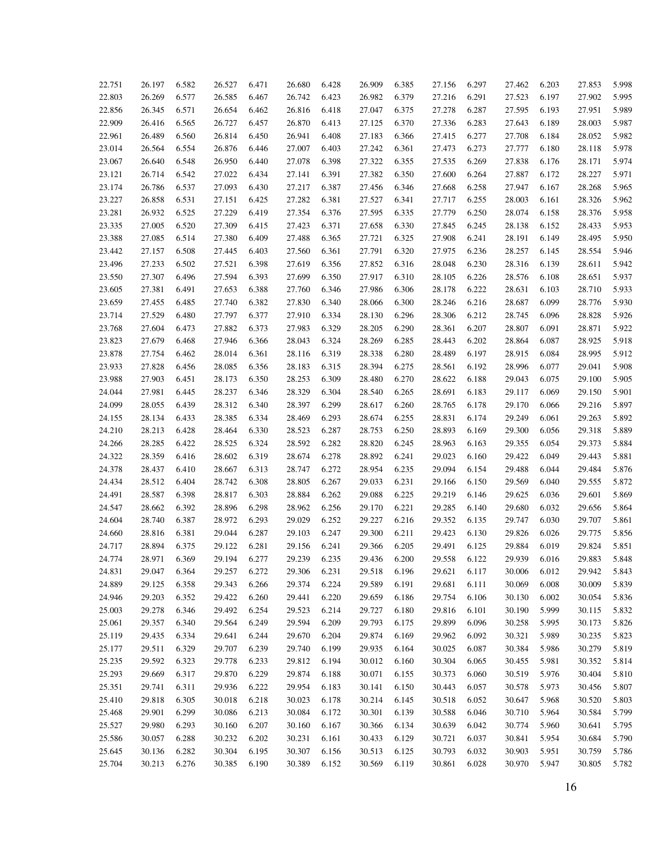| 22.751 | 26.197 | 6.582 | 26.527 | 6.471 | 26.680 | 6.428 | 26.909 | 6.385 | 27.156 | 6.297 | 27.462 | 6.203 | 27.853 | 5.998 |
|--------|--------|-------|--------|-------|--------|-------|--------|-------|--------|-------|--------|-------|--------|-------|
| 22.803 | 26.269 | 6.577 | 26.585 | 6.467 | 26.742 | 6.423 | 26.982 | 6.379 | 27.216 | 6.291 | 27.523 | 6.197 | 27.902 | 5.995 |
| 22.856 | 26.345 | 6.571 | 26.654 | 6.462 | 26.816 | 6.418 | 27.047 | 6.375 | 27.278 | 6.287 | 27.595 | 6.193 | 27.951 | 5.989 |
| 22.909 | 26.416 | 6.565 | 26.727 | 6.457 | 26.870 | 6.413 | 27.125 | 6.370 | 27.336 | 6.283 | 27.643 | 6.189 | 28.003 | 5.987 |
| 22.961 | 26.489 | 6.560 | 26.814 | 6.450 | 26.941 | 6.408 | 27.183 | 6.366 | 27.415 | 6.277 | 27.708 | 6.184 | 28.052 | 5.982 |
| 23.014 | 26.564 | 6.554 | 26.876 | 6.446 | 27.007 | 6.403 | 27.242 | 6.361 | 27.473 | 6.273 | 27.777 | 6.180 | 28.118 | 5.978 |
| 23.067 | 26.640 | 6.548 | 26.950 | 6.440 | 27.078 | 6.398 | 27.322 | 6.355 | 27.535 | 6.269 | 27.838 | 6.176 | 28.171 | 5.974 |
|        | 26.714 |       | 27.022 |       | 27.141 |       | 27.382 |       |        | 6.264 |        | 6.172 |        | 5.971 |
| 23.121 | 26.786 | 6.542 | 27.093 | 6.434 | 27.217 | 6.391 |        | 6.350 | 27.600 | 6.258 | 27.887 | 6.167 | 28.227 | 5.965 |
| 23.174 | 26.858 | 6.537 | 27.151 | 6.430 |        | 6.387 | 27.456 | 6.346 | 27.668 |       | 27.947 |       | 28.268 | 5.962 |
| 23.227 |        | 6.531 |        | 6.425 | 27.282 | 6.381 | 27.527 | 6.341 | 27.717 | 6.255 | 28.003 | 6.161 | 28.326 |       |
| 23.281 | 26.932 | 6.525 | 27.229 | 6.419 | 27.354 | 6.376 | 27.595 | 6.335 | 27.779 | 6.250 | 28.074 | 6.158 | 28.376 | 5.958 |
| 23.335 | 27.005 | 6.520 | 27.309 | 6.415 | 27.423 | 6.371 | 27.658 | 6.330 | 27.845 | 6.245 | 28.138 | 6.152 | 28.433 | 5.953 |
| 23.388 | 27.085 | 6.514 | 27.380 | 6.409 | 27.488 | 6.365 | 27.721 | 6.325 | 27.908 | 6.241 | 28.191 | 6.149 | 28.495 | 5.950 |
| 23.442 | 27.157 | 6.508 | 27.445 | 6.403 | 27.560 | 6.361 | 27.791 | 6.320 | 27.975 | 6.236 | 28.257 | 6.145 | 28.554 | 5.946 |
| 23.496 | 27.233 | 6.502 | 27.521 | 6.398 | 27.619 | 6.356 | 27.852 | 6.316 | 28.048 | 6.230 | 28.316 | 6.139 | 28.611 | 5.942 |
| 23.550 | 27.307 | 6.496 | 27.594 | 6.393 | 27.699 | 6.350 | 27.917 | 6.310 | 28.105 | 6.226 | 28.576 | 6.108 | 28.651 | 5.937 |
| 23.605 | 27.381 | 6.491 | 27.653 | 6.388 | 27.760 | 6.346 | 27.986 | 6.306 | 28.178 | 6.222 | 28.631 | 6.103 | 28.710 | 5.933 |
| 23.659 | 27.455 | 6.485 | 27.740 | 6.382 | 27.830 | 6.340 | 28.066 | 6.300 | 28.246 | 6.216 | 28.687 | 6.099 | 28.776 | 5.930 |
| 23.714 | 27.529 | 6.480 | 27.797 | 6.377 | 27.910 | 6.334 | 28.130 | 6.296 | 28.306 | 6.212 | 28.745 | 6.096 | 28.828 | 5.926 |
| 23.768 | 27.604 | 6.473 | 27.882 | 6.373 | 27.983 | 6.329 | 28.205 | 6.290 | 28.361 | 6.207 | 28.807 | 6.091 | 28.871 | 5.922 |
| 23.823 | 27.679 | 6.468 | 27.946 | 6.366 | 28.043 | 6.324 | 28.269 | 6.285 | 28.443 | 6.202 | 28.864 | 6.087 | 28.925 | 5.918 |
| 23.878 | 27.754 | 6.462 | 28.014 | 6.361 | 28.116 | 6.319 | 28.338 | 6.280 | 28.489 | 6.197 | 28.915 | 6.084 | 28.995 | 5.912 |
| 23.933 | 27.828 | 6.456 | 28.085 | 6.356 | 28.183 | 6.315 | 28.394 | 6.275 | 28.561 | 6.192 | 28.996 | 6.077 | 29.041 | 5.908 |
| 23.988 | 27.903 | 6.451 | 28.173 | 6.350 | 28.253 | 6.309 | 28.480 | 6.270 | 28.622 | 6.188 | 29.043 | 6.075 | 29.100 | 5.905 |
| 24.044 | 27.981 | 6.445 | 28.237 | 6.346 | 28.329 | 6.304 | 28.540 | 6.265 | 28.691 | 6.183 | 29.117 | 6.069 | 29.150 | 5.901 |
| 24.099 | 28.055 | 6.439 | 28.312 | 6.340 | 28.397 | 6.299 | 28.617 | 6.260 | 28.765 | 6.178 | 29.170 | 6.066 | 29.216 | 5.897 |
| 24.155 | 28.134 | 6.433 | 28.385 | 6.334 | 28.469 | 6.293 | 28.674 | 6.255 | 28.831 | 6.174 | 29.249 | 6.061 | 29.263 | 5.892 |
| 24.210 | 28.213 | 6.428 | 28.464 | 6.330 | 28.523 | 6.287 | 28.753 | 6.250 | 28.893 | 6.169 | 29.300 | 6.056 | 29.318 | 5.889 |
| 24.266 | 28.285 | 6.422 | 28.525 | 6.324 | 28.592 | 6.282 | 28.820 | 6.245 | 28.963 | 6.163 | 29.355 | 6.054 | 29.373 | 5.884 |
| 24.322 | 28.359 | 6.416 | 28.602 | 6.319 | 28.674 | 6.278 | 28.892 | 6.241 | 29.023 | 6.160 | 29.422 | 6.049 | 29.443 | 5.881 |
| 24.378 | 28.437 | 6.410 | 28.667 | 6.313 | 28.747 | 6.272 | 28.954 | 6.235 | 29.094 | 6.154 | 29.488 | 6.044 | 29.484 | 5.876 |
| 24.434 | 28.512 | 6.404 | 28.742 | 6.308 | 28.805 | 6.267 | 29.033 | 6.231 | 29.166 | 6.150 | 29.569 | 6.040 | 29.555 | 5.872 |
| 24.491 | 28.587 | 6.398 | 28.817 | 6.303 | 28.884 | 6.262 | 29.088 | 6.225 | 29.219 | 6.146 | 29.625 | 6.036 | 29.601 | 5.869 |
| 24.547 | 28.662 | 6.392 | 28.896 | 6.298 | 28.962 | 6.256 | 29.170 | 6.221 | 29.285 | 6.140 | 29.680 | 6.032 | 29.656 | 5.864 |
| 24.604 | 28.740 | 6.387 | 28.972 | 6.293 | 29.029 | 6.252 | 29.227 | 6.216 | 29.352 | 6.135 | 29.747 | 6.030 | 29.707 | 5.861 |
| 24.660 | 28.816 | 6.381 | 29.044 | 6.287 | 29.103 | 6.247 | 29.300 | 6.211 | 29.423 | 6.130 | 29.826 | 6.026 | 29.775 | 5.856 |
| 24.717 | 28.894 | 6.375 | 29.122 | 6.281 | 29.156 | 6.241 | 29.366 | 6.205 | 29.491 | 6.125 | 29.884 | 6.019 | 29.824 | 5.851 |
| 24.774 | 28.971 | 6.369 | 29.194 | 6.277 | 29.239 | 6.235 | 29.436 | 6.200 | 29.558 | 6.122 | 29.939 | 6.016 | 29.883 | 5.848 |
| 24.831 | 29.047 | 6.364 | 29.257 | 6.272 | 29.306 | 6.231 | 29.518 | 6.196 | 29.621 | 6.117 | 30.006 | 6.012 | 29.942 | 5.843 |
| 24.889 | 29.125 | 6.358 | 29.343 | 6.266 | 29.374 | 6.224 | 29.589 | 6.191 | 29.681 | 6.111 | 30.069 | 6.008 | 30.009 | 5.839 |
| 24.946 | 29.203 | 6.352 | 29.422 | 6.260 | 29.441 | 6.220 | 29.659 | 6.186 | 29.754 | 6.106 | 30.130 | 6.002 | 30.054 | 5.836 |
| 25.003 | 29.278 | 6.346 | 29.492 | 6.254 | 29.523 | 6.214 | 29.727 | 6.180 | 29.816 | 6.101 | 30.190 | 5.999 | 30.115 | 5.832 |
| 25.061 | 29.357 | 6.340 | 29.564 | 6.249 | 29.594 | 6.209 | 29.793 | 6.175 | 29.899 | 6.096 | 30.258 | 5.995 | 30.173 | 5.826 |
| 25.119 | 29.435 | 6.334 | 29.641 | 6.244 | 29.670 | 6.204 | 29.874 | 6.169 | 29.962 | 6.092 | 30.321 | 5.989 | 30.235 | 5.823 |
| 25.177 | 29.511 | 6.329 | 29.707 | 6.239 | 29.740 | 6.199 | 29.935 | 6.164 | 30.025 | 6.087 | 30.384 | 5.986 | 30.279 | 5.819 |
| 25.235 | 29.592 | 6.323 | 29.778 | 6.233 | 29.812 | 6.194 | 30.012 | 6.160 | 30.304 | 6.065 | 30.455 | 5.981 | 30.352 | 5.814 |
| 25.293 | 29.669 | 6.317 | 29.870 | 6.229 | 29.874 | 6.188 | 30.071 | 6.155 | 30.373 | 6.060 | 30.519 | 5.976 | 30.404 | 5.810 |
| 25.351 | 29.741 | 6.311 | 29.936 | 6.222 | 29.954 | 6.183 | 30.141 | 6.150 | 30.443 | 6.057 | 30.578 | 5.973 | 30.456 | 5.807 |
| 25.410 | 29.818 | 6.305 | 30.018 | 6.218 | 30.023 | 6.178 | 30.214 | 6.145 | 30.518 | 6.052 | 30.647 | 5.968 | 30.520 | 5.803 |
| 25.468 | 29.901 | 6.299 | 30.086 | 6.213 | 30.084 | 6.172 | 30.301 | 6.139 | 30.588 | 6.046 | 30.710 | 5.964 | 30.584 | 5.799 |
| 25.527 | 29.980 | 6.293 | 30.160 | 6.207 | 30.160 | 6.167 | 30.366 | 6.134 | 30.639 | 6.042 | 30.774 | 5.960 | 30.641 | 5.795 |
| 25.586 | 30.057 | 6.288 | 30.232 | 6.202 | 30.231 | 6.161 | 30.433 | 6.129 | 30.721 | 6.037 | 30.841 | 5.954 | 30.684 | 5.790 |
| 25.645 | 30.136 | 6.282 | 30.304 | 6.195 | 30.307 | 6.156 | 30.513 | 6.125 | 30.793 | 6.032 | 30.903 | 5.951 | 30.759 | 5.786 |
| 25.704 | 30.213 | 6.276 | 30.385 | 6.190 | 30.389 | 6.152 | 30.569 | 6.119 | 30.861 | 6.028 | 30.970 | 5.947 | 30.805 | 5.782 |
|        |        |       |        |       |        |       |        |       |        |       |        |       |        |       |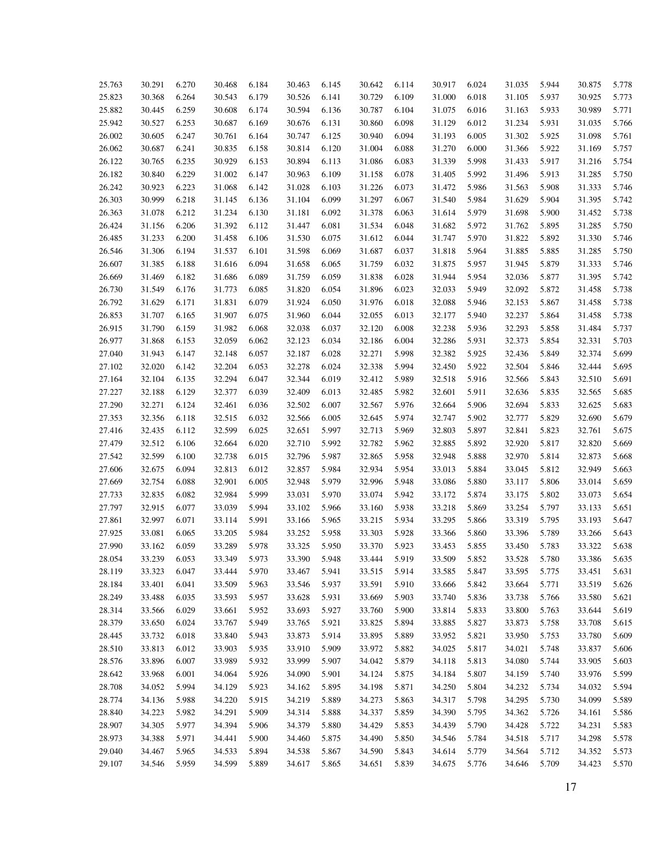| 25.763 | 30.291 | 6.270 | 30.468 | 6.184 | 30.463 | 6.145 | 30.642 | 6.114 | 30.917 | 6.024 | 31.035 | 5.944 | 30.875 | 5.778 |
|--------|--------|-------|--------|-------|--------|-------|--------|-------|--------|-------|--------|-------|--------|-------|
| 25.823 | 30.368 | 6.264 | 30.543 | 6.179 | 30.526 | 6.141 | 30.729 | 6.109 | 31.000 | 6.018 | 31.105 | 5.937 | 30.925 | 5.773 |
| 25.882 | 30.445 | 6.259 | 30.608 | 6.174 | 30.594 | 6.136 | 30.787 | 6.104 | 31.075 | 6.016 | 31.163 | 5.933 | 30.989 | 5.771 |
| 25.942 | 30.527 |       | 30.687 | 6.169 | 30.676 |       | 30.860 | 6.098 |        | 6.012 |        | 5.931 |        | 5.766 |
|        |        | 6.253 |        |       |        | 6.131 |        |       | 31.129 |       | 31.234 |       | 31.035 |       |
| 26.002 | 30.605 | 6.247 | 30.761 | 6.164 | 30.747 | 6.125 | 30.940 | 6.094 | 31.193 | 6.005 | 31.302 | 5.925 | 31.098 | 5.761 |
| 26.062 | 30.687 | 6.241 | 30.835 | 6.158 | 30.814 | 6.120 | 31.004 | 6.088 | 31.270 | 6.000 | 31.366 | 5.922 | 31.169 | 5.757 |
| 26.122 | 30.765 | 6.235 | 30.929 | 6.153 | 30.894 | 6.113 | 31.086 | 6.083 | 31.339 | 5.998 | 31.433 | 5.917 | 31.216 | 5.754 |
| 26.182 | 30.840 | 6.229 | 31.002 | 6.147 | 30.963 | 6.109 | 31.158 | 6.078 | 31.405 | 5.992 | 31.496 | 5.913 | 31.285 | 5.750 |
| 26.242 | 30.923 | 6.223 | 31.068 | 6.142 | 31.028 | 6.103 | 31.226 | 6.073 | 31.472 | 5.986 | 31.563 | 5.908 | 31.333 | 5.746 |
| 26.303 | 30.999 | 6.218 | 31.145 | 6.136 | 31.104 | 6.099 | 31.297 | 6.067 | 31.540 | 5.984 | 31.629 | 5.904 | 31.395 | 5.742 |
| 26.363 | 31.078 | 6.212 | 31.234 | 6.130 | 31.181 | 6.092 | 31.378 | 6.063 | 31.614 | 5.979 | 31.698 | 5.900 | 31.452 | 5.738 |
| 26.424 | 31.156 | 6.206 | 31.392 | 6.112 | 31.447 | 6.081 | 31.534 | 6.048 | 31.682 | 5.972 | 31.762 | 5.895 | 31.285 | 5.750 |
| 26.485 | 31.233 | 6.200 | 31.458 | 6.106 | 31.530 | 6.075 | 31.612 | 6.044 | 31.747 | 5.970 | 31.822 | 5.892 | 31.330 | 5.746 |
| 26.546 | 31.306 | 6.194 | 31.537 | 6.101 | 31.598 | 6.069 | 31.687 | 6.037 | 31.818 | 5.964 | 31.885 | 5.885 | 31.285 | 5.750 |
| 26.607 | 31.385 | 6.188 | 31.616 | 6.094 | 31.658 | 6.065 | 31.759 | 6.032 | 31.875 | 5.957 | 31.945 | 5.879 | 31.333 | 5.746 |
| 26.669 | 31.469 | 6.182 | 31.686 | 6.089 | 31.759 | 6.059 | 31.838 | 6.028 | 31.944 | 5.954 | 32.036 | 5.877 | 31.395 | 5.742 |
| 26.730 | 31.549 | 6.176 | 31.773 | 6.085 | 31.820 | 6.054 | 31.896 | 6.023 | 32.033 | 5.949 | 32.092 | 5.872 | 31.458 | 5.738 |
| 26.792 | 31.629 | 6.171 | 31.831 | 6.079 | 31.924 | 6.050 | 31.976 | 6.018 | 32.088 | 5.946 | 32.153 | 5.867 | 31.458 | 5.738 |
| 26.853 | 31.707 | 6.165 | 31.907 | 6.075 | 31.960 | 6.044 | 32.055 | 6.013 | 32.177 | 5.940 | 32.237 | 5.864 | 31.458 | 5.738 |
| 26.915 | 31.790 | 6.159 | 31.982 | 6.068 | 32.038 | 6.037 | 32.120 | 6.008 | 32.238 | 5.936 | 32.293 | 5.858 | 31.484 | 5.737 |
| 26.977 | 31.868 | 6.153 | 32.059 | 6.062 | 32.123 | 6.034 | 32.186 | 6.004 | 32.286 | 5.931 | 32.373 | 5.854 | 32.331 | 5.703 |
| 27.040 | 31.943 | 6.147 | 32.148 | 6.057 | 32.187 | 6.028 | 32.271 | 5.998 | 32.382 | 5.925 | 32.436 | 5.849 | 32.374 | 5.699 |
| 27.102 | 32.020 | 6.142 | 32.204 | 6.053 | 32.278 | 6.024 | 32.338 | 5.994 | 32.450 | 5.922 | 32.504 | 5.846 | 32.444 | 5.695 |
| 27.164 | 32.104 | 6.135 | 32.294 | 6.047 | 32.344 | 6.019 | 32.412 | 5.989 | 32.518 | 5.916 | 32.566 | 5.843 | 32.510 | 5.691 |
| 27.227 | 32.188 | 6.129 | 32.377 | 6.039 | 32.409 | 6.013 | 32.485 | 5.982 | 32.601 | 5.911 | 32.636 | 5.835 | 32.565 | 5.685 |
| 27.290 | 32.271 | 6.124 | 32.461 | 6.036 | 32.502 | 6.007 | 32.567 | 5.976 | 32.664 | 5.906 | 32.694 | 5.833 | 32.625 | 5.683 |
| 27.353 | 32.356 | 6.118 | 32.515 | 6.032 | 32.566 | 6.005 | 32.645 | 5.974 | 32.747 | 5.902 | 32.777 | 5.829 | 32.690 | 5.679 |
| 27.416 | 32.435 | 6.112 | 32.599 | 6.025 | 32.651 | 5.997 | 32.713 | 5.969 | 32.803 | 5.897 | 32.841 | 5.823 | 32.761 | 5.675 |
| 27.479 | 32.512 | 6.106 | 32.664 | 6.020 | 32.710 | 5.992 | 32.782 | 5.962 | 32.885 | 5.892 | 32.920 | 5.817 | 32.820 | 5.669 |
| 27.542 | 32.599 | 6.100 | 32.738 | 6.015 | 32.796 | 5.987 | 32.865 | 5.958 | 32.948 | 5.888 | 32.970 | 5.814 | 32.873 | 5.668 |
| 27.606 | 32.675 | 6.094 | 32.813 | 6.012 | 32.857 | 5.984 | 32.934 | 5.954 | 33.013 | 5.884 | 33.045 | 5.812 | 32.949 | 5.663 |
| 27.669 | 32.754 | 6.088 | 32.901 | 6.005 | 32.948 | 5.979 | 32.996 | 5.948 | 33.086 | 5.880 | 33.117 | 5.806 | 33.014 | 5.659 |
| 27.733 | 32.835 | 6.082 | 32.984 | 5.999 | 33.031 | 5.970 | 33.074 | 5.942 | 33.172 | 5.874 | 33.175 | 5.802 | 33.073 | 5.654 |
| 27.797 | 32.915 | 6.077 | 33.039 | 5.994 | 33.102 | 5.966 | 33.160 | 5.938 | 33.218 | 5.869 | 33.254 | 5.797 | 33.133 | 5.651 |
|        | 32.997 | 6.071 | 33.114 |       | 33.166 |       |        |       |        | 5.866 |        | 5.795 |        | 5.647 |
| 27.861 |        |       |        | 5.991 |        | 5.965 | 33.215 | 5.934 | 33.295 |       | 33.319 |       | 33.193 |       |
| 27.925 | 33.081 | 6.065 | 33.205 | 5.984 | 33.252 | 5.958 | 33.303 | 5.928 | 33.366 | 5.860 | 33.396 | 5.789 | 33.266 | 5.643 |
| 27.990 | 33.162 | 6.059 | 33.289 | 5.978 | 33.325 | 5.950 | 33.370 | 5.923 | 33.453 | 5.855 | 33.450 | 5.783 | 33.322 | 5.638 |
| 28.054 | 33.239 | 6.053 | 33.349 | 5.973 | 33.390 | 5.948 | 33.444 | 5.919 | 33.509 | 5.852 | 33.528 | 5.780 | 33.386 | 5.635 |
| 28.119 | 33.323 | 6.047 | 33.444 | 5.970 | 33.467 | 5.941 | 33.515 | 5.914 | 33.585 | 5.847 | 33.595 | 5.775 | 33.451 | 5.631 |
| 28.184 | 33.401 | 6.041 | 33.509 | 5.963 | 33.546 | 5.937 | 33.591 | 5.910 | 33.666 | 5.842 | 33.664 | 5.771 | 33.519 | 5.626 |
| 28.249 | 33.488 | 6.035 | 33.593 | 5.957 | 33.628 | 5.931 | 33.669 | 5.903 | 33.740 | 5.836 | 33.738 | 5.766 | 33.580 | 5.621 |
| 28.314 | 33.566 | 6.029 | 33.661 | 5.952 | 33.693 | 5.927 | 33.760 | 5.900 | 33.814 | 5.833 | 33.800 | 5.763 | 33.644 | 5.619 |
| 28.379 | 33.650 | 6.024 | 33.767 | 5.949 | 33.765 | 5.921 | 33.825 | 5.894 | 33.885 | 5.827 | 33.873 | 5.758 | 33.708 | 5.615 |
| 28.445 | 33.732 | 6.018 | 33.840 | 5.943 | 33.873 | 5.914 | 33.895 | 5.889 | 33.952 | 5.821 | 33.950 | 5.753 | 33.780 | 5.609 |
| 28.510 | 33.813 | 6.012 | 33.903 | 5.935 | 33.910 | 5.909 | 33.972 | 5.882 | 34.025 | 5.817 | 34.021 | 5.748 | 33.837 | 5.606 |
| 28.576 | 33.896 | 6.007 | 33.989 | 5.932 | 33.999 | 5.907 | 34.042 | 5.879 | 34.118 | 5.813 | 34.080 | 5.744 | 33.905 | 5.603 |
| 28.642 | 33.968 | 6.001 | 34.064 | 5.926 | 34.090 | 5.901 | 34.124 | 5.875 | 34.184 | 5.807 | 34.159 | 5.740 | 33.976 | 5.599 |
| 28.708 | 34.052 | 5.994 | 34.129 | 5.923 | 34.162 | 5.895 | 34.198 | 5.871 | 34.250 | 5.804 | 34.232 | 5.734 | 34.032 | 5.594 |
| 28.774 | 34.136 | 5.988 | 34.220 | 5.915 | 34.219 | 5.889 | 34.273 | 5.863 | 34.317 | 5.798 | 34.295 | 5.730 | 34.099 | 5.589 |
| 28.840 | 34.223 | 5.982 | 34.291 | 5.909 | 34.314 | 5.888 | 34.337 | 5.859 | 34.390 | 5.795 | 34.362 | 5.726 | 34.161 | 5.586 |
| 28.907 | 34.305 | 5.977 | 34.394 | 5.906 | 34.379 | 5.880 | 34.429 | 5.853 | 34.439 | 5.790 | 34.428 | 5.722 | 34.231 | 5.583 |
| 28.973 | 34.388 | 5.971 | 34.441 | 5.900 | 34.460 | 5.875 | 34.490 | 5.850 | 34.546 | 5.784 | 34.518 | 5.717 | 34.298 | 5.578 |
| 29.040 | 34.467 | 5.965 | 34.533 | 5.894 | 34.538 | 5.867 | 34.590 | 5.843 | 34.614 | 5.779 | 34.564 | 5.712 | 34.352 | 5.573 |
| 29.107 | 34.546 | 5.959 | 34.599 | 5.889 | 34.617 | 5.865 | 34.651 | 5.839 | 34.675 | 5.776 | 34.646 | 5.709 | 34.423 | 5.570 |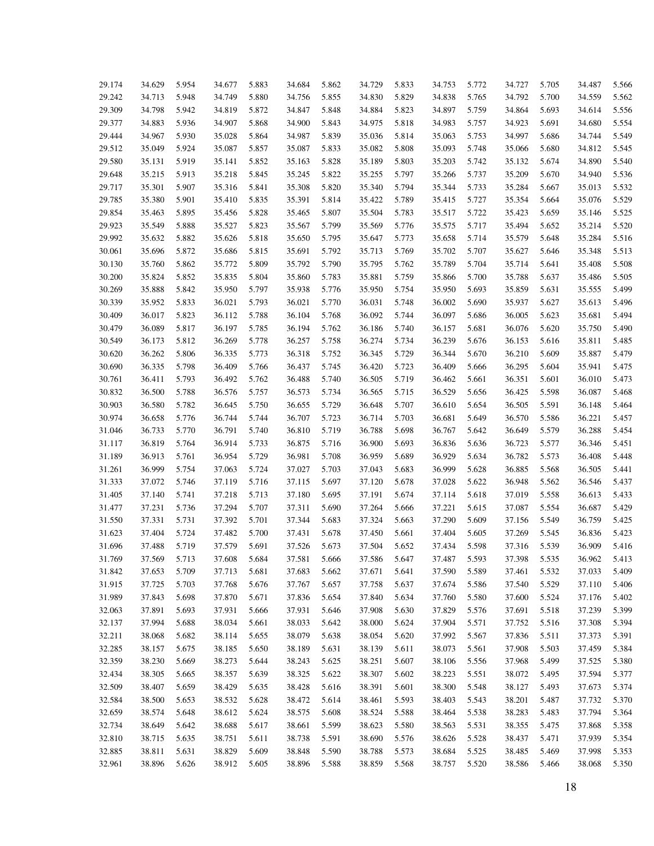| 29.174 | 34.629 | 5.954 | 34.677 | 5.883 | 34.684 | 5.862 | 34.729 | 5.833 | 34.753 | 5.772 | 34.727 | 5.705 | 34.487 | 5.566 |
|--------|--------|-------|--------|-------|--------|-------|--------|-------|--------|-------|--------|-------|--------|-------|
| 29.242 | 34.713 | 5.948 | 34.749 | 5.880 | 34.756 | 5.855 | 34.830 | 5.829 | 34.838 | 5.765 | 34.792 | 5.700 | 34.559 | 5.562 |
| 29.309 | 34.798 | 5.942 | 34.819 | 5.872 | 34.847 | 5.848 | 34.884 | 5.823 | 34.897 | 5.759 | 34.864 | 5.693 | 34.614 | 5.556 |
| 29.377 | 34.883 | 5.936 | 34.907 | 5.868 | 34.900 | 5.843 | 34.975 | 5.818 | 34.983 | 5.757 | 34.923 | 5.691 | 34.680 | 5.554 |
| 29.444 | 34.967 | 5.930 | 35.028 | 5.864 | 34.987 | 5.839 | 35.036 | 5.814 | 35.063 | 5.753 | 34.997 | 5.686 | 34.744 | 5.549 |
| 29.512 | 35.049 | 5.924 | 35.087 | 5.857 | 35.087 | 5.833 | 35.082 | 5.808 | 35.093 | 5.748 | 35.066 | 5.680 | 34.812 | 5.545 |
| 29.580 | 35.131 | 5.919 | 35.141 | 5.852 | 35.163 | 5.828 | 35.189 | 5.803 | 35.203 | 5.742 | 35.132 | 5.674 | 34.890 | 5.540 |
| 29.648 | 35.215 | 5.913 | 35.218 | 5.845 | 35.245 | 5.822 | 35.255 | 5.797 | 35.266 | 5.737 | 35.209 | 5.670 | 34.940 | 5.536 |
| 29.717 | 35.301 | 5.907 | 35.316 | 5.841 | 35.308 | 5.820 | 35.340 | 5.794 | 35.344 | 5.733 | 35.284 | 5.667 | 35.013 | 5.532 |
| 29.785 | 35.380 | 5.901 | 35.410 | 5.835 | 35.391 | 5.814 | 35.422 | 5.789 | 35.415 | 5.727 | 35.354 | 5.664 | 35.076 | 5.529 |
| 29.854 | 35.463 | 5.895 | 35.456 | 5.828 | 35.465 | 5.807 | 35.504 | 5.783 | 35.517 | 5.722 | 35.423 | 5.659 | 35.146 | 5.525 |
| 29.923 | 35.549 | 5.888 | 35.527 | 5.823 | 35.567 | 5.799 | 35.569 | 5.776 | 35.575 | 5.717 | 35.494 | 5.652 | 35.214 | 5.520 |
| 29.992 | 35.632 | 5.882 | 35.626 | 5.818 | 35.650 | 5.795 | 35.647 | 5.773 | 35.658 | 5.714 | 35.579 | 5.648 | 35.284 | 5.516 |
| 30.061 | 35.696 | 5.872 | 35.686 | 5.815 | 35.691 | 5.792 | 35.713 | 5.769 | 35.702 | 5.707 | 35.627 | 5.646 | 35.348 | 5.513 |
| 30.130 | 35.760 | 5.862 | 35.772 | 5.809 | 35.792 | 5.790 | 35.795 | 5.762 | 35.789 | 5.704 | 35.714 | 5.641 | 35.408 | 5.508 |
| 30.200 | 35.824 | 5.852 | 35.835 | 5.804 | 35.860 | 5.783 | 35.881 | 5.759 | 35.866 | 5.700 | 35.788 | 5.637 | 35.486 | 5.505 |
| 30.269 | 35.888 | 5.842 | 35.950 | 5.797 | 35.938 | 5.776 | 35.950 | 5.754 | 35.950 | 5.693 | 35.859 | 5.631 | 35.555 | 5.499 |
| 30.339 | 35.952 | 5.833 | 36.021 | 5.793 | 36.021 | 5.770 | 36.031 | 5.748 | 36.002 | 5.690 | 35.937 | 5.627 | 35.613 | 5.496 |
| 30.409 | 36.017 | 5.823 | 36.112 | 5.788 | 36.104 | 5.768 | 36.092 | 5.744 | 36.097 | 5.686 | 36.005 | 5.623 | 35.681 | 5.494 |
| 30.479 | 36.089 | 5.817 | 36.197 | 5.785 | 36.194 | 5.762 | 36.186 | 5.740 | 36.157 | 5.681 | 36.076 | 5.620 | 35.750 | 5.490 |
| 30.549 | 36.173 | 5.812 | 36.269 | 5.778 | 36.257 | 5.758 | 36.274 | 5.734 | 36.239 | 5.676 | 36.153 | 5.616 | 35.811 | 5.485 |
| 30.620 | 36.262 | 5.806 | 36.335 | 5.773 | 36.318 | 5.752 | 36.345 | 5.729 | 36.344 | 5.670 | 36.210 | 5.609 | 35.887 | 5.479 |
| 30.690 | 36.335 | 5.798 | 36.409 | 5.766 | 36.437 | 5.745 | 36.420 | 5.723 | 36.409 | 5.666 | 36.295 | 5.604 | 35.941 | 5.475 |
| 30.761 | 36.411 | 5.793 | 36.492 | 5.762 | 36.488 | 5.740 | 36.505 | 5.719 | 36.462 | 5.661 | 36.351 | 5.601 | 36.010 | 5.473 |
| 30.832 | 36.500 | 5.788 | 36.576 | 5.757 | 36.573 | 5.734 | 36.565 | 5.715 | 36.529 | 5.656 | 36.425 | 5.598 | 36.087 | 5.468 |
| 30.903 | 36.580 | 5.782 | 36.645 | 5.750 | 36.655 | 5.729 | 36.648 | 5.707 | 36.610 | 5.654 | 36.505 | 5.591 | 36.148 | 5.464 |
| 30.974 | 36.658 | 5.776 | 36.744 | 5.744 | 36.707 | 5.723 | 36.714 | 5.703 | 36.681 | 5.649 | 36.570 | 5.586 | 36.221 | 5.457 |
| 31.046 | 36.733 | 5.770 | 36.791 | 5.740 | 36.810 | 5.719 | 36.788 | 5.698 | 36.767 | 5.642 | 36.649 | 5.579 | 36.288 | 5.454 |
| 31.117 | 36.819 | 5.764 | 36.914 | 5.733 | 36.875 | 5.716 | 36.900 | 5.693 | 36.836 | 5.636 | 36.723 | 5.577 | 36.346 | 5.451 |
| 31.189 | 36.913 | 5.761 | 36.954 | 5.729 | 36.981 | 5.708 | 36.959 | 5.689 | 36.929 | 5.634 | 36.782 | 5.573 | 36.408 | 5.448 |
| 31.261 | 36.999 | 5.754 | 37.063 | 5.724 | 37.027 | 5.703 | 37.043 | 5.683 | 36.999 | 5.628 | 36.885 | 5.568 | 36.505 | 5.441 |
| 31.333 | 37.072 | 5.746 | 37.119 | 5.716 | 37.115 | 5.697 | 37.120 | 5.678 | 37.028 | 5.622 | 36.948 | 5.562 | 36.546 | 5.437 |
| 31.405 | 37.140 | 5.741 | 37.218 | 5.713 | 37.180 | 5.695 | 37.191 | 5.674 | 37.114 | 5.618 | 37.019 | 5.558 | 36.613 | 5.433 |
| 31.477 | 37.231 | 5.736 | 37.294 | 5.707 | 37.311 | 5.690 | 37.264 | 5.666 | 37.221 | 5.615 | 37.087 | 5.554 | 36.687 | 5.429 |
| 31.550 | 37.331 | 5.731 | 37.392 | 5.701 | 37.344 | 5.683 | 37.324 | 5.663 | 37.290 | 5.609 | 37.156 | 5.549 | 36.759 | 5.425 |
| 31.623 | 37.404 | 5.724 | 37.482 | 5.700 | 37.431 | 5.678 | 37.450 | 5.661 | 37.404 | 5.605 | 37.269 | 5.545 | 36.836 | 5.423 |
| 31.696 | 37.488 | 5.719 | 37.579 | 5.691 | 37.526 | 5.673 | 37.504 | 5.652 | 37.434 | 5.598 | 37.316 | 5.539 | 36.909 | 5.416 |
| 31.769 | 37.569 | 5.713 | 37.608 | 5.684 | 37.581 | 5.666 | 37.586 | 5.647 | 37.487 | 5.593 | 37.398 | 5.535 | 36.962 | 5.413 |
| 31.842 | 37.653 | 5.709 | 37.713 | 5.681 | 37.683 | 5.662 | 37.671 | 5.641 | 37.590 | 5.589 | 37.461 | 5.532 | 37.033 | 5.409 |
| 31.915 | 37.725 | 5.703 | 37.768 | 5.676 | 37.767 | 5.657 | 37.758 | 5.637 | 37.674 | 5.586 | 37.540 | 5.529 | 37.110 | 5.406 |
| 31.989 | 37.843 | 5.698 | 37.870 | 5.671 | 37.836 | 5.654 | 37.840 | 5.634 | 37.760 | 5.580 | 37.600 | 5.524 | 37.176 | 5.402 |
| 32.063 | 37.891 | 5.693 | 37.931 | 5.666 | 37.931 | 5.646 | 37.908 | 5.630 | 37.829 | 5.576 | 37.691 | 5.518 | 37.239 | 5.399 |
| 32.137 | 37.994 | 5.688 | 38.034 | 5.661 | 38.033 | 5.642 | 38.000 | 5.624 | 37.904 | 5.571 | 37.752 | 5.516 | 37.308 | 5.394 |
| 32.211 | 38.068 | 5.682 | 38.114 | 5.655 | 38.079 | 5.638 | 38.054 | 5.620 | 37.992 | 5.567 | 37.836 | 5.511 | 37.373 | 5.391 |
| 32.285 | 38.157 | 5.675 | 38.185 | 5.650 | 38.189 | 5.631 | 38.139 | 5.611 | 38.073 | 5.561 | 37.908 | 5.503 | 37.459 | 5.384 |
| 32.359 | 38.230 | 5.669 | 38.273 | 5.644 | 38.243 | 5.625 | 38.251 | 5.607 | 38.106 | 5.556 | 37.968 | 5.499 | 37.525 | 5.380 |
| 32.434 | 38.305 | 5.665 | 38.357 | 5.639 | 38.325 | 5.622 | 38.307 | 5.602 | 38.223 | 5.551 | 38.072 | 5.495 | 37.594 | 5.377 |
| 32.509 | 38.407 | 5.659 | 38.429 | 5.635 | 38.428 | 5.616 | 38.391 | 5.601 | 38.300 | 5.548 | 38.127 | 5.493 | 37.673 | 5.374 |
| 32.584 | 38.500 | 5.653 | 38.532 | 5.628 | 38.472 | 5.614 | 38.461 | 5.593 | 38.403 | 5.543 | 38.201 | 5.487 | 37.732 | 5.370 |
| 32.659 | 38.574 | 5.648 | 38.612 | 5.624 | 38.575 | 5.608 | 38.524 | 5.588 | 38.464 | 5.538 | 38.283 | 5.483 | 37.794 | 5.364 |
| 32.734 | 38.649 | 5.642 | 38.688 | 5.617 | 38.661 | 5.599 | 38.623 | 5.580 | 38.563 | 5.531 | 38.355 | 5.475 | 37.868 | 5.358 |
| 32.810 | 38.715 | 5.635 | 38.751 | 5.611 | 38.738 | 5.591 | 38.690 | 5.576 | 38.626 | 5.528 | 38.437 | 5.471 | 37.939 | 5.354 |
| 32.885 | 38.811 | 5.631 | 38.829 | 5.609 | 38.848 | 5.590 | 38.788 | 5.573 | 38.684 | 5.525 | 38.485 | 5.469 | 37.998 | 5.353 |
| 32.961 | 38.896 | 5.626 | 38.912 | 5.605 | 38.896 | 5.588 | 38.859 | 5.568 | 38.757 | 5.520 | 38.586 | 5.466 | 38.068 | 5.350 |
|        |        |       |        |       |        |       |        |       |        |       |        |       |        |       |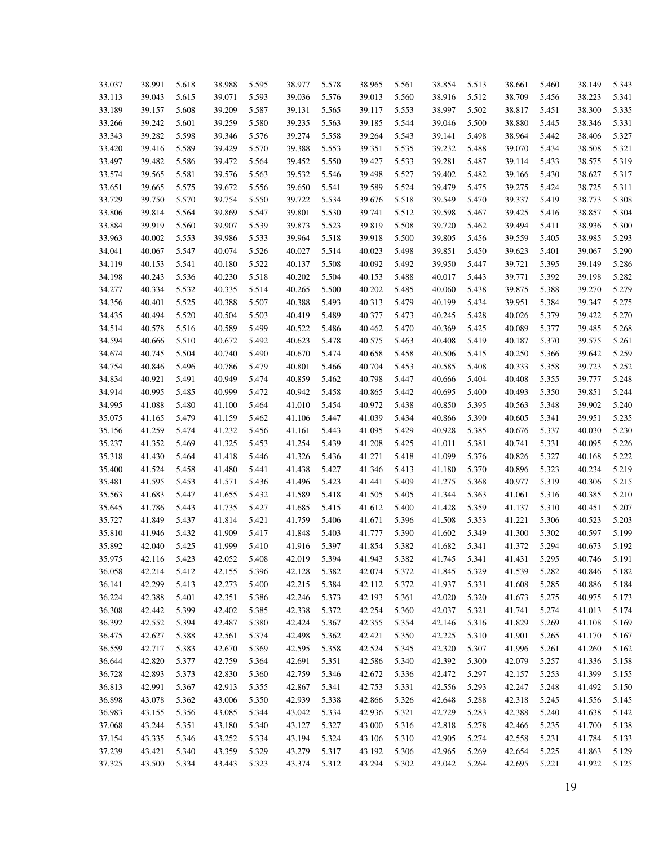| 33.037 | 38.991 | 5.618 | 38.988 | 5.595 | 38.977 | 5.578 | 38.965 | 5.561 | 38.854 | 5.513 | 38.661 | 5.460 | 38.149 | 5.343 |
|--------|--------|-------|--------|-------|--------|-------|--------|-------|--------|-------|--------|-------|--------|-------|
| 33.113 | 39.043 | 5.615 | 39.071 | 5.593 | 39.036 | 5.576 | 39.013 | 5.560 | 38.916 | 5.512 | 38.709 | 5.456 | 38.223 | 5.341 |
| 33.189 | 39.157 | 5.608 | 39.209 | 5.587 | 39.131 | 5.565 | 39.117 | 5.553 | 38.997 | 5.502 | 38.817 | 5.451 | 38.300 | 5.335 |
| 33.266 | 39.242 | 5.601 | 39.259 | 5.580 | 39.235 | 5.563 | 39.185 | 5.544 | 39.046 | 5.500 | 38.880 | 5.445 | 38.346 | 5.331 |
| 33.343 | 39.282 | 5.598 | 39.346 | 5.576 | 39.274 | 5.558 | 39.264 | 5.543 | 39.141 | 5.498 | 38.964 | 5.442 | 38.406 | 5.327 |
|        |        |       |        |       |        |       |        |       |        |       |        |       |        |       |
| 33.420 | 39.416 | 5.589 | 39.429 | 5.570 | 39.388 | 5.553 | 39.351 | 5.535 | 39.232 | 5.488 | 39.070 | 5.434 | 38.508 | 5.321 |
| 33.497 | 39.482 | 5.586 | 39.472 | 5.564 | 39.452 | 5.550 | 39.427 | 5.533 | 39.281 | 5.487 | 39.114 | 5.433 | 38.575 | 5.319 |
| 33.574 | 39.565 | 5.581 | 39.576 | 5.563 | 39.532 | 5.546 | 39.498 | 5.527 | 39.402 | 5.482 | 39.166 | 5.430 | 38.627 | 5.317 |
| 33.651 | 39.665 | 5.575 | 39.672 | 5.556 | 39.650 | 5.541 | 39.589 | 5.524 | 39.479 | 5.475 | 39.275 | 5.424 | 38.725 | 5.311 |
| 33.729 | 39.750 | 5.570 | 39.754 | 5.550 | 39.722 | 5.534 | 39.676 | 5.518 | 39.549 | 5.470 | 39.337 | 5.419 | 38.773 | 5.308 |
| 33.806 | 39.814 | 5.564 | 39.869 | 5.547 | 39.801 | 5.530 | 39.741 | 5.512 | 39.598 | 5.467 | 39.425 | 5.416 | 38.857 | 5.304 |
| 33.884 | 39.919 | 5.560 | 39.907 | 5.539 | 39.873 | 5.523 | 39.819 | 5.508 | 39.720 | 5.462 | 39.494 | 5.411 | 38.936 | 5.300 |
| 33.963 | 40.002 | 5.553 | 39.986 | 5.533 | 39.964 | 5.518 | 39.918 | 5.500 | 39.805 | 5.456 | 39.559 | 5.405 | 38.985 | 5.293 |
| 34.041 | 40.067 | 5.547 | 40.074 | 5.526 | 40.027 | 5.514 | 40.023 | 5.498 | 39.851 | 5.450 | 39.623 | 5.401 | 39.067 | 5.290 |
| 34.119 | 40.153 | 5.541 | 40.180 | 5.522 | 40.137 | 5.508 | 40.092 | 5.492 | 39.950 | 5.447 | 39.721 | 5.395 | 39.149 | 5.286 |
| 34.198 | 40.243 | 5.536 | 40.230 | 5.518 | 40.202 | 5.504 | 40.153 | 5.488 | 40.017 | 5.443 | 39.771 | 5.392 | 39.198 | 5.282 |
| 34.277 | 40.334 | 5.532 | 40.335 | 5.514 | 40.265 | 5.500 | 40.202 | 5.485 | 40.060 | 5.438 | 39.875 | 5.388 | 39.270 | 5.279 |
| 34.356 | 40.401 | 5.525 | 40.388 | 5.507 | 40.388 | 5.493 | 40.313 | 5.479 | 40.199 | 5.434 | 39.951 | 5.384 | 39.347 | 5.275 |
| 34.435 | 40.494 | 5.520 | 40.504 | 5.503 | 40.419 | 5.489 | 40.377 | 5.473 | 40.245 | 5.428 | 40.026 | 5.379 | 39.422 | 5.270 |
| 34.514 | 40.578 | 5.516 | 40.589 | 5.499 | 40.522 | 5.486 | 40.462 | 5.470 | 40.369 | 5.425 | 40.089 | 5.377 | 39.485 | 5.268 |
| 34.594 | 40.666 | 5.510 | 40.672 | 5.492 | 40.623 | 5.478 | 40.575 | 5.463 | 40.408 | 5.419 | 40.187 | 5.370 | 39.575 | 5.261 |
| 34.674 | 40.745 | 5.504 | 40.740 | 5.490 | 40.670 | 5.474 | 40.658 | 5.458 | 40.506 | 5.415 | 40.250 | 5.366 | 39.642 | 5.259 |
| 34.754 | 40.846 | 5.496 | 40.786 | 5.479 | 40.801 | 5.466 | 40.704 | 5.453 | 40.585 | 5.408 | 40.333 | 5.358 | 39.723 | 5.252 |
| 34.834 | 40.921 | 5.491 | 40.949 | 5.474 | 40.859 | 5.462 | 40.798 | 5.447 | 40.666 | 5.404 | 40.408 | 5.355 | 39.777 | 5.248 |
| 34.914 | 40.995 | 5.485 | 40.999 | 5.472 | 40.942 | 5.458 | 40.865 | 5.442 | 40.695 | 5.400 | 40.493 | 5.350 | 39.851 | 5.244 |
| 34.995 | 41.088 | 5.480 | 41.100 | 5.464 | 41.010 | 5.454 | 40.972 | 5.438 | 40.850 | 5.395 | 40.563 | 5.348 | 39.902 | 5.240 |
| 35.075 | 41.165 | 5.479 | 41.159 | 5.462 | 41.106 | 5.447 | 41.039 | 5.434 | 40.866 | 5.390 | 40.605 | 5.341 | 39.951 | 5.235 |
| 35.156 | 41.259 | 5.474 | 41.232 | 5.456 | 41.161 | 5.443 | 41.095 | 5.429 | 40.928 | 5.385 | 40.676 | 5.337 | 40.030 | 5.230 |
| 35.237 | 41.352 | 5.469 | 41.325 | 5.453 | 41.254 | 5.439 | 41.208 | 5.425 | 41.011 | 5.381 | 40.741 | 5.331 | 40.095 | 5.226 |
| 35.318 | 41.430 | 5.464 | 41.418 | 5.446 | 41.326 | 5.436 | 41.271 | 5.418 | 41.099 | 5.376 | 40.826 | 5.327 | 40.168 | 5.222 |
| 35.400 | 41.524 | 5.458 | 41.480 | 5.441 | 41.438 | 5.427 | 41.346 | 5.413 | 41.180 | 5.370 | 40.896 | 5.323 | 40.234 | 5.219 |
| 35.481 | 41.595 | 5.453 | 41.571 | 5.436 | 41.496 | 5.423 | 41.441 | 5.409 | 41.275 | 5.368 | 40.977 | 5.319 | 40.306 | 5.215 |
| 35.563 | 41.683 | 5.447 | 41.655 | 5.432 | 41.589 | 5.418 | 41.505 | 5.405 | 41.344 | 5.363 | 41.061 | 5.316 | 40.385 | 5.210 |
| 35.645 | 41.786 | 5.443 | 41.735 | 5.427 | 41.685 | 5.415 | 41.612 | 5.400 | 41.428 | 5.359 | 41.137 | 5.310 | 40.451 | 5.207 |
| 35.727 | 41.849 | 5.437 | 41.814 | 5.421 | 41.759 | 5.406 | 41.671 | 5.396 | 41.508 | 5.353 | 41.221 | 5.306 | 40.523 | 5.203 |
| 35.810 | 41.946 | 5.432 | 41.909 | 5.417 | 41.848 | 5.403 | 41.777 | 5.390 | 41.602 | 5.349 | 41.300 | 5.302 | 40.597 | 5.199 |
| 35.892 | 42.040 | 5.425 | 41.999 | 5.410 | 41.916 | 5.397 | 41.854 | 5.382 | 41.682 | 5.341 | 41.372 | 5.294 | 40.673 | 5.192 |
| 35.975 | 42.116 | 5.423 | 42.052 | 5.408 | 42.019 | 5.394 | 41.943 | 5.382 | 41.745 | 5.341 | 41.431 | 5.295 | 40.746 | 5.191 |
| 36.058 | 42.214 | 5.412 | 42.155 | 5.396 | 42.128 | 5.382 | 42.074 | 5.372 | 41.845 | 5.329 | 41.539 | 5.282 | 40.846 | 5.182 |
| 36.141 | 42.299 | 5.413 | 42.273 | 5.400 | 42.215 | 5.384 | 42.112 | 5.372 | 41.937 | 5.331 | 41.608 | 5.285 | 40.886 | 5.184 |
|        |        |       |        |       |        |       |        |       |        |       |        |       |        |       |
| 36.224 | 42.388 | 5.401 | 42.351 | 5.386 | 42.246 | 5.373 | 42.193 | 5.361 | 42.020 | 5.320 | 41.673 | 5.275 | 40.975 | 5.173 |
| 36.308 | 42.442 | 5.399 | 42.402 | 5.385 | 42.338 | 5.372 | 42.254 | 5.360 | 42.037 | 5.321 | 41.741 | 5.274 | 41.013 | 5.174 |
| 36.392 | 42.552 | 5.394 | 42.487 | 5.380 | 42.424 | 5.367 | 42.355 | 5.354 | 42.146 | 5.316 | 41.829 | 5.269 | 41.108 | 5.169 |
| 36.475 | 42.627 | 5.388 | 42.561 | 5.374 | 42.498 | 5.362 | 42.421 | 5.350 | 42.225 | 5.310 | 41.901 | 5.265 | 41.170 | 5.167 |
| 36.559 | 42.717 | 5.383 | 42.670 | 5.369 | 42.595 | 5.358 | 42.524 | 5.345 | 42.320 | 5.307 | 41.996 | 5.261 | 41.260 | 5.162 |
| 36.644 | 42.820 | 5.377 | 42.759 | 5.364 | 42.691 | 5.351 | 42.586 | 5.340 | 42.392 | 5.300 | 42.079 | 5.257 | 41.336 | 5.158 |
| 36.728 | 42.893 | 5.373 | 42.830 | 5.360 | 42.759 | 5.346 | 42.672 | 5.336 | 42.472 | 5.297 | 42.157 | 5.253 | 41.399 | 5.155 |
| 36.813 | 42.991 | 5.367 | 42.913 | 5.355 | 42.867 | 5.341 | 42.753 | 5.331 | 42.556 | 5.293 | 42.247 | 5.248 | 41.492 | 5.150 |
| 36.898 | 43.078 | 5.362 | 43.006 | 5.350 | 42.939 | 5.338 | 42.866 | 5.326 | 42.648 | 5.288 | 42.318 | 5.245 | 41.556 | 5.145 |
| 36.983 | 43.155 | 5.356 | 43.085 | 5.344 | 43.042 | 5.334 | 42.936 | 5.321 | 42.729 | 5.283 | 42.388 | 5.240 | 41.638 | 5.142 |
| 37.068 | 43.244 | 5.351 | 43.180 | 5.340 | 43.127 | 5.327 | 43.000 | 5.316 | 42.818 | 5.278 | 42.466 | 5.235 | 41.700 | 5.138 |
| 37.154 | 43.335 | 5.346 | 43.252 | 5.334 | 43.194 | 5.324 | 43.106 | 5.310 | 42.905 | 5.274 | 42.558 | 5.231 | 41.784 | 5.133 |
| 37.239 | 43.421 | 5.340 | 43.359 | 5.329 | 43.279 | 5.317 | 43.192 | 5.306 | 42.965 | 5.269 | 42.654 | 5.225 | 41.863 | 5.129 |
| 37.325 | 43.500 | 5.334 | 43.443 | 5.323 | 43.374 | 5.312 | 43.294 | 5.302 | 43.042 | 5.264 | 42.695 | 5.221 | 41.922 | 5.125 |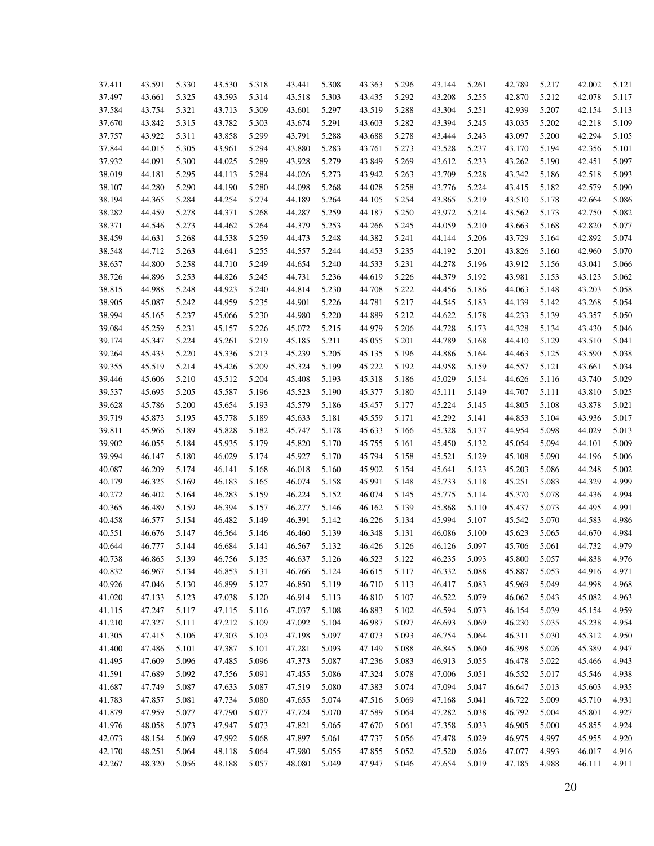| 37.411           | 43.591           | 5.330          | 43.530           | 5.318          | 43.441           | 5.308          | 43.363           | 5.296          | 43.144           | 5.261          | 42.789           | 5.217          | 42.002           | 5.121          |
|------------------|------------------|----------------|------------------|----------------|------------------|----------------|------------------|----------------|------------------|----------------|------------------|----------------|------------------|----------------|
| 37.497           | 43.661           | 5.325          | 43.593           | 5.314          | 43.518           | 5.303          | 43.435           | 5.292          | 43.208           | 5.255          | 42.870           | 5.212          | 42.078           | 5.117          |
| 37.584           | 43.754           | 5.321          | 43.713           | 5.309          | 43.601           | 5.297          | 43.519           | 5.288          | 43.304           | 5.251          | 42.939           | 5.207          | 42.154           | 5.113          |
| 37.670           | 43.842           | 5.315          | 43.782           | 5.303          | 43.674           | 5.291          | 43.603           | 5.282          | 43.394           | 5.245          | 43.035           | 5.202          | 42.218           | 5.109          |
| 37.757           | 43.922           | 5.311          | 43.858           | 5.299          | 43.791           | 5.288          | 43.688           | 5.278          | 43.444           | 5.243          | 43.097           | 5.200          | 42.294           | 5.105          |
| 37.844           | 44.015           | 5.305          | 43.961           | 5.294          | 43.880           | 5.283          | 43.761           | 5.273          | 43.528           | 5.237          | 43.170           | 5.194          | 42.356           | 5.101          |
| 37.932           | 44.091           | 5.300          | 44.025           | 5.289          | 43.928           | 5.279          | 43.849           | 5.269          | 43.612           | 5.233          | 43.262           | 5.190          | 42.451           | 5.097          |
| 38.019           | 44.181           | 5.295          | 44.113           | 5.284          | 44.026           | 5.273          | 43.942           | 5.263          | 43.709           | 5.228          | 43.342           | 5.186          | 42.518           | 5.093          |
| 38.107           | 44.280           | 5.290          | 44.190           | 5.280          | 44.098           | 5.268          | 44.028           | 5.258          | 43.776           | 5.224          | 43.415           | 5.182          | 42.579           | 5.090          |
| 38.194           | 44.365           | 5.284          | 44.254           | 5.274          | 44.189           | 5.264          | 44.105           | 5.254          | 43.865           | 5.219          | 43.510           | 5.178          | 42.664           | 5.086          |
| 38.282           | 44.459           | 5.278          | 44.371           | 5.268          | 44.287           | 5.259          | 44.187           | 5.250          | 43.972           | 5.214          | 43.562           | 5.173          | 42.750           | 5.082          |
| 38.371           | 44.546           | 5.273          | 44.462           | 5.264          | 44.379           | 5.253          | 44.266           | 5.245          | 44.059           | 5.210          | 43.663           | 5.168          | 42.820           | 5.077          |
| 38.459           | 44.631           | 5.268          | 44.538           | 5.259          | 44.473           | 5.248          | 44.382           | 5.241          | 44.144           | 5.206          | 43.729           | 5.164          | 42.892           | 5.074          |
| 38.548           | 44.712           | 5.263          | 44.641           | 5.255          | 44.557           | 5.244          | 44.453           | 5.235          | 44.192           | 5.201          | 43.826           | 5.160          | 42.960           | 5.070          |
| 38.637           | 44.800           | 5.258          | 44.710           | 5.249          | 44.654           | 5.240          | 44.533           | 5.231          | 44.278           | 5.196          | 43.912           | 5.156          | 43.041           | 5.066          |
| 38.726           | 44.896           | 5.253          | 44.826           | 5.245          | 44.731           | 5.236          | 44.619           | 5.226          | 44.379           | 5.192          | 43.981           | 5.153          | 43.123           | 5.062          |
| 38.815           | 44.988           | 5.248          | 44.923           | 5.240          | 44.814           | 5.230          | 44.708           | 5.222          | 44.456           | 5.186          | 44.063           | 5.148          | 43.203           | 5.058          |
| 38.905           | 45.087           | 5.242          | 44.959           | 5.235          | 44.901           | 5.226          | 44.781           | 5.217          | 44.545           | 5.183          | 44.139           | 5.142          | 43.268           | 5.054          |
| 38.994           | 45.165           | 5.237          | 45.066           | 5.230          | 44.980           | 5.220          | 44.889           | 5.212          | 44.622           | 5.178          | 44.233           | 5.139          | 43.357           | 5.050          |
| 39.084           | 45.259           | 5.231          | 45.157           | 5.226          | 45.072           | 5.215          | 44.979           | 5.206          | 44.728           | 5.173          | 44.328           | 5.134          | 43.430           | 5.046          |
| 39.174           | 45.347           | 5.224          | 45.261           | 5.219          | 45.185           | 5.211          | 45.055           | 5.201          | 44.789           | 5.168          | 44.410           | 5.129          | 43.510           | 5.041          |
| 39.264           | 45.433           | 5.220          | 45.336           | 5.213          | 45.239           | 5.205          | 45.135           | 5.196          | 44.886           | 5.164          | 44.463           | 5.125          | 43.590           | 5.038          |
| 39.355           | 45.519           | 5.214          | 45.426           | 5.209          | 45.324           | 5.199          | 45.222           | 5.192          | 44.958           | 5.159          | 44.557           | 5.121          | 43.661           | 5.034          |
| 39.446           | 45.606           | 5.210          | 45.512           | 5.204          | 45.408           | 5.193          | 45.318           | 5.186          | 45.029           | 5.154          | 44.626           | 5.116          | 43.740           | 5.029          |
| 39.537           | 45.695           | 5.205          | 45.587           | 5.196          | 45.523           | 5.190          | 45.377           | 5.180          | 45.111           | 5.149          | 44.707           | 5.111          | 43.810           | 5.025          |
| 39.628           | 45.786           | 5.200          | 45.654           | 5.193          | 45.579           | 5.186          | 45.457           | 5.177          | 45.224           | 5.145          | 44.805           | 5.108          | 43.878           | 5.021          |
| 39.719           | 45.873           | 5.195          | 45.778           | 5.189          | 45.633           | 5.181          | 45.559           | 5.171          | 45.292           | 5.141          | 44.853           | 5.104          | 43.936           | 5.017          |
| 39.811           | 45.966           | 5.189          | 45.828           | 5.182          | 45.747           | 5.178          | 45.633           | 5.166          | 45.328           | 5.137          | 44.954           | 5.098          | 44.029           | 5.013          |
| 39.902           | 46.055           | 5.184          | 45.935           | 5.179          | 45.820           | 5.170          | 45.755           | 5.161          | 45.450           | 5.132          | 45.054           | 5.094          | 44.101           | 5.009          |
| 39.994           | 46.147           | 5.180          | 46.029           | 5.174          | 45.927           | 5.170          | 45.794           | 5.158          | 45.521           | 5.129          | 45.108           | 5.090          | 44.196           | 5.006          |
| 40.087           | 46.209           | 5.174          | 46.141           | 5.168          | 46.018           | 5.160          | 45.902           | 5.154          | 45.641           | 5.123          | 45.203           | 5.086          | 44.248           | 5.002          |
| 40.179           | 46.325           | 5.169          | 46.183           | 5.165          | 46.074           | 5.158          | 45.991           | 5.148          | 45.733           | 5.118          | 45.251           | 5.083          | 44.329           | 4.999          |
| 40.272           | 46.402           | 5.164          | 46.283           | 5.159          | 46.224           | 5.152          | 46.074           | 5.145          | 45.775           | 5.114          | 45.370           | 5.078          | 44.436           | 4.994          |
| 40.365           | 46.489           | 5.159          | 46.394           | 5.157          | 46.277           | 5.146          | 46.162           | 5.139          | 45.868           | 5.110          | 45.437           | 5.073          | 44.495           | 4.991          |
| 40.458           | 46.577           | 5.154          | 46.482           | 5.149          | 46.391           | 5.142          | 46.226           | 5.134          | 45.994           | 5.107          | 45.542           | 5.070          | 44.583           | 4.986          |
| 40.551           | 46.676           | 5.147          | 46.564           | 5.146          | 46.460           | 5.139          | 46.348           | 5.131          | 46.086           | 5.100          | 45.623           | 5.065          | 44.670           | 4.984          |
| 40.644           | 46.777           | 5.144          | 46.684           | 5.141          | 46.567           | 5.132          | 46.426           | 5.126          | 46.126           | 5.097          | 45.706           | 5.061          | 44.732           | 4.979          |
| 40.738           | 46.865           | 5.139          | 46.756           | 5.135          | 46.637           | 5.126          | 46.523           | 5.122          | 46.235           | 5.093          | 45.800           | 5.057          | 44.838           | 4.976          |
| 40.832           | 46.967           | 5.134          | 46.853           | 5.131          | 46.766           | 5.124          | 46.615           | 5.117          | 46.332           | 5.088          | 45.887           | 5.053          | 44.916           | 4.971          |
| 40.926           | 47.046           | 5.130          | 46.899           | 5.127          | 46.850           | 5.119          | 46.710           | 5.113          | 46.417           | 5.083          | 45.969           | 5.049          | 44.998           | 4.968          |
| 41.020           | 47.133           | 5.123          | 47.038           | 5.120          | 46.914           | 5.113          | 46.810           | 5.107          | 46.522           | 5.079          | 46.062           | 5.043          | 45.082           | 4.963          |
| 41.115           | 47.247           | 5.117          | 47.115           | 5.116          | 47.037           | 5.108          | 46.883           | 5.102          | 46.594           | 5.073          | 46.154           | 5.039          | 45.154           | 4.959          |
| 41.210           | 47.327           | 5.111          | 47.212           | 5.109          | 47.092           | 5.104          | 46.987           | 5.097          | 46.693           | 5.069          | 46.230           | 5.035          | 45.238           | 4.954          |
| 41.305           | 47.415           | 5.106          | 47.303           | 5.103          | 47.198           | 5.097          | 47.073           | 5.093          | 46.754           | 5.064          | 46.311           | 5.030          | 45.312           | 4.950          |
| 41.400           | 47.486           | 5.101          | 47.387           | 5.101          | 47.281           | 5.093          | 47.149           | 5.088          | 46.845           | 5.060          | 46.398           | 5.026          | 45.389           | 4.947          |
| 41.495           | 47.609           | 5.096          | 47.485           | 5.096          | 47.373           | 5.087          | 47.236           | 5.083          | 46.913           | 5.055          | 46.478           | 5.022          | 45.466           | 4.943          |
| 41.591           | 47.689           | 5.092          | 47.556           | 5.091          | 47.455           | 5.086          | 47.324           | 5.078          | 47.006           | 5.051          | 46.552           | 5.017          | 45.546           | 4.938          |
|                  |                  |                |                  |                |                  |                |                  |                |                  |                |                  |                |                  |                |
| 41.687           | 47.749           | 5.087          | 47.633           | 5.087          | 47.519           | 5.080          | 47.383           | 5.074<br>5.069 | 47.094           | 5.047          | 46.647           | 5.013          | 45.603           | 4.935          |
| 41.783           | 47.857<br>47.959 | 5.081          | 47.734           | 5.080          | 47.655           | 5.074          | 47.516           | 5.064          | 47.168           | 5.041          | 46.722           | 5.009          | 45.710           | 4.931          |
| 41.879           | 48.058           | 5.077          | 47.790<br>47.947 | 5.077          | 47.724           | 5.070          | 47.589           |                | 47.282           | 5.038          | 46.792           | 5.004          | 45.801           | 4.927          |
| 41.976           |                  | 5.073          | 47.992           | 5.073          | 47.821           | 5.065          | 47.670           | 5.061          | 47.358           | 5.033          | 46.905           | 5.000          | 45.855           | 4.924          |
| 42.073           | 48.154           | 5.069          | 48.118           | 5.068<br>5.064 | 47.897           | 5.061          | 47.737           | 5.056<br>5.052 | 47.478           | 5.029          | 46.975           | 4.997          | 45.955           | 4.920          |
| 42.170<br>42.267 | 48.251<br>48.320 | 5.064<br>5.056 | 48.188           | 5.057          | 47.980<br>48.080 | 5.055<br>5.049 | 47.855<br>47.947 | 5.046          | 47.520<br>47.654 | 5.026<br>5.019 | 47.077<br>47.185 | 4.993<br>4.988 | 46.017<br>46.111 | 4.916<br>4.911 |
|                  |                  |                |                  |                |                  |                |                  |                |                  |                |                  |                |                  |                |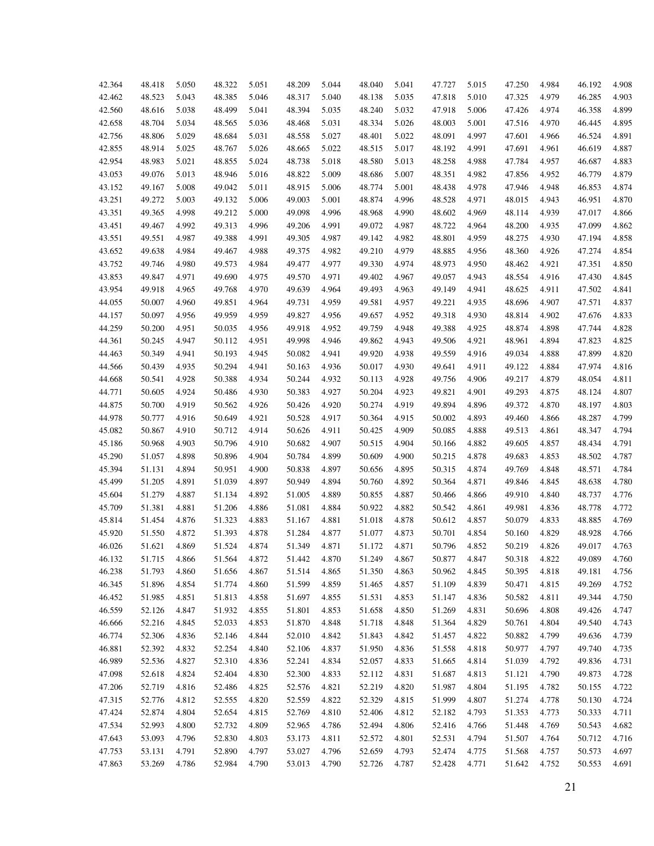| 42.364 | 48.418 | 5.050 | 48.322 | 5.051 | 48.209           | 5.044 | 48.040 | 5.041 | 47.727 | 5.015          | 47.250 | 4.984 | 46.192 | 4.908 |
|--------|--------|-------|--------|-------|------------------|-------|--------|-------|--------|----------------|--------|-------|--------|-------|
| 42.462 | 48.523 | 5.043 | 48.385 | 5.046 | 48.317           | 5.040 | 48.138 | 5.035 | 47.818 | 5.010          | 47.325 | 4.979 | 46.285 | 4.903 |
| 42.560 | 48.616 | 5.038 | 48.499 | 5.041 | 48.394           | 5.035 | 48.240 | 5.032 | 47.918 | 5.006          | 47.426 | 4.974 | 46.358 | 4.899 |
| 42.658 | 48.704 | 5.034 | 48.565 | 5.036 | 48.468           | 5.031 | 48.334 | 5.026 | 48.003 | 5.001          | 47.516 | 4.970 | 46.445 | 4.895 |
| 42.756 | 48.806 | 5.029 | 48.684 | 5.031 | 48.558           | 5.027 | 48.401 | 5.022 | 48.091 | 4.997          | 47.601 | 4.966 | 46.524 | 4.891 |
| 42.855 | 48.914 | 5.025 | 48.767 | 5.026 | 48.665           | 5.022 | 48.515 | 5.017 | 48.192 | 4.991          | 47.691 | 4.961 | 46.619 | 4.887 |
| 42.954 | 48.983 | 5.021 | 48.855 | 5.024 | 48.738           | 5.018 | 48.580 | 5.013 | 48.258 | 4.988          | 47.784 | 4.957 | 46.687 | 4.883 |
| 43.053 | 49.076 | 5.013 | 48.946 | 5.016 | 48.822           | 5.009 | 48.686 | 5.007 | 48.351 | 4.982          | 47.856 | 4.952 | 46.779 | 4.879 |
| 43.152 | 49.167 | 5.008 | 49.042 | 5.011 | 48.915           | 5.006 | 48.774 | 5.001 | 48.438 | 4.978          | 47.946 | 4.948 | 46.853 | 4.874 |
| 43.251 | 49.272 | 5.003 | 49.132 | 5.006 | 49.003           | 5.001 | 48.874 | 4.996 | 48.528 | 4.971          | 48.015 | 4.943 | 46.951 | 4.870 |
| 43.351 | 49.365 | 4.998 | 49.212 | 5.000 | 49.098           | 4.996 | 48.968 | 4.990 | 48.602 | 4.969          | 48.114 | 4.939 | 47.017 | 4.866 |
| 43.451 | 49.467 | 4.992 | 49.313 | 4.996 | 49.206           | 4.991 | 49.072 | 4.987 | 48.722 | 4.964          | 48.200 | 4.935 | 47.099 | 4.862 |
| 43.551 | 49.551 | 4.987 | 49.388 | 4.991 | 49.305           | 4.987 | 49.142 | 4.982 | 48.801 | 4.959          | 48.275 | 4.930 | 47.194 | 4.858 |
| 43.652 | 49.638 | 4.984 | 49.467 | 4.988 | 49.375           | 4.982 | 49.210 | 4.979 | 48.885 | 4.956          | 48.360 | 4.926 | 47.274 | 4.854 |
| 43.752 | 49.746 | 4.980 | 49.573 | 4.984 | 49.477           | 4.977 | 49.330 | 4.974 | 48.973 | 4.950          | 48.462 | 4.921 | 47.351 | 4.850 |
| 43.853 | 49.847 | 4.971 | 49.690 | 4.975 | 49.570           | 4.971 | 49.402 | 4.967 | 49.057 | 4.943          | 48.554 | 4.916 | 47.430 | 4.845 |
| 43.954 | 49.918 | 4.965 | 49.768 | 4.970 | 49.639           | 4.964 | 49.493 | 4.963 | 49.149 | 4.941          | 48.625 | 4.911 | 47.502 | 4.841 |
| 44.055 | 50.007 | 4.960 | 49.851 | 4.964 | 49.731           | 4.959 | 49.581 | 4.957 | 49.221 | 4.935          | 48.696 | 4.907 | 47.571 | 4.837 |
| 44.157 | 50.097 | 4.956 | 49.959 | 4.959 | 49.827           | 4.956 | 49.657 | 4.952 | 49.318 | 4.930          | 48.814 | 4.902 | 47.676 | 4.833 |
| 44.259 | 50.200 | 4.951 | 50.035 | 4.956 | 49.918           | 4.952 | 49.759 | 4.948 | 49.388 | 4.925          | 48.874 | 4.898 | 47.744 | 4.828 |
| 44.361 | 50.245 | 4.947 | 50.112 | 4.951 | 49.998           | 4.946 | 49.862 | 4.943 | 49.506 | 4.921          | 48.961 | 4.894 | 47.823 | 4.825 |
|        | 50.349 | 4.941 | 50.193 | 4.945 | 50.082           | 4.941 | 49.920 | 4.938 |        | 4.916          |        | 4.888 |        | 4.820 |
| 44.463 | 50.439 | 4.935 | 50.294 | 4.941 |                  | 4.936 |        | 4.930 | 49.559 |                | 49.034 | 4.884 | 47.899 | 4.816 |
| 44.566 | 50.541 | 4.928 | 50.388 | 4.934 | 50.163<br>50.244 | 4.932 | 50.017 | 4.928 | 49.641 | 4.911<br>4.906 | 49.122 | 4.879 | 47.974 | 4.811 |
| 44.668 |        |       |        |       |                  |       | 50.113 |       | 49.756 |                | 49.217 |       | 48.054 |       |
| 44.771 | 50.605 | 4.924 | 50.486 | 4.930 | 50.383           | 4.927 | 50.204 | 4.923 | 49.821 | 4.901          | 49.293 | 4.875 | 48.124 | 4.807 |
| 44.875 | 50.700 | 4.919 | 50.562 | 4.926 | 50.426           | 4.920 | 50.274 | 4.919 | 49.894 | 4.896          | 49.372 | 4.870 | 48.197 | 4.803 |
| 44.978 | 50.777 | 4.916 | 50.649 | 4.921 | 50.528           | 4.917 | 50.364 | 4.915 | 50.002 | 4.893          | 49.460 | 4.866 | 48.287 | 4.799 |
| 45.082 | 50.867 | 4.910 | 50.712 | 4.914 | 50.626           | 4.911 | 50.425 | 4.909 | 50.085 | 4.888          | 49.513 | 4.861 | 48.347 | 4.794 |
| 45.186 | 50.968 | 4.903 | 50.796 | 4.910 | 50.682           | 4.907 | 50.515 | 4.904 | 50.166 | 4.882          | 49.605 | 4.857 | 48.434 | 4.791 |
| 45.290 | 51.057 | 4.898 | 50.896 | 4.904 | 50.784           | 4.899 | 50.609 | 4.900 | 50.215 | 4.878          | 49.683 | 4.853 | 48.502 | 4.787 |
| 45.394 | 51.131 | 4.894 | 50.951 | 4.900 | 50.838           | 4.897 | 50.656 | 4.895 | 50.315 | 4.874          | 49.769 | 4.848 | 48.571 | 4.784 |
| 45.499 | 51.205 | 4.891 | 51.039 | 4.897 | 50.949           | 4.894 | 50.760 | 4.892 | 50.364 | 4.871          | 49.846 | 4.845 | 48.638 | 4.780 |
| 45.604 | 51.279 | 4.887 | 51.134 | 4.892 | 51.005           | 4.889 | 50.855 | 4.887 | 50.466 | 4.866          | 49.910 | 4.840 | 48.737 | 4.776 |
| 45.709 | 51.381 | 4.881 | 51.206 | 4.886 | 51.081           | 4.884 | 50.922 | 4.882 | 50.542 | 4.861          | 49.981 | 4.836 | 48.778 | 4.772 |
| 45.814 | 51.454 | 4.876 | 51.323 | 4.883 | 51.167           | 4.881 | 51.018 | 4.878 | 50.612 | 4.857          | 50.079 | 4.833 | 48.885 | 4.769 |
| 45.920 | 51.550 | 4.872 | 51.393 | 4.878 | 51.284           | 4.877 | 51.077 | 4.873 | 50.701 | 4.854          | 50.160 | 4.829 | 48.928 | 4.766 |
| 46.026 | 51.621 | 4.869 | 51.524 | 4.874 | 51.349           | 4.871 | 51.172 | 4.871 | 50.796 | 4.852          | 50.219 | 4.826 | 49.017 | 4.763 |
| 46.132 | 51.715 | 4.866 | 51.564 | 4.872 | 51.442           | 4.870 | 51.249 | 4.867 | 50.877 | 4.847          | 50.318 | 4.822 | 49.089 | 4.760 |
| 46.238 | 51.793 | 4.860 | 51.656 | 4.867 | 51.514           | 4.865 | 51.350 | 4.863 | 50.962 | 4.845          | 50.395 | 4.818 | 49.181 | 4.756 |
| 46.345 | 51.896 | 4.854 | 51.774 | 4.860 | 51.599           | 4.859 | 51.465 | 4.857 | 51.109 | 4.839          | 50.471 | 4.815 | 49.269 | 4.752 |
| 46.452 | 51.985 | 4.851 | 51.813 | 4.858 | 51.697           | 4.855 | 51.531 | 4.853 | 51.147 | 4.836          | 50.582 | 4.811 | 49.344 | 4.750 |
| 46.559 | 52.126 | 4.847 | 51.932 | 4.855 | 51.801           | 4.853 | 51.658 | 4.850 | 51.269 | 4.831          | 50.696 | 4.808 | 49.426 | 4.747 |
| 46.666 | 52.216 | 4.845 | 52.033 | 4.853 | 51.870           | 4.848 | 51.718 | 4.848 | 51.364 | 4.829          | 50.761 | 4.804 | 49.540 | 4.743 |
| 46.774 | 52.306 | 4.836 | 52.146 | 4.844 | 52.010           | 4.842 | 51.843 | 4.842 | 51.457 | 4.822          | 50.882 | 4.799 | 49.636 | 4.739 |
| 46.881 | 52.392 | 4.832 | 52.254 | 4.840 | 52.106           | 4.837 | 51.950 | 4.836 | 51.558 | 4.818          | 50.977 | 4.797 | 49.740 | 4.735 |
| 46.989 | 52.536 | 4.827 | 52.310 | 4.836 | 52.241           | 4.834 | 52.057 | 4.833 | 51.665 | 4.814          | 51.039 | 4.792 | 49.836 | 4.731 |
| 47.098 | 52.618 | 4.824 | 52.404 | 4.830 | 52.300           | 4.833 | 52.112 | 4.831 | 51.687 | 4.813          | 51.121 | 4.790 | 49.873 | 4.728 |
| 47.206 | 52.719 | 4.816 | 52.486 | 4.825 | 52.576           | 4.821 | 52.219 | 4.820 | 51.987 | 4.804          | 51.195 | 4.782 | 50.155 | 4.722 |
| 47.315 | 52.776 | 4.812 | 52.555 | 4.820 | 52.559           | 4.822 | 52.329 | 4.815 | 51.999 | 4.807          | 51.274 | 4.778 | 50.130 | 4.724 |
| 47.424 | 52.874 | 4.804 | 52.654 | 4.815 | 52.769           | 4.810 | 52.406 | 4.812 | 52.182 | 4.793          | 51.353 | 4.773 | 50.333 | 4.711 |
| 47.534 | 52.993 | 4.800 | 52.732 | 4.809 | 52.965           | 4.786 | 52.494 | 4.806 | 52.416 | 4.766          | 51.448 | 4.769 | 50.543 | 4.682 |
| 47.643 | 53.093 | 4.796 | 52.830 | 4.803 | 53.173           | 4.811 | 52.572 | 4.801 | 52.531 | 4.794          | 51.507 | 4.764 | 50.712 | 4.716 |
| 47.753 | 53.131 | 4.791 | 52.890 | 4.797 | 53.027           | 4.796 | 52.659 | 4.793 | 52.474 | 4.775          | 51.568 | 4.757 | 50.573 | 4.697 |
| 47.863 | 53.269 | 4.786 | 52.984 | 4.790 | 53.013           | 4.790 | 52.726 | 4.787 | 52.428 | 4.771          | 51.642 | 4.752 | 50.553 | 4.691 |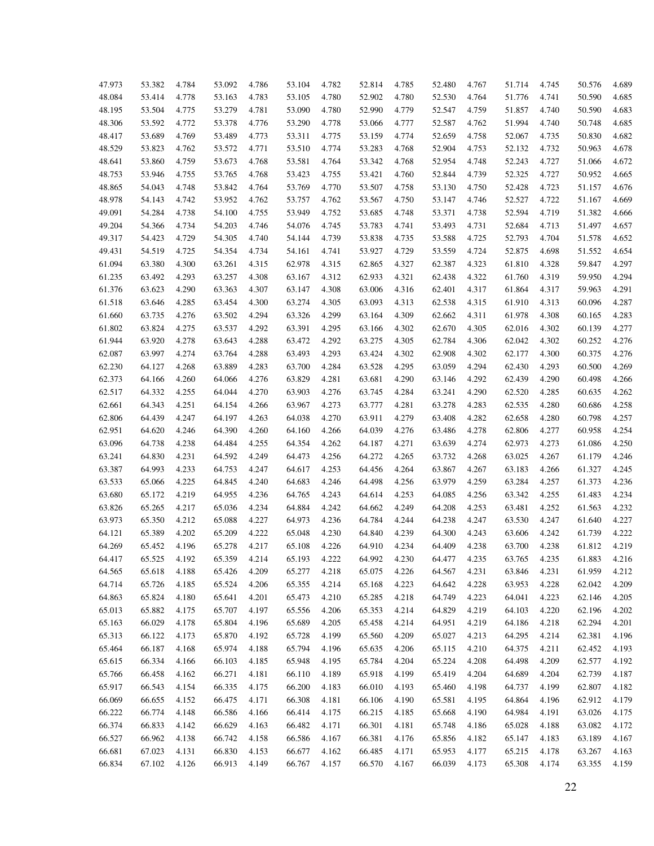| 47.973 | 53.382 | 4.784 | 53.092 | 4.786 | 53.104 | 4.782 | 52.814 | 4.785 | 52.480 | 4.767 | 51.714 | 4.745 | 50.576 | 4.689 |
|--------|--------|-------|--------|-------|--------|-------|--------|-------|--------|-------|--------|-------|--------|-------|
| 48.084 | 53.414 | 4.778 | 53.163 | 4.783 | 53.105 | 4.780 | 52.902 | 4.780 | 52.530 | 4.764 | 51.776 | 4.741 | 50.590 | 4.685 |
| 48.195 | 53.504 | 4.775 | 53.279 | 4.781 | 53.090 | 4.780 | 52.990 | 4.779 | 52.547 | 4.759 | 51.857 | 4.740 | 50.590 | 4.683 |
| 48.306 | 53.592 | 4.772 | 53.378 | 4.776 | 53.290 | 4.778 | 53.066 | 4.777 | 52.587 | 4.762 | 51.994 | 4.740 | 50.748 | 4.685 |
| 48.417 | 53.689 | 4.769 | 53.489 | 4.773 | 53.311 | 4.775 | 53.159 | 4.774 | 52.659 | 4.758 | 52.067 | 4.735 | 50.830 | 4.682 |
| 48.529 | 53.823 | 4.762 | 53.572 | 4.771 | 53.510 | 4.774 | 53.283 | 4.768 | 52.904 | 4.753 | 52.132 | 4.732 | 50.963 | 4.678 |
| 48.641 | 53.860 | 4.759 | 53.673 | 4.768 | 53.581 | 4.764 | 53.342 | 4.768 | 52.954 | 4.748 | 52.243 | 4.727 | 51.066 | 4.672 |
| 48.753 | 53.946 | 4.755 | 53.765 | 4.768 | 53.423 | 4.755 | 53.421 | 4.760 | 52.844 | 4.739 | 52.325 | 4.727 | 50.952 | 4.665 |
| 48.865 | 54.043 | 4.748 | 53.842 | 4.764 | 53.769 | 4.770 | 53.507 | 4.758 | 53.130 | 4.750 | 52.428 | 4.723 | 51.157 | 4.676 |
| 48.978 | 54.143 | 4.742 | 53.952 | 4.762 | 53.757 | 4.762 | 53.567 | 4.750 | 53.147 | 4.746 | 52.527 | 4.722 | 51.167 | 4.669 |
| 49.091 | 54.284 | 4.738 | 54.100 | 4.755 | 53.949 | 4.752 | 53.685 | 4.748 | 53.371 | 4.738 | 52.594 | 4.719 | 51.382 | 4.666 |
| 49.204 | 54.366 | 4.734 | 54.203 | 4.746 | 54.076 | 4.745 | 53.783 | 4.741 | 53.493 | 4.731 | 52.684 | 4.713 | 51.497 | 4.657 |
| 49.317 | 54.423 | 4.729 | 54.305 | 4.740 | 54.144 | 4.739 | 53.838 | 4.735 | 53.588 | 4.725 | 52.793 | 4.704 | 51.578 | 4.652 |
| 49.431 | 54.519 | 4.725 | 54.354 | 4.734 | 54.161 | 4.741 | 53.927 | 4.729 | 53.559 | 4.724 | 52.875 | 4.698 | 51.552 | 4.654 |
| 61.094 | 63.380 | 4.300 | 63.261 | 4.315 | 62.978 | 4.315 | 62.865 | 4.327 | 62.387 | 4.323 | 61.810 | 4.328 | 59.847 | 4.297 |
| 61.235 | 63.492 | 4.293 | 63.257 | 4.308 | 63.167 | 4.312 | 62.933 | 4.321 | 62.438 | 4.322 | 61.760 | 4.319 | 59.950 | 4.294 |
| 61.376 | 63.623 | 4.290 | 63.363 | 4.307 | 63.147 | 4.308 | 63.006 | 4.316 | 62.401 | 4.317 | 61.864 | 4.317 | 59.963 | 4.291 |
| 61.518 | 63.646 | 4.285 | 63.454 | 4.300 | 63.274 | 4.305 | 63.093 | 4.313 | 62.538 | 4.315 | 61.910 | 4.313 | 60.096 | 4.287 |
| 61.660 | 63.735 | 4.276 | 63.502 | 4.294 | 63.326 | 4.299 | 63.164 | 4.309 | 62.662 | 4.311 | 61.978 | 4.308 | 60.165 | 4.283 |
| 61.802 | 63.824 | 4.275 | 63.537 | 4.292 | 63.391 | 4.295 | 63.166 | 4.302 | 62.670 | 4.305 | 62.016 | 4.302 | 60.139 | 4.277 |
| 61.944 | 63.920 | 4.278 | 63.643 | 4.288 | 63.472 | 4.292 | 63.275 | 4.305 | 62.784 | 4.306 | 62.042 | 4.302 | 60.252 | 4.276 |
| 62.087 | 63.997 | 4.274 | 63.764 | 4.288 | 63.493 | 4.293 | 63.424 | 4.302 | 62.908 | 4.302 | 62.177 | 4.300 | 60.375 | 4.276 |
| 62.230 | 64.127 | 4.268 | 63.889 | 4.283 | 63.700 | 4.284 | 63.528 | 4.295 | 63.059 | 4.294 | 62.430 | 4.293 | 60.500 | 4.269 |
| 62.373 | 64.166 | 4.260 | 64.066 | 4.276 | 63.829 | 4.281 | 63.681 | 4.290 | 63.146 | 4.292 | 62.439 | 4.290 | 60.498 | 4.266 |
| 62.517 | 64.332 | 4.255 | 64.044 | 4.270 | 63.903 | 4.276 | 63.745 | 4.284 | 63.241 | 4.290 | 62.520 | 4.285 | 60.635 | 4.262 |
| 62.661 | 64.343 | 4.251 | 64.154 | 4.266 | 63.967 | 4.273 | 63.777 | 4.281 | 63.278 | 4.283 | 62.535 | 4.280 | 60.686 | 4.258 |
| 62.806 | 64.439 | 4.247 | 64.197 | 4.263 | 64.038 | 4.270 | 63.911 | 4.279 | 63.408 | 4.282 | 62.658 | 4.280 | 60.798 | 4.257 |
| 62.951 | 64.620 | 4.246 | 64.390 | 4.260 | 64.160 | 4.266 | 64.039 | 4.276 | 63.486 | 4.278 | 62.806 | 4.277 | 60.958 | 4.254 |
| 63.096 | 64.738 | 4.238 | 64.484 | 4.255 | 64.354 | 4.262 | 64.187 | 4.271 | 63.639 | 4.274 | 62.973 | 4.273 | 61.086 | 4.250 |
| 63.241 | 64.830 | 4.231 | 64.592 | 4.249 | 64.473 | 4.256 | 64.272 | 4.265 | 63.732 | 4.268 | 63.025 | 4.267 | 61.179 | 4.246 |
| 63.387 | 64.993 | 4.233 | 64.753 | 4.247 | 64.617 | 4.253 | 64.456 | 4.264 | 63.867 | 4.267 | 63.183 | 4.266 | 61.327 | 4.245 |
| 63.533 | 65.066 | 4.225 | 64.845 | 4.240 | 64.683 | 4.246 | 64.498 | 4.256 | 63.979 | 4.259 | 63.284 | 4.257 | 61.373 | 4.236 |
| 63.680 | 65.172 | 4.219 | 64.955 | 4.236 | 64.765 | 4.243 | 64.614 | 4.253 | 64.085 | 4.256 | 63.342 | 4.255 | 61.483 | 4.234 |
| 63.826 | 65.265 | 4.217 | 65.036 | 4.234 | 64.884 | 4.242 | 64.662 | 4.249 | 64.208 | 4.253 | 63.481 | 4.252 | 61.563 | 4.232 |
| 63.973 | 65.350 | 4.212 | 65.088 | 4.227 | 64.973 | 4.236 | 64.784 | 4.244 | 64.238 | 4.247 | 63.530 | 4.247 | 61.640 | 4.227 |
| 64.121 | 65.389 | 4.202 | 65.209 | 4.222 | 65.048 | 4.230 | 64.840 | 4.239 | 64.300 | 4.243 | 63.606 | 4.242 | 61.739 | 4.222 |
| 64.269 | 65.452 | 4.196 | 65.278 | 4.217 | 65.108 | 4.226 | 64.910 | 4.234 | 64.409 | 4.238 | 63.700 | 4.238 | 61.812 | 4.219 |
| 64.417 | 65.525 | 4.192 | 65.359 | 4.214 | 65.193 | 4.222 | 64.992 | 4.230 | 64.477 | 4.235 | 63.765 | 4.235 | 61.883 | 4.216 |
| 64.565 | 65.618 | 4.188 | 65.426 | 4.209 | 65.277 | 4.218 | 65.075 | 4.226 | 64.567 | 4.231 | 63.846 | 4.231 | 61.959 | 4.212 |
| 64.714 | 65.726 | 4.185 | 65.524 | 4.206 | 65.355 | 4.214 | 65.168 | 4.223 | 64.642 | 4.228 | 63.953 | 4.228 | 62.042 | 4.209 |
| 64.863 | 65.824 | 4.180 | 65.641 | 4.201 | 65.473 | 4.210 | 65.285 | 4.218 | 64.749 | 4.223 | 64.041 | 4.223 | 62.146 | 4.205 |
| 65.013 | 65.882 | 4.175 | 65.707 | 4.197 | 65.556 | 4.206 | 65.353 | 4.214 | 64.829 | 4.219 | 64.103 | 4.220 | 62.196 | 4.202 |
| 65.163 | 66.029 | 4.178 | 65.804 | 4.196 | 65.689 | 4.205 | 65.458 | 4.214 | 64.951 | 4.219 | 64.186 | 4.218 | 62.294 | 4.201 |
| 65.313 | 66.122 | 4.173 | 65.870 | 4.192 | 65.728 | 4.199 | 65.560 | 4.209 | 65.027 | 4.213 | 64.295 | 4.214 | 62.381 | 4.196 |
| 65.464 | 66.187 | 4.168 | 65.974 | 4.188 | 65.794 | 4.196 | 65.635 | 4.206 | 65.115 | 4.210 | 64.375 | 4.211 | 62.452 | 4.193 |
| 65.615 | 66.334 | 4.166 | 66.103 | 4.185 | 65.948 | 4.195 | 65.784 | 4.204 | 65.224 | 4.208 | 64.498 | 4.209 | 62.577 | 4.192 |
| 65.766 | 66.458 | 4.162 | 66.271 | 4.181 | 66.110 | 4.189 | 65.918 | 4.199 | 65.419 | 4.204 | 64.689 | 4.204 | 62.739 | 4.187 |
| 65.917 | 66.543 | 4.154 | 66.335 | 4.175 | 66.200 | 4.183 | 66.010 | 4.193 | 65.460 | 4.198 | 64.737 | 4.199 | 62.807 | 4.182 |
| 66.069 | 66.655 | 4.152 | 66.475 | 4.171 | 66.308 | 4.181 | 66.106 | 4.190 | 65.581 | 4.195 | 64.864 | 4.196 | 62.912 | 4.179 |
| 66.222 | 66.774 | 4.148 | 66.586 | 4.166 | 66.414 | 4.175 | 66.215 | 4.185 | 65.668 | 4.190 | 64.984 | 4.191 | 63.026 | 4.175 |
| 66.374 | 66.833 | 4.142 | 66.629 | 4.163 | 66.482 | 4.171 | 66.301 | 4.181 | 65.748 | 4.186 | 65.028 | 4.188 | 63.082 | 4.172 |
| 66.527 | 66.962 | 4.138 | 66.742 | 4.158 | 66.586 | 4.167 | 66.381 | 4.176 | 65.856 | 4.182 | 65.147 | 4.183 | 63.189 | 4.167 |
| 66.681 | 67.023 | 4.131 | 66.830 | 4.153 | 66.677 | 4.162 | 66.485 | 4.171 | 65.953 | 4.177 | 65.215 | 4.178 | 63.267 | 4.163 |
| 66.834 | 67.102 | 4.126 | 66.913 | 4.149 | 66.767 | 4.157 | 66.570 | 4.167 | 66.039 | 4.173 | 65.308 | 4.174 | 63.355 | 4.159 |
|        |        |       |        |       |        |       |        |       |        |       |        |       |        |       |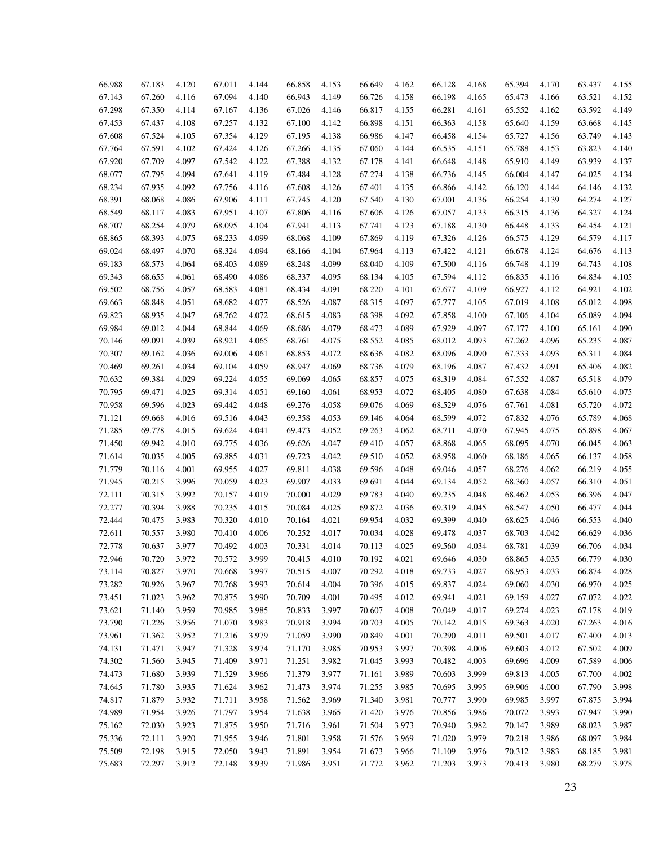| 66.988 | 67.183 | 4.120 | 67.011 | 4.144 | 66.858           | 4.153 | 66.649 | 4.162 | 66.128 | 4.168 | 65.394 | 4.170 | 63.437 | 4.155          |
|--------|--------|-------|--------|-------|------------------|-------|--------|-------|--------|-------|--------|-------|--------|----------------|
| 67.143 | 67.260 | 4.116 | 67.094 | 4.140 | 66.943           | 4.149 | 66.726 | 4.158 | 66.198 | 4.165 | 65.473 | 4.166 | 63.521 | 4.152          |
| 67.298 | 67.350 | 4.114 | 67.167 | 4.136 | 67.026           | 4.146 | 66.817 | 4.155 | 66.281 | 4.161 | 65.552 | 4.162 | 63.592 | 4.149          |
| 67.453 | 67.437 | 4.108 | 67.257 | 4.132 | 67.100           | 4.142 | 66.898 | 4.151 | 66.363 | 4.158 | 65.640 | 4.159 | 63.668 | 4.145          |
| 67.608 | 67.524 | 4.105 | 67.354 | 4.129 | 67.195           | 4.138 | 66.986 | 4.147 | 66.458 | 4.154 | 65.727 | 4.156 | 63.749 | 4.143          |
| 67.764 | 67.591 | 4.102 | 67.424 | 4.126 | 67.266           | 4.135 | 67.060 | 4.144 | 66.535 | 4.151 | 65.788 | 4.153 | 63.823 | 4.140          |
| 67.920 | 67.709 | 4.097 | 67.542 | 4.122 | 67.388           | 4.132 | 67.178 | 4.141 | 66.648 | 4.148 | 65.910 | 4.149 | 63.939 | 4.137          |
| 68.077 | 67.795 | 4.094 | 67.641 | 4.119 | 67.484           | 4.128 | 67.274 | 4.138 | 66.736 | 4.145 | 66.004 | 4.147 | 64.025 | 4.134          |
| 68.234 | 67.935 | 4.092 | 67.756 | 4.116 | 67.608           | 4.126 | 67.401 | 4.135 | 66.866 | 4.142 | 66.120 | 4.144 | 64.146 | 4.132          |
| 68.391 | 68.068 | 4.086 | 67.906 | 4.111 | 67.745           | 4.120 | 67.540 | 4.130 | 67.001 | 4.136 | 66.254 | 4.139 | 64.274 | 4.127          |
| 68.549 | 68.117 | 4.083 | 67.951 | 4.107 | 67.806           | 4.116 | 67.606 | 4.126 | 67.057 | 4.133 | 66.315 | 4.136 | 64.327 | 4.124          |
| 68.707 | 68.254 | 4.079 | 68.095 | 4.104 | 67.941           | 4.113 | 67.741 | 4.123 | 67.188 | 4.130 | 66.448 | 4.133 | 64.454 | 4.121          |
| 68.865 | 68.393 | 4.075 | 68.233 | 4.099 | 68.068           | 4.109 | 67.869 | 4.119 | 67.326 | 4.126 | 66.575 | 4.129 | 64.579 | 4.117          |
|        | 68.497 | 4.070 | 68.324 | 4.094 |                  |       |        |       |        |       |        |       |        |                |
| 69.024 |        |       | 68.403 |       | 68.166<br>68.248 | 4.104 | 67.964 | 4.113 | 67.422 | 4.121 | 66.678 | 4.124 | 64.676 | 4.113<br>4.108 |
| 69.183 | 68.573 | 4.064 |        | 4.089 |                  | 4.099 | 68.040 | 4.109 | 67.500 | 4.116 | 66.748 | 4.119 | 64.743 |                |
| 69.343 | 68.655 | 4.061 | 68.490 | 4.086 | 68.337           | 4.095 | 68.134 | 4.105 | 67.594 | 4.112 | 66.835 | 4.116 | 64.834 | 4.105          |
| 69.502 | 68.756 | 4.057 | 68.583 | 4.081 | 68.434           | 4.091 | 68.220 | 4.101 | 67.677 | 4.109 | 66.927 | 4.112 | 64.921 | 4.102          |
| 69.663 | 68.848 | 4.051 | 68.682 | 4.077 | 68.526           | 4.087 | 68.315 | 4.097 | 67.777 | 4.105 | 67.019 | 4.108 | 65.012 | 4.098          |
| 69.823 | 68.935 | 4.047 | 68.762 | 4.072 | 68.615           | 4.083 | 68.398 | 4.092 | 67.858 | 4.100 | 67.106 | 4.104 | 65.089 | 4.094          |
| 69.984 | 69.012 | 4.044 | 68.844 | 4.069 | 68.686           | 4.079 | 68.473 | 4.089 | 67.929 | 4.097 | 67.177 | 4.100 | 65.161 | 4.090          |
| 70.146 | 69.091 | 4.039 | 68.921 | 4.065 | 68.761           | 4.075 | 68.552 | 4.085 | 68.012 | 4.093 | 67.262 | 4.096 | 65.235 | 4.087          |
| 70.307 | 69.162 | 4.036 | 69.006 | 4.061 | 68.853           | 4.072 | 68.636 | 4.082 | 68.096 | 4.090 | 67.333 | 4.093 | 65.311 | 4.084          |
| 70.469 | 69.261 | 4.034 | 69.104 | 4.059 | 68.947           | 4.069 | 68.736 | 4.079 | 68.196 | 4.087 | 67.432 | 4.091 | 65.406 | 4.082          |
| 70.632 | 69.384 | 4.029 | 69.224 | 4.055 | 69.069           | 4.065 | 68.857 | 4.075 | 68.319 | 4.084 | 67.552 | 4.087 | 65.518 | 4.079          |
| 70.795 | 69.471 | 4.025 | 69.314 | 4.051 | 69.160           | 4.061 | 68.953 | 4.072 | 68.405 | 4.080 | 67.638 | 4.084 | 65.610 | 4.075          |
| 70.958 | 69.596 | 4.023 | 69.442 | 4.048 | 69.276           | 4.058 | 69.076 | 4.069 | 68.529 | 4.076 | 67.761 | 4.081 | 65.720 | 4.072          |
| 71.121 | 69.668 | 4.016 | 69.516 | 4.043 | 69.358           | 4.053 | 69.146 | 4.064 | 68.599 | 4.072 | 67.832 | 4.076 | 65.789 | 4.068          |
| 71.285 | 69.778 | 4.015 | 69.624 | 4.041 | 69.473           | 4.052 | 69.263 | 4.062 | 68.711 | 4.070 | 67.945 | 4.075 | 65.898 | 4.067          |
| 71.450 | 69.942 | 4.010 | 69.775 | 4.036 | 69.626           | 4.047 | 69.410 | 4.057 | 68.868 | 4.065 | 68.095 | 4.070 | 66.045 | 4.063          |
| 71.614 | 70.035 | 4.005 | 69.885 | 4.031 | 69.723           | 4.042 | 69.510 | 4.052 | 68.958 | 4.060 | 68.186 | 4.065 | 66.137 | 4.058          |
| 71.779 | 70.116 | 4.001 | 69.955 | 4.027 | 69.811           | 4.038 | 69.596 | 4.048 | 69.046 | 4.057 | 68.276 | 4.062 | 66.219 | 4.055          |
| 71.945 | 70.215 | 3.996 | 70.059 | 4.023 | 69.907           | 4.033 | 69.691 | 4.044 | 69.134 | 4.052 | 68.360 | 4.057 | 66.310 | 4.051          |
| 72.111 | 70.315 | 3.992 | 70.157 | 4.019 | 70.000           | 4.029 | 69.783 | 4.040 | 69.235 | 4.048 | 68.462 | 4.053 | 66.396 | 4.047          |
| 72.277 | 70.394 | 3.988 | 70.235 | 4.015 | 70.084           | 4.025 | 69.872 | 4.036 | 69.319 | 4.045 | 68.547 | 4.050 | 66.477 | 4.044          |
| 72.444 | 70.475 | 3.983 | 70.320 | 4.010 | 70.164           | 4.021 | 69.954 | 4.032 | 69.399 | 4.040 | 68.625 | 4.046 | 66.553 | 4.040          |
| 72.611 | 70.557 | 3.980 | 70.410 | 4.006 | 70.252           | 4.017 | 70.034 | 4.028 | 69.478 | 4.037 | 68.703 | 4.042 | 66.629 | 4.036          |
| 72.778 | 70.637 | 3.977 | 70.492 | 4.003 | 70.331           | 4.014 | 70.113 | 4.025 | 69.560 | 4.034 | 68.781 | 4.039 | 66.706 | 4.034          |
| 72.946 | 70.720 | 3.972 | 70.572 | 3.999 | 70.415           | 4.010 | 70.192 | 4.021 | 69.646 | 4.030 | 68.865 | 4.035 | 66.779 | 4.030          |
| 73.114 | 70.827 | 3.970 | 70.668 | 3.997 | 70.515           | 4.007 | 70.292 | 4.018 | 69.733 | 4.027 | 68.953 | 4.033 | 66.874 | 4.028          |
| 73.282 | 70.926 | 3.967 | 70.768 | 3.993 | 70.614           | 4.004 | 70.396 | 4.015 | 69.837 | 4.024 | 69.060 | 4.030 | 66.970 | 4.025          |
| 73.451 | 71.023 | 3.962 | 70.875 | 3.990 | 70.709           | 4.001 | 70.495 | 4.012 | 69.941 | 4.021 | 69.159 | 4.027 | 67.072 | 4.022          |
| 73.621 | 71.140 | 3.959 | 70.985 | 3.985 | 70.833           | 3.997 | 70.607 | 4.008 | 70.049 | 4.017 | 69.274 | 4.023 | 67.178 | 4.019          |
| 73.790 | 71.226 | 3.956 | 71.070 | 3.983 | 70.918           | 3.994 | 70.703 | 4.005 | 70.142 | 4.015 | 69.363 | 4.020 | 67.263 | 4.016          |
| 73.961 | 71.362 | 3.952 | 71.216 | 3.979 | 71.059           | 3.990 | 70.849 | 4.001 | 70.290 | 4.011 | 69.501 | 4.017 | 67.400 | 4.013          |
| 74.131 | 71.471 | 3.947 | 71.328 | 3.974 | 71.170           | 3.985 | 70.953 | 3.997 | 70.398 | 4.006 | 69.603 | 4.012 | 67.502 | 4.009          |
| 74.302 | 71.560 | 3.945 | 71.409 | 3.971 | 71.251           | 3.982 | 71.045 | 3.993 | 70.482 | 4.003 | 69.696 | 4.009 | 67.589 | 4.006          |
| 74.473 | 71.680 | 3.939 | 71.529 | 3.966 | 71.379           | 3.977 | 71.161 | 3.989 | 70.603 | 3.999 | 69.813 | 4.005 | 67.700 | 4.002          |
| 74.645 | 71.780 | 3.935 | 71.624 | 3.962 | 71.473           | 3.974 | 71.255 | 3.985 | 70.695 | 3.995 | 69.906 | 4.000 | 67.790 | 3.998          |
| 74.817 | 71.879 | 3.932 | 71.711 | 3.958 | 71.562           | 3.969 | 71.340 | 3.981 | 70.777 | 3.990 | 69.985 | 3.997 | 67.875 | 3.994          |
| 74.989 | 71.954 | 3.926 | 71.797 | 3.954 | 71.638           | 3.965 | 71.420 | 3.976 | 70.856 | 3.986 | 70.072 | 3.993 | 67.947 | 3.990          |
| 75.162 | 72.030 | 3.923 | 71.875 | 3.950 | 71.716           | 3.961 | 71.504 | 3.973 | 70.940 | 3.982 | 70.147 | 3.989 | 68.023 | 3.987          |
| 75.336 | 72.111 | 3.920 | 71.955 | 3.946 | 71.801           | 3.958 | 71.576 | 3.969 | 71.020 | 3.979 | 70.218 | 3.986 | 68.097 | 3.984          |
| 75.509 | 72.198 | 3.915 | 72.050 | 3.943 | 71.891           | 3.954 | 71.673 | 3.966 | 71.109 | 3.976 | 70.312 | 3.983 | 68.185 | 3.981          |
| 75.683 | 72.297 | 3.912 | 72.148 | 3.939 | 71.986           | 3.951 | 71.772 | 3.962 | 71.203 | 3.973 | 70.413 | 3.980 | 68.279 | 3.978          |
|        |        |       |        |       |                  |       |        |       |        |       |        |       |        |                |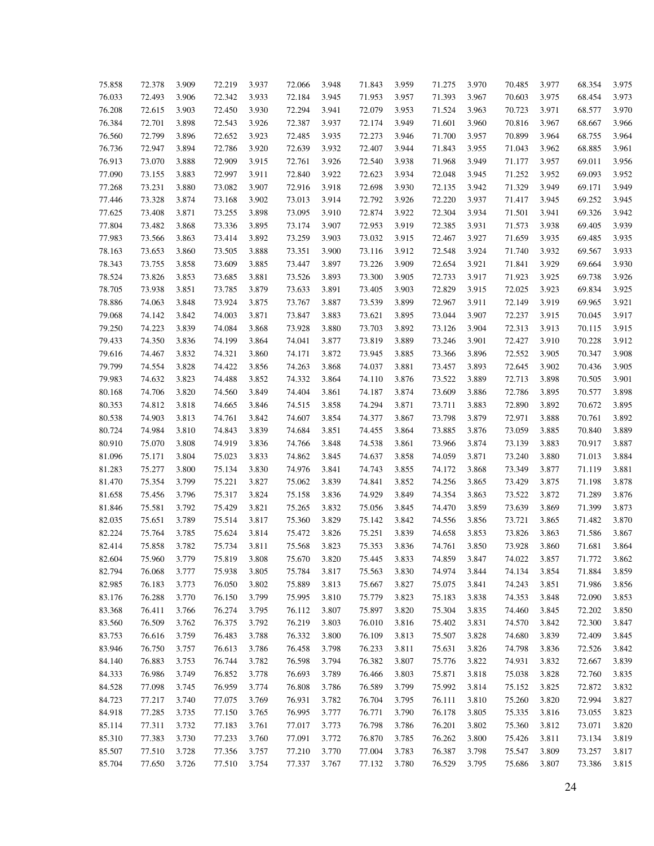| 75.858 | 72.378 | 3.909 | 72.219 | 3.937 | 72.066 | 3.948 | 71.843 | 3.959 | 71.275 | 3.970 | 70.485 | 3.977 | 68.354 | 3.975 |
|--------|--------|-------|--------|-------|--------|-------|--------|-------|--------|-------|--------|-------|--------|-------|
| 76.033 | 72.493 | 3.906 | 72.342 | 3.933 | 72.184 | 3.945 | 71.953 | 3.957 | 71.393 | 3.967 | 70.603 | 3.975 | 68.454 | 3.973 |
| 76.208 | 72.615 | 3.903 | 72.450 | 3.930 | 72.294 | 3.941 | 72.079 | 3.953 | 71.524 | 3.963 | 70.723 | 3.971 | 68.577 | 3.970 |
| 76.384 | 72.701 | 3.898 | 72.543 | 3.926 | 72.387 | 3.937 | 72.174 | 3.949 | 71.601 | 3.960 | 70.816 | 3.967 | 68.667 | 3.966 |
| 76.560 | 72.799 | 3.896 | 72.652 | 3.923 | 72.485 | 3.935 | 72.273 | 3.946 | 71.700 | 3.957 | 70.899 | 3.964 | 68.755 | 3.964 |
| 76.736 | 72.947 | 3.894 | 72.786 | 3.920 | 72.639 | 3.932 | 72.407 | 3.944 | 71.843 | 3.955 | 71.043 | 3.962 | 68.885 | 3.961 |
| 76.913 | 73.070 | 3.888 | 72.909 | 3.915 | 72.761 | 3.926 | 72.540 | 3.938 | 71.968 | 3.949 | 71.177 | 3.957 | 69.011 | 3.956 |
| 77.090 | 73.155 | 3.883 | 72.997 | 3.911 | 72.840 | 3.922 | 72.623 | 3.934 | 72.048 | 3.945 | 71.252 | 3.952 | 69.093 | 3.952 |
| 77.268 | 73.231 | 3.880 | 73.082 | 3.907 | 72.916 | 3.918 | 72.698 | 3.930 | 72.135 | 3.942 | 71.329 | 3.949 | 69.171 | 3.949 |
| 77.446 | 73.328 | 3.874 | 73.168 | 3.902 | 73.013 | 3.914 | 72.792 | 3.926 | 72.220 | 3.937 | 71.417 | 3.945 | 69.252 | 3.945 |
| 77.625 | 73.408 | 3.871 | 73.255 | 3.898 | 73.095 | 3.910 | 72.874 | 3.922 | 72.304 | 3.934 | 71.501 | 3.941 | 69.326 | 3.942 |
| 77.804 | 73.482 | 3.868 | 73.336 | 3.895 | 73.174 | 3.907 | 72.953 | 3.919 | 72.385 | 3.931 | 71.573 | 3.938 | 69.405 | 3.939 |
| 77.983 | 73.566 | 3.863 | 73.414 | 3.892 | 73.259 | 3.903 | 73.032 | 3.915 | 72.467 | 3.927 | 71.659 | 3.935 | 69.485 | 3.935 |
| 78.163 | 73.653 | 3.860 | 73.505 | 3.888 | 73.351 | 3.900 | 73.116 | 3.912 | 72.548 | 3.924 | 71.740 | 3.932 | 69.567 | 3.933 |
| 78.343 | 73.755 | 3.858 | 73.609 | 3.885 | 73.447 | 3.897 | 73.226 | 3.909 | 72.654 | 3.921 | 71.841 | 3.929 | 69.664 | 3.930 |
| 78.524 | 73.826 | 3.853 | 73.685 | 3.881 | 73.526 | 3.893 | 73.300 | 3.905 | 72.733 | 3.917 | 71.923 | 3.925 | 69.738 | 3.926 |
| 78.705 | 73.938 | 3.851 | 73.785 | 3.879 | 73.633 | 3.891 | 73.405 | 3.903 | 72.829 | 3.915 | 72.025 | 3.923 | 69.834 | 3.925 |
| 78.886 | 74.063 | 3.848 | 73.924 | 3.875 | 73.767 | 3.887 | 73.539 | 3.899 | 72.967 | 3.911 | 72.149 | 3.919 | 69.965 | 3.921 |
| 79.068 | 74.142 | 3.842 | 74.003 | 3.871 | 73.847 | 3.883 | 73.621 | 3.895 | 73.044 | 3.907 | 72.237 | 3.915 | 70.045 | 3.917 |
| 79.250 | 74.223 | 3.839 | 74.084 | 3.868 | 73.928 | 3.880 | 73.703 | 3.892 | 73.126 | 3.904 | 72.313 | 3.913 | 70.115 | 3.915 |
| 79.433 | 74.350 | 3.836 | 74.199 | 3.864 | 74.041 | 3.877 | 73.819 | 3.889 | 73.246 | 3.901 | 72.427 | 3.910 | 70.228 | 3.912 |
| 79.616 | 74.467 | 3.832 | 74.321 | 3.860 | 74.171 | 3.872 | 73.945 | 3.885 | 73.366 | 3.896 | 72.552 | 3.905 | 70.347 | 3.908 |
| 79.799 | 74.554 | 3.828 | 74.422 | 3.856 | 74.263 | 3.868 | 74.037 | 3.881 | 73.457 | 3.893 | 72.645 | 3.902 | 70.436 | 3.905 |
| 79.983 | 74.632 | 3.823 | 74.488 | 3.852 | 74.332 | 3.864 | 74.110 | 3.876 | 73.522 | 3.889 | 72.713 | 3.898 | 70.505 | 3.901 |
| 80.168 | 74.706 | 3.820 | 74.560 | 3.849 | 74.404 | 3.861 | 74.187 | 3.874 | 73.609 | 3.886 | 72.786 | 3.895 | 70.577 | 3.898 |
| 80.353 | 74.812 | 3.818 | 74.665 | 3.846 | 74.515 | 3.858 | 74.294 | 3.871 | 73.711 | 3.883 | 72.890 | 3.892 | 70.672 | 3.895 |
| 80.538 | 74.903 | 3.813 | 74.761 | 3.842 | 74.607 | 3.854 | 74.377 | 3.867 | 73.798 | 3.879 | 72.971 | 3.888 | 70.761 | 3.892 |
| 80.724 | 74.984 | 3.810 | 74.843 | 3.839 | 74.684 | 3.851 | 74.455 | 3.864 | 73.885 | 3.876 | 73.059 | 3.885 | 70.840 | 3.889 |
| 80.910 | 75.070 | 3.808 | 74.919 | 3.836 | 74.766 | 3.848 | 74.538 | 3.861 | 73.966 | 3.874 | 73.139 | 3.883 | 70.917 | 3.887 |
| 81.096 | 75.171 | 3.804 | 75.023 | 3.833 | 74.862 | 3.845 | 74.637 | 3.858 | 74.059 | 3.871 | 73.240 | 3.880 | 71.013 | 3.884 |
| 81.283 | 75.277 | 3.800 | 75.134 | 3.830 | 74.976 | 3.841 | 74.743 | 3.855 | 74.172 | 3.868 | 73.349 | 3.877 | 71.119 | 3.881 |
| 81.470 | 75.354 | 3.799 | 75.221 | 3.827 | 75.062 | 3.839 | 74.841 | 3.852 | 74.256 | 3.865 | 73.429 | 3.875 | 71.198 | 3.878 |
| 81.658 | 75.456 | 3.796 | 75.317 | 3.824 | 75.158 | 3.836 | 74.929 | 3.849 | 74.354 | 3.863 | 73.522 | 3.872 | 71.289 | 3.876 |
| 81.846 | 75.581 | 3.792 | 75.429 | 3.821 | 75.265 | 3.832 | 75.056 | 3.845 | 74.470 | 3.859 | 73.639 | 3.869 | 71.399 | 3.873 |
| 82.035 | 75.651 | 3.789 | 75.514 | 3.817 | 75.360 | 3.829 | 75.142 | 3.842 | 74.556 | 3.856 | 73.721 | 3.865 | 71.482 | 3.870 |
| 82.224 | 75.764 | 3.785 | 75.624 | 3.814 | 75.472 | 3.826 | 75.251 | 3.839 | 74.658 | 3.853 | 73.826 | 3.863 | 71.586 | 3.867 |
| 82.414 | 75.858 | 3.782 | 75.734 | 3.811 | 75.568 | 3.823 | 75.353 | 3.836 | 74.761 | 3.850 | 73.928 | 3.860 | 71.681 | 3.864 |
| 82.604 | 75.960 | 3.779 | 75.819 | 3.808 | 75.670 | 3.820 | 75.445 | 3.833 | 74.859 | 3.847 | 74.022 | 3.857 | 71.772 | 3.862 |
| 82.794 | 76.068 | 3.777 | 75.938 | 3.805 | 75.784 | 3.817 | 75.563 | 3.830 | 74.974 | 3.844 | 74.134 | 3.854 | 71.884 | 3.859 |
| 82.985 | 76.183 | 3.773 | 76.050 | 3.802 | 75.889 | 3.813 | 75.667 | 3.827 | 75.075 | 3.841 | 74.243 | 3.851 | 71.986 | 3.856 |
| 83.176 | 76.288 | 3.770 | 76.150 | 3.799 | 75.995 | 3.810 | 75.779 | 3.823 | 75.183 | 3.838 | 74.353 | 3.848 | 72.090 | 3.853 |
| 83.368 | 76.411 | 3.766 | 76.274 | 3.795 | 76.112 | 3.807 | 75.897 | 3.820 | 75.304 | 3.835 | 74.460 | 3.845 | 72.202 | 3.850 |
|        |        |       |        |       |        |       |        | 3.816 |        |       |        |       |        |       |
| 83.560 | 76.509 | 3.762 | 76.375 | 3.792 | 76.219 | 3.803 | 76.010 |       | 75.402 | 3.831 | 74.570 | 3.842 | 72.300 | 3.847 |
| 83.753 | 76.616 | 3.759 | 76.483 | 3.788 | 76.332 | 3.800 | 76.109 | 3.813 | 75.507 | 3.828 | 74.680 | 3.839 | 72.409 | 3.845 |
| 83.946 | 76.750 | 3.757 | 76.613 | 3.786 | 76.458 | 3.798 | 76.233 | 3.811 | 75.631 | 3.826 | 74.798 | 3.836 | 72.526 | 3.842 |
| 84.140 | 76.883 | 3.753 | 76.744 | 3.782 | 76.598 | 3.794 | 76.382 | 3.807 | 75.776 | 3.822 | 74.931 | 3.832 | 72.667 | 3.839 |
| 84.333 | 76.986 | 3.749 | 76.852 | 3.778 | 76.693 | 3.789 | 76.466 | 3.803 | 75.871 | 3.818 | 75.038 | 3.828 | 72.760 | 3.835 |
| 84.528 | 77.098 | 3.745 | 76.959 | 3.774 | 76.808 | 3.786 | 76.589 | 3.799 | 75.992 | 3.814 | 75.152 | 3.825 | 72.872 | 3.832 |
| 84.723 | 77.217 | 3.740 | 77.075 | 3.769 | 76.931 | 3.782 | 76.704 | 3.795 | 76.111 | 3.810 | 75.260 | 3.820 | 72.994 | 3.827 |
| 84.918 | 77.285 | 3.735 | 77.150 | 3.765 | 76.995 | 3.777 | 76.771 | 3.790 | 76.178 | 3.805 | 75.335 | 3.816 | 73.055 | 3.823 |
| 85.114 | 77.311 | 3.732 | 77.183 | 3.761 | 77.017 | 3.773 | 76.798 | 3.786 | 76.201 | 3.802 | 75.360 | 3.812 | 73.071 | 3.820 |
| 85.310 | 77.383 | 3.730 | 77.233 | 3.760 | 77.091 | 3.772 | 76.870 | 3.785 | 76.262 | 3.800 | 75.426 | 3.811 | 73.134 | 3.819 |
| 85.507 | 77.510 | 3.728 | 77.356 | 3.757 | 77.210 | 3.770 | 77.004 | 3.783 | 76.387 | 3.798 | 75.547 | 3.809 | 73.257 | 3.817 |
| 85.704 | 77.650 | 3.726 | 77.510 | 3.754 | 77.337 | 3.767 | 77.132 | 3.780 | 76.529 | 3.795 | 75.686 | 3.807 | 73.386 | 3.815 |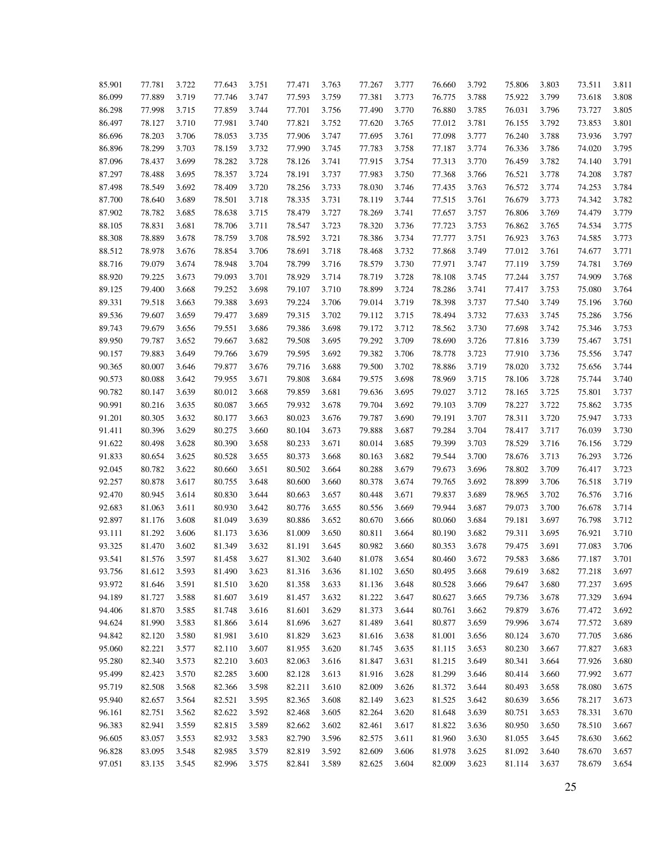| 85.901 | 77.781 | 3.722 | 77.643 | 3.751 | 77.471 | 3.763 | 77.267 | 3.777 | 76.660 | 3.792 | 75.806 | 3.803 | 73.511 | 3.811 |
|--------|--------|-------|--------|-------|--------|-------|--------|-------|--------|-------|--------|-------|--------|-------|
| 86.099 | 77.889 | 3.719 | 77.746 | 3.747 | 77.593 | 3.759 | 77.381 | 3.773 | 76.775 | 3.788 | 75.922 | 3.799 | 73.618 | 3.808 |
| 86.298 | 77.998 | 3.715 | 77.859 | 3.744 | 77.701 | 3.756 | 77.490 | 3.770 | 76.880 | 3.785 | 76.031 | 3.796 | 73.727 | 3.805 |
| 86.497 | 78.127 | 3.710 | 77.981 | 3.740 | 77.821 | 3.752 | 77.620 | 3.765 | 77.012 | 3.781 | 76.155 | 3.792 | 73.853 | 3.801 |
| 86.696 | 78.203 | 3.706 | 78.053 | 3.735 | 77.906 | 3.747 | 77.695 | 3.761 | 77.098 | 3.777 | 76.240 | 3.788 | 73.936 | 3.797 |
| 86.896 | 78.299 | 3.703 | 78.159 | 3.732 | 77.990 | 3.745 | 77.783 | 3.758 | 77.187 | 3.774 | 76.336 | 3.786 | 74.020 | 3.795 |
| 87.096 | 78.437 | 3.699 | 78.282 | 3.728 | 78.126 | 3.741 | 77.915 | 3.754 | 77.313 | 3.770 | 76.459 | 3.782 | 74.140 | 3.791 |
| 87.297 | 78.488 | 3.695 | 78.357 | 3.724 | 78.191 | 3.737 | 77.983 | 3.750 | 77.368 | 3.766 | 76.521 | 3.778 | 74.208 | 3.787 |
| 87.498 | 78.549 | 3.692 | 78.409 | 3.720 | 78.256 | 3.733 | 78.030 | 3.746 | 77.435 | 3.763 | 76.572 | 3.774 | 74.253 | 3.784 |
| 87.700 | 78.640 | 3.689 | 78.501 | 3.718 | 78.335 | 3.731 | 78.119 | 3.744 | 77.515 | 3.761 | 76.679 | 3.773 | 74.342 | 3.782 |
| 87.902 | 78.782 | 3.685 | 78.638 | 3.715 | 78.479 | 3.727 | 78.269 | 3.741 | 77.657 | 3.757 | 76.806 | 3.769 | 74.479 | 3.779 |
| 88.105 | 78.831 | 3.681 | 78.706 | 3.711 | 78.547 | 3.723 | 78.320 | 3.736 | 77.723 | 3.753 | 76.862 | 3.765 | 74.534 | 3.775 |
| 88.308 | 78.889 | 3.678 | 78.759 | 3.708 | 78.592 | 3.721 | 78.386 | 3.734 | 77.777 | 3.751 | 76.923 | 3.763 | 74.585 | 3.773 |
| 88.512 | 78.978 | 3.676 | 78.854 | 3.706 | 78.691 | 3.718 | 78.468 | 3.732 | 77.868 | 3.749 | 77.012 | 3.761 | 74.677 | 3.771 |
| 88.716 | 79.079 | 3.674 | 78.948 | 3.704 | 78.799 | 3.716 | 78.579 | 3.730 | 77.971 | 3.747 | 77.119 | 3.759 | 74.781 | 3.769 |
| 88.920 | 79.225 | 3.673 | 79.093 | 3.701 | 78.929 | 3.714 | 78.719 | 3.728 | 78.108 | 3.745 | 77.244 | 3.757 | 74.909 | 3.768 |
| 89.125 | 79.400 | 3.668 | 79.252 | 3.698 | 79.107 | 3.710 | 78.899 | 3.724 | 78.286 | 3.741 | 77.417 | 3.753 | 75.080 | 3.764 |
| 89.331 | 79.518 | 3.663 | 79.388 | 3.693 | 79.224 | 3.706 | 79.014 | 3.719 | 78.398 | 3.737 | 77.540 | 3.749 | 75.196 | 3.760 |
| 89.536 | 79.607 | 3.659 | 79.477 | 3.689 | 79.315 | 3.702 | 79.112 | 3.715 | 78.494 | 3.732 | 77.633 | 3.745 | 75.286 | 3.756 |
| 89.743 | 79.679 | 3.656 | 79.551 | 3.686 | 79.386 | 3.698 | 79.172 | 3.712 | 78.562 | 3.730 | 77.698 | 3.742 | 75.346 | 3.753 |
|        | 79.787 | 3.652 | 79.667 | 3.682 | 79.508 | 3.695 | 79.292 | 3.709 |        | 3.726 |        | 3.739 |        | 3.751 |
| 89.950 | 79.883 | 3.649 | 79.766 | 3.679 | 79.595 | 3.692 | 79.382 | 3.706 | 78.690 | 3.723 | 77.816 | 3.736 | 75.467 | 3.747 |
| 90.157 |        |       |        |       |        |       |        |       | 78.778 |       | 77.910 |       | 75.556 |       |
| 90.365 | 80.007 | 3.646 | 79.877 | 3.676 | 79.716 | 3.688 | 79.500 | 3.702 | 78.886 | 3.719 | 78.020 | 3.732 | 75.656 | 3.744 |
| 90.573 | 80.088 | 3.642 | 79.955 | 3.671 | 79.808 | 3.684 | 79.575 | 3.698 | 78.969 | 3.715 | 78.106 | 3.728 | 75.744 | 3.740 |
| 90.782 | 80.147 | 3.639 | 80.012 | 3.668 | 79.859 | 3.681 | 79.636 | 3.695 | 79.027 | 3.712 | 78.165 | 3.725 | 75.801 | 3.737 |
| 90.991 | 80.216 | 3.635 | 80.087 | 3.665 | 79.932 | 3.678 | 79.704 | 3.692 | 79.103 | 3.709 | 78.227 | 3.722 | 75.862 | 3.735 |
| 91.201 | 80.305 | 3.632 | 80.177 | 3.663 | 80.023 | 3.676 | 79.787 | 3.690 | 79.191 | 3.707 | 78.311 | 3.720 | 75.947 | 3.733 |
| 91.411 | 80.396 | 3.629 | 80.275 | 3.660 | 80.104 | 3.673 | 79.888 | 3.687 | 79.284 | 3.704 | 78.417 | 3.717 | 76.039 | 3.730 |
| 91.622 | 80.498 | 3.628 | 80.390 | 3.658 | 80.233 | 3.671 | 80.014 | 3.685 | 79.399 | 3.703 | 78.529 | 3.716 | 76.156 | 3.729 |
| 91.833 | 80.654 | 3.625 | 80.528 | 3.655 | 80.373 | 3.668 | 80.163 | 3.682 | 79.544 | 3.700 | 78.676 | 3.713 | 76.293 | 3.726 |
| 92.045 | 80.782 | 3.622 | 80.660 | 3.651 | 80.502 | 3.664 | 80.288 | 3.679 | 79.673 | 3.696 | 78.802 | 3.709 | 76.417 | 3.723 |
| 92.257 | 80.878 | 3.617 | 80.755 | 3.648 | 80.600 | 3.660 | 80.378 | 3.674 | 79.765 | 3.692 | 78.899 | 3.706 | 76.518 | 3.719 |
| 92.470 | 80.945 | 3.614 | 80.830 | 3.644 | 80.663 | 3.657 | 80.448 | 3.671 | 79.837 | 3.689 | 78.965 | 3.702 | 76.576 | 3.716 |
| 92.683 | 81.063 | 3.611 | 80.930 | 3.642 | 80.776 | 3.655 | 80.556 | 3.669 | 79.944 | 3.687 | 79.073 | 3.700 | 76.678 | 3.714 |
| 92.897 | 81.176 | 3.608 | 81.049 | 3.639 | 80.886 | 3.652 | 80.670 | 3.666 | 80.060 | 3.684 | 79.181 | 3.697 | 76.798 | 3.712 |
| 93.111 | 81.292 | 3.606 | 81.173 | 3.636 | 81.009 | 3.650 | 80.811 | 3.664 | 80.190 | 3.682 | 79.311 | 3.695 | 76.921 | 3.710 |
| 93.325 | 81.470 | 3.602 | 81.349 | 3.632 | 81.191 | 3.645 | 80.982 | 3.660 | 80.353 | 3.678 | 79.475 | 3.691 | 77.083 | 3.706 |
| 93.541 | 81.576 | 3.597 | 81.458 | 3.627 | 81.302 | 3.640 | 81.078 | 3.654 | 80.460 | 3.672 | 79.583 | 3.686 | 77.187 | 3.701 |
| 93.756 | 81.612 | 3.593 | 81.490 | 3.623 | 81.316 | 3.636 | 81.102 | 3.650 | 80.495 | 3.668 | 79.619 | 3.682 | 77.218 | 3.697 |
| 93.972 | 81.646 | 3.591 | 81.510 | 3.620 | 81.358 | 3.633 | 81.136 | 3.648 | 80.528 | 3.666 | 79.647 | 3.680 | 77.237 | 3.695 |
| 94.189 | 81.727 | 3.588 | 81.607 | 3.619 | 81.457 | 3.632 | 81.222 | 3.647 | 80.627 | 3.665 | 79.736 | 3.678 | 77.329 | 3.694 |
| 94.406 | 81.870 | 3.585 | 81.748 | 3.616 | 81.601 | 3.629 | 81.373 | 3.644 | 80.761 | 3.662 | 79.879 | 3.676 | 77.472 | 3.692 |
| 94.624 | 81.990 | 3.583 | 81.866 | 3.614 | 81.696 | 3.627 | 81.489 | 3.641 | 80.877 | 3.659 | 79.996 | 3.674 | 77.572 | 3.689 |
| 94.842 | 82.120 | 3.580 | 81.981 | 3.610 | 81.829 | 3.623 | 81.616 | 3.638 | 81.001 | 3.656 | 80.124 | 3.670 | 77.705 | 3.686 |
| 95.060 | 82.221 | 3.577 | 82.110 | 3.607 | 81.955 | 3.620 | 81.745 | 3.635 | 81.115 | 3.653 | 80.230 | 3.667 | 77.827 | 3.683 |
| 95.280 | 82.340 | 3.573 | 82.210 | 3.603 | 82.063 | 3.616 | 81.847 | 3.631 | 81.215 | 3.649 | 80.341 | 3.664 | 77.926 | 3.680 |
| 95.499 | 82.423 | 3.570 | 82.285 | 3.600 | 82.128 | 3.613 | 81.916 | 3.628 | 81.299 | 3.646 | 80.414 | 3.660 | 77.992 | 3.677 |
| 95.719 | 82.508 | 3.568 | 82.366 | 3.598 | 82.211 | 3.610 | 82.009 | 3.626 | 81.372 | 3.644 | 80.493 | 3.658 | 78.080 | 3.675 |
| 95.940 | 82.657 | 3.564 | 82.521 | 3.595 | 82.365 | 3.608 | 82.149 | 3.623 | 81.525 | 3.642 | 80.639 | 3.656 | 78.217 | 3.673 |
| 96.161 | 82.751 | 3.562 | 82.622 | 3.592 | 82.468 | 3.605 | 82.264 | 3.620 | 81.648 | 3.639 | 80.751 | 3.653 | 78.331 | 3.670 |
| 96.383 | 82.941 | 3.559 | 82.815 | 3.589 | 82.662 | 3.602 | 82.461 | 3.617 | 81.822 | 3.636 | 80.950 | 3.650 | 78.510 | 3.667 |
| 96.605 | 83.057 | 3.553 | 82.932 | 3.583 | 82.790 | 3.596 | 82.575 | 3.611 | 81.960 | 3.630 | 81.055 | 3.645 | 78.630 | 3.662 |
| 96.828 | 83.095 | 3.548 | 82.985 | 3.579 | 82.819 | 3.592 | 82.609 | 3.606 | 81.978 | 3.625 | 81.092 | 3.640 | 78.670 | 3.657 |
| 97.051 | 83.135 | 3.545 | 82.996 | 3.575 | 82.841 | 3.589 | 82.625 | 3.604 | 82.009 | 3.623 | 81.114 | 3.637 | 78.679 | 3.654 |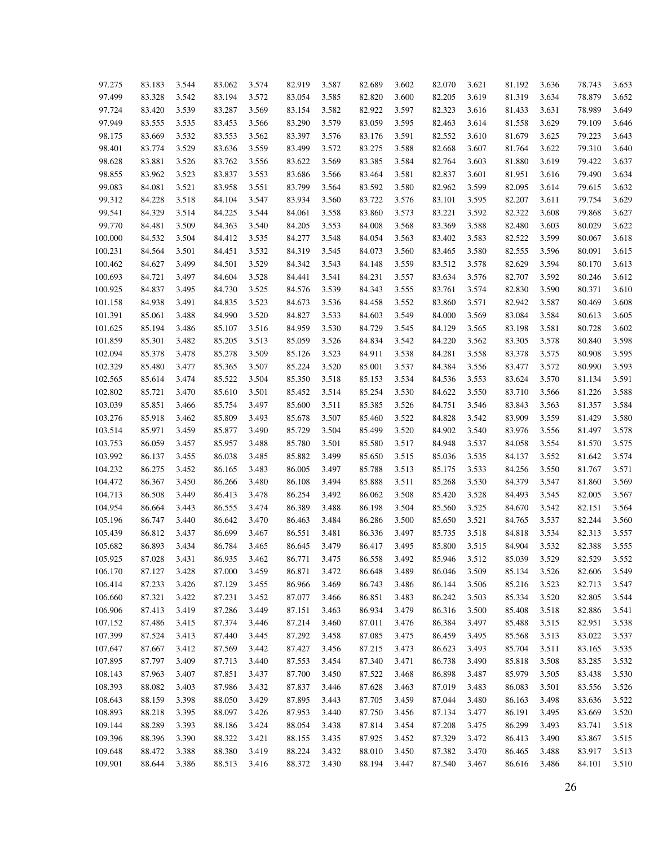| 97.275  | 83.183 | 3.544 | 83.062 | 3.574 | 82.919 | 3.587 | 82.689 | 3.602 | 82.070 | 3.621 | 81.192 | 3.636 | 78.743 | 3.653 |
|---------|--------|-------|--------|-------|--------|-------|--------|-------|--------|-------|--------|-------|--------|-------|
| 97.499  | 83.328 | 3.542 | 83.194 | 3.572 | 83.054 | 3.585 | 82.820 | 3.600 | 82.205 | 3.619 | 81.319 | 3.634 | 78.879 | 3.652 |
| 97.724  | 83.420 | 3.539 | 83.287 | 3.569 | 83.154 | 3.582 | 82.922 | 3.597 | 82.323 | 3.616 | 81.433 | 3.631 | 78.989 | 3.649 |
| 97.949  | 83.555 | 3.535 | 83.453 | 3.566 | 83.290 | 3.579 | 83.059 | 3.595 | 82.463 | 3.614 | 81.558 | 3.629 | 79.109 | 3.646 |
| 98.175  | 83.669 | 3.532 | 83.553 | 3.562 | 83.397 | 3.576 | 83.176 | 3.591 | 82.552 | 3.610 | 81.679 | 3.625 | 79.223 | 3.643 |
| 98.401  | 83.774 | 3.529 | 83.636 | 3.559 | 83.499 | 3.572 | 83.275 | 3.588 | 82.668 | 3.607 | 81.764 | 3.622 | 79.310 | 3.640 |
| 98.628  | 83.881 | 3.526 | 83.762 | 3.556 | 83.622 | 3.569 | 83.385 | 3.584 | 82.764 | 3.603 | 81.880 | 3.619 | 79.422 | 3.637 |
| 98.855  | 83.962 | 3.523 | 83.837 | 3.553 | 83.686 | 3.566 | 83.464 | 3.581 | 82.837 | 3.601 | 81.951 | 3.616 | 79.490 | 3.634 |
| 99.083  | 84.081 | 3.521 | 83.958 | 3.551 | 83.799 | 3.564 | 83.592 | 3.580 | 82.962 | 3.599 | 82.095 | 3.614 | 79.615 | 3.632 |
| 99.312  | 84.228 | 3.518 | 84.104 | 3.547 | 83.934 | 3.560 | 83.722 | 3.576 | 83.101 | 3.595 | 82.207 | 3.611 | 79.754 | 3.629 |
| 99.541  | 84.329 | 3.514 | 84.225 | 3.544 | 84.061 | 3.558 | 83.860 | 3.573 | 83.221 | 3.592 | 82.322 | 3.608 | 79.868 | 3.627 |
| 99.770  | 84.481 | 3.509 | 84.363 | 3.540 | 84.205 | 3.553 | 84.008 | 3.568 | 83.369 | 3.588 | 82.480 | 3.603 | 80.029 | 3.622 |
| 100.000 | 84.532 | 3.504 | 84.412 | 3.535 | 84.277 | 3.548 | 84.054 | 3.563 | 83.402 | 3.583 | 82.522 | 3.599 | 80.067 | 3.618 |
| 100.231 | 84.564 | 3.501 | 84.451 | 3.532 | 84.319 | 3.545 | 84.073 | 3.560 | 83.465 | 3.580 | 82.555 | 3.596 | 80.091 | 3.615 |
| 100.462 | 84.627 | 3.499 | 84.501 | 3.529 | 84.342 | 3.543 | 84.148 | 3.559 | 83.512 | 3.578 | 82.629 | 3.594 | 80.170 | 3.613 |
| 100.693 | 84.721 | 3.497 | 84.604 | 3.528 | 84.441 | 3.541 | 84.231 | 3.557 | 83.634 | 3.576 | 82.707 | 3.592 | 80.246 | 3.612 |
| 100.925 | 84.837 | 3.495 | 84.730 | 3.525 | 84.576 | 3.539 | 84.343 | 3.555 | 83.761 | 3.574 | 82.830 | 3.590 | 80.371 | 3.610 |
| 101.158 | 84.938 | 3.491 | 84.835 | 3.523 | 84.673 | 3.536 | 84.458 | 3.552 | 83.860 | 3.571 | 82.942 | 3.587 | 80.469 | 3.608 |
| 101.391 | 85.061 | 3.488 | 84.990 | 3.520 | 84.827 | 3.533 | 84.603 | 3.549 | 84.000 | 3.569 | 83.084 | 3.584 | 80.613 | 3.605 |
| 101.625 | 85.194 | 3.486 | 85.107 | 3.516 | 84.959 | 3.530 | 84.729 | 3.545 | 84.129 | 3.565 | 83.198 | 3.581 | 80.728 | 3.602 |
| 101.859 | 85.301 | 3.482 | 85.205 | 3.513 | 85.059 | 3.526 | 84.834 | 3.542 | 84.220 | 3.562 | 83.305 | 3.578 | 80.840 | 3.598 |
| 102.094 | 85.378 | 3.478 | 85.278 | 3.509 | 85.126 | 3.523 | 84.911 | 3.538 | 84.281 | 3.558 | 83.378 | 3.575 | 80.908 | 3.595 |
| 102.329 | 85.480 | 3.477 | 85.365 | 3.507 | 85.224 | 3.520 | 85.001 | 3.537 | 84.384 | 3.556 | 83.477 | 3.572 | 80.990 | 3.593 |
| 102.565 | 85.614 | 3.474 | 85.522 | 3.504 | 85.350 | 3.518 | 85.153 | 3.534 | 84.536 | 3.553 | 83.624 | 3.570 | 81.134 | 3.591 |
| 102.802 | 85.721 | 3.470 | 85.610 | 3.501 | 85.452 | 3.514 | 85.254 | 3.530 | 84.622 | 3.550 | 83.710 | 3.566 | 81.226 | 3.588 |
| 103.039 | 85.851 | 3.466 | 85.754 | 3.497 | 85.600 | 3.511 | 85.385 | 3.526 | 84.751 | 3.546 | 83.843 | 3.563 | 81.357 | 3.584 |
| 103.276 | 85.918 | 3.462 | 85.809 | 3.493 | 85.678 | 3.507 | 85.460 | 3.522 | 84.828 | 3.542 | 83.909 | 3.559 | 81.429 | 3.580 |
| 103.514 | 85.971 | 3.459 | 85.877 | 3.490 | 85.729 | 3.504 | 85.499 | 3.520 | 84.902 | 3.540 | 83.976 | 3.556 | 81.497 | 3.578 |
| 103.753 | 86.059 | 3.457 | 85.957 | 3.488 | 85.780 | 3.501 | 85.580 | 3.517 | 84.948 | 3.537 | 84.058 | 3.554 | 81.570 | 3.575 |
| 103.992 | 86.137 | 3.455 | 86.038 | 3.485 | 85.882 | 3.499 | 85.650 | 3.515 | 85.036 | 3.535 | 84.137 | 3.552 | 81.642 | 3.574 |
| 104.232 | 86.275 | 3.452 | 86.165 | 3.483 | 86.005 | 3.497 | 85.788 | 3.513 | 85.175 | 3.533 | 84.256 | 3.550 | 81.767 | 3.571 |
| 104.472 | 86.367 | 3.450 | 86.266 | 3.480 | 86.108 | 3.494 | 85.888 | 3.511 | 85.268 | 3.530 | 84.379 | 3.547 | 81.860 | 3.569 |
| 104.713 | 86.508 | 3.449 | 86.413 | 3.478 | 86.254 | 3.492 | 86.062 | 3.508 | 85.420 | 3.528 | 84.493 | 3.545 | 82.005 | 3.567 |
| 104.954 | 86.664 | 3.443 | 86.555 | 3.474 | 86.389 | 3.488 | 86.198 | 3.504 | 85.560 | 3.525 | 84.670 | 3.542 | 82.151 | 3.564 |
| 105.196 | 86.747 | 3.440 | 86.642 | 3.470 | 86.463 | 3.484 | 86.286 | 3.500 | 85.650 | 3.521 | 84.765 | 3.537 | 82.244 | 3.560 |
| 105.439 | 86.812 | 3.437 | 86.699 | 3.467 | 86.551 | 3.481 | 86.336 | 3.497 | 85.735 | 3.518 | 84.818 | 3.534 | 82.313 | 3.557 |
| 105.682 | 86.893 | 3.434 | 86.784 | 3.465 | 86.645 | 3.479 | 86.417 | 3.495 | 85.800 | 3.515 | 84.904 | 3.532 | 82.388 | 3.555 |
| 105.925 | 87.028 | 3.431 | 86.935 | 3.462 | 86.771 | 3.475 | 86.558 | 3.492 | 85.946 | 3.512 | 85.039 | 3.529 | 82.529 | 3.552 |
| 106.170 | 87.127 | 3.428 | 87.000 | 3.459 | 86.871 | 3.472 | 86.648 | 3.489 | 86.046 | 3.509 | 85.134 | 3.526 | 82.606 | 3.549 |
| 106.414 | 87.233 | 3.426 | 87.129 | 3.455 | 86.966 | 3.469 | 86.743 | 3.486 | 86.144 | 3.506 | 85.216 | 3.523 | 82.713 | 3.547 |
| 106.660 | 87.321 | 3.422 | 87.231 | 3.452 | 87.077 | 3.466 | 86.851 | 3.483 | 86.242 | 3.503 | 85.334 | 3.520 | 82.805 | 3.544 |
| 106.906 | 87.413 | 3.419 | 87.286 | 3.449 | 87.151 | 3.463 | 86.934 | 3.479 | 86.316 | 3.500 | 85.408 | 3.518 | 82.886 | 3.541 |
| 107.152 | 87.486 | 3.415 | 87.374 | 3.446 | 87.214 | 3.460 | 87.011 | 3.476 | 86.384 | 3.497 | 85.488 | 3.515 | 82.951 | 3.538 |
| 107.399 | 87.524 | 3.413 | 87.440 | 3.445 | 87.292 | 3.458 | 87.085 | 3.475 | 86.459 | 3.495 | 85.568 | 3.513 | 83.022 | 3.537 |
| 107.647 | 87.667 | 3.412 | 87.569 | 3.442 | 87.427 | 3.456 | 87.215 | 3.473 | 86.623 | 3.493 | 85.704 | 3.511 | 83.165 | 3.535 |
| 107.895 | 87.797 | 3.409 | 87.713 | 3.440 | 87.553 | 3.454 | 87.340 | 3.471 | 86.738 | 3.490 | 85.818 | 3.508 | 83.285 | 3.532 |
| 108.143 | 87.963 | 3.407 | 87.851 | 3.437 | 87.700 | 3.450 | 87.522 | 3.468 | 86.898 | 3.487 | 85.979 | 3.505 | 83.438 | 3.530 |
| 108.393 | 88.082 | 3.403 | 87.986 | 3.432 | 87.837 | 3.446 | 87.628 | 3.463 | 87.019 | 3.483 | 86.083 | 3.501 | 83.556 | 3.526 |
| 108.643 | 88.159 | 3.398 | 88.050 | 3.429 | 87.895 | 3.443 | 87.705 | 3.459 | 87.044 | 3.480 | 86.163 | 3.498 | 83.636 | 3.522 |
| 108.893 | 88.218 | 3.395 | 88.097 | 3.426 | 87.953 | 3.440 | 87.750 | 3.456 | 87.134 | 3.477 | 86.191 | 3.495 | 83.669 | 3.520 |
| 109.144 | 88.289 | 3.393 | 88.186 | 3.424 | 88.054 | 3.438 | 87.814 | 3.454 | 87.208 | 3.475 | 86.299 | 3.493 | 83.741 | 3.518 |
| 109.396 | 88.396 | 3.390 | 88.322 | 3.421 | 88.155 | 3.435 | 87.925 | 3.452 | 87.329 | 3.472 | 86.413 | 3.490 | 83.867 | 3.515 |
| 109.648 | 88.472 | 3.388 | 88.380 | 3.419 | 88.224 | 3.432 | 88.010 | 3.450 | 87.382 | 3.470 | 86.465 | 3.488 | 83.917 | 3.513 |
| 109.901 | 88.644 | 3.386 | 88.513 | 3.416 | 88.372 | 3.430 | 88.194 | 3.447 | 87.540 | 3.467 | 86.616 | 3.486 | 84.101 | 3.510 |
|         |        |       |        |       |        |       |        |       |        |       |        |       |        |       |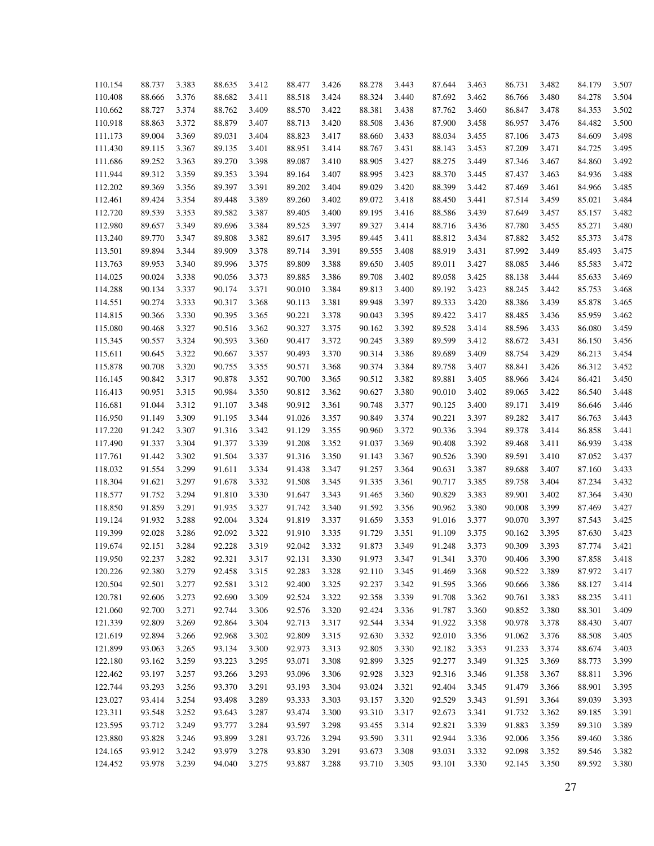| 110.154 | 88.737 | 3.383 | 88.635 | 3.412 | 88.477 | 3.426 | 88.278 | 3.443 | 87.644 | 3.463 | 86.731 | 3.482 | 84.179 | 3.507 |
|---------|--------|-------|--------|-------|--------|-------|--------|-------|--------|-------|--------|-------|--------|-------|
| 110.408 | 88.666 | 3.376 | 88.682 | 3.411 | 88.518 | 3.424 | 88.324 | 3.440 | 87.692 | 3.462 | 86.766 | 3.480 | 84.278 | 3.504 |
| 110.662 | 88.727 | 3.374 | 88.762 | 3.409 | 88.570 | 3.422 | 88.381 | 3.438 | 87.762 | 3.460 | 86.847 | 3.478 | 84.353 | 3.502 |
| 110.918 | 88.863 | 3.372 | 88.879 | 3.407 | 88.713 | 3.420 | 88.508 | 3.436 | 87.900 | 3.458 | 86.957 | 3.476 | 84.482 | 3.500 |
| 111.173 | 89.004 | 3.369 | 89.031 | 3.404 | 88.823 | 3.417 | 88.660 | 3.433 | 88.034 | 3.455 | 87.106 | 3.473 | 84.609 | 3.498 |
| 111.430 | 89.115 | 3.367 | 89.135 | 3.401 | 88.951 | 3.414 | 88.767 | 3.431 | 88.143 | 3.453 | 87.209 | 3.471 | 84.725 | 3.495 |
| 111.686 | 89.252 | 3.363 | 89.270 | 3.398 | 89.087 | 3.410 | 88.905 | 3.427 | 88.275 | 3.449 | 87.346 | 3.467 | 84.860 | 3.492 |
| 111.944 | 89.312 | 3.359 | 89.353 | 3.394 | 89.164 | 3.407 | 88.995 | 3.423 | 88.370 | 3.445 | 87.437 | 3.463 | 84.936 | 3.488 |
| 112.202 | 89.369 | 3.356 | 89.397 | 3.391 | 89.202 | 3.404 | 89.029 | 3.420 | 88.399 | 3.442 | 87.469 | 3.461 | 84.966 | 3.485 |
| 112.461 | 89.424 | 3.354 | 89.448 | 3.389 | 89.260 | 3.402 | 89.072 | 3.418 | 88.450 | 3.441 | 87.514 | 3.459 | 85.021 | 3.484 |
| 112.720 | 89.539 | 3.353 | 89.582 | 3.387 | 89.405 | 3.400 | 89.195 | 3.416 | 88.586 | 3.439 | 87.649 | 3.457 | 85.157 | 3.482 |
| 112.980 | 89.657 | 3.349 | 89.696 | 3.384 | 89.525 | 3.397 | 89.327 | 3.414 | 88.716 | 3.436 | 87.780 | 3.455 | 85.271 | 3.480 |
| 113.240 | 89.770 | 3.347 | 89.808 | 3.382 | 89.617 | 3.395 | 89.445 | 3.411 | 88.812 | 3.434 | 87.882 | 3.452 | 85.373 | 3.478 |
| 113.501 | 89.894 | 3.344 | 89.909 | 3.378 | 89.714 | 3.391 | 89.555 | 3.408 | 88.919 | 3.431 | 87.992 | 3.449 | 85.493 | 3.475 |
| 113.763 | 89.953 | 3.340 | 89.996 | 3.375 | 89.809 | 3.388 | 89.650 | 3.405 | 89.011 | 3.427 | 88.085 | 3.446 | 85.583 | 3.472 |
| 114.025 | 90.024 |       |        |       |        |       |        | 3.402 |        |       |        |       |        | 3.469 |
|         |        | 3.338 | 90.056 | 3.373 | 89.885 | 3.386 | 89.708 |       | 89.058 | 3.425 | 88.138 | 3.444 | 85.633 |       |
| 114.288 | 90.134 | 3.337 | 90.174 | 3.371 | 90.010 | 3.384 | 89.813 | 3.400 | 89.192 | 3.423 | 88.245 | 3.442 | 85.753 | 3.468 |
| 114.551 | 90.274 | 3.333 | 90.317 | 3.368 | 90.113 | 3.381 | 89.948 | 3.397 | 89.333 | 3.420 | 88.386 | 3.439 | 85.878 | 3.465 |
| 114.815 | 90.366 | 3.330 | 90.395 | 3.365 | 90.221 | 3.378 | 90.043 | 3.395 | 89.422 | 3.417 | 88.485 | 3.436 | 85.959 | 3.462 |
| 115.080 | 90.468 | 3.327 | 90.516 | 3.362 | 90.327 | 3.375 | 90.162 | 3.392 | 89.528 | 3.414 | 88.596 | 3.433 | 86.080 | 3.459 |
| 115.345 | 90.557 | 3.324 | 90.593 | 3.360 | 90.417 | 3.372 | 90.245 | 3.389 | 89.599 | 3.412 | 88.672 | 3.431 | 86.150 | 3.456 |
| 115.611 | 90.645 | 3.322 | 90.667 | 3.357 | 90.493 | 3.370 | 90.314 | 3.386 | 89.689 | 3.409 | 88.754 | 3.429 | 86.213 | 3.454 |
| 115.878 | 90.708 | 3.320 | 90.755 | 3.355 | 90.571 | 3.368 | 90.374 | 3.384 | 89.758 | 3.407 | 88.841 | 3.426 | 86.312 | 3.452 |
| 116.145 | 90.842 | 3.317 | 90.878 | 3.352 | 90.700 | 3.365 | 90.512 | 3.382 | 89.881 | 3.405 | 88.966 | 3.424 | 86.421 | 3.450 |
| 116.413 | 90.951 | 3.315 | 90.984 | 3.350 | 90.812 | 3.362 | 90.627 | 3.380 | 90.010 | 3.402 | 89.065 | 3.422 | 86.540 | 3.448 |
| 116.681 | 91.044 | 3.312 | 91.107 | 3.348 | 90.912 | 3.361 | 90.748 | 3.377 | 90.125 | 3.400 | 89.171 | 3.419 | 86.646 | 3.446 |
| 116.950 | 91.149 | 3.309 | 91.195 | 3.344 | 91.026 | 3.357 | 90.849 | 3.374 | 90.221 | 3.397 | 89.282 | 3.417 | 86.763 | 3.443 |
| 117.220 | 91.242 | 3.307 | 91.316 | 3.342 | 91.129 | 3.355 | 90.960 | 3.372 | 90.336 | 3.394 | 89.378 | 3.414 | 86.858 | 3.441 |
| 117.490 | 91.337 | 3.304 | 91.377 | 3.339 | 91.208 | 3.352 | 91.037 | 3.369 | 90.408 | 3.392 | 89.468 | 3.411 | 86.939 | 3.438 |
| 117.761 | 91.442 | 3.302 | 91.504 | 3.337 | 91.316 | 3.350 | 91.143 | 3.367 | 90.526 | 3.390 | 89.591 | 3.410 | 87.052 | 3.437 |
| 118.032 | 91.554 | 3.299 | 91.611 | 3.334 | 91.438 | 3.347 | 91.257 | 3.364 | 90.631 | 3.387 | 89.688 | 3.407 | 87.160 | 3.433 |
| 118.304 | 91.621 | 3.297 | 91.678 | 3.332 | 91.508 | 3.345 | 91.335 | 3.361 | 90.717 | 3.385 | 89.758 | 3.404 | 87.234 | 3.432 |
| 118.577 | 91.752 | 3.294 | 91.810 | 3.330 | 91.647 | 3.343 | 91.465 | 3.360 | 90.829 | 3.383 | 89.901 | 3.402 | 87.364 | 3.430 |
| 118.850 | 91.859 | 3.291 | 91.935 | 3.327 | 91.742 | 3.340 | 91.592 | 3.356 | 90.962 | 3.380 | 90.008 | 3.399 | 87.469 | 3.427 |
| 119.124 | 91.932 | 3.288 | 92.004 | 3.324 | 91.819 | 3.337 | 91.659 | 3.353 | 91.016 | 3.377 | 90.070 | 3.397 | 87.543 | 3.425 |
| 119.399 | 92.028 | 3.286 | 92.092 | 3.322 | 91.910 | 3.335 | 91.729 | 3.351 | 91.109 | 3.375 | 90.162 | 3.395 | 87.630 | 3.423 |
| 119.674 | 92.151 | 3.284 | 92.228 | 3.319 | 92.042 | 3.332 | 91.873 | 3.349 | 91.248 | 3.373 | 90.309 | 3.393 | 87.774 | 3.421 |
| 119.950 | 92.237 | 3.282 | 92.321 | 3.317 | 92.131 | 3.330 | 91.973 | 3.347 | 91.341 | 3.370 | 90.406 | 3.390 | 87.858 | 3.418 |
| 120.226 | 92.380 | 3.279 | 92.458 | 3.315 | 92.283 | 3.328 | 92.110 | 3.345 | 91.469 | 3.368 | 90.522 | 3.389 | 87.972 | 3.417 |
| 120.504 | 92.501 | 3.277 | 92.581 | 3.312 | 92.400 | 3.325 | 92.237 | 3.342 | 91.595 | 3.366 | 90.666 | 3.386 | 88.127 | 3.414 |
| 120.781 | 92.606 | 3.273 | 92.690 | 3.309 | 92.524 | 3.322 | 92.358 | 3.339 | 91.708 | 3.362 | 90.761 | 3.383 | 88.235 | 3.411 |
| 121.060 | 92.700 | 3.271 | 92.744 | 3.306 | 92.576 | 3.320 | 92.424 | 3.336 | 91.787 | 3.360 | 90.852 | 3.380 | 88.301 | 3.409 |
| 121.339 | 92.809 | 3.269 | 92.864 | 3.304 | 92.713 | 3.317 | 92.544 | 3.334 | 91.922 | 3.358 | 90.978 | 3.378 | 88.430 | 3.407 |
| 121.619 | 92.894 | 3.266 | 92.968 | 3.302 | 92.809 | 3.315 | 92.630 | 3.332 | 92.010 | 3.356 | 91.062 | 3.376 | 88.508 | 3.405 |
| 121.899 | 93.063 | 3.265 | 93.134 | 3.300 | 92.973 | 3.313 | 92.805 | 3.330 | 92.182 | 3.353 | 91.233 | 3.374 | 88.674 | 3.403 |
| 122.180 | 93.162 | 3.259 | 93.223 | 3.295 | 93.071 | 3.308 | 92.899 | 3.325 | 92.277 | 3.349 | 91.325 | 3.369 | 88.773 | 3.399 |
| 122.462 | 93.197 | 3.257 | 93.266 | 3.293 | 93.096 | 3.306 | 92.928 | 3.323 | 92.316 | 3.346 | 91.358 | 3.367 | 88.811 | 3.396 |
| 122.744 | 93.293 | 3.256 | 93.370 | 3.291 | 93.193 | 3.304 | 93.024 | 3.321 | 92.404 | 3.345 | 91.479 | 3.366 | 88.901 | 3.395 |
| 123.027 | 93.414 | 3.254 | 93.498 | 3.289 | 93.333 | 3.303 | 93.157 | 3.320 | 92.529 | 3.343 | 91.591 | 3.364 | 89.039 | 3.393 |
| 123.311 | 93.548 | 3.252 | 93.643 | 3.287 | 93.474 | 3.300 | 93.310 | 3.317 | 92.673 | 3.341 | 91.732 | 3.362 | 89.185 | 3.391 |
| 123.595 | 93.712 | 3.249 | 93.777 | 3.284 | 93.597 | 3.298 | 93.455 | 3.314 | 92.821 | 3.339 | 91.883 | 3.359 | 89.310 | 3.389 |
| 123.880 | 93.828 | 3.246 | 93.899 | 3.281 | 93.726 | 3.294 | 93.590 | 3.311 | 92.944 | 3.336 | 92.006 | 3.356 | 89.460 | 3.386 |
| 124.165 | 93.912 | 3.242 | 93.979 | 3.278 | 93.830 | 3.291 | 93.673 | 3.308 | 93.031 | 3.332 | 92.098 | 3.352 | 89.546 | 3.382 |
| 124.452 | 93.978 | 3.239 | 94.040 | 3.275 | 93.887 | 3.288 | 93.710 | 3.305 | 93.101 | 3.330 | 92.145 | 3.350 | 89.592 | 3.380 |
|         |        |       |        |       |        |       |        |       |        |       |        |       |        |       |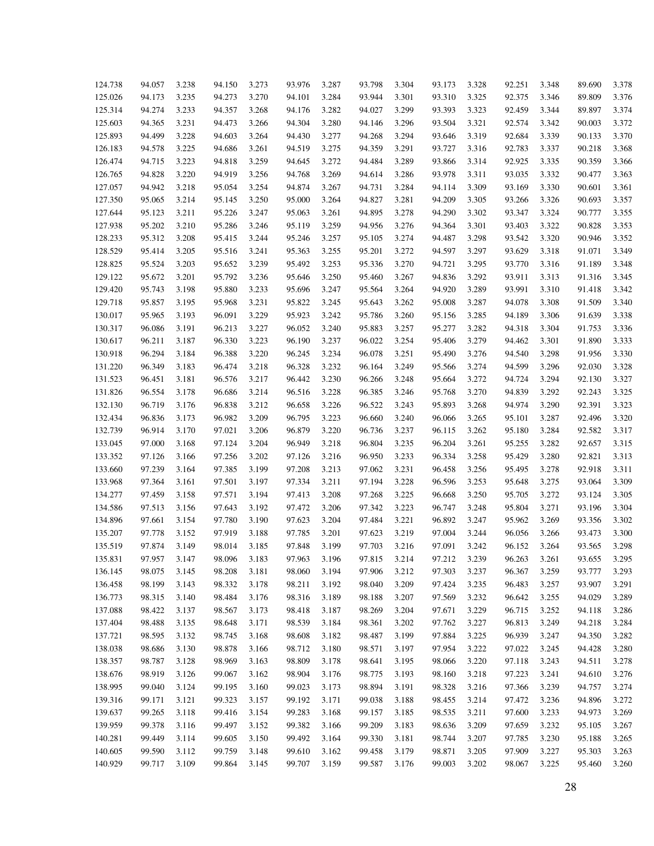| 124.738 | 94.057 | 3.238 | 94.150 | 3.273 | 93.976 | 3.287 | 93.798 | 3.304 | 93.173 | 3.328 | 92.251 | 3.348 | 89.690 | 3.378 |
|---------|--------|-------|--------|-------|--------|-------|--------|-------|--------|-------|--------|-------|--------|-------|
| 125.026 | 94.173 | 3.235 | 94.273 | 3.270 | 94.101 | 3.284 | 93.944 | 3.301 | 93.310 | 3.325 | 92.375 | 3.346 | 89.809 | 3.376 |
| 125.314 | 94.274 | 3.233 | 94.357 | 3.268 | 94.176 | 3.282 | 94.027 | 3.299 | 93.393 | 3.323 | 92.459 | 3.344 | 89.897 | 3.374 |
| 125.603 | 94.365 | 3.231 | 94.473 | 3.266 | 94.304 | 3.280 | 94.146 | 3.296 | 93.504 | 3.321 | 92.574 | 3.342 | 90.003 | 3.372 |
| 125.893 | 94.499 | 3.228 | 94.603 | 3.264 | 94.430 | 3.277 | 94.268 | 3.294 | 93.646 | 3.319 | 92.684 | 3.339 | 90.133 | 3.370 |
| 126.183 | 94.578 | 3.225 | 94.686 | 3.261 | 94.519 | 3.275 | 94.359 | 3.291 | 93.727 | 3.316 | 92.783 | 3.337 | 90.218 | 3.368 |
| 126.474 | 94.715 | 3.223 | 94.818 | 3.259 | 94.645 | 3.272 | 94.484 | 3.289 | 93.866 | 3.314 | 92.925 | 3.335 | 90.359 | 3.366 |
| 126.765 | 94.828 | 3.220 | 94.919 | 3.256 | 94.768 | 3.269 | 94.614 | 3.286 | 93.978 | 3.311 | 93.035 | 3.332 | 90.477 | 3.363 |
| 127.057 | 94.942 | 3.218 | 95.054 | 3.254 | 94.874 | 3.267 | 94.731 | 3.284 | 94.114 | 3.309 | 93.169 | 3.330 | 90.601 | 3.361 |
| 127.350 | 95.065 | 3.214 | 95.145 | 3.250 | 95.000 | 3.264 | 94.827 | 3.281 | 94.209 | 3.305 | 93.266 | 3.326 | 90.693 | 3.357 |
| 127.644 | 95.123 | 3.211 | 95.226 | 3.247 | 95.063 | 3.261 | 94.895 | 3.278 | 94.290 | 3.302 | 93.347 | 3.324 | 90.777 | 3.355 |
| 127.938 | 95.202 | 3.210 | 95.286 | 3.246 | 95.119 | 3.259 | 94.956 | 3.276 | 94.364 | 3.301 | 93.403 | 3.322 | 90.828 | 3.353 |
| 128.233 | 95.312 | 3.208 | 95.415 | 3.244 | 95.246 | 3.257 | 95.105 | 3.274 | 94.487 | 3.298 | 93.542 | 3.320 | 90.946 | 3.352 |
| 128.529 | 95.414 | 3.205 | 95.516 | 3.241 | 95.363 | 3.255 | 95.201 | 3.272 | 94.597 | 3.297 | 93.629 | 3.318 | 91.071 | 3.349 |
| 128.825 | 95.524 | 3.203 | 95.652 | 3.239 | 95.492 | 3.253 | 95.336 | 3.270 | 94.721 | 3.295 | 93.770 | 3.316 | 91.189 | 3.348 |
| 129.122 | 95.672 | 3.201 | 95.792 | 3.236 | 95.646 | 3.250 | 95.460 | 3.267 | 94.836 | 3.292 | 93.911 | 3.313 | 91.316 | 3.345 |
| 129.420 | 95.743 | 3.198 | 95.880 | 3.233 | 95.696 | 3.247 | 95.564 | 3.264 | 94.920 | 3.289 | 93.991 | 3.310 | 91.418 | 3.342 |
| 129.718 | 95.857 | 3.195 | 95.968 | 3.231 | 95.822 | 3.245 | 95.643 | 3.262 | 95.008 | 3.287 | 94.078 | 3.308 | 91.509 | 3.340 |
| 130.017 | 95.965 | 3.193 | 96.091 | 3.229 | 95.923 | 3.242 | 95.786 | 3.260 | 95.156 | 3.285 | 94.189 | 3.306 | 91.639 | 3.338 |
| 130.317 | 96.086 | 3.191 | 96.213 | 3.227 | 96.052 | 3.240 | 95.883 | 3.257 | 95.277 | 3.282 | 94.318 | 3.304 | 91.753 | 3.336 |
| 130.617 | 96.211 | 3.187 | 96.330 | 3.223 | 96.190 | 3.237 | 96.022 | 3.254 | 95.406 | 3.279 | 94.462 | 3.301 | 91.890 | 3.333 |
| 130.918 | 96.294 | 3.184 | 96.388 | 3.220 | 96.245 | 3.234 | 96.078 | 3.251 | 95.490 | 3.276 | 94.540 | 3.298 | 91.956 | 3.330 |
| 131.220 | 96.349 | 3.183 | 96.474 | 3.218 | 96.328 | 3.232 | 96.164 | 3.249 | 95.566 | 3.274 | 94.599 | 3.296 | 92.030 | 3.328 |
| 131.523 | 96.451 | 3.181 | 96.576 | 3.217 | 96.442 | 3.230 | 96.266 | 3.248 | 95.664 | 3.272 | 94.724 | 3.294 | 92.130 | 3.327 |
| 131.826 | 96.554 | 3.178 | 96.686 | 3.214 | 96.516 | 3.228 | 96.385 | 3.246 | 95.768 | 3.270 | 94.839 | 3.292 | 92.243 | 3.325 |
| 132.130 | 96.719 | 3.176 | 96.838 | 3.212 | 96.658 | 3.226 | 96.522 | 3.243 | 95.893 | 3.268 | 94.974 | 3.290 | 92.391 | 3.323 |
| 132.434 | 96.836 | 3.173 | 96.982 | 3.209 | 96.795 | 3.223 | 96.660 | 3.240 | 96.066 | 3.265 | 95.101 | 3.287 | 92.496 | 3.320 |
| 132.739 | 96.914 | 3.170 | 97.021 | 3.206 | 96.879 | 3.220 | 96.736 | 3.237 | 96.115 | 3.262 | 95.180 | 3.284 | 92.582 | 3.317 |
| 133.045 | 97.000 | 3.168 | 97.124 | 3.204 | 96.949 | 3.218 | 96.804 | 3.235 | 96.204 | 3.261 | 95.255 | 3.282 | 92.657 | 3.315 |
| 133.352 | 97.126 | 3.166 | 97.256 | 3.202 | 97.126 | 3.216 | 96.950 | 3.233 | 96.334 | 3.258 | 95.429 | 3.280 | 92.821 | 3.313 |
| 133.660 | 97.239 | 3.164 | 97.385 | 3.199 | 97.208 | 3.213 | 97.062 | 3.231 | 96.458 | 3.256 | 95.495 | 3.278 | 92.918 | 3.311 |
| 133.968 | 97.364 | 3.161 | 97.501 | 3.197 | 97.334 | 3.211 | 97.194 | 3.228 | 96.596 | 3.253 | 95.648 | 3.275 | 93.064 | 3.309 |
| 134.277 | 97.459 | 3.158 | 97.571 | 3.194 | 97.413 | 3.208 | 97.268 | 3.225 | 96.668 | 3.250 | 95.705 | 3.272 | 93.124 | 3.305 |
| 134.586 | 97.513 | 3.156 | 97.643 | 3.192 | 97.472 | 3.206 | 97.342 | 3.223 | 96.747 | 3.248 | 95.804 | 3.271 | 93.196 | 3.304 |
| 134.896 | 97.661 | 3.154 | 97.780 | 3.190 | 97.623 | 3.204 | 97.484 | 3.221 | 96.892 | 3.247 | 95.962 | 3.269 | 93.356 | 3.302 |
| 135.207 | 97.778 | 3.152 | 97.919 | 3.188 | 97.785 | 3.201 | 97.623 | 3.219 | 97.004 | 3.244 | 96.056 | 3.266 | 93.473 | 3.300 |
| 135.519 | 97.874 | 3.149 | 98.014 | 3.185 | 97.848 | 3.199 | 97.703 | 3.216 | 97.091 | 3.242 | 96.152 | 3.264 | 93.565 | 3.298 |
| 135.831 | 97.957 | 3.147 | 98.096 | 3.183 | 97.963 | 3.196 | 97.815 | 3.214 | 97.212 | 3.239 | 96.263 | 3.261 | 93.655 | 3.295 |
| 136.145 | 98.075 | 3.145 | 98.208 | 3.181 | 98.060 | 3.194 | 97.906 | 3.212 | 97.303 | 3.237 | 96.367 | 3.259 | 93.777 | 3.293 |
| 136.458 | 98.199 | 3.143 | 98.332 | 3.178 | 98.211 | 3.192 | 98.040 | 3.209 | 97.424 | 3.235 | 96.483 | 3.257 | 93.907 | 3.291 |
| 136.773 | 98.315 | 3.140 | 98.484 | 3.176 | 98.316 | 3.189 | 98.188 | 3.207 | 97.569 | 3.232 | 96.642 | 3.255 | 94.029 | 3.289 |
|         |        | 3.137 |        |       |        |       |        |       |        |       |        |       |        |       |
| 137.088 | 98.422 |       | 98.567 | 3.173 | 98.418 | 3.187 | 98.269 | 3.204 | 97.671 | 3.229 | 96.715 | 3.252 | 94.118 | 3.286 |
| 137.404 | 98.488 | 3.135 | 98.648 | 3.171 | 98.539 | 3.184 | 98.361 | 3.202 | 97.762 | 3.227 | 96.813 | 3.249 | 94.218 | 3.284 |
| 137.721 | 98.595 | 3.132 | 98.745 | 3.168 | 98.608 | 3.182 | 98.487 | 3.199 | 97.884 | 3.225 | 96.939 | 3.247 | 94.350 | 3.282 |
| 138.038 | 98.686 | 3.130 | 98.878 | 3.166 | 98.712 | 3.180 | 98.571 | 3.197 | 97.954 | 3.222 | 97.022 | 3.245 | 94.428 | 3.280 |
| 138.357 | 98.787 | 3.128 | 98.969 | 3.163 | 98.809 | 3.178 | 98.641 | 3.195 | 98.066 | 3.220 | 97.118 | 3.243 | 94.511 | 3.278 |
| 138.676 | 98.919 | 3.126 | 99.067 | 3.162 | 98.904 | 3.176 | 98.775 | 3.193 | 98.160 | 3.218 | 97.223 | 3.241 | 94.610 | 3.276 |
| 138.995 | 99.040 | 3.124 | 99.195 | 3.160 | 99.023 | 3.173 | 98.894 | 3.191 | 98.328 | 3.216 | 97.366 | 3.239 | 94.757 | 3.274 |
| 139.316 | 99.171 | 3.121 | 99.323 | 3.157 | 99.192 | 3.171 | 99.038 | 3.188 | 98.455 | 3.214 | 97.472 | 3.236 | 94.896 | 3.272 |
| 139.637 | 99.265 | 3.118 | 99.416 | 3.154 | 99.283 | 3.168 | 99.157 | 3.185 | 98.535 | 3.211 | 97.600 | 3.233 | 94.973 | 3.269 |
| 139.959 | 99.378 | 3.116 | 99.497 | 3.152 | 99.382 | 3.166 | 99.209 | 3.183 | 98.636 | 3.209 | 97.659 | 3.232 | 95.105 | 3.267 |
| 140.281 | 99.449 | 3.114 | 99.605 | 3.150 | 99.492 | 3.164 | 99.330 | 3.181 | 98.744 | 3.207 | 97.785 | 3.230 | 95.188 | 3.265 |
| 140.605 | 99.590 | 3.112 | 99.759 | 3.148 | 99.610 | 3.162 | 99.458 | 3.179 | 98.871 | 3.205 | 97.909 | 3.227 | 95.303 | 3.263 |
| 140.929 | 99.717 | 3.109 | 99.864 | 3.145 | 99.707 | 3.159 | 99.587 | 3.176 | 99.003 | 3.202 | 98.067 | 3.225 | 95.460 | 3.260 |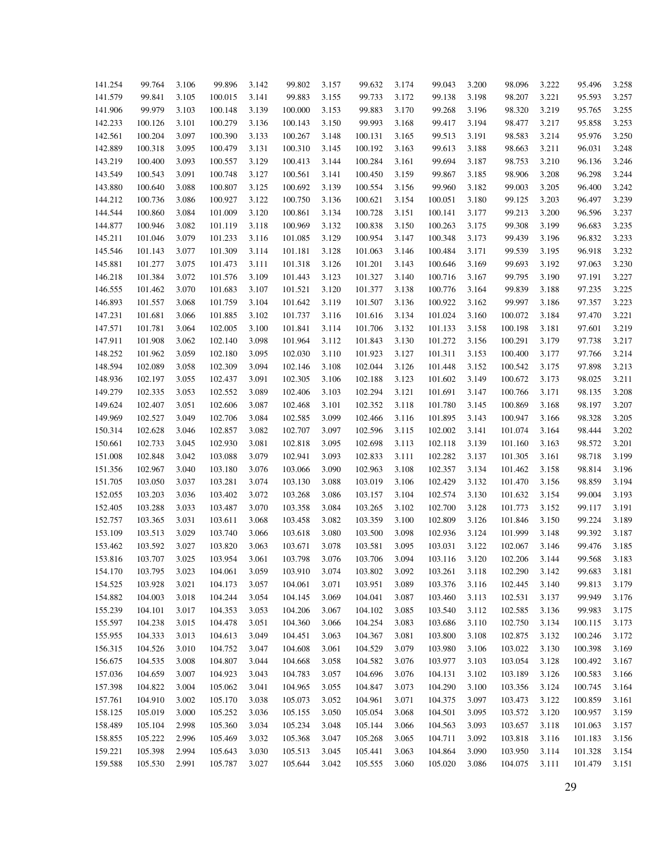| 141.254 | 99.764  | 3.106 | 99.896  | 3.142 | 99.802  | 3.157 | 99.632  | 3.174 | 99.043  | 3.200 | 98.096  | 3.222 | 95.496  | 3.258 |
|---------|---------|-------|---------|-------|---------|-------|---------|-------|---------|-------|---------|-------|---------|-------|
| 141.579 | 99.841  | 3.105 | 100.015 | 3.141 | 99.883  | 3.155 | 99.733  | 3.172 | 99.138  | 3.198 | 98.207  | 3.221 | 95.593  | 3.257 |
| 141.906 | 99.979  | 3.103 | 100.148 | 3.139 | 100.000 | 3.153 | 99.883  | 3.170 | 99.268  | 3.196 | 98.320  | 3.219 | 95.765  | 3.255 |
| 142.233 | 100.126 | 3.101 | 100.279 | 3.136 | 100.143 | 3.150 | 99.993  | 3.168 | 99.417  | 3.194 | 98.477  | 3.217 | 95.858  | 3.253 |
| 142.561 | 100.204 | 3.097 | 100.390 | 3.133 | 100.267 | 3.148 | 100.131 | 3.165 | 99.513  | 3.191 | 98.583  | 3.214 | 95.976  | 3.250 |
| 142.889 | 100.318 | 3.095 | 100.479 | 3.131 | 100.310 | 3.145 | 100.192 | 3.163 | 99.613  | 3.188 | 98.663  | 3.211 | 96.031  | 3.248 |
| 143.219 | 100.400 | 3.093 | 100.557 | 3.129 | 100.413 | 3.144 | 100.284 | 3.161 | 99.694  | 3.187 | 98.753  | 3.210 | 96.136  | 3.246 |
| 143.549 | 100.543 | 3.091 | 100.748 | 3.127 | 100.561 | 3.141 | 100.450 | 3.159 | 99.867  | 3.185 | 98.906  | 3.208 | 96.298  | 3.244 |
| 143.880 | 100.640 | 3.088 | 100.807 | 3.125 | 100.692 | 3.139 | 100.554 | 3.156 | 99.960  | 3.182 | 99.003  | 3.205 | 96.400  | 3.242 |
| 144.212 | 100.736 | 3.086 | 100.927 | 3.122 | 100.750 | 3.136 | 100.621 | 3.154 | 100.051 | 3.180 | 99.125  | 3.203 | 96.497  | 3.239 |
| 144.544 | 100.860 | 3.084 | 101.009 | 3.120 | 100.861 | 3.134 | 100.728 | 3.151 | 100.141 | 3.177 | 99.213  | 3.200 | 96.596  | 3.237 |
| 144.877 | 100.946 | 3.082 | 101.119 | 3.118 | 100.969 | 3.132 | 100.838 | 3.150 | 100.263 | 3.175 | 99.308  | 3.199 | 96.683  | 3.235 |
| 145.211 | 101.046 | 3.079 | 101.233 | 3.116 | 101.085 | 3.129 | 100.954 | 3.147 | 100.348 | 3.173 | 99.439  | 3.196 | 96.832  | 3.233 |
| 145.546 | 101.143 |       | 101.309 |       |         |       |         |       | 100.484 | 3.171 |         | 3.195 | 96.918  | 3.232 |
|         |         | 3.077 |         | 3.114 | 101.181 | 3.128 | 101.063 | 3.146 |         |       | 99.539  |       |         |       |
| 145.881 | 101.277 | 3.075 | 101.473 | 3.111 | 101.318 | 3.126 | 101.201 | 3.143 | 100.646 | 3.169 | 99.693  | 3.192 | 97.063  | 3.230 |
| 146.218 | 101.384 | 3.072 | 101.576 | 3.109 | 101.443 | 3.123 | 101.327 | 3.140 | 100.716 | 3.167 | 99.795  | 3.190 | 97.191  | 3.227 |
| 146.555 | 101.462 | 3.070 | 101.683 | 3.107 | 101.521 | 3.120 | 101.377 | 3.138 | 100.776 | 3.164 | 99.839  | 3.188 | 97.235  | 3.225 |
| 146.893 | 101.557 | 3.068 | 101.759 | 3.104 | 101.642 | 3.119 | 101.507 | 3.136 | 100.922 | 3.162 | 99.997  | 3.186 | 97.357  | 3.223 |
| 147.231 | 101.681 | 3.066 | 101.885 | 3.102 | 101.737 | 3.116 | 101.616 | 3.134 | 101.024 | 3.160 | 100.072 | 3.184 | 97.470  | 3.221 |
| 147.571 | 101.781 | 3.064 | 102.005 | 3.100 | 101.841 | 3.114 | 101.706 | 3.132 | 101.133 | 3.158 | 100.198 | 3.181 | 97.601  | 3.219 |
| 147.911 | 101.908 | 3.062 | 102.140 | 3.098 | 101.964 | 3.112 | 101.843 | 3.130 | 101.272 | 3.156 | 100.291 | 3.179 | 97.738  | 3.217 |
| 148.252 | 101.962 | 3.059 | 102.180 | 3.095 | 102.030 | 3.110 | 101.923 | 3.127 | 101.311 | 3.153 | 100.400 | 3.177 | 97.766  | 3.214 |
| 148.594 | 102.089 | 3.058 | 102.309 | 3.094 | 102.146 | 3.108 | 102.044 | 3.126 | 101.448 | 3.152 | 100.542 | 3.175 | 97.898  | 3.213 |
| 148.936 | 102.197 | 3.055 | 102.437 | 3.091 | 102.305 | 3.106 | 102.188 | 3.123 | 101.602 | 3.149 | 100.672 | 3.173 | 98.025  | 3.211 |
| 149.279 | 102.335 | 3.053 | 102.552 | 3.089 | 102.406 | 3.103 | 102.294 | 3.121 | 101.691 | 3.147 | 100.766 | 3.171 | 98.135  | 3.208 |
| 149.624 | 102.407 | 3.051 | 102.606 | 3.087 | 102.468 | 3.101 | 102.352 | 3.118 | 101.780 | 3.145 | 100.869 | 3.168 | 98.197  | 3.207 |
| 149.969 | 102.527 | 3.049 | 102.706 | 3.084 | 102.585 | 3.099 | 102.466 | 3.116 | 101.895 | 3.143 | 100.947 | 3.166 | 98.328  | 3.205 |
| 150.314 | 102.628 | 3.046 | 102.857 | 3.082 | 102.707 | 3.097 | 102.596 | 3.115 | 102.002 | 3.141 | 101.074 | 3.164 | 98.444  | 3.202 |
| 150.661 | 102.733 | 3.045 | 102.930 | 3.081 | 102.818 | 3.095 | 102.698 | 3.113 | 102.118 | 3.139 | 101.160 | 3.163 | 98.572  | 3.201 |
| 151.008 | 102.848 | 3.042 | 103.088 | 3.079 | 102.941 | 3.093 | 102.833 | 3.111 | 102.282 | 3.137 | 101.305 | 3.161 | 98.718  | 3.199 |
| 151.356 | 102.967 | 3.040 | 103.180 | 3.076 | 103.066 | 3.090 | 102.963 | 3.108 | 102.357 | 3.134 | 101.462 | 3.158 | 98.814  | 3.196 |
| 151.705 | 103.050 | 3.037 | 103.281 | 3.074 | 103.130 | 3.088 | 103.019 | 3.106 | 102.429 | 3.132 | 101.470 | 3.156 | 98.859  | 3.194 |
| 152.055 | 103.203 | 3.036 | 103.402 | 3.072 | 103.268 | 3.086 | 103.157 | 3.104 | 102.574 | 3.130 | 101.632 | 3.154 | 99.004  | 3.193 |
| 152.405 | 103.288 | 3.033 | 103.487 | 3.070 | 103.358 | 3.084 | 103.265 | 3.102 | 102.700 | 3.128 | 101.773 | 3.152 | 99.117  | 3.191 |
| 152.757 | 103.365 | 3.031 | 103.611 | 3.068 | 103.458 | 3.082 | 103.359 | 3.100 | 102.809 | 3.126 | 101.846 | 3.150 | 99.224  | 3.189 |
| 153.109 | 103.513 | 3.029 | 103.740 | 3.066 | 103.618 | 3.080 | 103.500 | 3.098 | 102.936 | 3.124 | 101.999 | 3.148 | 99.392  | 3.187 |
| 153.462 | 103.592 | 3.027 | 103.820 | 3.063 | 103.671 | 3.078 | 103.581 | 3.095 | 103.031 | 3.122 | 102.067 | 3.146 | 99.476  | 3.185 |
| 153.816 | 103.707 | 3.025 | 103.954 | 3.061 | 103.798 | 3.076 | 103.706 | 3.094 | 103.116 | 3.120 | 102.206 | 3.144 | 99.568  | 3.183 |
| 154.170 | 103.795 | 3.023 | 104.061 | 3.059 | 103.910 | 3.074 | 103.802 | 3.092 | 103.261 | 3.118 | 102.290 | 3.142 | 99.683  | 3.181 |
| 154.525 | 103.928 | 3.021 | 104.173 | 3.057 | 104.061 | 3.071 | 103.951 | 3.089 | 103.376 | 3.116 | 102.445 | 3.140 | 99.813  | 3.179 |
| 154.882 | 104.003 | 3.018 | 104.244 | 3.054 | 104.145 | 3.069 | 104.041 | 3.087 | 103.460 | 3.113 | 102.531 | 3.137 | 99.949  | 3.176 |
| 155.239 | 104.101 | 3.017 | 104.353 | 3.053 | 104.206 | 3.067 | 104.102 | 3.085 | 103.540 | 3.112 | 102.585 | 3.136 | 99.983  | 3.175 |
| 155.597 | 104.238 | 3.015 | 104.478 | 3.051 | 104.360 | 3.066 | 104.254 | 3.083 | 103.686 | 3.110 | 102.750 | 3.134 | 100.115 | 3.173 |
| 155.955 | 104.333 | 3.013 | 104.613 | 3.049 | 104.451 | 3.063 | 104.367 | 3.081 | 103.800 | 3.108 | 102.875 | 3.132 | 100.246 | 3.172 |
| 156.315 | 104.526 | 3.010 | 104.752 | 3.047 | 104.608 | 3.061 | 104.529 | 3.079 | 103.980 | 3.106 | 103.022 | 3.130 | 100.398 | 3.169 |
| 156.675 | 104.535 | 3.008 | 104.807 | 3.044 | 104.668 | 3.058 | 104.582 | 3.076 | 103.977 | 3.103 | 103.054 | 3.128 | 100.492 | 3.167 |
| 157.036 | 104.659 | 3.007 | 104.923 | 3.043 | 104.783 | 3.057 | 104.696 | 3.076 | 104.131 | 3.102 | 103.189 | 3.126 | 100.583 | 3.166 |
| 157.398 | 104.822 | 3.004 | 105.062 | 3.041 | 104.965 | 3.055 | 104.847 | 3.073 | 104.290 | 3.100 | 103.356 | 3.124 | 100.745 | 3.164 |
| 157.761 | 104.910 | 3.002 | 105.170 | 3.038 | 105.073 | 3.052 | 104.961 | 3.071 | 104.375 | 3.097 | 103.473 | 3.122 | 100.859 | 3.161 |
| 158.125 | 105.019 | 3.000 | 105.252 | 3.036 | 105.155 | 3.050 | 105.054 | 3.068 | 104.501 | 3.095 | 103.572 | 3.120 | 100.957 | 3.159 |
| 158.489 | 105.104 | 2.998 | 105.360 | 3.034 | 105.234 | 3.048 | 105.144 | 3.066 | 104.563 | 3.093 | 103.657 | 3.118 | 101.063 | 3.157 |
| 158.855 | 105.222 | 2.996 | 105.469 | 3.032 | 105.368 | 3.047 | 105.268 | 3.065 | 104.711 | 3.092 | 103.818 | 3.116 | 101.183 | 3.156 |
| 159.221 | 105.398 | 2.994 | 105.643 | 3.030 | 105.513 | 3.045 | 105.441 | 3.063 | 104.864 | 3.090 | 103.950 | 3.114 | 101.328 | 3.154 |
| 159.588 | 105.530 | 2.991 | 105.787 | 3.027 | 105.644 | 3.042 | 105.555 | 3.060 | 105.020 | 3.086 | 104.075 | 3.111 | 101.479 | 3.151 |
|         |         |       |         |       |         |       |         |       |         |       |         |       |         |       |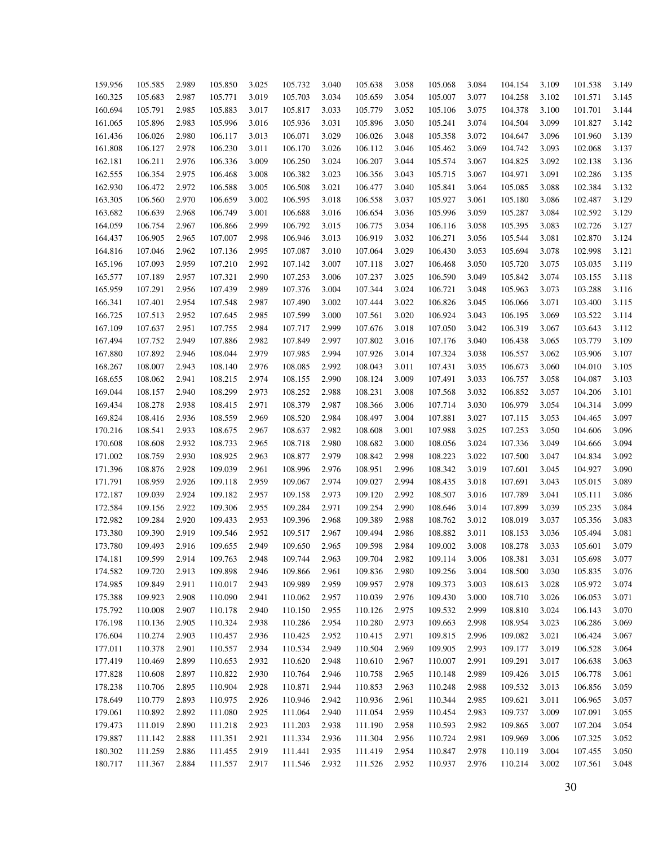| 159.956 | 105.585 | 2.989 | 105.850 | 3.025 | 105.732 | 3.040 | 105.638 | 3.058 | 105.068 | 3.084 | 104.154 | 3.109 | 101.538 | 3.149 |
|---------|---------|-------|---------|-------|---------|-------|---------|-------|---------|-------|---------|-------|---------|-------|
| 160.325 | 105.683 | 2.987 | 105.771 | 3.019 | 105.703 | 3.034 | 105.659 | 3.054 | 105.007 | 3.077 | 104.258 | 3.102 | 101.571 | 3.145 |
| 160.694 | 105.791 | 2.985 | 105.883 | 3.017 | 105.817 | 3.033 | 105.779 | 3.052 | 105.106 | 3.075 | 104.378 | 3.100 | 101.701 | 3.144 |
| 161.065 | 105.896 | 2.983 | 105.996 | 3.016 | 105.936 | 3.031 | 105.896 | 3.050 | 105.241 | 3.074 | 104.504 | 3.099 | 101.827 | 3.142 |
| 161.436 | 106.026 | 2.980 | 106.117 | 3.013 | 106.071 | 3.029 | 106.026 | 3.048 | 105.358 | 3.072 | 104.647 | 3.096 | 101.960 | 3.139 |
| 161.808 | 106.127 | 2.978 | 106.230 | 3.011 | 106.170 | 3.026 | 106.112 | 3.046 | 105.462 | 3.069 | 104.742 | 3.093 | 102.068 | 3.137 |
| 162.181 | 106.211 | 2.976 | 106.336 | 3.009 | 106.250 | 3.024 | 106.207 | 3.044 | 105.574 | 3.067 | 104.825 | 3.092 | 102.138 | 3.136 |
| 162.555 | 106.354 | 2.975 | 106.468 | 3.008 | 106.382 | 3.023 | 106.356 | 3.043 | 105.715 | 3.067 | 104.971 | 3.091 | 102.286 | 3.135 |
| 162.930 | 106.472 | 2.972 | 106.588 | 3.005 | 106.508 | 3.021 | 106.477 | 3.040 | 105.841 | 3.064 | 105.085 | 3.088 | 102.384 | 3.132 |
| 163.305 | 106.560 | 2.970 | 106.659 | 3.002 | 106.595 | 3.018 | 106.558 | 3.037 | 105.927 | 3.061 | 105.180 | 3.086 | 102.487 | 3.129 |
| 163.682 | 106.639 | 2.968 | 106.749 | 3.001 | 106.688 | 3.016 | 106.654 | 3.036 | 105.996 | 3.059 | 105.287 | 3.084 | 102.592 | 3.129 |
| 164.059 | 106.754 | 2.967 | 106.866 | 2.999 | 106.792 | 3.015 | 106.775 | 3.034 | 106.116 | 3.058 | 105.395 | 3.083 | 102.726 | 3.127 |
| 164.437 | 106.905 | 2.965 | 107.007 | 2.998 | 106.946 | 3.013 | 106.919 | 3.032 | 106.271 | 3.056 | 105.544 | 3.081 | 102.870 | 3.124 |
| 164.816 | 107.046 | 2.962 | 107.136 | 2.995 | 107.087 | 3.010 | 107.064 | 3.029 | 106.430 | 3.053 | 105.694 | 3.078 | 102.998 | 3.121 |
| 165.196 | 107.093 | 2.959 | 107.210 | 2.992 | 107.142 | 3.007 | 107.118 | 3.027 | 106.468 | 3.050 | 105.720 | 3.075 | 103.035 | 3.119 |
| 165.577 | 107.189 | 2.957 | 107.321 | 2.990 | 107.253 | 3.006 | 107.237 | 3.025 | 106.590 | 3.049 | 105.842 | 3.074 | 103.155 | 3.118 |
| 165.959 | 107.291 | 2.956 | 107.439 | 2.989 | 107.376 | 3.004 | 107.344 | 3.024 | 106.721 | 3.048 | 105.963 | 3.073 | 103.288 | 3.116 |
| 166.341 | 107.401 | 2.954 | 107.548 | 2.987 | 107.490 | 3.002 | 107.444 | 3.022 | 106.826 | 3.045 | 106.066 | 3.071 | 103.400 | 3.115 |
| 166.725 | 107.513 | 2.952 | 107.645 | 2.985 | 107.599 | 3.000 | 107.561 | 3.020 | 106.924 | 3.043 | 106.195 | 3.069 | 103.522 | 3.114 |
| 167.109 | 107.637 | 2.951 | 107.755 | 2.984 | 107.717 | 2.999 | 107.676 | 3.018 | 107.050 | 3.042 | 106.319 | 3.067 | 103.643 | 3.112 |
| 167.494 | 107.752 | 2.949 | 107.886 | 2.982 | 107.849 | 2.997 | 107.802 | 3.016 | 107.176 | 3.040 | 106.438 | 3.065 | 103.779 | 3.109 |
| 167.880 | 107.892 | 2.946 | 108.044 | 2.979 | 107.985 | 2.994 | 107.926 | 3.014 | 107.324 | 3.038 | 106.557 | 3.062 | 103.906 | 3.107 |
| 168.267 | 108.007 | 2.943 | 108.140 | 2.976 | 108.085 | 2.992 | 108.043 | 3.011 | 107.431 | 3.035 | 106.673 | 3.060 | 104.010 | 3.105 |
| 168.655 | 108.062 | 2.941 | 108.215 | 2.974 | 108.155 | 2.990 | 108.124 | 3.009 | 107.491 | 3.033 | 106.757 | 3.058 | 104.087 | 3.103 |
| 169.044 | 108.157 | 2.940 | 108.299 | 2.973 | 108.252 | 2.988 | 108.231 | 3.008 | 107.568 | 3.032 | 106.852 | 3.057 | 104.206 | 3.101 |
| 169.434 | 108.278 | 2.938 | 108.415 | 2.971 | 108.379 | 2.987 | 108.366 | 3.006 | 107.714 | 3.030 | 106.979 | 3.054 | 104.314 | 3.099 |
| 169.824 | 108.416 | 2.936 | 108.559 | 2.969 | 108.520 | 2.984 | 108.497 | 3.004 | 107.881 | 3.027 | 107.115 | 3.053 | 104.465 | 3.097 |
| 170.216 | 108.541 | 2.933 | 108.675 | 2.967 | 108.637 | 2.982 | 108.608 | 3.001 | 107.988 | 3.025 | 107.253 | 3.050 | 104.606 | 3.096 |
| 170.608 | 108.608 | 2.932 | 108.733 | 2.965 | 108.718 | 2.980 | 108.682 | 3.000 | 108.056 | 3.024 | 107.336 | 3.049 | 104.666 | 3.094 |
| 171.002 | 108.759 | 2.930 | 108.925 | 2.963 | 108.877 | 2.979 | 108.842 | 2.998 | 108.223 | 3.022 | 107.500 | 3.047 | 104.834 | 3.092 |
| 171.396 | 108.876 | 2.928 | 109.039 | 2.961 | 108.996 | 2.976 | 108.951 | 2.996 | 108.342 | 3.019 | 107.601 | 3.045 | 104.927 | 3.090 |
| 171.791 | 108.959 | 2.926 | 109.118 | 2.959 | 109.067 | 2.974 | 109.027 | 2.994 | 108.435 | 3.018 | 107.691 | 3.043 | 105.015 | 3.089 |
| 172.187 | 109.039 | 2.924 | 109.182 | 2.957 | 109.158 | 2.973 | 109.120 | 2.992 | 108.507 | 3.016 | 107.789 | 3.041 | 105.111 | 3.086 |
| 172.584 | 109.156 | 2.922 | 109.306 | 2.955 | 109.284 | 2.971 | 109.254 | 2.990 | 108.646 | 3.014 | 107.899 | 3.039 | 105.235 | 3.084 |
| 172.982 | 109.284 | 2.920 | 109.433 | 2.953 | 109.396 | 2.968 | 109.389 | 2.988 | 108.762 | 3.012 | 108.019 | 3.037 | 105.356 | 3.083 |
| 173.380 | 109.390 | 2.919 | 109.546 | 2.952 | 109.517 | 2.967 | 109.494 | 2.986 | 108.882 | 3.011 | 108.153 | 3.036 | 105.494 | 3.081 |
| 173.780 | 109.493 | 2.916 | 109.655 | 2.949 | 109.650 | 2.965 | 109.598 | 2.984 | 109.002 | 3.008 | 108.278 | 3.033 | 105.601 | 3.079 |
| 174.181 | 109.599 | 2.914 | 109.763 | 2.948 | 109.744 | 2.963 | 109.704 | 2.982 | 109.114 | 3.006 | 108.381 | 3.031 | 105.698 | 3.077 |
| 174.582 | 109.720 | 2.913 | 109.898 | 2.946 | 109.866 | 2.961 | 109.836 | 2.980 | 109.256 | 3.004 | 108.500 | 3.030 | 105.835 | 3.076 |
| 174.985 | 109.849 | 2.911 | 110.017 | 2.943 | 109.989 | 2.959 | 109.957 | 2.978 | 109.373 | 3.003 | 108.613 | 3.028 | 105.972 | 3.074 |
| 175.388 | 109.923 | 2.908 | 110.090 | 2.941 | 110.062 | 2.957 | 110.039 | 2.976 | 109.430 | 3.000 | 108.710 | 3.026 | 106.053 | 3.071 |
| 175.792 | 110.008 | 2.907 | 110.178 | 2.940 | 110.150 | 2.955 | 110.126 | 2.975 | 109.532 | 2.999 | 108.810 | 3.024 | 106.143 | 3.070 |
| 176.198 | 110.136 | 2.905 | 110.324 | 2.938 | 110.286 | 2.954 | 110.280 | 2.973 | 109.663 | 2.998 | 108.954 | 3.023 | 106.286 | 3.069 |
| 176.604 | 110.274 | 2.903 | 110.457 | 2.936 | 110.425 | 2.952 | 110.415 | 2.971 | 109.815 | 2.996 | 109.082 | 3.021 | 106.424 | 3.067 |
| 177.011 | 110.378 | 2.901 | 110.557 | 2.934 | 110.534 | 2.949 | 110.504 | 2.969 | 109.905 | 2.993 | 109.177 | 3.019 | 106.528 | 3.064 |
| 177.419 | 110.469 | 2.899 | 110.653 | 2.932 | 110.620 | 2.948 | 110.610 | 2.967 | 110.007 | 2.991 | 109.291 | 3.017 | 106.638 | 3.063 |
| 177.828 | 110.608 | 2.897 | 110.822 | 2.930 | 110.764 | 2.946 | 110.758 | 2.965 | 110.148 | 2.989 | 109.426 | 3.015 | 106.778 | 3.061 |
| 178.238 | 110.706 | 2.895 | 110.904 | 2.928 | 110.871 | 2.944 | 110.853 | 2.963 | 110.248 | 2.988 | 109.532 | 3.013 | 106.856 | 3.059 |
| 178.649 | 110.779 | 2.893 | 110.975 | 2.926 | 110.946 | 2.942 | 110.936 | 2.961 | 110.344 | 2.985 | 109.621 | 3.011 | 106.965 | 3.057 |
| 179.061 | 110.892 | 2.892 | 111.080 | 2.925 | 111.064 | 2.940 | 111.054 | 2.959 | 110.454 | 2.983 | 109.737 | 3.009 | 107.091 | 3.055 |
| 179.473 | 111.019 | 2.890 | 111.218 | 2.923 | 111.203 | 2.938 | 111.190 | 2.958 | 110.593 | 2.982 | 109.865 | 3.007 | 107.204 | 3.054 |
| 179.887 | 111.142 | 2.888 | 111.351 | 2.921 | 111.334 | 2.936 | 111.304 | 2.956 | 110.724 | 2.981 | 109.969 | 3.006 | 107.325 | 3.052 |
| 180.302 | 111.259 | 2.886 | 111.455 | 2.919 | 111.441 | 2.935 | 111.419 | 2.954 | 110.847 | 2.978 | 110.119 | 3.004 | 107.455 | 3.050 |
| 180.717 | 111.367 | 2.884 | 111.557 | 2.917 | 111.546 | 2.932 | 111.526 | 2.952 | 110.937 | 2.976 | 110.214 | 3.002 | 107.561 | 3.048 |
|         |         |       |         |       |         |       |         |       |         |       |         |       |         |       |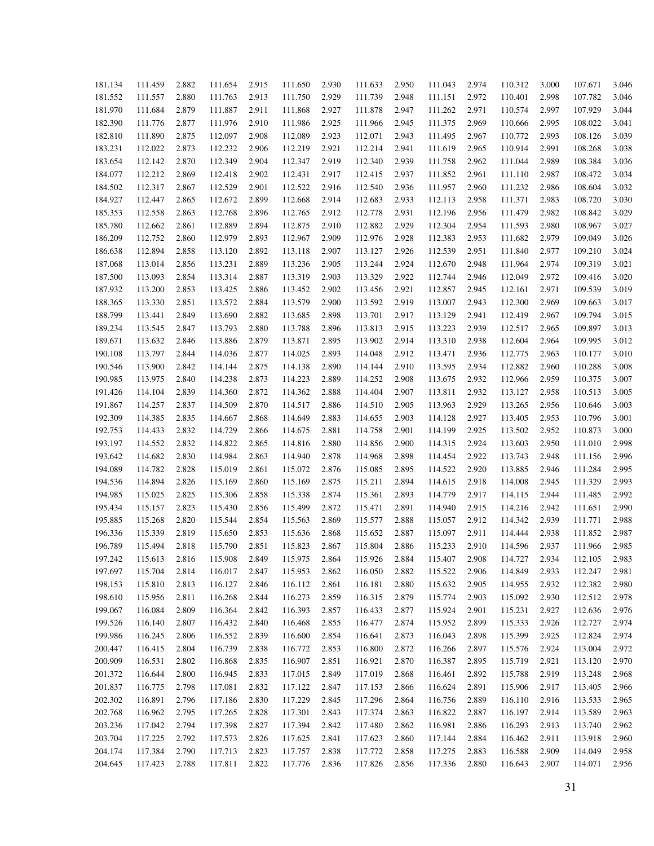| 181.134<br>181.552<br>181.970<br>182.390<br>182.810<br>183.231<br>183.654<br>184.077<br>184.502<br>184.927<br>185.353<br>185.780<br>186.209<br>186.638<br>187.068<br>187.500<br>187.932<br>188.365<br>188.799<br>189.234<br>189.671<br>190.108<br>190.546<br>190.985<br>191.426<br>191.867<br>192.309<br>192.753<br>193.197<br>193.642<br>194.089<br>194.536<br>194.985<br>195.434<br>195.885<br>196.336<br>196.789<br>197.242<br>197.697<br>198.153<br>198.610<br>199.067<br>199.526<br>199.986<br>200.447<br>200.909<br>201.372<br>201.837<br>202.302<br>202.768<br>203.236<br>203.704 |         |       |         |       |         |       |         |       |         |       |         |       |         |       |
|------------------------------------------------------------------------------------------------------------------------------------------------------------------------------------------------------------------------------------------------------------------------------------------------------------------------------------------------------------------------------------------------------------------------------------------------------------------------------------------------------------------------------------------------------------------------------------------|---------|-------|---------|-------|---------|-------|---------|-------|---------|-------|---------|-------|---------|-------|
|                                                                                                                                                                                                                                                                                                                                                                                                                                                                                                                                                                                          | 111.459 | 2.882 | 111.654 | 2.915 | 111.650 | 2.930 | 111.633 | 2.950 | 111.043 | 2.974 | 110.312 | 3.000 | 107.671 | 3.046 |
|                                                                                                                                                                                                                                                                                                                                                                                                                                                                                                                                                                                          | 111.557 | 2.880 | 111.763 | 2.913 | 111.750 | 2.929 | 111.739 | 2.948 | 111.151 | 2.972 | 110.401 | 2.998 | 107.782 | 3.046 |
|                                                                                                                                                                                                                                                                                                                                                                                                                                                                                                                                                                                          | 111.684 | 2.879 | 111.887 | 2.911 | 111.868 | 2.927 | 111.878 | 2.947 | 111.262 | 2.971 | 110.574 | 2.997 | 107.929 | 3.044 |
|                                                                                                                                                                                                                                                                                                                                                                                                                                                                                                                                                                                          | 111.776 | 2.877 | 111.976 | 2.910 | 111.986 | 2.925 | 111.966 | 2.945 | 111.375 | 2.969 | 110.666 | 2.995 | 108.022 | 3.041 |
|                                                                                                                                                                                                                                                                                                                                                                                                                                                                                                                                                                                          | 111.890 | 2.875 | 112.097 | 2.908 | 112.089 | 2.923 | 112.071 | 2.943 | 111.495 | 2.967 | 110.772 | 2.993 | 108.126 | 3.039 |
|                                                                                                                                                                                                                                                                                                                                                                                                                                                                                                                                                                                          | 112.022 | 2.873 | 112.232 | 2.906 | 112.219 | 2.921 | 112.214 | 2.941 | 111.619 | 2.965 | 110.914 | 2.991 | 108.268 | 3.038 |
|                                                                                                                                                                                                                                                                                                                                                                                                                                                                                                                                                                                          | 112.142 | 2.870 | 112.349 | 2.904 | 112.347 | 2.919 | 112.340 | 2.939 | 111.758 | 2.962 | 111.044 | 2.989 | 108.384 | 3.036 |
|                                                                                                                                                                                                                                                                                                                                                                                                                                                                                                                                                                                          | 112.212 | 2.869 | 112.418 | 2.902 | 112.431 | 2.917 | 112.415 | 2.937 | 111.852 | 2.961 | 111.110 | 2.987 | 108.472 | 3.034 |
|                                                                                                                                                                                                                                                                                                                                                                                                                                                                                                                                                                                          | 112.317 | 2.867 | 112.529 | 2.901 | 112.522 | 2.916 | 112.540 | 2.936 | 111.957 | 2.960 | 111.232 | 2.986 | 108.604 | 3.032 |
|                                                                                                                                                                                                                                                                                                                                                                                                                                                                                                                                                                                          | 112.447 | 2.865 | 112.672 | 2.899 | 112.668 | 2.914 | 112.683 | 2.933 | 112.113 | 2.958 | 111.371 | 2.983 | 108.720 | 3.030 |
|                                                                                                                                                                                                                                                                                                                                                                                                                                                                                                                                                                                          | 112.558 | 2.863 | 112.768 | 2.896 | 112.765 | 2.912 | 112.778 | 2.931 | 112.196 | 2.956 | 111.479 | 2.982 | 108.842 | 3.029 |
|                                                                                                                                                                                                                                                                                                                                                                                                                                                                                                                                                                                          | 112.662 | 2.861 | 112.889 | 2.894 | 112.875 | 2.910 | 112.882 | 2.929 | 112.304 | 2.954 | 111.593 | 2.980 | 108.967 | 3.027 |
|                                                                                                                                                                                                                                                                                                                                                                                                                                                                                                                                                                                          | 112.752 | 2.860 | 112.979 | 2.893 | 112.967 | 2.909 | 112.976 | 2.928 | 112.383 | 2.953 | 111.682 | 2.979 | 109.049 | 3.026 |
|                                                                                                                                                                                                                                                                                                                                                                                                                                                                                                                                                                                          | 112.894 | 2.858 | 113.120 | 2.892 | 113.118 | 2.907 | 113.127 | 2.926 | 112.539 | 2.951 | 111.840 | 2.977 | 109.210 | 3.024 |
|                                                                                                                                                                                                                                                                                                                                                                                                                                                                                                                                                                                          | 113.014 | 2.856 | 113.231 | 2.889 | 113.236 | 2.905 | 113.244 | 2.924 | 112.670 | 2.948 | 111.964 | 2.974 | 109.319 | 3.021 |
|                                                                                                                                                                                                                                                                                                                                                                                                                                                                                                                                                                                          | 113.093 | 2.854 | 113.314 | 2.887 | 113.319 | 2.903 | 113.329 | 2.922 | 112.744 | 2.946 | 112.049 | 2.972 | 109.416 | 3.020 |
|                                                                                                                                                                                                                                                                                                                                                                                                                                                                                                                                                                                          | 113.200 | 2.853 | 113.425 | 2.886 | 113.452 | 2.902 | 113.456 | 2.921 | 112.857 | 2.945 | 112.161 | 2.971 | 109.539 | 3.019 |
|                                                                                                                                                                                                                                                                                                                                                                                                                                                                                                                                                                                          | 113.330 | 2.851 | 113.572 | 2.884 | 113.579 | 2.900 | 113.592 | 2.919 | 113.007 | 2.943 | 112.300 | 2.969 | 109.663 | 3.017 |
|                                                                                                                                                                                                                                                                                                                                                                                                                                                                                                                                                                                          | 113.441 | 2.849 | 113.690 | 2.882 | 113.685 | 2.898 | 113.701 | 2.917 | 113.129 | 2.941 | 112.419 | 2.967 | 109.794 | 3.015 |
|                                                                                                                                                                                                                                                                                                                                                                                                                                                                                                                                                                                          | 113.545 | 2.847 | 113.793 | 2.880 | 113.788 | 2.896 | 113.813 | 2.915 | 113.223 | 2.939 | 112.517 | 2.965 | 109.897 | 3.013 |
|                                                                                                                                                                                                                                                                                                                                                                                                                                                                                                                                                                                          | 113.632 | 2.846 | 113.886 | 2.879 | 113.871 | 2.895 | 113.902 | 2.914 | 113.310 | 2.938 | 112.604 | 2.964 | 109.995 | 3.012 |
|                                                                                                                                                                                                                                                                                                                                                                                                                                                                                                                                                                                          | 113.797 | 2.844 | 114.036 | 2.877 | 114.025 | 2.893 | 114.048 | 2.912 | 113.471 | 2.936 | 112.775 | 2.963 | 110.177 | 3.010 |
|                                                                                                                                                                                                                                                                                                                                                                                                                                                                                                                                                                                          | 113.900 | 2.842 | 114.144 | 2.875 | 114.138 | 2.890 | 114.144 | 2.910 | 113.595 | 2.934 | 112.882 | 2.960 | 110.288 | 3.008 |
|                                                                                                                                                                                                                                                                                                                                                                                                                                                                                                                                                                                          | 113.975 | 2.840 | 114.238 | 2.873 | 114.223 | 2.889 | 114.252 | 2.908 | 113.675 | 2.932 | 112.966 | 2.959 | 110.375 | 3.007 |
|                                                                                                                                                                                                                                                                                                                                                                                                                                                                                                                                                                                          | 114.104 | 2.839 | 114.360 | 2.872 | 114.362 | 2.888 | 114.404 | 2.907 | 113.811 | 2.932 | 113.127 | 2.958 | 110.513 | 3.005 |
|                                                                                                                                                                                                                                                                                                                                                                                                                                                                                                                                                                                          | 114.257 | 2.837 | 114.509 | 2.870 | 114.517 | 2.886 | 114.510 | 2.905 | 113.963 | 2.929 | 113.265 | 2.956 | 110.646 | 3.003 |
|                                                                                                                                                                                                                                                                                                                                                                                                                                                                                                                                                                                          | 114.385 | 2.835 | 114.667 | 2.868 | 114.649 | 2.883 | 114.655 | 2.903 | 114.128 | 2.927 | 113.405 | 2.953 | 110.796 | 3.001 |
|                                                                                                                                                                                                                                                                                                                                                                                                                                                                                                                                                                                          | 114.433 | 2.832 | 114.729 | 2.866 | 114.675 | 2.881 | 114.758 | 2.901 | 114.199 | 2.925 | 113.502 | 2.952 | 110.873 | 3.000 |
|                                                                                                                                                                                                                                                                                                                                                                                                                                                                                                                                                                                          | 114.552 | 2.832 | 114.822 | 2.865 | 114.816 | 2.880 | 114.856 | 2.900 | 114.315 | 2.924 | 113.603 | 2.950 | 111.010 | 2.998 |
|                                                                                                                                                                                                                                                                                                                                                                                                                                                                                                                                                                                          | 114.682 | 2.830 | 114.984 | 2.863 | 114.940 | 2.878 | 114.968 | 2.898 | 114.454 | 2.922 | 113.743 | 2.948 | 111.156 | 2.996 |
|                                                                                                                                                                                                                                                                                                                                                                                                                                                                                                                                                                                          | 114.782 | 2.828 | 115.019 | 2.861 | 115.072 | 2.876 | 115.085 | 2.895 | 114.522 | 2.920 | 113.885 | 2.946 | 111.284 | 2.995 |
|                                                                                                                                                                                                                                                                                                                                                                                                                                                                                                                                                                                          | 114.894 | 2.826 | 115.169 | 2.860 | 115.169 | 2.875 | 115.211 | 2.894 | 114.615 | 2.918 | 114.008 | 2.945 | 111.329 | 2.993 |
|                                                                                                                                                                                                                                                                                                                                                                                                                                                                                                                                                                                          | 115.025 | 2.825 | 115.306 | 2.858 | 115.338 | 2.874 | 115.361 | 2.893 | 114.779 | 2.917 | 114.115 | 2.944 | 111.485 | 2.992 |
|                                                                                                                                                                                                                                                                                                                                                                                                                                                                                                                                                                                          | 115.157 | 2.823 | 115.430 | 2.856 | 115.499 | 2.872 | 115.471 | 2.891 | 114.940 | 2.915 | 114.216 | 2.942 | 111.651 | 2.990 |
|                                                                                                                                                                                                                                                                                                                                                                                                                                                                                                                                                                                          | 115.268 | 2.820 | 115.544 | 2.854 | 115.563 | 2.869 | 115.577 | 2.888 | 115.057 | 2.912 | 114.342 | 2.939 | 111.771 | 2.988 |
|                                                                                                                                                                                                                                                                                                                                                                                                                                                                                                                                                                                          | 115.339 | 2.819 | 115.650 | 2.853 | 115.636 | 2.868 | 115.652 | 2.887 | 115.097 | 2.911 | 114.444 | 2.938 | 111.852 | 2.987 |
|                                                                                                                                                                                                                                                                                                                                                                                                                                                                                                                                                                                          | 115.494 | 2.818 | 115.790 | 2.851 | 115.823 | 2.867 | 115.804 | 2.886 | 115.233 | 2.910 | 114.596 | 2.937 | 111.966 | 2.985 |
|                                                                                                                                                                                                                                                                                                                                                                                                                                                                                                                                                                                          | 115.613 | 2.816 | 115.908 | 2.849 | 115.975 | 2.864 | 115.926 | 2.884 | 115.407 | 2.908 | 114.727 | 2.934 | 112.105 | 2.983 |
|                                                                                                                                                                                                                                                                                                                                                                                                                                                                                                                                                                                          | 115.704 | 2.814 | 116.017 | 2.847 | 115.953 | 2.862 | 116.050 | 2.882 | 115.522 | 2.906 | 114.849 | 2.933 | 112.247 | 2.981 |
|                                                                                                                                                                                                                                                                                                                                                                                                                                                                                                                                                                                          | 115.810 | 2.813 | 116.127 | 2.846 | 116.112 | 2.861 | 116.181 | 2.880 | 115.632 | 2.905 | 114.955 | 2.932 | 112.382 | 2.980 |
|                                                                                                                                                                                                                                                                                                                                                                                                                                                                                                                                                                                          | 115.956 | 2.811 | 116.268 | 2.844 | 116.273 | 2.859 | 116.315 | 2.879 | 115.774 | 2.903 | 115.092 | 2.930 | 112.512 | 2.978 |
|                                                                                                                                                                                                                                                                                                                                                                                                                                                                                                                                                                                          | 116.084 | 2.809 | 116.364 | 2.842 | 116.393 | 2.857 | 116.433 | 2.877 | 115.924 | 2.901 | 115.231 | 2.927 | 112.636 | 2.976 |
|                                                                                                                                                                                                                                                                                                                                                                                                                                                                                                                                                                                          | 116.140 | 2.807 | 116.432 | 2.840 | 116.468 | 2.855 | 116.477 | 2.874 | 115.952 | 2.899 | 115.333 | 2.926 | 112.727 | 2.974 |
|                                                                                                                                                                                                                                                                                                                                                                                                                                                                                                                                                                                          | 116.245 | 2.806 | 116.552 | 2.839 | 116.600 | 2.854 | 116.641 | 2.873 | 116.043 | 2.898 | 115.399 | 2.925 | 112.824 | 2.974 |
|                                                                                                                                                                                                                                                                                                                                                                                                                                                                                                                                                                                          | 116.415 | 2.804 | 116.739 | 2.838 | 116.772 | 2.853 | 116.800 | 2.872 | 116.266 | 2.897 | 115.576 | 2.924 | 113.004 | 2.972 |
|                                                                                                                                                                                                                                                                                                                                                                                                                                                                                                                                                                                          | 116.531 | 2.802 | 116.868 | 2.835 | 116.907 | 2.851 | 116.921 | 2.870 | 116.387 | 2.895 | 115.719 | 2.921 | 113.120 | 2.970 |
|                                                                                                                                                                                                                                                                                                                                                                                                                                                                                                                                                                                          | 116.644 | 2.800 | 116.945 | 2.833 | 117.015 | 2.849 | 117.019 | 2.868 | 116.461 | 2.892 | 115.788 | 2.919 | 113.248 | 2.968 |
|                                                                                                                                                                                                                                                                                                                                                                                                                                                                                                                                                                                          | 116.775 | 2.798 | 117.081 | 2.832 | 117.122 | 2.847 | 117.153 | 2.866 | 116.624 | 2.891 | 115.906 | 2.917 | 113.405 | 2.966 |
|                                                                                                                                                                                                                                                                                                                                                                                                                                                                                                                                                                                          | 116.891 | 2.796 | 117.186 | 2.830 | 117.229 | 2.845 | 117.296 | 2.864 | 116.756 | 2.889 | 116.110 | 2.916 | 113.533 | 2.965 |
|                                                                                                                                                                                                                                                                                                                                                                                                                                                                                                                                                                                          | 116.962 | 2.795 | 117.265 | 2.828 | 117.301 | 2.843 | 117.374 | 2.863 | 116.822 | 2.887 | 116.197 | 2.914 | 113.589 | 2.963 |
|                                                                                                                                                                                                                                                                                                                                                                                                                                                                                                                                                                                          | 117.042 | 2.794 | 117.398 | 2.827 | 117.394 | 2.842 | 117.480 | 2.862 | 116.981 | 2.886 | 116.293 | 2.913 | 113.740 | 2.962 |
|                                                                                                                                                                                                                                                                                                                                                                                                                                                                                                                                                                                          | 117.225 | 2.792 | 117.573 | 2.826 | 117.625 | 2.841 | 117.623 | 2.860 | 117.144 | 2.884 | 116.462 | 2.911 | 113.918 | 2.960 |
| 204.174                                                                                                                                                                                                                                                                                                                                                                                                                                                                                                                                                                                  | 117.384 | 2.790 | 117.713 | 2.823 | 117.757 | 2.838 | 117.772 | 2.858 | 117.275 | 2.883 | 116.588 | 2.909 | 114.049 | 2.958 |
| 204.645                                                                                                                                                                                                                                                                                                                                                                                                                                                                                                                                                                                  | 117.423 | 2.788 | 117.811 | 2.822 | 117.776 | 2.836 | 117.826 | 2.856 | 117.336 | 2.880 | 116.643 | 2.907 | 114.071 | 2.956 |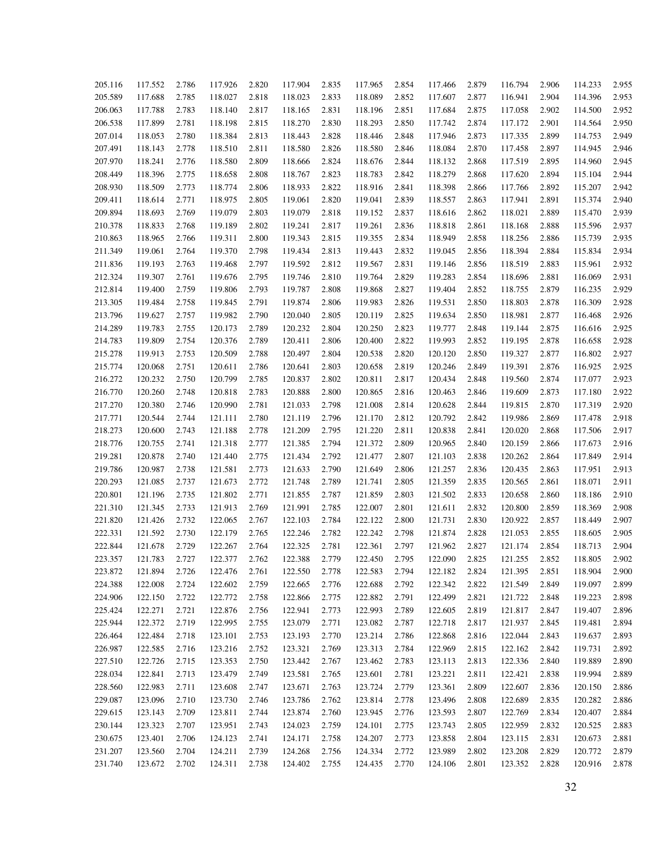| 205.116 | 117.552 | 2.786 | 117.926 | 2.820 | 117.904 | 2.835 | 117.965 | 2.854 | 117.466 | 2.879 | 116.794 | 2.906 | 114.233 | 2.955 |
|---------|---------|-------|---------|-------|---------|-------|---------|-------|---------|-------|---------|-------|---------|-------|
| 205.589 | 117.688 | 2.785 | 118.027 | 2.818 | 118.023 | 2.833 | 118.089 | 2.852 | 117.607 | 2.877 | 116.941 | 2.904 | 114.396 | 2.953 |
| 206.063 | 117.788 | 2.783 | 118.140 | 2.817 | 118.165 | 2.831 | 118.196 | 2.851 | 117.684 | 2.875 | 117.058 | 2.902 | 114.500 | 2.952 |
| 206.538 | 117.899 | 2.781 | 118.198 | 2.815 | 118.270 | 2.830 | 118.293 | 2.850 | 117.742 | 2.874 | 117.172 | 2.901 | 114.564 | 2.950 |
| 207.014 | 118.053 | 2.780 | 118.384 | 2.813 | 118.443 | 2.828 | 118.446 | 2.848 | 117.946 | 2.873 | 117.335 | 2.899 | 114.753 | 2.949 |
| 207.491 | 118.143 | 2.778 | 118.510 | 2.811 | 118.580 | 2.826 | 118.580 | 2.846 | 118.084 | 2.870 | 117.458 | 2.897 | 114.945 | 2.946 |
| 207.970 | 118.241 | 2.776 | 118.580 | 2.809 | 118.666 | 2.824 | 118.676 | 2.844 | 118.132 | 2.868 | 117.519 | 2.895 | 114.960 | 2.945 |
| 208.449 | 118.396 | 2.775 | 118.658 | 2.808 | 118.767 | 2.823 | 118.783 | 2.842 | 118.279 | 2.868 | 117.620 | 2.894 | 115.104 | 2.944 |
| 208.930 | 118.509 | 2.773 | 118.774 | 2.806 | 118.933 | 2.822 | 118.916 | 2.841 | 118.398 | 2.866 | 117.766 | 2.892 | 115.207 | 2.942 |
| 209.411 | 118.614 | 2.771 | 118.975 | 2.805 | 119.061 | 2.820 | 119.041 | 2.839 | 118.557 | 2.863 | 117.941 | 2.891 | 115.374 | 2.940 |
| 209.894 | 118.693 | 2.769 | 119.079 | 2.803 | 119.079 | 2.818 | 119.152 | 2.837 | 118.616 | 2.862 | 118.021 | 2.889 | 115.470 | 2.939 |
| 210.378 | 118.833 | 2.768 | 119.189 | 2.802 | 119.241 | 2.817 | 119.261 | 2.836 | 118.818 | 2.861 | 118.168 | 2.888 | 115.596 | 2.937 |
| 210.863 | 118.965 | 2.766 | 119.311 | 2.800 | 119.343 | 2.815 | 119.355 | 2.834 | 118.949 | 2.858 | 118.256 | 2.886 | 115.739 | 2.935 |
| 211.349 | 119.061 | 2.764 | 119.370 | 2.798 | 119.434 | 2.813 | 119.443 | 2.832 | 119.045 | 2.856 | 118.394 | 2.884 | 115.834 | 2.934 |
| 211.836 | 119.193 | 2.763 | 119.468 | 2.797 | 119.592 | 2.812 | 119.567 | 2.831 | 119.146 | 2.856 | 118.519 | 2.883 | 115.961 | 2.932 |
| 212.324 | 119.307 | 2.761 | 119.676 | 2.795 | 119.746 | 2.810 | 119.764 | 2.829 | 119.283 | 2.854 | 118.696 | 2.881 | 116.069 | 2.931 |
| 212.814 | 119.400 | 2.759 | 119.806 | 2.793 | 119.787 | 2.808 | 119.868 | 2.827 | 119.404 | 2.852 | 118.755 | 2.879 | 116.235 | 2.929 |
| 213.305 | 119.484 | 2.758 | 119.845 | 2.791 | 119.874 | 2.806 | 119.983 | 2.826 | 119.531 | 2.850 | 118.803 | 2.878 | 116.309 | 2.928 |
| 213.796 | 119.627 | 2.757 | 119.982 | 2.790 | 120.040 | 2.805 | 120.119 | 2.825 | 119.634 | 2.850 | 118.981 | 2.877 | 116.468 | 2.926 |
| 214.289 | 119.783 | 2.755 | 120.173 | 2.789 | 120.232 | 2.804 | 120.250 | 2.823 | 119.777 | 2.848 | 119.144 | 2.875 | 116.616 | 2.925 |
| 214.783 | 119.809 | 2.754 | 120.376 | 2.789 | 120.411 | 2.806 | 120.400 | 2.822 | 119.993 | 2.852 | 119.195 | 2.878 | 116.658 | 2.928 |
| 215.278 | 119.913 | 2.753 | 120.509 | 2.788 | 120.497 | 2.804 | 120.538 | 2.820 | 120.120 | 2.850 | 119.327 | 2.877 | 116.802 | 2.927 |
| 215.774 | 120.068 | 2.751 | 120.611 | 2.786 | 120.641 | 2.803 | 120.658 | 2.819 | 120.246 | 2.849 | 119.391 | 2.876 | 116.925 | 2.925 |
| 216.272 | 120.232 | 2.750 | 120.799 | 2.785 | 120.837 | 2.802 | 120.811 | 2.817 | 120.434 | 2.848 | 119.560 | 2.874 | 117.077 | 2.923 |
| 216.770 | 120.260 | 2.748 | 120.818 | 2.783 | 120.888 | 2.800 | 120.865 | 2.816 | 120.463 | 2.846 | 119.609 | 2.873 | 117.180 | 2.922 |
| 217.270 | 120.380 | 2.746 | 120.990 | 2.781 | 121.033 | 2.798 | 121.008 | 2.814 | 120.628 | 2.844 | 119.815 | 2.870 | 117.319 | 2.920 |
| 217.771 | 120.544 | 2.744 | 121.111 | 2.780 | 121.119 | 2.796 | 121.170 | 2.812 | 120.792 | 2.842 | 119.986 | 2.869 | 117.478 | 2.918 |
| 218.273 | 120.600 | 2.743 | 121.188 | 2.778 | 121.209 | 2.795 | 121.220 | 2.811 | 120.838 | 2.841 | 120.020 | 2.868 | 117.506 | 2.917 |
|         | 120.755 |       |         |       | 121.385 |       |         |       | 120.965 |       | 120.159 |       |         | 2.916 |
| 218.776 |         | 2.741 | 121.318 | 2.777 |         | 2.794 | 121.372 | 2.809 |         | 2.840 |         | 2.866 | 117.673 |       |
| 219.281 | 120.878 | 2.740 | 121.440 | 2.775 | 121.434 | 2.792 | 121.477 | 2.807 | 121.103 | 2.838 | 120.262 | 2.864 | 117.849 | 2.914 |
| 219.786 | 120.987 | 2.738 | 121.581 | 2.773 | 121.633 | 2.790 | 121.649 | 2.806 | 121.257 | 2.836 | 120.435 | 2.863 | 117.951 | 2.913 |
| 220.293 | 121.085 | 2.737 | 121.673 | 2.772 | 121.748 | 2.789 | 121.741 | 2.805 | 121.359 | 2.835 | 120.565 | 2.861 | 118.071 | 2.911 |
| 220.801 | 121.196 | 2.735 | 121.802 | 2.771 | 121.855 | 2.787 | 121.859 | 2.803 | 121.502 | 2.833 | 120.658 | 2.860 | 118.186 | 2.910 |
| 221.310 | 121.345 | 2.733 | 121.913 | 2.769 | 121.991 | 2.785 | 122.007 | 2.801 | 121.611 | 2.832 | 120.800 | 2.859 | 118.369 | 2.908 |
| 221.820 | 121.426 | 2.732 | 122.065 | 2.767 | 122.103 | 2.784 | 122.122 | 2.800 | 121.731 | 2.830 | 120.922 | 2.857 | 118.449 | 2.907 |
| 222.331 | 121.592 | 2.730 | 122.179 | 2.765 | 122.246 | 2.782 | 122.242 | 2.798 | 121.874 | 2.828 | 121.053 | 2.855 | 118.605 | 2.905 |
| 222.844 | 121.678 | 2.729 | 122.267 | 2.764 | 122.325 | 2.781 | 122.361 | 2.797 | 121.962 | 2.827 | 121.174 | 2.854 | 118.713 | 2.904 |
| 223.357 | 121.783 | 2.727 | 122.377 | 2.762 | 122.388 | 2.779 | 122.450 | 2.795 | 122.090 | 2.825 | 121.255 | 2.852 | 118.805 | 2.902 |
| 223.872 | 121.894 | 2.726 | 122.476 | 2.761 | 122.550 | 2.778 | 122.583 | 2.794 | 122.182 | 2.824 | 121.395 | 2.851 | 118.904 | 2.900 |
| 224.388 | 122.008 | 2.724 | 122.602 | 2.759 | 122.665 | 2.776 | 122.688 | 2.792 | 122.342 | 2.822 | 121.549 | 2.849 | 119.097 | 2.899 |
| 224.906 | 122.150 | 2.722 | 122.772 | 2.758 | 122.866 | 2.775 | 122.882 | 2.791 | 122.499 | 2.821 | 121.722 | 2.848 | 119.223 | 2.898 |
| 225.424 | 122.271 | 2.721 | 122.876 | 2.756 | 122.941 | 2.773 | 122.993 | 2.789 | 122.605 | 2.819 | 121.817 | 2.847 | 119.407 | 2.896 |
| 225.944 | 122.372 | 2.719 | 122.995 | 2.755 | 123.079 | 2.771 | 123.082 | 2.787 | 122.718 | 2.817 | 121.937 | 2.845 | 119.481 | 2.894 |
| 226.464 | 122.484 | 2.718 | 123.101 | 2.753 | 123.193 | 2.770 | 123.214 | 2.786 | 122.868 | 2.816 | 122.044 | 2.843 | 119.637 | 2.893 |
| 226.987 | 122.585 | 2.716 | 123.216 | 2.752 | 123.321 | 2.769 | 123.313 | 2.784 | 122.969 | 2.815 | 122.162 | 2.842 | 119.731 | 2.892 |
| 227.510 | 122.726 | 2.715 | 123.353 | 2.750 | 123.442 | 2.767 | 123.462 | 2.783 | 123.113 | 2.813 | 122.336 | 2.840 | 119.889 | 2.890 |
| 228.034 | 122.841 | 2.713 | 123.479 | 2.749 | 123.581 | 2.765 | 123.601 | 2.781 | 123.221 | 2.811 | 122.421 | 2.838 | 119.994 | 2.889 |
| 228.560 | 122.983 | 2.711 | 123.608 | 2.747 | 123.671 | 2.763 | 123.724 | 2.779 | 123.361 | 2.809 | 122.607 | 2.836 | 120.150 | 2.886 |
| 229.087 | 123.096 | 2.710 | 123.730 | 2.746 | 123.786 | 2.762 | 123.814 | 2.778 | 123.496 | 2.808 | 122.689 | 2.835 | 120.282 | 2.886 |
| 229.615 | 123.143 | 2.709 | 123.811 | 2.744 | 123.874 | 2.760 | 123.945 | 2.776 | 123.593 | 2.807 | 122.769 | 2.834 | 120.407 | 2.884 |
| 230.144 | 123.323 | 2.707 | 123.951 | 2.743 | 124.023 | 2.759 | 124.101 | 2.775 | 123.743 | 2.805 | 122.959 | 2.832 | 120.525 | 2.883 |
| 230.675 | 123.401 | 2.706 | 124.123 | 2.741 | 124.171 | 2.758 | 124.207 | 2.773 | 123.858 | 2.804 | 123.115 | 2.831 | 120.673 | 2.881 |
| 231.207 | 123.560 | 2.704 | 124.211 | 2.739 | 124.268 | 2.756 | 124.334 | 2.772 | 123.989 | 2.802 | 123.208 | 2.829 | 120.772 | 2.879 |
| 231.740 | 123.672 | 2.702 | 124.311 | 2.738 | 124.402 | 2.755 | 124.435 | 2.770 | 124.106 | 2.801 | 123.352 | 2.828 | 120.916 | 2.878 |
|         |         |       |         |       |         |       |         |       |         |       |         |       |         |       |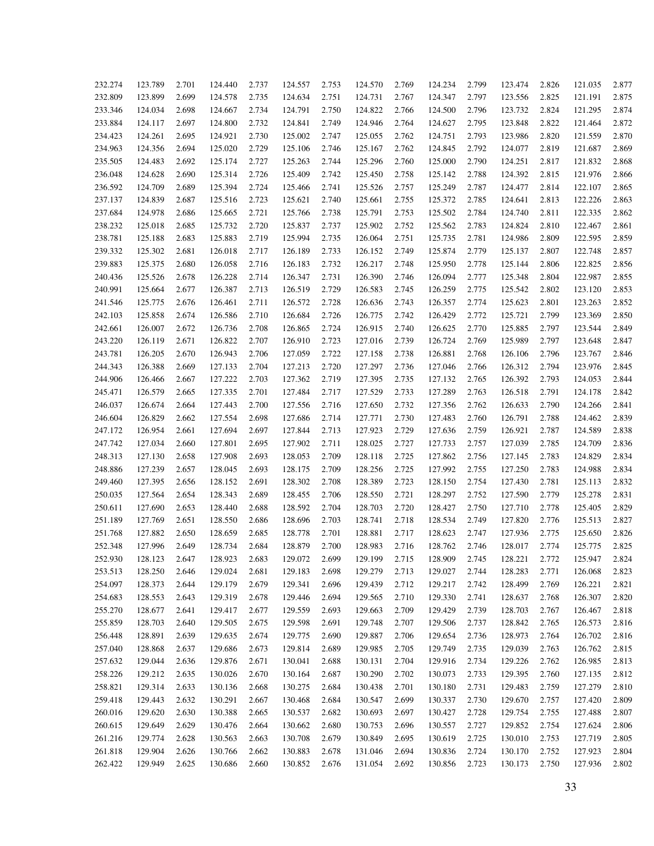| 232.274 | 123.789 | 2.701 | 124.440 | 2.737 | 124.557 | 2.753 | 124.570 | 2.769 | 124.234 | 2.799 | 123.474 | 2.826 | 121.035 | 2.877 |
|---------|---------|-------|---------|-------|---------|-------|---------|-------|---------|-------|---------|-------|---------|-------|
| 232.809 | 123.899 | 2.699 | 124.578 | 2.735 | 124.634 | 2.751 | 124.731 | 2.767 | 124.347 | 2.797 | 123.556 | 2.825 | 121.191 | 2.875 |
| 233.346 | 124.034 | 2.698 | 124.667 | 2.734 | 124.791 | 2.750 | 124.822 | 2.766 | 124.500 | 2.796 | 123.732 | 2.824 | 121.295 | 2.874 |
| 233.884 | 124.117 | 2.697 | 124.800 | 2.732 | 124.841 | 2.749 | 124.946 | 2.764 | 124.627 | 2.795 | 123.848 | 2.822 | 121.464 | 2.872 |
| 234.423 | 124.261 | 2.695 | 124.921 | 2.730 | 125.002 | 2.747 | 125.055 | 2.762 | 124.751 | 2.793 | 123.986 | 2.820 | 121.559 | 2.870 |
| 234.963 | 124.356 | 2.694 | 125.020 | 2.729 | 125.106 | 2.746 | 125.167 | 2.762 | 124.845 | 2.792 | 124.077 | 2.819 | 121.687 | 2.869 |
| 235.505 | 124.483 | 2.692 | 125.174 | 2.727 | 125.263 | 2.744 | 125.296 | 2.760 | 125.000 | 2.790 | 124.251 | 2.817 | 121.832 | 2.868 |
| 236.048 | 124.628 | 2.690 | 125.314 | 2.726 | 125.409 | 2.742 | 125.450 | 2.758 | 125.142 | 2.788 | 124.392 | 2.815 | 121.976 | 2.866 |
| 236.592 | 124.709 | 2.689 | 125.394 | 2.724 | 125.466 | 2.741 | 125.526 | 2.757 | 125.249 | 2.787 | 124.477 | 2.814 | 122.107 | 2.865 |
| 237.137 | 124.839 | 2.687 | 125.516 | 2.723 | 125.621 | 2.740 | 125.661 | 2.755 | 125.372 | 2.785 | 124.641 | 2.813 | 122.226 | 2.863 |
| 237.684 | 124.978 | 2.686 | 125.665 | 2.721 | 125.766 | 2.738 | 125.791 | 2.753 | 125.502 | 2.784 | 124.740 | 2.811 | 122.335 | 2.862 |
| 238.232 | 125.018 | 2.685 | 125.732 | 2.720 | 125.837 | 2.737 | 125.902 | 2.752 | 125.562 | 2.783 | 124.824 | 2.810 | 122.467 | 2.861 |
| 238.781 | 125.188 | 2.683 | 125.883 | 2.719 | 125.994 | 2.735 | 126.064 | 2.751 | 125.735 | 2.781 | 124.986 | 2.809 | 122.595 | 2.859 |
| 239.332 | 125.302 | 2.681 | 126.018 | 2.717 | 126.189 | 2.733 | 126.152 | 2.749 | 125.874 | 2.779 | 125.137 | 2.807 | 122.748 | 2.857 |
| 239.883 | 125.375 | 2.680 | 126.058 | 2.716 | 126.183 | 2.732 | 126.217 | 2.748 | 125.950 | 2.778 | 125.144 | 2.806 | 122.825 | 2.856 |
|         | 125.526 |       |         |       | 126.347 |       |         |       | 126.094 |       | 125.348 |       | 122.987 | 2.855 |
| 240.436 |         | 2.678 | 126.228 | 2.714 |         | 2.731 | 126.390 | 2.746 |         | 2.777 |         | 2.804 |         |       |
| 240.991 | 125.664 | 2.677 | 126.387 | 2.713 | 126.519 | 2.729 | 126.583 | 2.745 | 126.259 | 2.775 | 125.542 | 2.802 | 123.120 | 2.853 |
| 241.546 | 125.775 | 2.676 | 126.461 | 2.711 | 126.572 | 2.728 | 126.636 | 2.743 | 126.357 | 2.774 | 125.623 | 2.801 | 123.263 | 2.852 |
| 242.103 | 125.858 | 2.674 | 126.586 | 2.710 | 126.684 | 2.726 | 126.775 | 2.742 | 126.429 | 2.772 | 125.721 | 2.799 | 123.369 | 2.850 |
| 242.661 | 126.007 | 2.672 | 126.736 | 2.708 | 126.865 | 2.724 | 126.915 | 2.740 | 126.625 | 2.770 | 125.885 | 2.797 | 123.544 | 2.849 |
| 243.220 | 126.119 | 2.671 | 126.822 | 2.707 | 126.910 | 2.723 | 127.016 | 2.739 | 126.724 | 2.769 | 125.989 | 2.797 | 123.648 | 2.847 |
| 243.781 | 126.205 | 2.670 | 126.943 | 2.706 | 127.059 | 2.722 | 127.158 | 2.738 | 126.881 | 2.768 | 126.106 | 2.796 | 123.767 | 2.846 |
| 244.343 | 126.388 | 2.669 | 127.133 | 2.704 | 127.213 | 2.720 | 127.297 | 2.736 | 127.046 | 2.766 | 126.312 | 2.794 | 123.976 | 2.845 |
| 244.906 | 126.466 | 2.667 | 127.222 | 2.703 | 127.362 | 2.719 | 127.395 | 2.735 | 127.132 | 2.765 | 126.392 | 2.793 | 124.053 | 2.844 |
| 245.471 | 126.579 | 2.665 | 127.335 | 2.701 | 127.484 | 2.717 | 127.529 | 2.733 | 127.289 | 2.763 | 126.518 | 2.791 | 124.178 | 2.842 |
| 246.037 | 126.674 | 2.664 | 127.443 | 2.700 | 127.556 | 2.716 | 127.650 | 2.732 | 127.356 | 2.762 | 126.633 | 2.790 | 124.266 | 2.841 |
| 246.604 | 126.829 | 2.662 | 127.554 | 2.698 | 127.686 | 2.714 | 127.771 | 2.730 | 127.483 | 2.760 | 126.791 | 2.788 | 124.462 | 2.839 |
| 247.172 | 126.954 | 2.661 | 127.694 | 2.697 | 127.844 | 2.713 | 127.923 | 2.729 | 127.636 | 2.759 | 126.921 | 2.787 | 124.589 | 2.838 |
| 247.742 | 127.034 | 2.660 | 127.801 | 2.695 | 127.902 | 2.711 | 128.025 | 2.727 | 127.733 | 2.757 | 127.039 | 2.785 | 124.709 | 2.836 |
| 248.313 | 127.130 | 2.658 | 127.908 | 2.693 | 128.053 | 2.709 | 128.118 | 2.725 | 127.862 | 2.756 | 127.145 | 2.783 | 124.829 | 2.834 |
| 248.886 | 127.239 | 2.657 | 128.045 | 2.693 | 128.175 | 2.709 | 128.256 | 2.725 | 127.992 | 2.755 | 127.250 | 2.783 | 124.988 | 2.834 |
| 249.460 | 127.395 | 2.656 | 128.152 | 2.691 | 128.302 | 2.708 | 128.389 | 2.723 | 128.150 | 2.754 | 127.430 | 2.781 | 125.113 | 2.832 |
| 250.035 | 127.564 | 2.654 | 128.343 | 2.689 | 128.455 | 2.706 | 128.550 | 2.721 | 128.297 | 2.752 | 127.590 | 2.779 | 125.278 | 2.831 |
| 250.611 | 127.690 | 2.653 | 128.440 | 2.688 | 128.592 | 2.704 | 128.703 | 2.720 | 128.427 | 2.750 | 127.710 | 2.778 | 125.405 | 2.829 |
| 251.189 | 127.769 | 2.651 | 128.550 | 2.686 | 128.696 | 2.703 | 128.741 | 2.718 | 128.534 | 2.749 | 127.820 | 2.776 | 125.513 | 2.827 |
| 251.768 | 127.882 | 2.650 | 128.659 | 2.685 | 128.778 | 2.701 | 128.881 | 2.717 | 128.623 | 2.747 | 127.936 | 2.775 | 125.650 | 2.826 |
| 252.348 | 127.996 | 2.649 | 128.734 | 2.684 | 128.879 | 2.700 | 128.983 | 2.716 | 128.762 | 2.746 | 128.017 | 2.774 | 125.775 | 2.825 |
| 252.930 | 128.123 | 2.647 | 128.923 | 2.683 | 129.072 | 2.699 | 129.199 | 2.715 | 128.909 | 2.745 | 128.221 | 2.772 | 125.947 | 2.824 |
| 253.513 | 128.250 | 2.646 | 129.024 | 2.681 | 129.183 | 2.698 | 129.279 | 2.713 | 129.027 | 2.744 | 128.283 | 2.771 | 126.068 | 2.823 |
| 254.097 | 128.373 | 2.644 | 129.179 | 2.679 | 129.341 | 2.696 | 129.439 | 2.712 | 129.217 | 2.742 | 128.499 | 2.769 | 126.221 | 2.821 |
| 254.683 | 128.553 | 2.643 | 129.319 | 2.678 | 129.446 | 2.694 | 129.565 | 2.710 | 129.330 | 2.741 | 128.637 | 2.768 | 126.307 | 2.820 |
| 255.270 | 128.677 | 2.641 | 129.417 | 2.677 | 129.559 | 2.693 | 129.663 | 2.709 | 129.429 | 2.739 | 128.703 | 2.767 | 126.467 | 2.818 |
| 255.859 | 128.703 | 2.640 | 129.505 | 2.675 | 129.598 | 2.691 | 129.748 | 2.707 | 129.506 | 2.737 | 128.842 | 2.765 | 126.573 | 2.816 |
| 256.448 | 128.891 | 2.639 | 129.635 | 2.674 | 129.775 | 2.690 | 129.887 | 2.706 | 129.654 | 2.736 | 128.973 | 2.764 | 126.702 | 2.816 |
| 257.040 | 128.868 | 2.637 | 129.686 | 2.673 | 129.814 | 2.689 | 129.985 | 2.705 | 129.749 | 2.735 | 129.039 | 2.763 | 126.762 | 2.815 |
| 257.632 | 129.044 | 2.636 | 129.876 | 2.671 | 130.041 | 2.688 | 130.131 | 2.704 | 129.916 | 2.734 | 129.226 | 2.762 | 126.985 | 2.813 |
| 258.226 | 129.212 | 2.635 | 130.026 | 2.670 | 130.164 | 2.687 | 130.290 | 2.702 | 130.073 | 2.733 | 129.395 | 2.760 | 127.135 | 2.812 |
| 258.821 | 129.314 | 2.633 | 130.136 | 2.668 | 130.275 | 2.684 | 130.438 | 2.701 | 130.180 | 2.731 | 129.483 | 2.759 | 127.279 | 2.810 |
| 259.418 | 129.443 | 2.632 | 130.291 | 2.667 | 130.468 | 2.684 | 130.547 | 2.699 | 130.337 | 2.730 | 129.670 | 2.757 | 127.420 | 2.809 |
| 260.016 | 129.620 | 2.630 | 130.388 | 2.665 | 130.537 | 2.682 | 130.693 | 2.697 | 130.427 | 2.728 | 129.754 | 2.755 | 127.488 | 2.807 |
| 260.615 | 129.649 | 2.629 | 130.476 | 2.664 | 130.662 | 2.680 | 130.753 | 2.696 | 130.557 | 2.727 | 129.852 | 2.754 | 127.624 | 2.806 |
| 261.216 | 129.774 | 2.628 | 130.563 | 2.663 | 130.708 | 2.679 | 130.849 | 2.695 | 130.619 | 2.725 | 130.010 | 2.753 | 127.719 | 2.805 |
| 261.818 | 129.904 | 2.626 | 130.766 | 2.662 | 130.883 | 2.678 | 131.046 | 2.694 | 130.836 | 2.724 | 130.170 | 2.752 | 127.923 | 2.804 |
| 262.422 | 129.949 | 2.625 | 130.686 | 2.660 | 130.852 | 2.676 | 131.054 | 2.692 | 130.856 | 2.723 | 130.173 | 2.750 | 127.936 | 2.802 |
|         |         |       |         |       |         |       |         |       |         |       |         |       |         |       |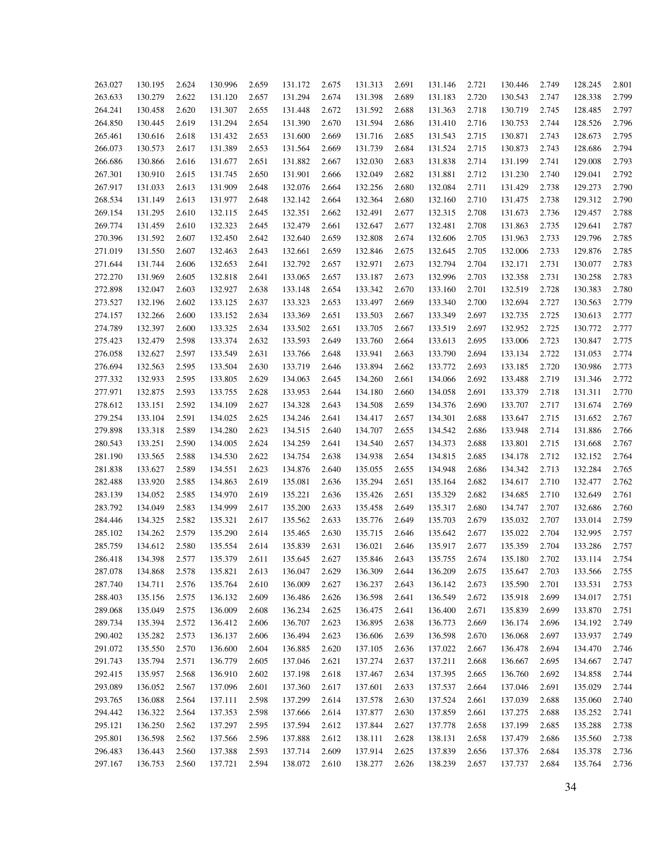| 263.027 | 130.195 | 2.624 | 130.996 | 2.659 | 131.172 | 2.675 | 131.313 | 2.691 | 131.146 | 2.721 | 130.446 | 2.749 | 128.245 | 2.801 |
|---------|---------|-------|---------|-------|---------|-------|---------|-------|---------|-------|---------|-------|---------|-------|
| 263.633 | 130.279 | 2.622 | 131.120 | 2.657 | 131.294 | 2.674 | 131.398 | 2.689 | 131.183 | 2.720 | 130.543 | 2.747 | 128.338 | 2.799 |
| 264.241 | 130.458 | 2.620 | 131.307 | 2.655 | 131.448 | 2.672 | 131.592 | 2.688 | 131.363 | 2.718 | 130.719 | 2.745 | 128.485 | 2.797 |
| 264.850 | 130.445 | 2.619 | 131.294 | 2.654 | 131.390 | 2.670 | 131.594 | 2.686 | 131.410 | 2.716 | 130.753 | 2.744 | 128.526 | 2.796 |
| 265.461 | 130.616 | 2.618 | 131.432 | 2.653 | 131.600 | 2.669 | 131.716 | 2.685 | 131.543 | 2.715 | 130.871 | 2.743 | 128.673 | 2.795 |
| 266.073 | 130.573 | 2.617 | 131.389 | 2.653 | 131.564 | 2.669 | 131.739 | 2.684 | 131.524 | 2.715 | 130.873 | 2.743 | 128.686 | 2.794 |
| 266.686 | 130.866 | 2.616 | 131.677 | 2.651 | 131.882 | 2.667 | 132.030 | 2.683 | 131.838 | 2.714 | 131.199 | 2.741 | 129.008 | 2.793 |
| 267.301 | 130.910 | 2.615 | 131.745 | 2.650 | 131.901 | 2.666 | 132.049 | 2.682 | 131.881 | 2.712 | 131.230 | 2.740 | 129.041 | 2.792 |
| 267.917 | 131.033 | 2.613 | 131.909 | 2.648 | 132.076 | 2.664 | 132.256 | 2.680 | 132.084 | 2.711 | 131.429 | 2.738 | 129.273 | 2.790 |
| 268.534 | 131.149 | 2.613 | 131.977 | 2.648 | 132.142 | 2.664 | 132.364 | 2.680 | 132.160 | 2.710 | 131.475 | 2.738 | 129.312 | 2.790 |
| 269.154 | 131.295 | 2.610 | 132.115 | 2.645 | 132.351 | 2.662 | 132.491 | 2.677 | 132.315 | 2.708 | 131.673 | 2.736 | 129.457 | 2.788 |
| 269.774 | 131.459 | 2.610 | 132.323 | 2.645 | 132.479 | 2.661 | 132.647 | 2.677 | 132.481 | 2.708 | 131.863 | 2.735 | 129.641 | 2.787 |
| 270.396 | 131.592 | 2.607 | 132.450 | 2.642 | 132.640 | 2.659 | 132.808 | 2.674 | 132.606 | 2.705 | 131.963 | 2.733 | 129.796 | 2.785 |
| 271.019 | 131.550 | 2.607 | 132.463 | 2.643 | 132.661 | 2.659 | 132.846 | 2.675 | 132.645 | 2.705 | 132.006 | 2.733 | 129.876 | 2.785 |
| 271.644 | 131.744 | 2.606 | 132.653 | 2.641 | 132.792 | 2.657 | 132.971 | 2.673 | 132.794 | 2.704 | 132.171 | 2.731 | 130.077 | 2.783 |
| 272.270 | 131.969 | 2.605 | 132.818 | 2.641 | 133.065 | 2.657 | 133.187 | 2.673 | 132.996 | 2.703 | 132.358 | 2.731 | 130.258 | 2.783 |
| 272.898 | 132.047 | 2.603 | 132.927 | 2.638 | 133.148 | 2.654 | 133.342 | 2.670 | 133.160 | 2.701 | 132.519 | 2.728 | 130.383 | 2.780 |
| 273.527 | 132.196 | 2.602 | 133.125 | 2.637 | 133.323 | 2.653 | 133.497 | 2.669 | 133.340 | 2.700 | 132.694 | 2.727 | 130.563 | 2.779 |
| 274.157 | 132.266 | 2.600 | 133.152 | 2.634 | 133.369 | 2.651 | 133.503 | 2.667 | 133.349 | 2.697 | 132.735 | 2.725 | 130.613 | 2.777 |
| 274.789 | 132.397 | 2.600 | 133.325 | 2.634 | 133.502 | 2.651 | 133.705 | 2.667 | 133.519 | 2.697 | 132.952 | 2.725 | 130.772 | 2.777 |
| 275.423 | 132.479 | 2.598 | 133.374 | 2.632 | 133.593 | 2.649 | 133.760 | 2.664 | 133.613 | 2.695 | 133.006 | 2.723 | 130.847 | 2.775 |
| 276.058 | 132.627 | 2.597 | 133.549 | 2.631 | 133.766 | 2.648 | 133.941 | 2.663 | 133.790 | 2.694 | 133.134 | 2.722 | 131.053 | 2.774 |
| 276.694 | 132.563 | 2.595 | 133.504 | 2.630 | 133.719 | 2.646 | 133.894 | 2.662 | 133.772 | 2.693 | 133.185 | 2.720 | 130.986 | 2.773 |
| 277.332 | 132.933 | 2.595 | 133.805 | 2.629 | 134.063 | 2.645 | 134.260 | 2.661 | 134.066 | 2.692 | 133.488 | 2.719 | 131.346 | 2.772 |
| 277.971 | 132.875 | 2.593 | 133.755 | 2.628 | 133.953 | 2.644 | 134.180 | 2.660 | 134.058 | 2.691 | 133.379 | 2.718 | 131.311 | 2.770 |
| 278.612 | 133.151 | 2.592 | 134.109 | 2.627 | 134.328 | 2.643 | 134.508 | 2.659 | 134.376 | 2.690 | 133.707 | 2.717 | 131.674 | 2.769 |
| 279.254 | 133.104 | 2.591 | 134.025 | 2.625 | 134.246 | 2.641 | 134.417 | 2.657 | 134.301 | 2.688 | 133.647 | 2.715 | 131.652 | 2.767 |
| 279.898 | 133.318 | 2.589 | 134.280 | 2.623 | 134.515 | 2.640 | 134.707 | 2.655 | 134.542 | 2.686 | 133.948 | 2.714 | 131.886 | 2.766 |
| 280.543 | 133.251 | 2.590 | 134.005 | 2.624 | 134.259 | 2.641 | 134.540 | 2.657 | 134.373 | 2.688 | 133.801 | 2.715 | 131.668 | 2.767 |
| 281.190 | 133.565 | 2.588 | 134.530 | 2.622 | 134.754 | 2.638 | 134.938 | 2.654 | 134.815 | 2.685 | 134.178 | 2.712 | 132.152 | 2.764 |
| 281.838 | 133.627 | 2.589 | 134.551 | 2.623 | 134.876 | 2.640 | 135.055 | 2.655 | 134.948 | 2.686 | 134.342 | 2.713 | 132.284 | 2.765 |
| 282.488 | 133.920 | 2.585 | 134.863 | 2.619 | 135.081 | 2.636 | 135.294 | 2.651 | 135.164 | 2.682 | 134.617 | 2.710 | 132.477 | 2.762 |
|         | 134.052 |       | 134.970 |       | 135.221 |       | 135.426 |       |         |       |         |       |         | 2.761 |
| 283.139 |         | 2.585 |         | 2.619 |         | 2.636 |         | 2.651 | 135.329 | 2.682 | 134.685 | 2.710 | 132.649 |       |
| 283.792 | 134.049 | 2.583 | 134.999 | 2.617 | 135.200 | 2.633 | 135.458 | 2.649 | 135.317 | 2.680 | 134.747 | 2.707 | 132.686 | 2.760 |
| 284.446 | 134.325 | 2.582 | 135.321 | 2.617 | 135.562 | 2.633 | 135.776 | 2.649 | 135.703 | 2.679 | 135.032 | 2.707 | 133.014 | 2.759 |
| 285.102 | 134.262 | 2.579 | 135.290 | 2.614 | 135.465 | 2.630 | 135.715 | 2.646 | 135.642 | 2.677 | 135.022 | 2.704 | 132.995 | 2.757 |
| 285.759 | 134.612 | 2.580 | 135.554 | 2.614 | 135.839 | 2.631 | 136.021 | 2.646 | 135.917 | 2.677 | 135.359 | 2.704 | 133.286 | 2.757 |
| 286.418 | 134.398 | 2.577 | 135.379 | 2.611 | 135.645 | 2.627 | 135.846 | 2.643 | 135.755 | 2.674 | 135.180 | 2.702 | 133.114 | 2.754 |
| 287.078 | 134.868 | 2.578 | 135.821 | 2.613 | 136.047 | 2.629 | 136.309 | 2.644 | 136.209 | 2.675 | 135.647 | 2.703 | 133.566 | 2.755 |
| 287.740 | 134.711 | 2.576 | 135.764 | 2.610 | 136.009 | 2.627 | 136.237 | 2.643 | 136.142 | 2.673 | 135.590 | 2.701 | 133.531 | 2.753 |
| 288.403 | 135.156 | 2.575 | 136.132 | 2.609 | 136.486 | 2.626 | 136.598 | 2.641 | 136.549 | 2.672 | 135.918 | 2.699 | 134.017 | 2.751 |
| 289.068 | 135.049 | 2.575 | 136.009 | 2.608 | 136.234 | 2.625 | 136.475 | 2.641 | 136.400 | 2.671 | 135.839 | 2.699 | 133.870 | 2.751 |
| 289.734 | 135.394 | 2.572 | 136.412 | 2.606 | 136.707 | 2.623 | 136.895 | 2.638 | 136.773 | 2.669 | 136.174 | 2.696 | 134.192 | 2.749 |
| 290.402 | 135.282 | 2.573 | 136.137 | 2.606 | 136.494 | 2.623 | 136.606 | 2.639 | 136.598 | 2.670 | 136.068 | 2.697 | 133.937 | 2.749 |
| 291.072 | 135.550 | 2.570 | 136.600 | 2.604 | 136.885 | 2.620 | 137.105 | 2.636 | 137.022 | 2.667 | 136.478 | 2.694 | 134.470 | 2.746 |
| 291.743 | 135.794 | 2.571 | 136.779 | 2.605 | 137.046 | 2.621 | 137.274 | 2.637 | 137.211 | 2.668 | 136.667 | 2.695 | 134.667 | 2.747 |
| 292.415 | 135.957 | 2.568 | 136.910 | 2.602 | 137.198 | 2.618 | 137.467 | 2.634 | 137.395 | 2.665 | 136.760 | 2.692 | 134.858 | 2.744 |
| 293.089 | 136.052 | 2.567 | 137.096 | 2.601 | 137.360 | 2.617 | 137.601 | 2.633 | 137.537 | 2.664 | 137.046 | 2.691 | 135.029 | 2.744 |
| 293.765 | 136.088 | 2.564 | 137.111 | 2.598 | 137.299 | 2.614 | 137.578 | 2.630 | 137.524 | 2.661 | 137.039 | 2.688 | 135.060 | 2.740 |
| 294.442 | 136.322 | 2.564 | 137.353 | 2.598 | 137.666 | 2.614 | 137.877 | 2.630 | 137.859 | 2.661 | 137.275 | 2.688 | 135.252 | 2.741 |
| 295.121 | 136.250 | 2.562 | 137.297 | 2.595 | 137.594 | 2.612 | 137.844 | 2.627 | 137.778 | 2.658 | 137.199 | 2.685 | 135.288 | 2.738 |
| 295.801 | 136.598 | 2.562 | 137.566 | 2.596 | 137.888 | 2.612 | 138.111 | 2.628 | 138.131 | 2.658 | 137.479 | 2.686 | 135.560 | 2.738 |
| 296.483 | 136.443 | 2.560 | 137.388 | 2.593 | 137.714 | 2.609 | 137.914 | 2.625 | 137.839 | 2.656 | 137.376 | 2.684 | 135.378 | 2.736 |
| 297.167 | 136.753 | 2.560 | 137.721 | 2.594 | 138.072 | 2.610 | 138.277 | 2.626 | 138.239 | 2.657 | 137.737 | 2.684 | 135.764 | 2.736 |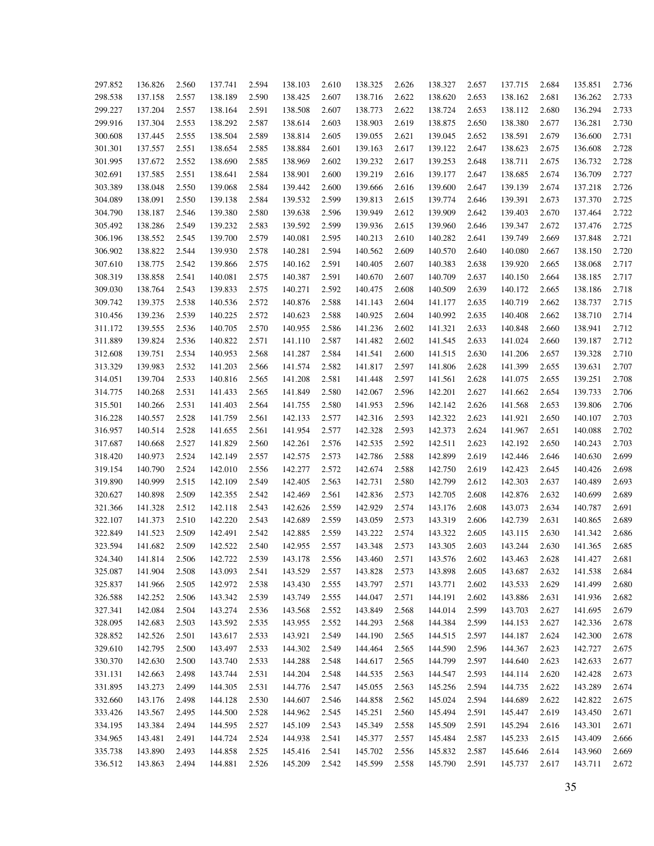| 297.852 | 136.826 | 2.560 | 137.741 | 2.594 | 138.103 | 2.610 | 138.325 | 2.626 | 138.327 | 2.657 | 137.715 | 2.684 | 135.851 | 2.736 |
|---------|---------|-------|---------|-------|---------|-------|---------|-------|---------|-------|---------|-------|---------|-------|
| 298.538 | 137.158 | 2.557 | 138.189 | 2.590 | 138.425 | 2.607 | 138.716 | 2.622 | 138.620 | 2.653 | 138.162 | 2.681 | 136.262 | 2.733 |
| 299.227 | 137.204 | 2.557 | 138.164 | 2.591 | 138.508 | 2.607 | 138.773 | 2.622 | 138.724 | 2.653 | 138.112 | 2.680 | 136.294 | 2.733 |
| 299.916 | 137.304 | 2.553 | 138.292 | 2.587 | 138.614 | 2.603 | 138.903 | 2.619 | 138.875 | 2.650 | 138.380 | 2.677 | 136.281 | 2.730 |
| 300.608 | 137.445 | 2.555 | 138.504 | 2.589 | 138.814 | 2.605 | 139.055 | 2.621 | 139.045 | 2.652 | 138.591 | 2.679 | 136.600 | 2.731 |
| 301.301 | 137.557 | 2.551 | 138.654 | 2.585 | 138.884 | 2.601 | 139.163 | 2.617 | 139.122 | 2.647 | 138.623 | 2.675 | 136.608 | 2.728 |
| 301.995 | 137.672 | 2.552 | 138.690 | 2.585 | 138.969 | 2.602 | 139.232 | 2.617 | 139.253 | 2.648 | 138.711 | 2.675 | 136.732 | 2.728 |
| 302.691 | 137.585 | 2.551 | 138.641 | 2.584 | 138.901 | 2.600 | 139.219 | 2.616 | 139.177 | 2.647 | 138.685 | 2.674 | 136.709 | 2.727 |
| 303.389 | 138.048 | 2.550 | 139.068 | 2.584 | 139.442 | 2.600 | 139.666 | 2.616 | 139.600 | 2.647 | 139.139 | 2.674 | 137.218 | 2.726 |
| 304.089 | 138.091 | 2.550 | 139.138 | 2.584 | 139.532 | 2.599 | 139.813 | 2.615 | 139.774 | 2.646 | 139.391 | 2.673 | 137.370 | 2.725 |
| 304.790 | 138.187 | 2.546 | 139.380 | 2.580 | 139.638 | 2.596 | 139.949 | 2.612 | 139.909 | 2.642 | 139.403 | 2.670 | 137.464 | 2.722 |
| 305.492 | 138.286 | 2.549 | 139.232 | 2.583 | 139.592 | 2.599 | 139.936 | 2.615 | 139.960 | 2.646 | 139.347 | 2.672 | 137.476 | 2.725 |
| 306.196 | 138.552 | 2.545 | 139.700 | 2.579 | 140.081 | 2.595 | 140.213 | 2.610 | 140.282 | 2.641 | 139.749 | 2.669 | 137.848 | 2.721 |
| 306.902 | 138.822 | 2.544 | 139.930 | 2.578 | 140.281 | 2.594 | 140.562 | 2.609 | 140.570 | 2.640 | 140.080 | 2.667 | 138.150 | 2.720 |
| 307.610 | 138.775 | 2.542 | 139.866 | 2.575 | 140.162 | 2.591 | 140.405 | 2.607 | 140.383 | 2.638 | 139.920 | 2.665 | 138.068 | 2.717 |
| 308.319 | 138.858 | 2.541 | 140.081 | 2.575 | 140.387 | 2.591 | 140.670 | 2.607 | 140.709 | 2.637 | 140.150 | 2.664 | 138.185 | 2.717 |
| 309.030 | 138.764 | 2.543 | 139.833 | 2.575 | 140.271 | 2.592 | 140.475 | 2.608 | 140.509 | 2.639 | 140.172 | 2.665 | 138.186 | 2.718 |
| 309.742 | 139.375 | 2.538 | 140.536 | 2.572 | 140.876 | 2.588 | 141.143 | 2.604 | 141.177 | 2.635 | 140.719 | 2.662 | 138.737 | 2.715 |
| 310.456 | 139.236 | 2.539 | 140.225 | 2.572 | 140.623 | 2.588 | 140.925 | 2.604 | 140.992 | 2.635 | 140.408 | 2.662 | 138.710 | 2.714 |
| 311.172 | 139.555 | 2.536 | 140.705 | 2.570 | 140.955 | 2.586 | 141.236 | 2.602 | 141.321 | 2.633 | 140.848 | 2.660 | 138.941 | 2.712 |
| 311.889 | 139.824 | 2.536 | 140.822 | 2.571 | 141.110 | 2.587 | 141.482 | 2.602 | 141.545 | 2.633 | 141.024 | 2.660 | 139.187 | 2.712 |
| 312.608 | 139.751 | 2.534 | 140.953 | 2.568 | 141.287 | 2.584 | 141.541 | 2.600 | 141.515 | 2.630 | 141.206 | 2.657 | 139.328 | 2.710 |
| 313.329 | 139.983 | 2.532 | 141.203 | 2.566 | 141.574 | 2.582 | 141.817 | 2.597 | 141.806 | 2.628 | 141.399 | 2.655 | 139.631 | 2.707 |
| 314.051 | 139.704 | 2.533 | 140.816 | 2.565 | 141.208 | 2.581 | 141.448 | 2.597 | 141.561 | 2.628 | 141.075 | 2.655 | 139.251 | 2.708 |
| 314.775 | 140.268 | 2.531 | 141.433 | 2.565 | 141.849 | 2.580 | 142.067 | 2.596 | 142.201 | 2.627 | 141.662 | 2.654 | 139.733 | 2.706 |
| 315.501 | 140.266 | 2.531 | 141.403 | 2.564 | 141.755 | 2.580 | 141.953 | 2.596 | 142.142 | 2.626 | 141.568 | 2.653 | 139.806 | 2.706 |
| 316.228 | 140.557 | 2.528 | 141.759 | 2.561 | 142.133 | 2.577 | 142.316 | 2.593 | 142.322 | 2.623 | 141.921 | 2.650 | 140.107 | 2.703 |
| 316.957 | 140.514 | 2.528 | 141.655 | 2.561 | 141.954 | 2.577 | 142.328 | 2.593 | 142.373 | 2.624 | 141.967 | 2.651 | 140.088 | 2.702 |
| 317.687 | 140.668 | 2.527 | 141.829 | 2.560 | 142.261 | 2.576 | 142.535 | 2.592 | 142.511 | 2.623 | 142.192 | 2.650 | 140.243 | 2.703 |
| 318.420 | 140.973 | 2.524 | 142.149 | 2.557 | 142.575 | 2.573 | 142.786 | 2.588 | 142.899 | 2.619 | 142.446 | 2.646 | 140.630 | 2.699 |
| 319.154 | 140.790 | 2.524 | 142.010 | 2.556 | 142.277 | 2.572 | 142.674 | 2.588 | 142.750 | 2.619 | 142.423 | 2.645 | 140.426 | 2.698 |
| 319.890 | 140.999 | 2.515 | 142.109 | 2.549 | 142.405 | 2.563 | 142.731 | 2.580 | 142.799 | 2.612 | 142.303 | 2.637 | 140.489 | 2.693 |
| 320.627 | 140.898 | 2.509 | 142.355 | 2.542 | 142.469 | 2.561 | 142.836 | 2.573 | 142.705 | 2.608 | 142.876 | 2.632 | 140.699 | 2.689 |
| 321.366 | 141.328 | 2.512 | 142.118 | 2.543 | 142.626 | 2.559 | 142.929 | 2.574 | 143.176 | 2.608 | 143.073 | 2.634 | 140.787 | 2.691 |
| 322.107 | 141.373 | 2.510 | 142.220 | 2.543 | 142.689 | 2.559 | 143.059 | 2.573 | 143.319 | 2.606 | 142.739 | 2.631 | 140.865 | 2.689 |
| 322.849 | 141.523 | 2.509 | 142.491 | 2.542 | 142.885 | 2.559 | 143.222 | 2.574 | 143.322 | 2.605 | 143.115 | 2.630 | 141.342 | 2.686 |
| 323.594 | 141.682 | 2.509 | 142.522 | 2.540 | 142.955 | 2.557 | 143.348 | 2.573 | 143.305 | 2.603 | 143.244 | 2.630 | 141.365 | 2.685 |
| 324.340 | 141.814 | 2.506 | 142.722 | 2.539 | 143.178 | 2.556 | 143.460 | 2.571 | 143.576 | 2.602 | 143.463 | 2.628 | 141.427 | 2.681 |
| 325.087 | 141.904 | 2.508 | 143.093 | 2.541 | 143.529 | 2.557 | 143.828 | 2.573 | 143.898 | 2.605 | 143.687 | 2.632 | 141.538 | 2.684 |
| 325.837 | 141.966 | 2.505 | 142.972 | 2.538 | 143.430 | 2.555 | 143.797 | 2.571 | 143.771 | 2.602 | 143.533 | 2.629 | 141.499 | 2.680 |
| 326.588 | 142.252 | 2.506 | 143.342 | 2.539 | 143.749 | 2.555 | 144.047 | 2.571 | 144.191 | 2.602 | 143.886 | 2.631 | 141.936 | 2.682 |
| 327.341 | 142.084 | 2.504 | 143.274 | 2.536 | 143.568 | 2.552 | 143.849 | 2.568 | 144.014 | 2.599 | 143.703 | 2.627 | 141.695 | 2.679 |
| 328.095 | 142.683 | 2.503 | 143.592 | 2.535 | 143.955 | 2.552 | 144.293 | 2.568 | 144.384 | 2.599 | 144.153 | 2.627 | 142.336 | 2.678 |
| 328.852 | 142.526 | 2.501 | 143.617 | 2.533 | 143.921 | 2.549 | 144.190 | 2.565 | 144.515 | 2.597 | 144.187 | 2.624 | 142.300 | 2.678 |
| 329.610 | 142.795 | 2.500 | 143.497 | 2.533 | 144.302 | 2.549 | 144.464 | 2.565 | 144.590 | 2.596 | 144.367 | 2.623 | 142.727 | 2.675 |
| 330.370 | 142.630 | 2.500 | 143.740 | 2.533 | 144.288 | 2.548 | 144.617 | 2.565 | 144.799 | 2.597 | 144.640 | 2.623 | 142.633 | 2.677 |
| 331.131 | 142.663 | 2.498 | 143.744 | 2.531 | 144.204 | 2.548 | 144.535 | 2.563 | 144.547 | 2.593 | 144.114 | 2.620 | 142.428 | 2.673 |
| 331.895 | 143.273 | 2.499 | 144.305 | 2.531 | 144.776 | 2.547 | 145.055 | 2.563 | 145.256 | 2.594 | 144.735 | 2.622 | 143.289 | 2.674 |
| 332.660 | 143.176 | 2.498 | 144.128 | 2.530 | 144.607 | 2.546 | 144.858 | 2.562 | 145.024 | 2.594 | 144.689 | 2.622 | 142.822 | 2.675 |
| 333.426 | 143.567 | 2.495 | 144.500 | 2.528 | 144.962 | 2.545 | 145.251 | 2.560 | 145.494 | 2.591 | 145.447 | 2.619 | 143.450 | 2.671 |
| 334.195 | 143.384 | 2.494 | 144.595 | 2.527 | 145.109 | 2.543 | 145.349 | 2.558 | 145.509 | 2.591 | 145.294 | 2.616 | 143.301 | 2.671 |
| 334.965 | 143.481 | 2.491 | 144.724 | 2.524 | 144.938 | 2.541 | 145.377 | 2.557 | 145.484 | 2.587 | 145.233 | 2.615 | 143.409 | 2.666 |
| 335.738 | 143.890 | 2.493 | 144.858 | 2.525 | 145.416 | 2.541 | 145.702 | 2.556 | 145.832 | 2.587 | 145.646 | 2.614 | 143.960 | 2.669 |
| 336.512 | 143.863 | 2.494 | 144.881 | 2.526 | 145.209 | 2.542 | 145.599 | 2.558 | 145.790 | 2.591 | 145.737 | 2.617 | 143.711 | 2.672 |
|         |         |       |         |       |         |       |         |       |         |       |         |       |         |       |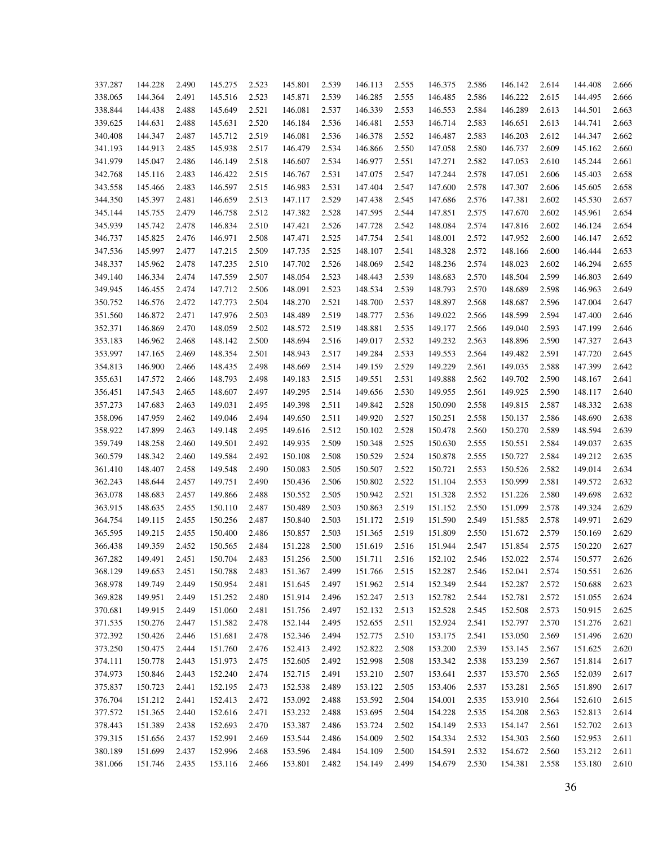| 337.287 | 144.228 | 2.490 | 145.275 | 2.523 | 145.801 | 2.539 | 146.113 | 2.555 | 146.375 | 2.586 | 146.142 | 2.614 | 144.408 | 2.666 |
|---------|---------|-------|---------|-------|---------|-------|---------|-------|---------|-------|---------|-------|---------|-------|
| 338.065 | 144.364 | 2.491 | 145.516 | 2.523 | 145.871 | 2.539 | 146.285 | 2.555 | 146.485 | 2.586 | 146.222 | 2.615 | 144.495 | 2.666 |
| 338.844 | 144.438 | 2.488 | 145.649 | 2.521 | 146.081 | 2.537 | 146.339 | 2.553 | 146.553 | 2.584 | 146.289 | 2.613 | 144.501 | 2.663 |
| 339.625 | 144.631 | 2.488 | 145.631 | 2.520 | 146.184 | 2.536 | 146.481 | 2.553 | 146.714 | 2.583 | 146.651 | 2.613 | 144.741 | 2.663 |
| 340.408 | 144.347 | 2.487 | 145.712 | 2.519 | 146.081 | 2.536 | 146.378 | 2.552 | 146.487 | 2.583 | 146.203 | 2.612 | 144.347 | 2.662 |
| 341.193 | 144.913 | 2.485 | 145.938 | 2.517 | 146.479 | 2.534 | 146.866 | 2.550 | 147.058 | 2.580 | 146.737 | 2.609 | 145.162 | 2.660 |
| 341.979 | 145.047 | 2.486 | 146.149 | 2.518 | 146.607 | 2.534 | 146.977 | 2.551 | 147.271 | 2.582 | 147.053 | 2.610 | 145.244 | 2.661 |
| 342.768 | 145.116 | 2.483 | 146.422 | 2.515 | 146.767 | 2.531 | 147.075 | 2.547 | 147.244 | 2.578 | 147.051 | 2.606 | 145.403 | 2.658 |
| 343.558 | 145.466 | 2.483 | 146.597 | 2.515 | 146.983 | 2.531 | 147.404 | 2.547 | 147.600 | 2.578 | 147.307 | 2.606 | 145.605 | 2.658 |
| 344.350 | 145.397 | 2.481 | 146.659 | 2.513 | 147.117 | 2.529 | 147.438 | 2.545 | 147.686 | 2.576 | 147.381 | 2.602 | 145.530 | 2.657 |
| 345.144 | 145.755 | 2.479 | 146.758 | 2.512 | 147.382 | 2.528 | 147.595 | 2.544 | 147.851 | 2.575 | 147.670 | 2.602 | 145.961 | 2.654 |
| 345.939 | 145.742 | 2.478 | 146.834 | 2.510 | 147.421 | 2.526 | 147.728 | 2.542 | 148.084 | 2.574 | 147.816 | 2.602 | 146.124 | 2.654 |
| 346.737 | 145.825 | 2.476 | 146.971 | 2.508 | 147.471 | 2.525 | 147.754 | 2.541 | 148.001 | 2.572 | 147.952 | 2.600 | 146.147 | 2.652 |
| 347.536 | 145.997 | 2.477 | 147.215 | 2.509 | 147.735 | 2.525 | 148.107 | 2.541 | 148.328 | 2.572 | 148.166 | 2.600 | 146.444 | 2.653 |
| 348.337 | 145.962 | 2.478 | 147.235 | 2.510 | 147.702 | 2.526 | 148.069 | 2.542 | 148.236 | 2.574 | 148.023 | 2.602 | 146.294 | 2.655 |
| 349.140 | 146.334 | 2.474 | 147.559 | 2.507 | 148.054 | 2.523 | 148.443 | 2.539 | 148.683 | 2.570 | 148.504 | 2.599 | 146.803 | 2.649 |
| 349.945 | 146.455 | 2.474 | 147.712 | 2.506 | 148.091 | 2.523 | 148.534 | 2.539 | 148.793 | 2.570 | 148.689 | 2.598 | 146.963 | 2.649 |
| 350.752 | 146.576 | 2.472 | 147.773 | 2.504 | 148.270 | 2.521 | 148.700 | 2.537 | 148.897 | 2.568 | 148.687 | 2.596 | 147.004 | 2.647 |
| 351.560 | 146.872 | 2.471 | 147.976 | 2.503 | 148.489 | 2.519 | 148.777 | 2.536 | 149.022 | 2.566 | 148.599 | 2.594 | 147.400 | 2.646 |
| 352.371 | 146.869 | 2.470 | 148.059 | 2.502 | 148.572 | 2.519 | 148.881 | 2.535 | 149.177 | 2.566 | 149.040 | 2.593 | 147.199 | 2.646 |
| 353.183 | 146.962 | 2.468 | 148.142 | 2.500 | 148.694 | 2.516 | 149.017 | 2.532 | 149.232 | 2.563 | 148.896 | 2.590 | 147.327 | 2.643 |
| 353.997 | 147.165 | 2.469 | 148.354 | 2.501 | 148.943 | 2.517 | 149.284 | 2.533 | 149.553 | 2.564 | 149.482 | 2.591 | 147.720 | 2.645 |
| 354.813 | 146.900 | 2.466 | 148.435 | 2.498 | 148.669 | 2.514 | 149.159 | 2.529 | 149.229 | 2.561 | 149.035 | 2.588 | 147.399 | 2.642 |
| 355.631 | 147.572 | 2.466 | 148.793 | 2.498 | 149.183 | 2.515 | 149.551 | 2.531 | 149.888 | 2.562 | 149.702 | 2.590 | 148.167 | 2.641 |
| 356.451 | 147.543 | 2.465 | 148.607 | 2.497 | 149.295 | 2.514 | 149.656 | 2.530 | 149.955 | 2.561 | 149.925 | 2.590 | 148.117 | 2.640 |
| 357.273 | 147.683 | 2.463 | 149.031 | 2.495 | 149.398 | 2.511 | 149.842 | 2.528 | 150.090 | 2.558 | 149.815 | 2.587 | 148.332 | 2.638 |
| 358.096 | 147.959 | 2.462 | 149.046 | 2.494 | 149.650 | 2.511 | 149.920 | 2.527 | 150.251 | 2.558 | 150.137 | 2.586 | 148.690 | 2.638 |
| 358.922 | 147.899 | 2.463 | 149.148 | 2.495 | 149.616 | 2.512 | 150.102 | 2.528 | 150.478 | 2.560 | 150.270 | 2.589 | 148.594 | 2.639 |
| 359.749 | 148.258 | 2.460 | 149.501 | 2.492 | 149.935 | 2.509 | 150.348 | 2.525 | 150.630 | 2.555 | 150.551 | 2.584 | 149.037 | 2.635 |
| 360.579 | 148.342 | 2.460 | 149.584 | 2.492 | 150.108 | 2.508 | 150.529 | 2.524 | 150.878 | 2.555 | 150.727 | 2.584 | 149.212 | 2.635 |
| 361.410 | 148.407 | 2.458 | 149.548 | 2.490 | 150.083 | 2.505 | 150.507 | 2.522 | 150.721 | 2.553 | 150.526 | 2.582 | 149.014 | 2.634 |
| 362.243 | 148.644 | 2.457 | 149.751 | 2.490 | 150.436 | 2.506 | 150.802 | 2.522 | 151.104 | 2.553 | 150.999 | 2.581 | 149.572 | 2.632 |
| 363.078 | 148.683 | 2.457 | 149.866 | 2.488 | 150.552 | 2.505 | 150.942 | 2.521 | 151.328 | 2.552 | 151.226 | 2.580 | 149.698 | 2.632 |
| 363.915 | 148.635 | 2.455 | 150.110 | 2.487 | 150.489 | 2.503 | 150.863 | 2.519 | 151.152 | 2.550 | 151.099 | 2.578 | 149.324 | 2.629 |
| 364.754 | 149.115 | 2.455 | 150.256 | 2.487 | 150.840 | 2.503 | 151.172 | 2.519 | 151.590 | 2.549 | 151.585 | 2.578 | 149.971 | 2.629 |
| 365.595 | 149.215 | 2.455 | 150.400 | 2.486 | 150.857 | 2.503 | 151.365 | 2.519 | 151.809 | 2.550 | 151.672 | 2.579 | 150.169 | 2.629 |
| 366.438 | 149.359 | 2.452 | 150.565 | 2.484 | 151.228 | 2.500 | 151.619 | 2.516 | 151.944 | 2.547 | 151.854 | 2.575 | 150.220 | 2.627 |
| 367.282 | 149.491 | 2.451 | 150.704 | 2.483 | 151.256 | 2.500 | 151.711 | 2.516 | 152.102 | 2.546 | 152.022 | 2.574 | 150.577 | 2.626 |
| 368.129 | 149.653 | 2.451 | 150.788 | 2.483 | 151.367 | 2.499 | 151.766 | 2.515 | 152.287 | 2.546 | 152.041 | 2.574 | 150.551 | 2.626 |
| 368.978 | 149.749 | 2.449 | 150.954 | 2.481 | 151.645 | 2.497 | 151.962 | 2.514 | 152.349 | 2.544 | 152.287 | 2.572 | 150.688 | 2.623 |
| 369.828 | 149.951 | 2.449 | 151.252 | 2.480 | 151.914 | 2.496 | 152.247 | 2.513 | 152.782 | 2.544 | 152.781 | 2.572 | 151.055 | 2.624 |
| 370.681 | 149.915 | 2.449 | 151.060 | 2.481 | 151.756 | 2.497 | 152.132 | 2.513 | 152.528 | 2.545 | 152.508 | 2.573 | 150.915 | 2.625 |
| 371.535 | 150.276 | 2.447 | 151.582 | 2.478 | 152.144 | 2.495 | 152.655 | 2.511 | 152.924 | 2.541 | 152.797 | 2.570 | 151.276 | 2.621 |
| 372.392 | 150.426 | 2.446 | 151.681 | 2.478 | 152.346 | 2.494 | 152.775 | 2.510 | 153.175 | 2.541 | 153.050 | 2.569 | 151.496 | 2.620 |
| 373.250 | 150.475 | 2.444 | 151.760 | 2.476 | 152.413 | 2.492 | 152.822 | 2.508 | 153.200 | 2.539 | 153.145 | 2.567 | 151.625 | 2.620 |
| 374.111 | 150.778 | 2.443 | 151.973 | 2.475 | 152.605 | 2.492 | 152.998 | 2.508 | 153.342 | 2.538 | 153.239 | 2.567 | 151.814 | 2.617 |
| 374.973 | 150.846 | 2.443 | 152.240 | 2.474 | 152.715 | 2.491 | 153.210 | 2.507 | 153.641 | 2.537 | 153.570 | 2.565 | 152.039 | 2.617 |
| 375.837 | 150.723 | 2.441 | 152.195 | 2.473 | 152.538 | 2.489 | 153.122 | 2.505 | 153.406 | 2.537 | 153.281 | 2.565 | 151.890 | 2.617 |
| 376.704 | 151.212 | 2.441 | 152.413 | 2.472 | 153.092 | 2.488 | 153.592 | 2.504 | 154.001 | 2.535 | 153.910 | 2.564 | 152.610 | 2.615 |
| 377.572 | 151.365 | 2.440 | 152.616 | 2.471 | 153.232 | 2.488 | 153.695 | 2.504 | 154.228 | 2.535 | 154.208 | 2.563 | 152.813 | 2.614 |
| 378.443 | 151.389 | 2.438 | 152.693 | 2.470 | 153.387 | 2.486 | 153.724 | 2.502 | 154.149 | 2.533 | 154.147 | 2.561 | 152.702 | 2.613 |
| 379.315 | 151.656 | 2.437 | 152.991 | 2.469 | 153.544 | 2.486 | 154.009 | 2.502 | 154.334 | 2.532 | 154.303 | 2.560 | 152.953 | 2.611 |
| 380.189 | 151.699 | 2.437 | 152.996 | 2.468 | 153.596 | 2.484 | 154.109 | 2.500 | 154.591 | 2.532 | 154.672 | 2.560 | 153.212 | 2.611 |
| 381.066 | 151.746 | 2.435 | 153.116 | 2.466 | 153.801 | 2.482 | 154.149 | 2.499 | 154.679 | 2.530 | 154.381 | 2.558 | 153.180 | 2.610 |
|         |         |       |         |       |         |       |         |       |         |       |         |       |         |       |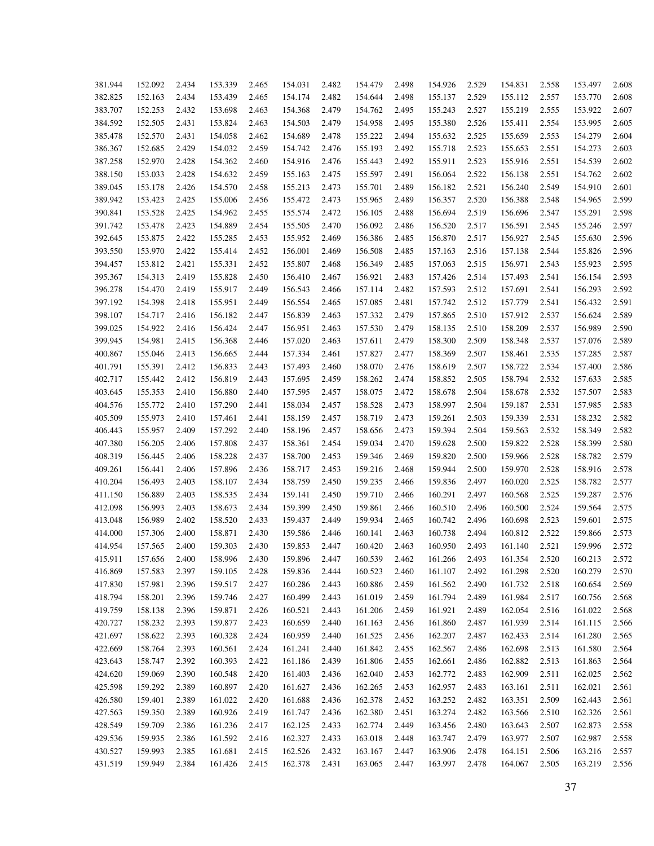| 381.944 | 152.092 | 2.434 | 153.339 | 2.465 | 154.031            | 2.482 | 154.479 | 2.498 | 154.926 | 2.529 | 154.831 | 2.558 | 153.497 | 2.608 |
|---------|---------|-------|---------|-------|--------------------|-------|---------|-------|---------|-------|---------|-------|---------|-------|
| 382.825 | 152.163 | 2.434 | 153.439 | 2.465 | 154.174            | 2.482 | 154.644 | 2.498 | 155.137 | 2.529 | 155.112 | 2.557 | 153.770 | 2.608 |
| 383.707 | 152.253 | 2.432 | 153.698 | 2.463 | 154.368            | 2.479 | 154.762 | 2.495 | 155.243 | 2.527 | 155.219 | 2.555 | 153.922 | 2.607 |
| 384.592 | 152.505 | 2.431 | 153.824 | 2.463 | 154.503            | 2.479 | 154.958 | 2.495 | 155.380 | 2.526 | 155.411 | 2.554 | 153.995 | 2.605 |
| 385.478 | 152.570 | 2.431 | 154.058 | 2.462 | 154.689            | 2.478 | 155.222 | 2.494 | 155.632 | 2.525 | 155.659 | 2.553 | 154.279 | 2.604 |
| 386.367 | 152.685 | 2.429 | 154.032 | 2.459 | 154.742            | 2.476 | 155.193 | 2.492 | 155.718 | 2.523 | 155.653 | 2.551 | 154.273 | 2.603 |
| 387.258 | 152.970 | 2.428 | 154.362 | 2.460 | 154.916            | 2.476 | 155.443 | 2.492 | 155.911 | 2.523 | 155.916 | 2.551 | 154.539 | 2.602 |
| 388.150 | 153.033 | 2.428 | 154.632 | 2.459 | 155.163            | 2.475 | 155.597 | 2.491 | 156.064 | 2.522 | 156.138 | 2.551 | 154.762 | 2.602 |
| 389.045 | 153.178 | 2.426 | 154.570 | 2.458 | 155.213            | 2.473 | 155.701 | 2.489 | 156.182 | 2.521 | 156.240 | 2.549 | 154.910 | 2.601 |
| 389.942 | 153.423 | 2.425 | 155.006 | 2.456 | 155.472            | 2.473 | 155.965 | 2.489 | 156.357 | 2.520 | 156.388 | 2.548 | 154.965 | 2.599 |
| 390.841 | 153.528 | 2.425 | 154.962 | 2.455 | 155.574            | 2.472 | 156.105 | 2.488 | 156.694 | 2.519 | 156.696 | 2.547 | 155.291 | 2.598 |
| 391.742 | 153.478 | 2.423 | 154.889 | 2.454 | 155.505            | 2.470 | 156.092 | 2.486 | 156.520 | 2.517 | 156.591 | 2.545 | 155.246 | 2.597 |
| 392.645 | 153.875 | 2.422 | 155.285 | 2.453 | 155.952            | 2.469 | 156.386 | 2.485 | 156.870 | 2.517 | 156.927 | 2.545 | 155.630 | 2.596 |
| 393.550 | 153.970 | 2.422 | 155.414 | 2.452 | 156.001            | 2.469 | 156.508 | 2.485 | 157.163 | 2.516 | 157.138 | 2.544 | 155.826 | 2.596 |
| 394.457 | 153.812 | 2.421 | 155.331 | 2.452 | 155.807            | 2.468 | 156.349 | 2.485 | 157.063 | 2.515 | 156.971 | 2.543 | 155.923 | 2.595 |
|         | 154.313 |       | 155.828 |       |                    |       |         |       |         |       |         |       |         | 2.593 |
| 395.367 |         | 2.419 |         | 2.450 | 156.410<br>156.543 | 2.467 | 156.921 | 2.483 | 157.426 | 2.514 | 157.493 | 2.541 | 156.154 |       |
| 396.278 | 154.470 | 2.419 | 155.917 | 2.449 |                    | 2.466 | 157.114 | 2.482 | 157.593 | 2.512 | 157.691 | 2.541 | 156.293 | 2.592 |
| 397.192 | 154.398 | 2.418 | 155.951 | 2.449 | 156.554            | 2.465 | 157.085 | 2.481 | 157.742 | 2.512 | 157.779 | 2.541 | 156.432 | 2.591 |
| 398.107 | 154.717 | 2.416 | 156.182 | 2.447 | 156.839            | 2.463 | 157.332 | 2.479 | 157.865 | 2.510 | 157.912 | 2.537 | 156.624 | 2.589 |
| 399.025 | 154.922 | 2.416 | 156.424 | 2.447 | 156.951            | 2.463 | 157.530 | 2.479 | 158.135 | 2.510 | 158.209 | 2.537 | 156.989 | 2.590 |
| 399.945 | 154.981 | 2.415 | 156.368 | 2.446 | 157.020            | 2.463 | 157.611 | 2.479 | 158.300 | 2.509 | 158.348 | 2.537 | 157.076 | 2.589 |
| 400.867 | 155.046 | 2.413 | 156.665 | 2.444 | 157.334            | 2.461 | 157.827 | 2.477 | 158.369 | 2.507 | 158.461 | 2.535 | 157.285 | 2.587 |
| 401.791 | 155.391 | 2.412 | 156.833 | 2.443 | 157.493            | 2.460 | 158.070 | 2.476 | 158.619 | 2.507 | 158.722 | 2.534 | 157.400 | 2.586 |
| 402.717 | 155.442 | 2.412 | 156.819 | 2.443 | 157.695            | 2.459 | 158.262 | 2.474 | 158.852 | 2.505 | 158.794 | 2.532 | 157.633 | 2.585 |
| 403.645 | 155.353 | 2.410 | 156.880 | 2.440 | 157.595            | 2.457 | 158.075 | 2.472 | 158.678 | 2.504 | 158.678 | 2.532 | 157.507 | 2.583 |
| 404.576 | 155.772 | 2.410 | 157.290 | 2.441 | 158.034            | 2.457 | 158.528 | 2.473 | 158.997 | 2.504 | 159.187 | 2.531 | 157.985 | 2.583 |
| 405.509 | 155.973 | 2.410 | 157.461 | 2.441 | 158.159            | 2.457 | 158.719 | 2.473 | 159.261 | 2.503 | 159.339 | 2.531 | 158.232 | 2.582 |
| 406.443 | 155.957 | 2.409 | 157.292 | 2.440 | 158.196            | 2.457 | 158.656 | 2.473 | 159.394 | 2.504 | 159.563 | 2.532 | 158.349 | 2.582 |
| 407.380 | 156.205 | 2.406 | 157.808 | 2.437 | 158.361            | 2.454 | 159.034 | 2.470 | 159.628 | 2.500 | 159.822 | 2.528 | 158.399 | 2.580 |
| 408.319 | 156.445 | 2.406 | 158.228 | 2.437 | 158.700            | 2.453 | 159.346 | 2.469 | 159.820 | 2.500 | 159.966 | 2.528 | 158.782 | 2.579 |
| 409.261 | 156.441 | 2.406 | 157.896 | 2.436 | 158.717            | 2.453 | 159.216 | 2.468 | 159.944 | 2.500 | 159.970 | 2.528 | 158.916 | 2.578 |
| 410.204 | 156.493 | 2.403 | 158.107 | 2.434 | 158.759            | 2.450 | 159.235 | 2.466 | 159.836 | 2.497 | 160.020 | 2.525 | 158.782 | 2.577 |
| 411.150 | 156.889 | 2.403 | 158.535 | 2.434 | 159.141            | 2.450 | 159.710 | 2.466 | 160.291 | 2.497 | 160.568 | 2.525 | 159.287 | 2.576 |
| 412.098 | 156.993 | 2.403 | 158.673 | 2.434 | 159.399            | 2.450 | 159.861 | 2.466 | 160.510 | 2.496 | 160.500 | 2.524 | 159.564 | 2.575 |
| 413.048 | 156.989 | 2.402 | 158.520 | 2.433 | 159.437            | 2.449 | 159.934 | 2.465 | 160.742 | 2.496 | 160.698 | 2.523 | 159.601 | 2.575 |
| 414.000 | 157.306 | 2.400 | 158.871 | 2.430 | 159.586            | 2.446 | 160.141 | 2.463 | 160.738 | 2.494 | 160.812 | 2.522 | 159.866 | 2.573 |
| 414.954 | 157.565 | 2.400 | 159.303 | 2.430 | 159.853            | 2.447 | 160.420 | 2.463 | 160.950 | 2.493 | 161.140 | 2.521 | 159.996 | 2.572 |
| 415.911 | 157.656 | 2.400 | 158.996 | 2.430 | 159.896            | 2.447 | 160.539 | 2.462 | 161.266 | 2.493 | 161.354 | 2.520 | 160.213 | 2.572 |
| 416.869 | 157.583 | 2.397 | 159.105 | 2.428 | 159.836            | 2.444 | 160.523 | 2.460 | 161.107 | 2.492 | 161.298 | 2.520 | 160.279 | 2.570 |
| 417.830 | 157.981 | 2.396 | 159.517 | 2.427 | 160.286            | 2.443 | 160.886 | 2.459 | 161.562 | 2.490 | 161.732 | 2.518 | 160.654 | 2.569 |
| 418.794 | 158.201 | 2.396 | 159.746 | 2.427 | 160.499            | 2.443 | 161.019 | 2.459 | 161.794 | 2.489 | 161.984 | 2.517 | 160.756 | 2.568 |
| 419.759 | 158.138 | 2.396 | 159.871 | 2.426 | 160.521            | 2.443 | 161.206 | 2.459 | 161.921 | 2.489 | 162.054 | 2.516 | 161.022 | 2.568 |
| 420.727 | 158.232 | 2.393 | 159.877 | 2.423 | 160.659            | 2.440 | 161.163 | 2.456 | 161.860 | 2.487 | 161.939 | 2.514 | 161.115 | 2.566 |
| 421.697 | 158.622 | 2.393 | 160.328 | 2.424 | 160.959            | 2.440 | 161.525 | 2.456 | 162.207 | 2.487 | 162.433 | 2.514 | 161.280 | 2.565 |
| 422.669 | 158.764 | 2.393 | 160.561 | 2.424 | 161.241            | 2.440 | 161.842 | 2.455 | 162.567 | 2.486 | 162.698 | 2.513 | 161.580 | 2.564 |
| 423.643 | 158.747 | 2.392 | 160.393 | 2.422 | 161.186            | 2.439 | 161.806 | 2.455 | 162.661 | 2.486 | 162.882 | 2.513 | 161.863 | 2.564 |
| 424.620 | 159.069 | 2.390 | 160.548 | 2.420 | 161.403            | 2.436 | 162.040 | 2.453 | 162.772 | 2.483 | 162.909 | 2.511 | 162.025 | 2.562 |
| 425.598 | 159.292 | 2.389 | 160.897 | 2.420 | 161.627            | 2.436 | 162.265 | 2.453 | 162.957 | 2.483 | 163.161 | 2.511 | 162.021 | 2.561 |
| 426.580 | 159.401 | 2.389 | 161.022 | 2.420 | 161.688            | 2.436 | 162.378 | 2.452 | 163.252 | 2.482 | 163.351 | 2.509 | 162.443 | 2.561 |
| 427.563 | 159.350 | 2.389 | 160.926 | 2.419 | 161.747            | 2.436 | 162.380 | 2.451 | 163.274 | 2.482 | 163.566 | 2.510 | 162.326 | 2.561 |
| 428.549 | 159.709 | 2.386 | 161.236 | 2.417 | 162.125            | 2.433 | 162.774 | 2.449 | 163.456 | 2.480 | 163.643 | 2.507 | 162.873 | 2.558 |
| 429.536 | 159.935 | 2.386 | 161.592 | 2.416 | 162.327            | 2.433 | 163.018 | 2.448 | 163.747 | 2.479 | 163.977 | 2.507 | 162.987 | 2.558 |
| 430.527 | 159.993 | 2.385 | 161.681 | 2.415 | 162.526            | 2.432 | 163.167 | 2.447 | 163.906 | 2.478 | 164.151 | 2.506 | 163.216 | 2.557 |
| 431.519 | 159.949 | 2.384 | 161.426 | 2.415 | 162.378            | 2.431 | 163.065 | 2.447 | 163.997 | 2.478 | 164.067 | 2.505 | 163.219 | 2.556 |
|         |         |       |         |       |                    |       |         |       |         |       |         |       |         |       |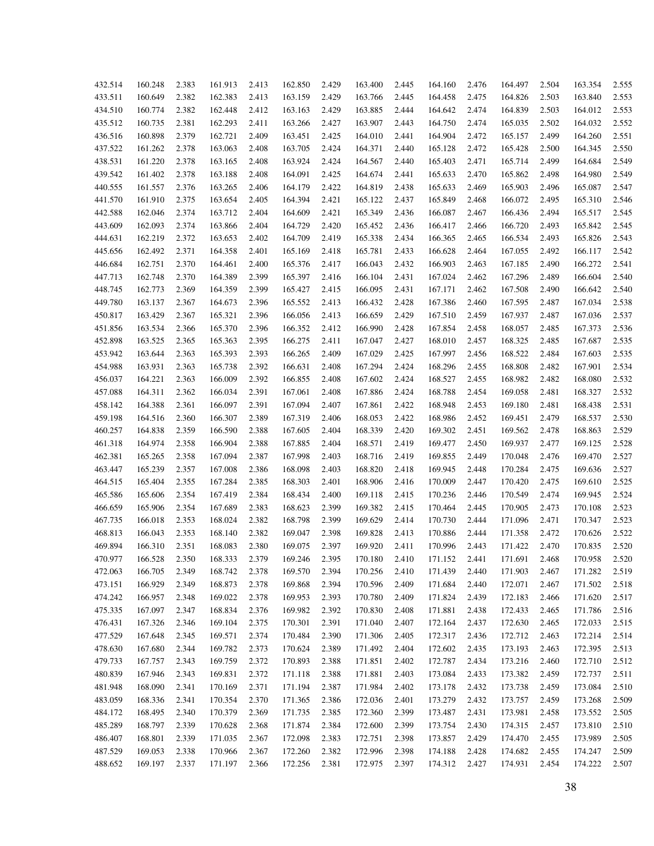| 432.514 | 160.248 | 2.383 | 161.913 | 2.413 | 162.850 | 2.429 | 163.400 | 2.445 | 164.160 | 2.476 | 164.497 | 2.504 | 163.354 | 2.555 |
|---------|---------|-------|---------|-------|---------|-------|---------|-------|---------|-------|---------|-------|---------|-------|
| 433.511 | 160.649 | 2.382 | 162.383 | 2.413 | 163.159 | 2.429 | 163.766 | 2.445 | 164.458 | 2.475 | 164.826 | 2.503 | 163.840 | 2.553 |
| 434.510 | 160.774 | 2.382 | 162.448 | 2.412 | 163.163 | 2.429 | 163.885 | 2.444 | 164.642 | 2.474 | 164.839 | 2.503 | 164.012 | 2.553 |
| 435.512 | 160.735 | 2.381 | 162.293 | 2.411 | 163.266 | 2.427 | 163.907 | 2.443 | 164.750 | 2.474 | 165.035 | 2.502 | 164.032 | 2.552 |
| 436.516 | 160.898 | 2.379 | 162.721 | 2.409 | 163.451 | 2.425 | 164.010 | 2.441 | 164.904 | 2.472 | 165.157 | 2.499 | 164.260 | 2.551 |
| 437.522 | 161.262 | 2.378 | 163.063 | 2.408 | 163.705 | 2.424 | 164.371 | 2.440 | 165.128 | 2.472 | 165.428 | 2.500 | 164.345 | 2.550 |
| 438.531 | 161.220 | 2.378 | 163.165 | 2.408 | 163.924 | 2.424 | 164.567 | 2.440 | 165.403 | 2.471 | 165.714 | 2.499 | 164.684 | 2.549 |
| 439.542 | 161.402 | 2.378 | 163.188 | 2.408 | 164.091 | 2.425 | 164.674 | 2.441 | 165.633 | 2.470 | 165.862 | 2.498 | 164.980 | 2.549 |
| 440.555 | 161.557 | 2.376 | 163.265 | 2.406 | 164.179 | 2.422 | 164.819 | 2.438 | 165.633 | 2.469 | 165.903 | 2.496 | 165.087 | 2.547 |
| 441.570 | 161.910 | 2.375 | 163.654 | 2.405 | 164.394 | 2.421 | 165.122 | 2.437 | 165.849 | 2.468 | 166.072 | 2.495 | 165.310 | 2.546 |
| 442.588 | 162.046 | 2.374 | 163.712 | 2.404 | 164.609 | 2.421 | 165.349 | 2.436 | 166.087 | 2.467 | 166.436 | 2.494 | 165.517 | 2.545 |
| 443.609 | 162.093 | 2.374 | 163.866 | 2.404 | 164.729 | 2.420 | 165.452 | 2.436 | 166.417 | 2.466 | 166.720 | 2.493 | 165.842 | 2.545 |
| 444.631 | 162.219 | 2.372 | 163.653 | 2.402 | 164.709 | 2.419 | 165.338 | 2.434 | 166.365 | 2.465 | 166.534 | 2.493 | 165.826 | 2.543 |
| 445.656 | 162.492 | 2.371 | 164.358 | 2.401 | 165.169 | 2.418 | 165.781 | 2.433 | 166.628 | 2.464 | 167.055 | 2.492 | 166.117 | 2.542 |
| 446.684 | 162.751 | 2.370 | 164.461 | 2.400 | 165.376 | 2.417 | 166.043 | 2.432 | 166.903 | 2.463 | 167.185 | 2.490 | 166.272 | 2.541 |
| 447.713 | 162.748 | 2.370 | 164.389 | 2.399 | 165.397 | 2.416 | 166.104 | 2.431 | 167.024 | 2.462 | 167.296 | 2.489 | 166.604 | 2.540 |
| 448.745 | 162.773 | 2.369 | 164.359 | 2.399 | 165.427 | 2.415 | 166.095 | 2.431 | 167.171 | 2.462 | 167.508 | 2.490 | 166.642 | 2.540 |
| 449.780 | 163.137 | 2.367 | 164.673 | 2.396 | 165.552 | 2.413 | 166.432 | 2.428 | 167.386 | 2.460 | 167.595 | 2.487 | 167.034 | 2.538 |
| 450.817 | 163.429 | 2.367 | 165.321 | 2.396 | 166.056 | 2.413 | 166.659 | 2.429 | 167.510 | 2.459 | 167.937 | 2.487 | 167.036 | 2.537 |
| 451.856 | 163.534 | 2.366 | 165.370 | 2.396 | 166.352 | 2.412 | 166.990 | 2.428 | 167.854 | 2.458 | 168.057 | 2.485 | 167.373 | 2.536 |
| 452.898 | 163.525 | 2.365 | 165.363 | 2.395 | 166.275 | 2.411 | 167.047 | 2.427 | 168.010 | 2.457 | 168.325 | 2.485 | 167.687 | 2.535 |
| 453.942 | 163.644 | 2.363 | 165.393 | 2.393 | 166.265 | 2.409 | 167.029 | 2.425 | 167.997 | 2.456 | 168.522 | 2.484 | 167.603 | 2.535 |
|         |         |       |         |       |         |       |         |       |         | 2.455 |         |       |         | 2.534 |
| 454.988 | 163.931 | 2.363 | 165.738 | 2.392 | 166.631 | 2.408 | 167.294 | 2.424 | 168.296 |       | 168.808 | 2.482 | 167.901 |       |
| 456.037 | 164.221 | 2.363 | 166.009 | 2.392 | 166.855 | 2.408 | 167.602 | 2.424 | 168.527 | 2.455 | 168.982 | 2.482 | 168.080 | 2.532 |
| 457.088 | 164.311 | 2.362 | 166.034 | 2.391 | 167.061 | 2.408 | 167.886 | 2.424 | 168.788 | 2.454 | 169.058 | 2.481 | 168.327 | 2.532 |
| 458.142 | 164.388 | 2.361 | 166.097 | 2.391 | 167.094 | 2.407 | 167.861 | 2.422 | 168.948 | 2.453 | 169.180 | 2.481 | 168.438 | 2.531 |
| 459.198 | 164.516 | 2.360 | 166.307 | 2.389 | 167.319 | 2.406 | 168.053 | 2.422 | 168.986 | 2.452 | 169.451 | 2.479 | 168.537 | 2.530 |
| 460.257 | 164.838 | 2.359 | 166.590 | 2.388 | 167.605 | 2.404 | 168.339 | 2.420 | 169.302 | 2.451 | 169.562 | 2.478 | 168.863 | 2.529 |
| 461.318 | 164.974 | 2.358 | 166.904 | 2.388 | 167.885 | 2.404 | 168.571 | 2.419 | 169.477 | 2.450 | 169.937 | 2.477 | 169.125 | 2.528 |
| 462.381 | 165.265 | 2.358 | 167.094 | 2.387 | 167.998 | 2.403 | 168.716 | 2.419 | 169.855 | 2.449 | 170.048 | 2.476 | 169.470 | 2.527 |
| 463.447 | 165.239 | 2.357 | 167.008 | 2.386 | 168.098 | 2.403 | 168.820 | 2.418 | 169.945 | 2.448 | 170.284 | 2.475 | 169.636 | 2.527 |
| 464.515 | 165.404 | 2.355 | 167.284 | 2.385 | 168.303 | 2.401 | 168.906 | 2.416 | 170.009 | 2.447 | 170.420 | 2.475 | 169.610 | 2.525 |
| 465.586 | 165.606 | 2.354 | 167.419 | 2.384 | 168.434 | 2.400 | 169.118 | 2.415 | 170.236 | 2.446 | 170.549 | 2.474 | 169.945 | 2.524 |
| 466.659 | 165.906 | 2.354 | 167.689 | 2.383 | 168.623 | 2.399 | 169.382 | 2.415 | 170.464 | 2.445 | 170.905 | 2.473 | 170.108 | 2.523 |
| 467.735 | 166.018 | 2.353 | 168.024 | 2.382 | 168.798 | 2.399 | 169.629 | 2.414 | 170.730 | 2.444 | 171.096 | 2.471 | 170.347 | 2.523 |
| 468.813 | 166.043 | 2.353 | 168.140 | 2.382 | 169.047 | 2.398 | 169.828 | 2.413 | 170.886 | 2.444 | 171.358 | 2.472 | 170.626 | 2.522 |
| 469.894 | 166.310 | 2.351 | 168.083 | 2.380 | 169.075 | 2.397 | 169.920 | 2.411 | 170.996 | 2.443 | 171.422 | 2.470 | 170.835 | 2.520 |
| 470.977 | 166.528 | 2.350 | 168.333 | 2.379 | 169.246 | 2.395 | 170.180 | 2.410 | 171.152 | 2.441 | 171.691 | 2.468 | 170.958 | 2.520 |
| 472.063 | 166.705 | 2.349 | 168.742 | 2.378 | 169.570 | 2.394 | 170.256 | 2.410 | 171.439 | 2.440 | 171.903 | 2.467 | 171.282 | 2.519 |
| 473.151 | 166.929 | 2.349 | 168.873 | 2.378 | 169.868 | 2.394 | 170.596 | 2.409 | 171.684 | 2.440 | 172.071 | 2.467 | 171.502 | 2.518 |
| 474.242 | 166.957 | 2.348 | 169.022 | 2.378 | 169.953 | 2.393 | 170.780 | 2.409 | 171.824 | 2.439 | 172.183 | 2.466 | 171.620 | 2.517 |
| 475.335 | 167.097 | 2.347 | 168.834 | 2.376 | 169.982 | 2.392 | 170.830 | 2.408 | 171.881 | 2.438 | 172.433 | 2.465 | 171.786 | 2.516 |
| 476.431 | 167.326 | 2.346 | 169.104 | 2.375 | 170.301 | 2.391 | 171.040 | 2.407 | 172.164 | 2.437 | 172.630 | 2.465 | 172.033 | 2.515 |
| 477.529 | 167.648 | 2.345 | 169.571 | 2.374 | 170.484 | 2.390 | 171.306 | 2.405 | 172.317 | 2.436 | 172.712 | 2.463 | 172.214 | 2.514 |
| 478.630 | 167.680 | 2.344 | 169.782 | 2.373 | 170.624 | 2.389 | 171.492 | 2.404 | 172.602 | 2.435 | 173.193 | 2.463 | 172.395 | 2.513 |
| 479.733 | 167.757 | 2.343 | 169.759 | 2.372 | 170.893 | 2.388 | 171.851 | 2.402 | 172.787 | 2.434 | 173.216 | 2.460 | 172.710 | 2.512 |
| 480.839 | 167.946 | 2.343 | 169.831 | 2.372 | 171.118 | 2.388 | 171.881 | 2.403 | 173.084 | 2.433 | 173.382 | 2.459 | 172.737 | 2.511 |
| 481.948 | 168.090 | 2.341 | 170.169 | 2.371 | 171.194 | 2.387 | 171.984 | 2.402 | 173.178 | 2.432 | 173.738 | 2.459 | 173.084 | 2.510 |
| 483.059 | 168.336 | 2.341 | 170.354 | 2.370 | 171.365 | 2.386 | 172.036 | 2.401 | 173.279 | 2.432 | 173.757 | 2.459 | 173.268 | 2.509 |
| 484.172 | 168.495 | 2.340 | 170.379 | 2.369 | 171.735 | 2.385 | 172.360 | 2.399 | 173.487 | 2.431 | 173.981 | 2.458 | 173.552 | 2.505 |
| 485.289 | 168.797 | 2.339 | 170.628 | 2.368 | 171.874 | 2.384 | 172.600 | 2.399 | 173.754 | 2.430 | 174.315 | 2.457 | 173.810 | 2.510 |
| 486.407 | 168.801 | 2.339 | 171.035 | 2.367 | 172.098 | 2.383 | 172.751 | 2.398 | 173.857 | 2.429 | 174.470 | 2.455 | 173.989 | 2.505 |
| 487.529 | 169.053 | 2.338 | 170.966 | 2.367 | 172.260 | 2.382 | 172.996 | 2.398 | 174.188 | 2.428 | 174.682 | 2.455 | 174.247 | 2.509 |
| 488.652 | 169.197 | 2.337 | 171.197 | 2.366 | 172.256 | 2.381 | 172.975 | 2.397 | 174.312 | 2.427 | 174.931 | 2.454 | 174.222 | 2.507 |
|         |         |       |         |       |         |       |         |       |         |       |         |       |         |       |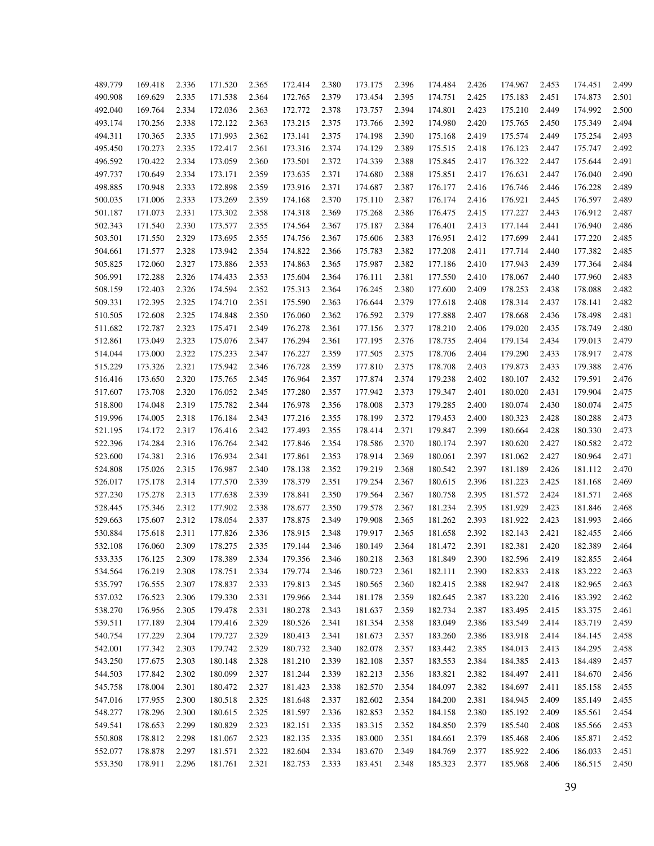| 489.779 |         |       | 171.520 |       | 172.414 | 2.380 |         | 2.396 | 174.484 | 2.426 | 174.967 |       | 174.451            | 2.499 |
|---------|---------|-------|---------|-------|---------|-------|---------|-------|---------|-------|---------|-------|--------------------|-------|
|         | 169.418 | 2.336 |         | 2.365 |         |       | 173.175 |       |         |       |         | 2.453 |                    |       |
| 490.908 | 169.629 | 2.335 | 171.538 | 2.364 | 172.765 | 2.379 | 173.454 | 2.395 | 174.751 | 2.425 | 175.183 | 2.451 | 174.873            | 2.501 |
| 492.040 | 169.764 | 2.334 | 172.036 | 2.363 | 172.772 | 2.378 | 173.757 | 2.394 | 174.801 | 2.423 | 175.210 | 2.449 | 174.992            | 2.500 |
| 493.174 | 170.256 | 2.338 | 172.122 | 2.363 | 173.215 | 2.375 | 173.766 | 2.392 | 174.980 | 2.420 | 175.765 | 2.450 | 175.349            | 2.494 |
| 494.311 | 170.365 | 2.335 | 171.993 | 2.362 | 173.141 | 2.375 | 174.198 | 2.390 | 175.168 | 2.419 | 175.574 | 2.449 | 175.254            | 2.493 |
| 495.450 | 170.273 | 2.335 | 172.417 | 2.361 | 173.316 | 2.374 | 174.129 | 2.389 | 175.515 | 2.418 | 176.123 | 2.447 | 175.747            | 2.492 |
| 496.592 | 170.422 | 2.334 | 173.059 | 2.360 | 173.501 | 2.372 | 174.339 | 2.388 | 175.845 | 2.417 | 176.322 | 2.447 | 175.644            | 2.491 |
| 497.737 | 170.649 | 2.334 | 173.171 | 2.359 | 173.635 | 2.371 | 174.680 | 2.388 | 175.851 | 2.417 | 176.631 | 2.447 | 176.040            | 2.490 |
| 498.885 | 170.948 | 2.333 | 172.898 | 2.359 | 173.916 | 2.371 | 174.687 | 2.387 | 176.177 | 2.416 | 176.746 | 2.446 | 176.228            | 2.489 |
| 500.035 | 171.006 | 2.333 | 173.269 | 2.359 | 174.168 | 2.370 | 175.110 | 2.387 | 176.174 | 2.416 | 176.921 | 2.445 | 176.597            | 2.489 |
| 501.187 | 171.073 | 2.331 | 173.302 | 2.358 | 174.318 | 2.369 | 175.268 | 2.386 | 176.475 | 2.415 | 177.227 | 2.443 | 176.912            | 2.487 |
| 502.343 | 171.540 | 2.330 | 173.577 | 2.355 | 174.564 | 2.367 | 175.187 | 2.384 | 176.401 | 2.413 | 177.144 | 2.441 | 176.940            | 2.486 |
| 503.501 | 171.550 | 2.329 | 173.695 | 2.355 | 174.756 | 2.367 | 175.606 | 2.383 | 176.951 | 2.412 | 177.699 | 2.441 | 177.220            | 2.485 |
| 504.661 | 171.577 | 2.328 | 173.942 | 2.354 | 174.822 | 2.366 | 175.783 | 2.382 | 177.208 | 2.411 | 177.714 | 2.440 | 177.382            | 2.485 |
| 505.825 | 172.060 | 2.327 | 173.886 | 2.353 | 174.863 | 2.365 | 175.987 | 2.382 | 177.186 | 2.410 | 177.943 | 2.439 | 177.364            | 2.484 |
| 506.991 | 172.288 | 2.326 | 174.433 | 2.353 | 175.604 | 2.364 | 176.111 | 2.381 | 177.550 | 2.410 | 178.067 | 2.440 | 177.960            | 2.483 |
| 508.159 | 172.403 | 2.326 | 174.594 | 2.352 | 175.313 | 2.364 | 176.245 | 2.380 | 177.600 | 2.409 | 178.253 | 2.438 | 178.088            | 2.482 |
| 509.331 | 172.395 | 2.325 | 174.710 | 2.351 | 175.590 | 2.363 | 176.644 | 2.379 | 177.618 | 2.408 | 178.314 | 2.437 | 178.141            | 2.482 |
| 510.505 | 172.608 | 2.325 | 174.848 | 2.350 | 176.060 | 2.362 | 176.592 | 2.379 | 177.888 | 2.407 | 178.668 | 2.436 | 178.498            | 2.481 |
| 511.682 | 172.787 | 2.323 | 175.471 | 2.349 | 176.278 | 2.361 | 177.156 | 2.377 | 178.210 | 2.406 | 179.020 | 2.435 | 178.749            | 2.480 |
| 512.861 | 173.049 | 2.323 | 175.076 | 2.347 | 176.294 | 2.361 | 177.195 | 2.376 | 178.735 | 2.404 | 179.134 | 2.434 | 179.013            | 2.479 |
| 514.044 | 173.000 | 2.322 | 175.233 | 2.347 | 176.227 | 2.359 | 177.505 | 2.375 | 178.706 | 2.404 | 179.290 | 2.433 | 178.917            | 2.478 |
| 515.229 | 173.326 | 2.321 | 175.942 | 2.346 | 176.728 | 2.359 | 177.810 | 2.375 | 178.708 | 2.403 | 179.873 | 2.433 | 179.388            | 2.476 |
| 516.416 | 173.650 | 2.320 | 175.765 | 2.345 | 176.964 | 2.357 | 177.874 | 2.374 | 179.238 | 2.402 | 180.107 | 2.432 | 179.591            | 2.476 |
| 517.607 | 173.708 | 2.320 | 176.052 | 2.345 | 177.280 | 2.357 | 177.942 | 2.373 | 179.347 | 2.401 | 180.020 | 2.431 | 179.904            | 2.475 |
| 518.800 | 174.048 | 2.319 | 175.782 | 2.344 | 176.978 | 2.356 | 178.008 | 2.373 | 179.285 | 2.400 | 180.074 | 2.430 | 180.074            | 2.475 |
| 519.996 | 174.005 | 2.318 | 176.184 | 2.343 | 177.216 | 2.355 | 178.199 | 2.372 | 179.453 | 2.400 | 180.323 | 2.428 | 180.288            | 2.473 |
| 521.195 | 174.172 | 2.317 | 176.416 | 2.342 | 177.493 | 2.355 | 178.414 | 2.371 | 179.847 | 2.399 | 180.664 | 2.428 | 180.330            | 2.473 |
| 522.396 | 174.284 | 2.316 | 176.764 | 2.342 | 177.846 | 2.354 | 178.586 | 2.370 | 180.174 | 2.397 | 180.620 | 2.427 | 180.582            | 2.472 |
| 523.600 | 174.381 | 2.316 | 176.934 | 2.341 | 177.861 | 2.353 | 178.914 | 2.369 | 180.061 | 2.397 | 181.062 | 2.427 | 180.964            | 2.471 |
| 524.808 | 175.026 | 2.315 | 176.987 | 2.340 | 178.138 | 2.352 | 179.219 | 2.368 | 180.542 | 2.397 | 181.189 | 2.426 | 181.112            | 2.470 |
| 526.017 | 175.178 | 2.314 | 177.570 | 2.339 | 178.379 | 2.351 | 179.254 | 2.367 | 180.615 | 2.396 | 181.223 | 2.425 | 181.168            | 2.469 |
| 527.230 | 175.278 | 2.313 | 177.638 | 2.339 | 178.841 | 2.350 | 179.564 | 2.367 | 180.758 | 2.395 | 181.572 | 2.424 | 181.571            | 2.468 |
| 528.445 | 175.346 | 2.312 | 177.902 | 2.338 | 178.677 | 2.350 | 179.578 | 2.367 | 181.234 | 2.395 | 181.929 | 2.423 | 181.846            | 2.468 |
|         | 175.607 |       | 178.054 |       | 178.875 |       |         |       | 181.262 |       |         |       |                    | 2.466 |
| 529.663 |         | 2.312 |         | 2.337 | 178.915 | 2.349 | 179.908 | 2.365 | 181.658 | 2.393 | 181.922 | 2.423 | 181.993<br>182.455 |       |
| 530.884 | 175.618 | 2.311 | 177.826 | 2.336 |         | 2.348 | 179.917 | 2.365 |         | 2.392 | 182.143 | 2.421 |                    | 2.466 |
| 532.108 | 176.060 | 2.309 | 178.275 | 2.335 | 179.144 | 2.346 | 180.149 | 2.364 | 181.472 | 2.391 | 182.381 | 2.420 | 182.389            | 2.464 |
| 533.335 | 176.125 | 2.309 | 178.389 | 2.334 | 179.356 | 2.346 | 180.218 | 2.363 | 181.849 | 2.390 | 182.596 | 2.419 | 182.855            | 2.464 |
| 534.564 | 176.219 | 2.308 | 178.751 | 2.334 | 179.774 | 2.346 | 180.723 | 2.361 | 182.111 | 2.390 | 182.833 | 2.418 | 183.222            | 2.463 |
| 535.797 | 176.555 | 2.307 | 178.837 | 2.333 | 179.813 | 2.345 | 180.565 | 2.360 | 182.415 | 2.388 | 182.947 | 2.418 | 182.965            | 2.463 |
| 537.032 | 176.523 | 2.306 | 179.330 | 2.331 | 179.966 | 2.344 | 181.178 | 2.359 | 182.645 | 2.387 | 183.220 | 2.416 | 183.392            | 2.462 |
| 538.270 | 176.956 | 2.305 | 179.478 | 2.331 | 180.278 | 2.343 | 181.637 | 2.359 | 182.734 | 2.387 | 183.495 | 2.415 | 183.375            | 2.461 |
| 539.511 | 177.189 | 2.304 | 179.416 | 2.329 | 180.526 | 2.341 | 181.354 | 2.358 | 183.049 | 2.386 | 183.549 | 2.414 | 183.719            | 2.459 |
| 540.754 | 177.229 | 2.304 | 179.727 | 2.329 | 180.413 | 2.341 | 181.673 | 2.357 | 183.260 | 2.386 | 183.918 | 2.414 | 184.145            | 2.458 |
| 542.001 | 177.342 | 2.303 | 179.742 | 2.329 | 180.732 | 2.340 | 182.078 | 2.357 | 183.442 | 2.385 | 184.013 | 2.413 | 184.295            | 2.458 |
| 543.250 | 177.675 | 2.303 | 180.148 | 2.328 | 181.210 | 2.339 | 182.108 | 2.357 | 183.553 | 2.384 | 184.385 | 2.413 | 184.489            | 2.457 |
| 544.503 | 177.842 | 2.302 | 180.099 | 2.327 | 181.244 | 2.339 | 182.213 | 2.356 | 183.821 | 2.382 | 184.497 | 2.411 | 184.670            | 2.456 |
| 545.758 | 178.004 | 2.301 | 180.472 | 2.327 | 181.423 | 2.338 | 182.570 | 2.354 | 184.097 | 2.382 | 184.697 | 2.411 | 185.158            | 2.455 |
| 547.016 | 177.955 | 2.300 | 180.518 | 2.325 | 181.648 | 2.337 | 182.602 | 2.354 | 184.200 | 2.381 | 184.945 | 2.409 | 185.149            | 2.455 |
| 548.277 | 178.296 | 2.300 | 180.615 | 2.325 | 181.597 | 2.336 | 182.853 | 2.352 | 184.158 | 2.380 | 185.192 | 2.409 | 185.561            | 2.454 |
| 549.541 | 178.653 | 2.299 | 180.829 | 2.323 | 182.151 | 2.335 | 183.315 | 2.352 | 184.850 | 2.379 | 185.540 | 2.408 | 185.566            | 2.453 |
| 550.808 | 178.812 | 2.298 | 181.067 | 2.323 | 182.135 | 2.335 | 183.000 | 2.351 | 184.661 | 2.379 | 185.468 | 2.406 | 185.871            | 2.452 |
| 552.077 | 178.878 | 2.297 | 181.571 | 2.322 | 182.604 | 2.334 | 183.670 | 2.349 | 184.769 | 2.377 | 185.922 | 2.406 | 186.033            | 2.451 |
| 553.350 | 178.911 | 2.296 | 181.761 | 2.321 | 182.753 | 2.333 | 183.451 | 2.348 | 185.323 | 2.377 | 185.968 | 2.406 | 186.515            | 2.450 |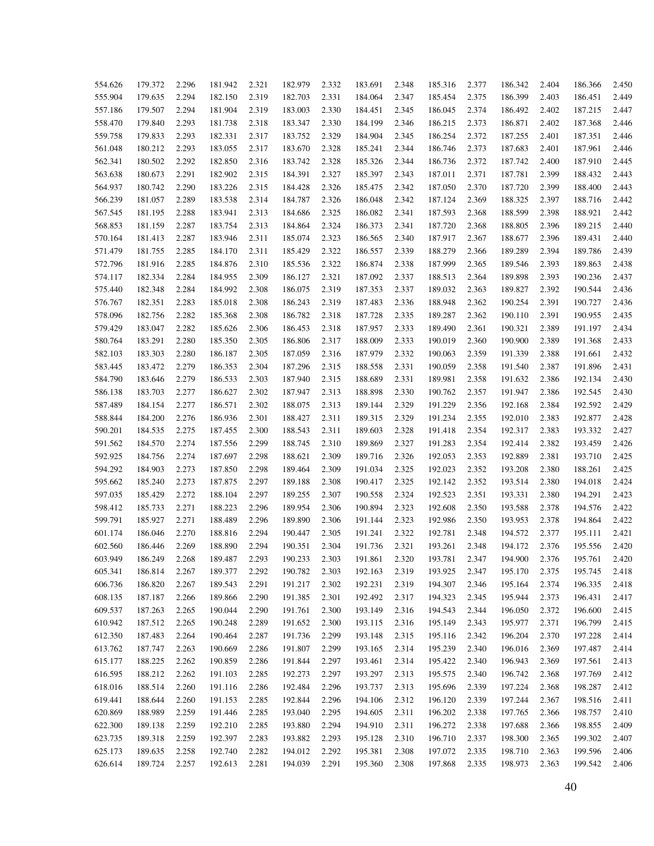| 554.626 | 179.372 | 2.296 | 181.942 | 2.321 | 182.979 | 2.332 | 183.691 | 2.348 | 185.316 | 2.377 | 186.342 | 2.404 | 186.366 | 2.450 |
|---------|---------|-------|---------|-------|---------|-------|---------|-------|---------|-------|---------|-------|---------|-------|
| 555.904 | 179.635 | 2.294 | 182.150 | 2.319 | 182.703 | 2.331 | 184.064 | 2.347 | 185.454 | 2.375 | 186.399 | 2.403 | 186.451 | 2.449 |
| 557.186 | 179.507 | 2.294 | 181.904 | 2.319 | 183.003 | 2.330 | 184.451 | 2.345 | 186.045 | 2.374 | 186.492 | 2.402 | 187.215 | 2.447 |
| 558.470 | 179.840 | 2.293 | 181.738 | 2.318 | 183.347 | 2.330 | 184.199 | 2.346 | 186.215 | 2.373 | 186.871 | 2.402 | 187.368 | 2.446 |
| 559.758 | 179.833 | 2.293 | 182.331 | 2.317 | 183.752 | 2.329 | 184.904 | 2.345 | 186.254 | 2.372 | 187.255 | 2.401 | 187.351 | 2.446 |
| 561.048 | 180.212 | 2.293 | 183.055 | 2.317 | 183.670 | 2.328 | 185.241 | 2.344 | 186.746 | 2.373 | 187.683 | 2.401 | 187.961 | 2.446 |
| 562.341 | 180.502 | 2.292 | 182.850 | 2.316 | 183.742 | 2.328 | 185.326 | 2.344 | 186.736 | 2.372 | 187.742 | 2.400 | 187.910 | 2.445 |
| 563.638 | 180.673 | 2.291 | 182.902 | 2.315 | 184.391 | 2.327 | 185.397 | 2.343 | 187.011 | 2.371 | 187.781 | 2.399 | 188.432 | 2.443 |
| 564.937 | 180.742 | 2.290 | 183.226 | 2.315 | 184.428 | 2.326 | 185.475 | 2.342 | 187.050 | 2.370 | 187.720 | 2.399 | 188.400 | 2.443 |
| 566.239 | 181.057 | 2.289 | 183.538 | 2.314 | 184.787 | 2.326 | 186.048 | 2.342 | 187.124 | 2.369 | 188.325 | 2.397 | 188.716 | 2.442 |
| 567.545 | 181.195 | 2.288 | 183.941 | 2.313 | 184.686 | 2.325 | 186.082 | 2.341 | 187.593 | 2.368 | 188.599 | 2.398 | 188.921 | 2.442 |
| 568.853 | 181.159 | 2.287 | 183.754 | 2.313 | 184.864 | 2.324 | 186.373 | 2.341 | 187.720 | 2.368 | 188.805 | 2.396 | 189.215 | 2.440 |
| 570.164 | 181.413 | 2.287 | 183.946 | 2.311 | 185.074 | 2.323 | 186.565 | 2.340 | 187.917 | 2.367 | 188.677 | 2.396 | 189.431 | 2.440 |
| 571.479 | 181.755 | 2.285 | 184.170 | 2.311 | 185.429 | 2.322 | 186.557 | 2.339 | 188.279 | 2.366 | 189.289 | 2.394 | 189.786 | 2.439 |
| 572.796 | 181.916 | 2.285 | 184.876 | 2.310 | 185.536 | 2.322 | 186.874 | 2.338 | 187.999 | 2.365 | 189.546 | 2.393 | 189.863 | 2.438 |
| 574.117 | 182.334 | 2.284 | 184.955 | 2.309 | 186.127 | 2.321 | 187.092 | 2.337 | 188.513 | 2.364 | 189.898 | 2.393 | 190.236 | 2.437 |
| 575.440 | 182.348 | 2.284 | 184.992 | 2.308 | 186.075 | 2.319 | 187.353 | 2.337 | 189.032 | 2.363 | 189.827 | 2.392 | 190.544 | 2.436 |
| 576.767 | 182.351 | 2.283 | 185.018 | 2.308 | 186.243 | 2.319 | 187.483 | 2.336 | 188.948 | 2.362 | 190.254 | 2.391 | 190.727 | 2.436 |
| 578.096 | 182.756 | 2.282 | 185.368 | 2.308 | 186.782 | 2.318 | 187.728 | 2.335 | 189.287 | 2.362 | 190.110 | 2.391 | 190.955 | 2.435 |
| 579.429 | 183.047 | 2.282 | 185.626 | 2.306 | 186.453 | 2.318 | 187.957 | 2.333 | 189.490 | 2.361 | 190.321 | 2.389 | 191.197 | 2.434 |
| 580.764 | 183.291 | 2.280 | 185.350 | 2.305 | 186.806 | 2.317 | 188.009 | 2.333 | 190.019 | 2.360 | 190.900 | 2.389 | 191.368 | 2.433 |
| 582.103 | 183.303 | 2.280 | 186.187 | 2.305 | 187.059 | 2.316 | 187.979 | 2.332 | 190.063 | 2.359 | 191.339 | 2.388 | 191.661 | 2.432 |
| 583.445 | 183.472 | 2.279 | 186.353 | 2.304 | 187.296 | 2.315 | 188.558 | 2.331 | 190.059 | 2.358 | 191.540 | 2.387 | 191.896 | 2.431 |
| 584.790 | 183.646 | 2.279 | 186.533 | 2.303 | 187.940 | 2.315 | 188.689 | 2.331 | 189.981 | 2.358 | 191.632 | 2.386 | 192.134 | 2.430 |
| 586.138 | 183.703 | 2.277 | 186.627 | 2.302 | 187.947 | 2.313 | 188.898 | 2.330 | 190.762 | 2.357 | 191.947 | 2.386 | 192.545 | 2.430 |
| 587.489 | 184.154 | 2.277 | 186.571 | 2.302 | 188.075 | 2.313 | 189.144 | 2.329 | 191.229 | 2.356 | 192.168 | 2.384 | 192.592 | 2.429 |
| 588.844 | 184.200 | 2.276 | 186.936 | 2.301 | 188.427 | 2.311 | 189.315 | 2.329 | 191.234 | 2.355 | 192.010 | 2.383 | 192.877 | 2.428 |
| 590.201 | 184.535 | 2.275 | 187.455 | 2.300 | 188.543 | 2.311 | 189.603 | 2.328 | 191.418 | 2.354 | 192.317 | 2.383 | 193.332 | 2.427 |
| 591.562 | 184.570 | 2.274 | 187.556 | 2.299 | 188.745 | 2.310 | 189.869 | 2.327 | 191.283 | 2.354 | 192.414 | 2.382 | 193.459 | 2.426 |
| 592.925 | 184.756 | 2.274 | 187.697 | 2.298 | 188.621 | 2.309 | 189.716 | 2.326 | 192.053 | 2.353 | 192.889 | 2.381 | 193.710 | 2.425 |
| 594.292 | 184.903 | 2.273 | 187.850 | 2.298 | 189.464 | 2.309 | 191.034 | 2.325 | 192.023 | 2.352 | 193.208 | 2.380 | 188.261 | 2.425 |
| 595.662 | 185.240 | 2.273 | 187.875 | 2.297 | 189.188 | 2.308 | 190.417 | 2.325 | 192.142 | 2.352 | 193.514 | 2.380 | 194.018 | 2.424 |
| 597.035 | 185.429 | 2.272 | 188.104 | 2.297 | 189.255 | 2.307 | 190.558 | 2.324 | 192.523 | 2.351 | 193.331 | 2.380 | 194.291 | 2.423 |
| 598.412 | 185.733 | 2.271 | 188.223 | 2.296 | 189.954 | 2.306 | 190.894 | 2.323 | 192.608 | 2.350 | 193.588 | 2.378 | 194.576 | 2.422 |
| 599.791 | 185.927 | 2.271 | 188.489 | 2.296 | 189.890 | 2.306 | 191.144 | 2.323 | 192.986 | 2.350 | 193.953 | 2.378 | 194.864 | 2.422 |
| 601.174 | 186.046 | 2.270 | 188.816 | 2.294 | 190.447 | 2.305 | 191.241 | 2.322 | 192.781 | 2.348 | 194.572 | 2.377 | 195.111 | 2.421 |
| 602.560 | 186.446 | 2.269 | 188.890 | 2.294 | 190.351 | 2.304 | 191.736 | 2.321 | 193.261 | 2.348 | 194.172 | 2.376 | 195.556 | 2.420 |
| 603.949 | 186.249 | 2.268 | 189.487 | 2.293 | 190.233 | 2.303 | 191.861 | 2.320 | 193.781 | 2.347 | 194.900 | 2.376 | 195.761 | 2.420 |
| 605.341 | 186.814 | 2.267 | 189.377 | 2.292 | 190.782 | 2.303 | 192.163 | 2.319 | 193.925 | 2.347 | 195.170 | 2.375 | 195.745 | 2.418 |
| 606.736 | 186.820 | 2.267 | 189.543 | 2.291 | 191.217 | 2.302 | 192.231 | 2.319 | 194.307 | 2.346 | 195.164 | 2.374 | 196.335 | 2.418 |
| 608.135 | 187.187 | 2.266 | 189.866 | 2.290 | 191.385 | 2.301 | 192.492 | 2.317 | 194.323 | 2.345 | 195.944 | 2.373 | 196.431 | 2.417 |
| 609.537 | 187.263 | 2.265 | 190.044 | 2.290 | 191.761 | 2.300 | 193.149 | 2.316 | 194.543 | 2.344 | 196.050 | 2.372 | 196.600 | 2.415 |
| 610.942 | 187.512 | 2.265 | 190.248 | 2.289 | 191.652 | 2.300 | 193.115 | 2.316 | 195.149 | 2.343 | 195.977 | 2.371 | 196.799 | 2.415 |
| 612.350 | 187.483 | 2.264 | 190.464 | 2.287 | 191.736 | 2.299 | 193.148 | 2.315 | 195.116 | 2.342 | 196.204 | 2.370 | 197.228 | 2.414 |
| 613.762 | 187.747 | 2.263 | 190.669 | 2.286 | 191.807 | 2.299 | 193.165 | 2.314 | 195.239 | 2.340 | 196.016 | 2.369 | 197.487 | 2.414 |
| 615.177 | 188.225 | 2.262 | 190.859 | 2.286 | 191.844 | 2.297 | 193.461 | 2.314 | 195.422 | 2.340 | 196.943 | 2.369 | 197.561 | 2.413 |
| 616.595 | 188.212 | 2.262 | 191.103 | 2.285 | 192.273 | 2.297 | 193.297 | 2.313 | 195.575 | 2.340 | 196.742 | 2.368 | 197.769 | 2.412 |
| 618.016 | 188.514 | 2.260 | 191.116 | 2.286 | 192.484 | 2.296 | 193.737 | 2.313 | 195.696 | 2.339 | 197.224 | 2.368 | 198.287 | 2.412 |
| 619.441 | 188.644 | 2.260 | 191.153 | 2.285 | 192.844 | 2.296 | 194.106 | 2.312 | 196.120 | 2.339 | 197.244 | 2.367 | 198.516 | 2.411 |
| 620.869 | 188.989 | 2.259 | 191.446 | 2.285 | 193.040 | 2.295 | 194.605 | 2.311 | 196.202 | 2.338 | 197.765 | 2.366 | 198.757 | 2.410 |
| 622.300 | 189.138 | 2.259 | 192.210 | 2.285 | 193.880 | 2.294 | 194.910 | 2.311 | 196.272 | 2.338 | 197.688 | 2.366 | 198.855 | 2.409 |
| 623.735 | 189.318 | 2.259 | 192.397 | 2.283 | 193.882 | 2.293 | 195.128 | 2.310 | 196.710 | 2.337 | 198.300 | 2.365 | 199.302 | 2.407 |
| 625.173 | 189.635 | 2.258 | 192.740 | 2.282 | 194.012 | 2.292 | 195.381 | 2.308 | 197.072 | 2.335 | 198.710 | 2.363 | 199.596 | 2.406 |
| 626.614 | 189.724 | 2.257 | 192.613 | 2.281 | 194.039 | 2.291 | 195.360 | 2.308 | 197.868 | 2.335 | 198.973 | 2.363 | 199.542 | 2.406 |
|         |         |       |         |       |         |       |         |       |         |       |         |       |         |       |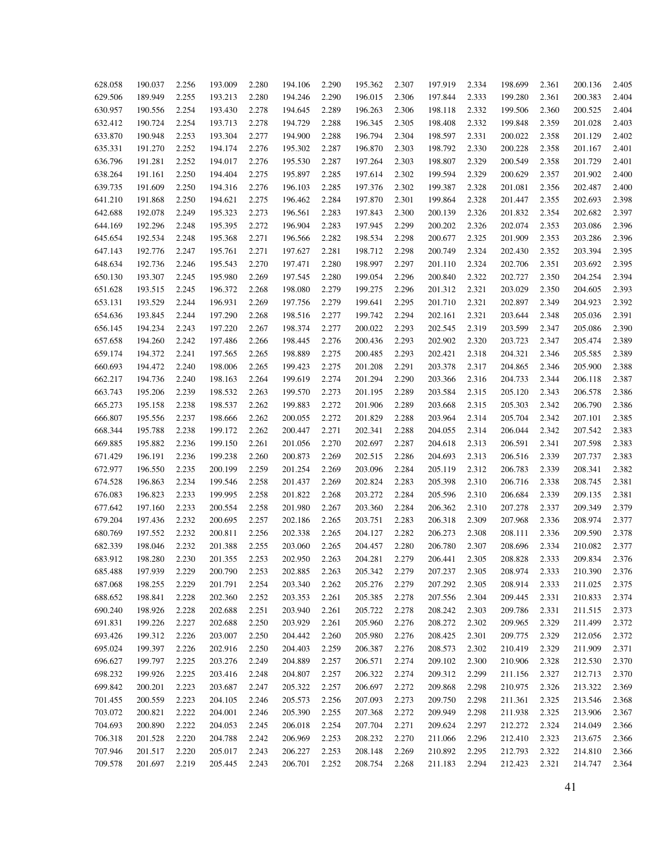| 628.058 | 190.037 | 2.256          | 193.009 | 2.280 | 194.106 | 2.290 | 195.362 | 2.307 | 197.919 | 2.334 | 198.699 | 2.361 | 200.136            | 2.405 |
|---------|---------|----------------|---------|-------|---------|-------|---------|-------|---------|-------|---------|-------|--------------------|-------|
| 629.506 | 189.949 | 2.255          | 193.213 | 2.280 | 194.246 | 2.290 | 196.015 | 2.306 | 197.844 | 2.333 | 199.280 | 2.361 | 200.383            | 2.404 |
| 630.957 | 190.556 | 2.254          | 193.430 | 2.278 | 194.645 | 2.289 | 196.263 | 2.306 | 198.118 | 2.332 | 199.506 | 2.360 | 200.525            | 2.404 |
| 632.412 | 190.724 | 2.254          | 193.713 | 2.278 | 194.729 | 2.288 | 196.345 | 2.305 | 198.408 | 2.332 | 199.848 | 2.359 | 201.028            | 2.403 |
| 633.870 | 190.948 | 2.253          | 193.304 | 2.277 | 194.900 | 2.288 | 196.794 | 2.304 | 198.597 | 2.331 | 200.022 | 2.358 | 201.129            | 2.402 |
| 635.331 | 191.270 | 2.252          | 194.174 | 2.276 | 195.302 | 2.287 | 196.870 | 2.303 | 198.792 | 2.330 | 200.228 | 2.358 | 201.167            | 2.401 |
| 636.796 | 191.281 | 2.252          | 194.017 | 2.276 | 195.530 | 2.287 | 197.264 | 2.303 | 198.807 | 2.329 | 200.549 | 2.358 | 201.729            | 2.401 |
| 638.264 | 191.161 | 2.250          | 194.404 | 2.275 | 195.897 | 2.285 | 197.614 | 2.302 | 199.594 | 2.329 | 200.629 | 2.357 | 201.902            | 2.400 |
| 639.735 | 191.609 | 2.250          | 194.316 | 2.276 | 196.103 | 2.285 | 197.376 | 2.302 | 199.387 | 2.328 | 201.081 | 2.356 | 202.487            | 2.400 |
| 641.210 | 191.868 | 2.250          | 194.621 | 2.275 | 196.462 | 2.284 | 197.870 | 2.301 | 199.864 | 2.328 | 201.447 | 2.355 | 202.693            | 2.398 |
| 642.688 | 192.078 | 2.249          | 195.323 | 2.273 | 196.561 | 2.283 | 197.843 | 2.300 | 200.139 | 2.326 | 201.832 | 2.354 | 202.682            | 2.397 |
| 644.169 | 192.296 | 2.248          | 195.395 | 2.272 | 196.904 | 2.283 | 197.945 | 2.299 | 200.202 | 2.326 | 202.074 | 2.353 | 203.086            | 2.396 |
| 645.654 | 192.534 | 2.248          | 195.368 | 2.271 | 196.566 | 2.282 | 198.534 | 2.298 | 200.677 | 2.325 | 201.909 | 2.353 | 203.286            | 2.396 |
| 647.143 | 192.776 | 2.247          | 195.761 | 2.271 | 197.627 | 2.281 | 198.712 | 2.298 | 200.749 | 2.324 | 202.430 | 2.352 | 203.394            | 2.395 |
| 648.634 | 192.736 | 2.246          | 195.543 | 2.270 | 197.471 | 2.280 | 198.997 | 2.297 | 201.110 | 2.324 | 202.706 | 2.351 | 203.692            | 2.395 |
| 650.130 | 193.307 | 2.245          | 195.980 | 2.269 | 197.545 | 2.280 | 199.054 | 2.296 | 200.840 | 2.322 | 202.727 | 2.350 | 204.254            | 2.394 |
| 651.628 | 193.515 | 2.245          | 196.372 | 2.268 | 198.080 | 2.279 | 199.275 | 2.296 | 201.312 | 2.321 | 203.029 | 2.350 | 204.605            | 2.393 |
| 653.131 | 193.529 | 2.244          | 196.931 | 2.269 | 197.756 | 2.279 | 199.641 | 2.295 | 201.710 | 2.321 | 202.897 | 2.349 | 204.923            | 2.392 |
| 654.636 | 193.845 | 2.244          | 197.290 | 2.268 | 198.516 | 2.277 | 199.742 | 2.294 | 202.161 | 2.321 | 203.644 | 2.348 | 205.036            | 2.391 |
| 656.145 | 194.234 | 2.243          | 197.220 | 2.267 | 198.374 | 2.277 | 200.022 | 2.293 | 202.545 | 2.319 | 203.599 | 2.347 | 205.086            | 2.390 |
| 657.658 | 194.260 | 2.242          | 197.486 | 2.266 | 198.445 | 2.276 | 200.436 | 2.293 | 202.902 | 2.320 | 203.723 | 2.347 | 205.474            | 2.389 |
| 659.174 | 194.372 | 2.241          | 197.565 | 2.265 | 198.889 | 2.275 | 200.485 | 2.293 | 202.421 | 2.318 | 204.321 | 2.346 | 205.585            | 2.389 |
| 660.693 | 194.472 | 2.240          | 198.006 | 2.265 | 199.423 | 2.275 | 201.208 | 2.291 | 203.378 | 2.317 | 204.865 | 2.346 | 205.900            | 2.388 |
| 662.217 | 194.736 | 2.240          | 198.163 | 2.264 | 199.619 | 2.274 | 201.294 | 2.290 | 203.366 | 2.316 | 204.733 | 2.344 | 206.118            | 2.387 |
| 663.743 | 195.206 | 2.239          | 198.532 | 2.263 | 199.570 | 2.273 | 201.195 | 2.289 | 203.584 | 2.315 | 205.120 | 2.343 | 206.578            | 2.386 |
| 665.273 | 195.158 | 2.238          | 198.537 | 2.262 | 199.883 | 2.272 | 201.906 | 2.289 | 203.668 | 2.315 | 205.303 | 2.342 | 206.790            | 2.386 |
| 666.807 | 195.556 | 2.237          | 198.666 | 2.262 | 200.055 | 2.272 | 201.829 | 2.288 | 203.964 | 2.314 | 205.704 | 2.342 | 207.101            | 2.385 |
| 668.344 | 195.788 | 2.238          | 199.172 | 2.262 | 200.447 | 2.271 | 202.341 | 2.288 | 204.055 | 2.314 | 206.044 | 2.342 | 207.542            | 2.383 |
| 669.885 | 195.882 | 2.236          | 199.150 | 2.261 | 201.056 | 2.270 | 202.697 | 2.287 | 204.618 | 2.313 | 206.591 | 2.341 | 207.598            | 2.383 |
| 671.429 | 196.191 | 2.236          | 199.238 | 2.260 | 200.873 | 2.269 | 202.515 | 2.286 | 204.693 | 2.313 | 206.516 | 2.339 | 207.737            | 2.383 |
| 672.977 | 196.550 | 2.235          | 200.199 | 2.259 | 201.254 | 2.269 | 203.096 | 2.284 | 205.119 | 2.312 | 206.783 | 2.339 | 208.341            | 2.382 |
| 674.528 | 196.863 | 2.234          | 199.546 | 2.258 | 201.437 | 2.269 | 202.824 | 2.283 | 205.398 | 2.310 | 206.716 | 2.338 | 208.745            | 2.381 |
| 676.083 | 196.823 | 2.233          | 199.995 | 2.258 | 201.822 | 2.268 | 203.272 | 2.284 | 205.596 | 2.310 | 206.684 | 2.339 | 209.135            | 2.381 |
| 677.642 | 197.160 | 2.233          | 200.554 | 2.258 | 201.980 | 2.267 | 203.360 | 2.284 | 206.362 | 2.310 | 207.278 | 2.337 | 209.349            | 2.379 |
| 679.204 | 197.436 | 2.232          | 200.695 | 2.257 | 202.186 | 2.265 | 203.751 | 2.283 | 206.318 | 2.309 | 207.968 | 2.336 | 208.974            | 2.377 |
| 680.769 | 197.552 | 2.232          | 200.811 | 2.256 | 202.338 | 2.265 | 204.127 | 2.282 | 206.273 | 2.308 | 208.111 | 2.336 | 209.590            | 2.378 |
|         |         |                |         | 2.255 | 203.060 | 2.265 |         | 2.280 |         | 2.307 |         | 2.334 |                    | 2.377 |
| 682.339 | 198.046 | 2.232<br>2.230 | 201.388 |       |         |       | 204.457 |       | 206.780 |       | 208.696 |       | 210.082<br>209.834 | 2.376 |
| 683.912 | 198.280 |                | 201.355 | 2.253 | 202.950 | 2.263 | 204.281 | 2.279 | 206.441 | 2.305 | 208.828 | 2.333 |                    |       |
| 685.488 | 197.939 | 2.229          | 200.790 | 2.253 | 202.885 | 2.263 | 205.342 | 2.279 | 207.237 | 2.305 | 208.974 | 2.333 | 210.390            | 2.376 |
| 687.068 | 198.255 | 2.229          | 201.791 | 2.254 | 203.340 | 2.262 | 205.276 | 2.279 | 207.292 | 2.305 | 208.914 | 2.333 | 211.025            | 2.375 |
| 688.652 | 198.841 | 2.228          | 202.360 | 2.252 | 203.353 | 2.261 | 205.385 | 2.278 | 207.556 | 2.304 | 209.445 | 2.331 | 210.833            | 2.374 |
| 690.240 | 198.926 | 2.228          | 202.688 | 2.251 | 203.940 | 2.261 | 205.722 | 2.278 | 208.242 | 2.303 | 209.786 | 2.331 | 211.515            | 2.373 |
| 691.831 | 199.226 | 2.227          | 202.688 | 2.250 | 203.929 | 2.261 | 205.960 | 2.276 | 208.272 | 2.302 | 209.965 | 2.329 | 211.499            | 2.372 |
| 693.426 | 199.312 | 2.226          | 203.007 | 2.250 | 204.442 | 2.260 | 205.980 | 2.276 | 208.425 | 2.301 | 209.775 | 2.329 | 212.056            | 2.372 |
| 695.024 | 199.397 | 2.226          | 202.916 | 2.250 | 204.403 | 2.259 | 206.387 | 2.276 | 208.573 | 2.302 | 210.419 | 2.329 | 211.909            | 2.371 |
| 696.627 | 199.797 | 2.225          | 203.276 | 2.249 | 204.889 | 2.257 | 206.571 | 2.274 | 209.102 | 2.300 | 210.906 | 2.328 | 212.530            | 2.370 |
| 698.232 | 199.926 | 2.225          | 203.416 | 2.248 | 204.807 | 2.257 | 206.322 | 2.274 | 209.312 | 2.299 | 211.156 | 2.327 | 212.713            | 2.370 |
| 699.842 | 200.201 | 2.223          | 203.687 | 2.247 | 205.322 | 2.257 | 206.697 | 2.272 | 209.868 | 2.298 | 210.975 | 2.326 | 213.322            | 2.369 |
| 701.455 | 200.559 | 2.223          | 204.105 | 2.246 | 205.573 | 2.256 | 207.093 | 2.273 | 209.750 | 2.298 | 211.361 | 2.325 | 213.546            | 2.368 |
| 703.072 | 200.821 | 2.222          | 204.001 | 2.246 | 205.390 | 2.255 | 207.368 | 2.272 | 209.949 | 2.298 | 211.938 | 2.325 | 213.906            | 2.367 |
| 704.693 | 200.890 | 2.222          | 204.053 | 2.245 | 206.018 | 2.254 | 207.704 | 2.271 | 209.624 | 2.297 | 212.272 | 2.324 | 214.049            | 2.366 |
| 706.318 | 201.528 | 2.220          | 204.788 | 2.242 | 206.969 | 2.253 | 208.232 | 2.270 | 211.066 | 2.296 | 212.410 | 2.323 | 213.675            | 2.366 |
| 707.946 | 201.517 | 2.220          | 205.017 | 2.243 | 206.227 | 2.253 | 208.148 | 2.269 | 210.892 | 2.295 | 212.793 | 2.322 | 214.810            | 2.366 |
| 709.578 | 201.697 | 2.219          | 205.445 | 2.243 | 206.701 | 2.252 | 208.754 | 2.268 | 211.183 | 2.294 | 212.423 | 2.321 | 214.747            | 2.364 |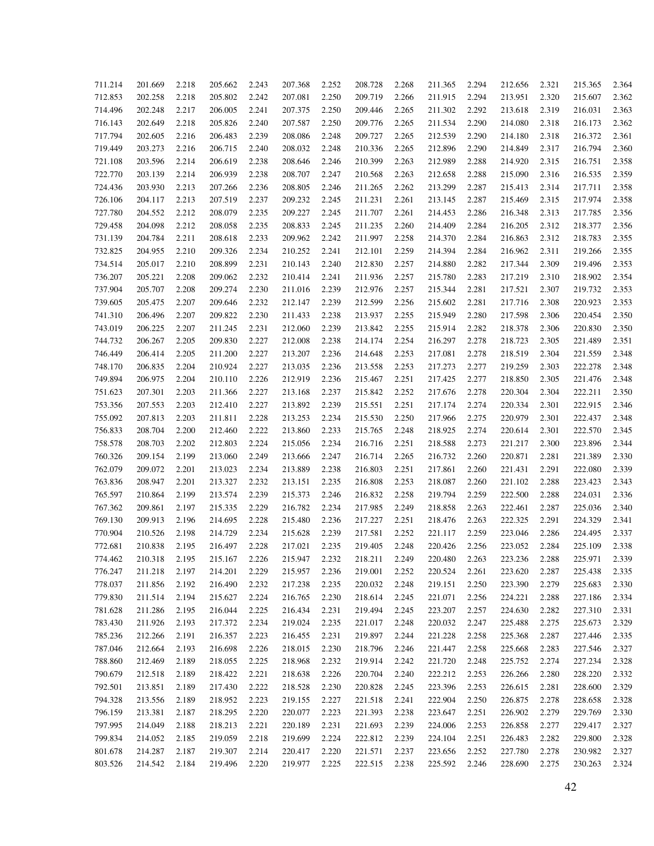| 711.214 | 201.669 | 2.218 | 205.662 | 2.243 | 207.368 | 2.252 | 208.728 | 2.268 | 211.365 | 2.294 | 212.656 | 2.321 | 215.365 | 2.364 |
|---------|---------|-------|---------|-------|---------|-------|---------|-------|---------|-------|---------|-------|---------|-------|
| 712.853 | 202.258 | 2.218 | 205.802 | 2.242 | 207.081 | 2.250 | 209.719 | 2.266 | 211.915 | 2.294 | 213.951 | 2.320 | 215.607 | 2.362 |
| 714.496 | 202.248 | 2.217 | 206.005 | 2.241 | 207.375 | 2.250 | 209.446 | 2.265 | 211.302 | 2.292 | 213.618 | 2.319 | 216.031 | 2.363 |
| 716.143 | 202.649 | 2.218 | 205.826 | 2.240 | 207.587 | 2.250 | 209.776 | 2.265 | 211.534 | 2.290 | 214.080 | 2.318 | 216.173 | 2.362 |
| 717.794 | 202.605 | 2.216 | 206.483 | 2.239 | 208.086 | 2.248 | 209.727 | 2.265 | 212.539 | 2.290 | 214.180 | 2.318 | 216.372 | 2.361 |
| 719.449 | 203.273 | 2.216 | 206.715 | 2.240 | 208.032 | 2.248 | 210.336 | 2.265 | 212.896 | 2.290 | 214.849 | 2.317 | 216.794 | 2.360 |
| 721.108 | 203.596 | 2.214 | 206.619 | 2.238 | 208.646 | 2.246 | 210.399 | 2.263 | 212.989 | 2.288 | 214.920 | 2.315 | 216.751 | 2.358 |
| 722.770 | 203.139 | 2.214 | 206.939 | 2.238 | 208.707 | 2.247 | 210.568 | 2.263 | 212.658 | 2.288 | 215.090 | 2.316 | 216.535 | 2.359 |
| 724.436 | 203.930 | 2.213 | 207.266 | 2.236 | 208.805 | 2.246 | 211.265 | 2.262 | 213.299 | 2.287 | 215.413 | 2.314 | 217.711 | 2.358 |
| 726.106 | 204.117 | 2.213 | 207.519 | 2.237 | 209.232 | 2.245 | 211.231 | 2.261 | 213.145 | 2.287 | 215.469 | 2.315 | 217.974 | 2.358 |
| 727.780 | 204.552 | 2.212 | 208.079 | 2.235 | 209.227 | 2.245 | 211.707 | 2.261 | 214.453 | 2.286 | 216.348 | 2.313 | 217.785 | 2.356 |
| 729.458 | 204.098 | 2.212 | 208.058 | 2.235 | 208.833 | 2.245 | 211.235 | 2.260 | 214.409 | 2.284 | 216.205 | 2.312 | 218.377 | 2.356 |
| 731.139 | 204.784 | 2.211 | 208.618 | 2.233 | 209.962 | 2.242 | 211.997 | 2.258 | 214.370 | 2.284 | 216.863 | 2.312 | 218.783 | 2.355 |
| 732.825 | 204.955 | 2.210 | 209.326 | 2.234 | 210.252 | 2.241 | 212.101 | 2.259 | 214.394 | 2.284 | 216.962 | 2.311 | 219.266 | 2.355 |
| 734.514 | 205.017 | 2.210 | 208.899 | 2.231 | 210.143 | 2.240 | 212.830 | 2.257 | 214.880 | 2.282 | 217.344 | 2.309 | 219.496 | 2.353 |
| 736.207 | 205.221 | 2.208 | 209.062 | 2.232 | 210.414 | 2.241 | 211.936 | 2.257 | 215.780 | 2.283 | 217.219 | 2.310 | 218.902 | 2.354 |
| 737.904 | 205.707 | 2.208 | 209.274 | 2.230 | 211.016 | 2.239 | 212.976 | 2.257 | 215.344 | 2.281 | 217.521 | 2.307 | 219.732 | 2.353 |
| 739.605 | 205.475 | 2.207 | 209.646 | 2.232 | 212.147 | 2.239 | 212.599 | 2.256 | 215.602 | 2.281 | 217.716 | 2.308 | 220.923 | 2.353 |
| 741.310 | 206.496 | 2.207 | 209.822 | 2.230 | 211.433 | 2.238 | 213.937 | 2.255 | 215.949 | 2.280 | 217.598 | 2.306 | 220.454 | 2.350 |
| 743.019 | 206.225 | 2.207 | 211.245 | 2.231 | 212.060 | 2.239 | 213.842 | 2.255 | 215.914 | 2.282 | 218.378 | 2.306 | 220.830 | 2.350 |
| 744.732 | 206.267 | 2.205 | 209.830 | 2.227 | 212.008 | 2.238 | 214.174 | 2.254 | 216.297 | 2.278 | 218.723 | 2.305 | 221.489 | 2.351 |
| 746.449 | 206.414 | 2.205 | 211.200 | 2.227 | 213.207 | 2.236 | 214.648 | 2.253 | 217.081 | 2.278 | 218.519 | 2.304 | 221.559 | 2.348 |
| 748.170 | 206.835 | 2.204 | 210.924 | 2.227 | 213.035 | 2.236 | 213.558 | 2.253 | 217.273 | 2.277 | 219.259 | 2.303 | 222.278 | 2.348 |
| 749.894 | 206.975 | 2.204 | 210.110 | 2.226 | 212.919 | 2.236 | 215.467 | 2.251 | 217.425 | 2.277 | 218.850 | 2.305 | 221.476 | 2.348 |
| 751.623 | 207.301 | 2.203 | 211.366 | 2.227 | 213.168 | 2.237 | 215.842 | 2.252 | 217.676 | 2.278 | 220.304 | 2.304 | 222.211 | 2.350 |
| 753.356 | 207.553 | 2.203 | 212.410 | 2.227 | 213.892 | 2.239 | 215.551 | 2.251 | 217.174 | 2.274 | 220.334 | 2.301 | 222.915 | 2.346 |
| 755.092 | 207.813 | 2.203 | 211.811 | 2.228 | 213.253 | 2.234 | 215.530 | 2.250 | 217.966 | 2.275 | 220.979 | 2.301 | 222.437 | 2.348 |
| 756.833 | 208.704 | 2.200 | 212.460 | 2.222 | 213.860 | 2.233 | 215.765 | 2.248 | 218.925 | 2.274 | 220.614 | 2.301 | 222.570 | 2.345 |
| 758.578 | 208.703 | 2.202 | 212.803 | 2.224 | 215.056 | 2.234 | 216.716 | 2.251 | 218.588 | 2.273 | 221.217 | 2.300 | 223.896 | 2.344 |
| 760.326 | 209.154 | 2.199 | 213.060 | 2.249 | 213.666 | 2.247 | 216.714 | 2.265 | 216.732 | 2.260 | 220.871 | 2.281 | 221.389 | 2.330 |
| 762.079 | 209.072 | 2.201 | 213.023 | 2.234 | 213.889 | 2.238 | 216.803 | 2.251 | 217.861 | 2.260 | 221.431 | 2.291 | 222.080 | 2.339 |
| 763.836 | 208.947 | 2.201 | 213.327 | 2.232 | 213.151 | 2.235 | 216.808 | 2.253 | 218.087 | 2.260 | 221.102 | 2.288 | 223.423 | 2.343 |
| 765.597 | 210.864 | 2.199 | 213.574 | 2.239 | 215.373 | 2.246 | 216.832 | 2.258 | 219.794 | 2.259 | 222.500 | 2.288 | 224.031 | 2.336 |
| 767.362 | 209.861 | 2.197 | 215.335 | 2.229 | 216.782 | 2.234 | 217.985 | 2.249 | 218.858 | 2.263 | 222.461 | 2.287 | 225.036 | 2.340 |
| 769.130 | 209.913 | 2.196 | 214.695 | 2.228 | 215.480 | 2.236 | 217.227 | 2.251 | 218.476 | 2.263 | 222.325 | 2.291 | 224.329 | 2.341 |
| 770.904 | 210.526 | 2.198 | 214.729 | 2.234 | 215.628 | 2.239 | 217.581 | 2.252 | 221.117 | 2.259 | 223.046 | 2.286 | 224.495 | 2.337 |
| 772.681 | 210.838 | 2.195 | 216.497 | 2.228 | 217.021 | 2.235 | 219.405 | 2.248 | 220.426 | 2.256 | 223.052 | 2.284 | 225.109 | 2.338 |
| 774.462 | 210.318 | 2.195 | 215.167 | 2.226 | 215.947 | 2.232 | 218.211 | 2.249 | 220.480 | 2.263 | 223.236 | 2.288 | 225.971 | 2.339 |
| 776.247 | 211.218 | 2.197 | 214.201 | 2.229 | 215.957 | 2.236 | 219.001 | 2.252 | 220.524 | 2.261 | 223.620 | 2.287 | 225.438 | 2.335 |
| 778.037 | 211.856 | 2.192 | 216.490 | 2.232 | 217.238 | 2.235 | 220.032 | 2.248 | 219.151 | 2.250 | 223.390 | 2.279 | 225.683 | 2.330 |
| 779.830 | 211.514 | 2.194 | 215.627 | 2.224 | 216.765 | 2.230 | 218.614 | 2.245 | 221.071 | 2.256 | 224.221 | 2.288 | 227.186 | 2.334 |
| 781.628 | 211.286 | 2.195 | 216.044 | 2.225 | 216.434 | 2.231 | 219.494 | 2.245 | 223.207 | 2.257 | 224.630 | 2.282 | 227.310 | 2.331 |
| 783.430 | 211.926 | 2.193 | 217.372 | 2.234 | 219.024 | 2.235 | 221.017 | 2.248 | 220.032 | 2.247 | 225.488 | 2.275 | 225.673 | 2.329 |
| 785.236 | 212.266 | 2.191 | 216.357 | 2.223 | 216.455 | 2.231 | 219.897 | 2.244 | 221.228 | 2.258 | 225.368 | 2.287 | 227.446 | 2.335 |
|         |         |       |         |       |         |       |         |       |         |       |         |       |         |       |
| 787.046 | 212.664 | 2.193 | 216.698 | 2.226 | 218.015 | 2.230 | 218.796 | 2.246 | 221.447 | 2.258 | 225.668 | 2.283 | 227.546 | 2.327 |
| 788.860 | 212.469 | 2.189 | 218.055 | 2.225 | 218.968 | 2.232 | 219.914 | 2.242 | 221.720 | 2.248 | 225.752 | 2.274 | 227.234 | 2.328 |
| 790.679 | 212.518 | 2.189 | 218.422 | 2.221 | 218.638 | 2.226 | 220.704 | 2.240 | 222.212 | 2.253 | 226.266 | 2.280 | 228.220 | 2.332 |
| 792.501 | 213.851 | 2.189 | 217.430 | 2.222 | 218.528 | 2.230 | 220.828 | 2.245 | 223.396 | 2.253 | 226.615 | 2.281 | 228.600 | 2.329 |
| 794.328 | 213.556 | 2.189 | 218.952 | 2.223 | 219.155 | 2.227 | 221.518 | 2.241 | 222.904 | 2.250 | 226.875 | 2.278 | 228.658 | 2.328 |
| 796.159 | 213.381 | 2.187 | 218.295 | 2.220 | 220.077 | 2.223 | 221.393 | 2.238 | 223.647 | 2.251 | 226.902 | 2.279 | 229.769 | 2.330 |
| 797.995 | 214.049 | 2.188 | 218.213 | 2.221 | 220.189 | 2.231 | 221.693 | 2.239 | 224.006 | 2.253 | 226.858 | 2.277 | 229.417 | 2.327 |
| 799.834 | 214.052 | 2.185 | 219.059 | 2.218 | 219.699 | 2.224 | 222.812 | 2.239 | 224.104 | 2.251 | 226.483 | 2.282 | 229.800 | 2.328 |
| 801.678 | 214.287 | 2.187 | 219.307 | 2.214 | 220.417 | 2.220 | 221.571 | 2.237 | 223.656 | 2.252 | 227.780 | 2.278 | 230.982 | 2.327 |
| 803.526 | 214.542 | 2.184 | 219.496 | 2.220 | 219.977 | 2.225 | 222.515 | 2.238 | 225.592 | 2.246 | 228.690 | 2.275 | 230.263 | 2.324 |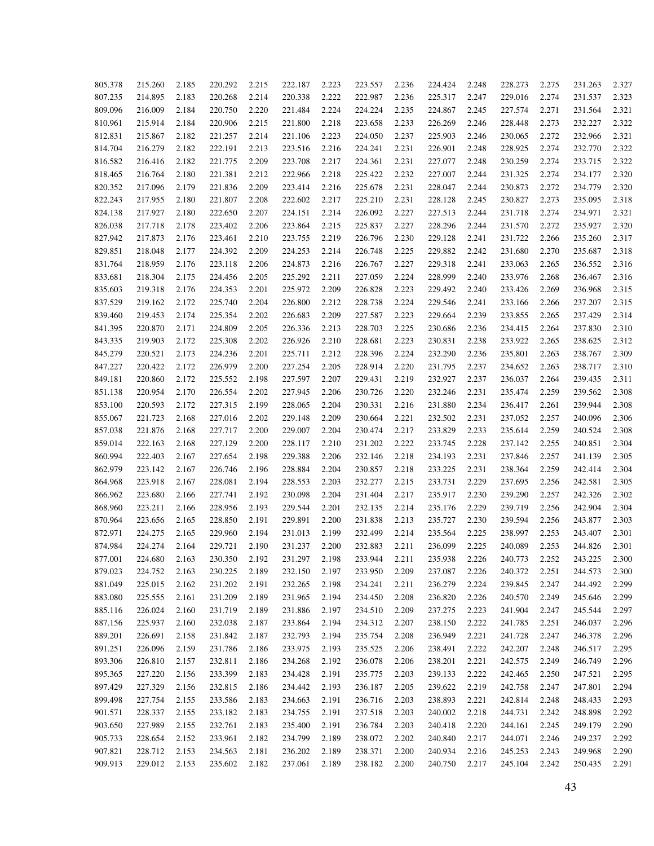| 805.378 | 215.260 | 2.185 | 220.292 | 2.215 | 222.187 | 2.223 | 223.557 | 2.236 | 224.424            | 2.248 | 228.273 | 2.275 | 231.263 | 2.327 |
|---------|---------|-------|---------|-------|---------|-------|---------|-------|--------------------|-------|---------|-------|---------|-------|
| 807.235 | 214.895 | 2.183 | 220.268 | 2.214 | 220.338 | 2.222 | 222.987 | 2.236 | 225.317            | 2.247 | 229.016 | 2.274 | 231.537 | 2.323 |
| 809.096 | 216.009 | 2.184 | 220.750 | 2.220 | 221.484 | 2.224 | 224.224 | 2.235 | 224.867            | 2.245 | 227.574 | 2.271 | 231.564 | 2.321 |
| 810.961 | 215.914 | 2.184 | 220.906 | 2.215 | 221.800 | 2.218 | 223.658 | 2.233 | 226.269            | 2.246 | 228.448 | 2.273 | 232.227 | 2.322 |
| 812.831 | 215.867 | 2.182 | 221.257 | 2.214 | 221.106 | 2.223 | 224.050 | 2.237 | 225.903            | 2.246 | 230.065 | 2.272 | 232.966 | 2.321 |
| 814.704 | 216.279 | 2.182 | 222.191 | 2.213 | 223.516 | 2.216 | 224.241 | 2.231 | 226.901            | 2.248 | 228.925 | 2.274 | 232.770 | 2.322 |
| 816.582 | 216.416 | 2.182 | 221.775 | 2.209 | 223.708 | 2.217 | 224.361 | 2.231 | 227.077            | 2.248 | 230.259 | 2.274 | 233.715 | 2.322 |
| 818.465 | 216.764 | 2.180 | 221.381 | 2.212 | 222.966 | 2.218 | 225.422 | 2.232 | 227.007            | 2.244 | 231.325 | 2.274 | 234.177 | 2.320 |
| 820.352 | 217.096 | 2.179 | 221.836 | 2.209 | 223.414 | 2.216 | 225.678 | 2.231 | 228.047            | 2.244 | 230.873 | 2.272 | 234.779 | 2.320 |
| 822.243 | 217.955 | 2.180 | 221.807 | 2.208 | 222.602 | 2.217 | 225.210 | 2.231 | 228.128            | 2.245 | 230.827 | 2.273 | 235.095 | 2.318 |
| 824.138 | 217.927 | 2.180 | 222.650 | 2.207 | 224.151 | 2.214 | 226.092 | 2.227 | 227.513            | 2.244 | 231.718 | 2.274 | 234.971 | 2.321 |
| 826.038 | 217.718 | 2.178 | 223.402 | 2.206 | 223.864 | 2.215 | 225.837 | 2.227 | 228.296            | 2.244 | 231.570 | 2.272 | 235.927 | 2.320 |
| 827.942 | 217.873 | 2.176 | 223.461 | 2.210 | 223.755 | 2.219 | 226.796 | 2.230 | 229.128            | 2.241 | 231.722 | 2.266 | 235.260 | 2.317 |
| 829.851 | 218.048 | 2.177 | 224.392 | 2.209 | 224.253 | 2.214 | 226.748 | 2.225 | 229.882            | 2.242 | 231.680 | 2.270 | 235.687 | 2.318 |
| 831.764 | 218.959 | 2.176 | 223.118 | 2.206 | 224.873 | 2.216 | 226.767 | 2.227 | 229.318            | 2.241 | 233.063 | 2.265 | 236.552 | 2.316 |
| 833.681 | 218.304 | 2.175 | 224.456 | 2.205 | 225.292 | 2.211 | 227.059 | 2.224 | 228.999            | 2.240 | 233.976 | 2.268 | 236.467 | 2.316 |
| 835.603 | 219.318 | 2.176 | 224.353 | 2.201 | 225.972 | 2.209 | 226.828 | 2.223 | 229.492            | 2.240 | 233.426 | 2.269 | 236.968 | 2.315 |
| 837.529 | 219.162 | 2.172 | 225.740 | 2.204 | 226.800 | 2.212 | 228.738 | 2.224 | 229.546            | 2.241 | 233.166 | 2.266 | 237.207 | 2.315 |
| 839.460 | 219.453 | 2.174 | 225.354 | 2.202 | 226.683 | 2.209 | 227.587 | 2.223 | 229.664            | 2.239 | 233.855 | 2.265 | 237.429 | 2.314 |
| 841.395 | 220.870 | 2.171 | 224.809 | 2.205 | 226.336 | 2.213 | 228.703 | 2.225 | 230.686            | 2.236 | 234.415 | 2.264 | 237.830 | 2.310 |
| 843.335 | 219.903 | 2.172 | 225.308 | 2.202 | 226.926 | 2.210 | 228.681 | 2.223 | 230.831            | 2.238 | 233.922 | 2.265 | 238.625 | 2.312 |
| 845.279 | 220.521 | 2.173 | 224.236 | 2.201 | 225.711 | 2.212 | 228.396 | 2.224 | 232.290            | 2.236 | 235.801 | 2.263 | 238.767 | 2.309 |
| 847.227 | 220.422 | 2.172 | 226.979 | 2.200 | 227.254 | 2.205 | 228.914 | 2.220 | 231.795            | 2.237 | 234.652 | 2.263 | 238.717 | 2.310 |
| 849.181 | 220.860 | 2.172 | 225.552 | 2.198 | 227.597 | 2.207 | 229.431 | 2.219 | 232.927            | 2.237 | 236.037 | 2.264 | 239.435 | 2.311 |
| 851.138 | 220.954 | 2.170 | 226.554 | 2.202 | 227.945 | 2.206 | 230.726 | 2.220 | 232.246            | 2.231 | 235.474 | 2.259 | 239.562 | 2.308 |
| 853.100 | 220.593 | 2.172 | 227.315 | 2.199 | 228.065 | 2.204 | 230.331 | 2.216 | 231.880            | 2.234 | 236.417 | 2.261 | 239.944 | 2.308 |
| 855.067 | 221.723 | 2.168 | 227.016 | 2.202 | 229.148 | 2.209 | 230.664 | 2.221 | 232.502            | 2.231 | 237.052 | 2.257 | 240.096 | 2.306 |
| 857.038 | 221.876 | 2.168 | 227.717 | 2.200 | 229.007 | 2.204 | 230.474 | 2.217 | 233.829            | 2.233 | 235.614 | 2.259 | 240.524 | 2.308 |
| 859.014 | 222.163 | 2.168 | 227.129 | 2.200 | 228.117 | 2.210 | 231.202 | 2.222 | 233.745            | 2.228 | 237.142 | 2.255 | 240.851 | 2.304 |
| 860.994 | 222.403 | 2.167 | 227.654 | 2.198 | 229.388 | 2.206 | 232.146 | 2.218 | 234.193            | 2.231 | 237.846 | 2.257 | 241.139 | 2.305 |
| 862.979 | 223.142 | 2.167 | 226.746 | 2.196 | 228.884 | 2.204 | 230.857 | 2.218 | 233.225            | 2.231 | 238.364 | 2.259 | 242.414 | 2.304 |
| 864.968 | 223.918 | 2.167 | 228.081 | 2.194 | 228.553 | 2.203 | 232.277 | 2.215 | 233.731            | 2.229 | 237.695 | 2.256 | 242.581 | 2.305 |
| 866.962 | 223.680 | 2.166 | 227.741 | 2.192 | 230.098 | 2.204 | 231.404 | 2.217 | 235.917            | 2.230 | 239.290 | 2.257 | 242.326 | 2.302 |
| 868.960 | 223.211 | 2.166 | 228.956 | 2.193 | 229.544 | 2.201 | 232.135 | 2.214 | 235.176            | 2.229 | 239.719 | 2.256 | 242.904 | 2.304 |
| 870.964 | 223.656 | 2.165 | 228.850 | 2.191 | 229.891 | 2.200 | 231.838 | 2.213 | 235.727            | 2.230 | 239.594 | 2.256 | 243.877 | 2.303 |
| 872.971 | 224.275 | 2.165 | 229.960 | 2.194 | 231.013 | 2.199 | 232.499 | 2.214 | 235.564            | 2.225 | 238.997 | 2.253 | 243.407 | 2.301 |
| 874.984 | 224.274 | 2.164 | 229.721 | 2.190 | 231.237 | 2.200 | 232.883 | 2.211 | 236.099            | 2.225 | 240.089 | 2.253 | 244.826 | 2.301 |
| 877.001 | 224.680 | 2.163 | 230.350 | 2.192 | 231.297 | 2.198 | 233.944 | 2.211 | 235.938            | 2.226 | 240.773 | 2.252 | 243.225 | 2.300 |
| 879.023 | 224.752 | 2.163 | 230.225 | 2.189 | 232.150 | 2.197 | 233.950 | 2.209 | 237.087            | 2.226 | 240.372 | 2.251 | 244.573 | 2.300 |
| 881.049 | 225.015 | 2.162 | 231.202 | 2.191 | 232.265 | 2.198 | 234.241 | 2.211 | 236.279            | 2.224 | 239.845 | 2.247 | 244.492 | 2.299 |
| 883.080 | 225.555 | 2.161 | 231.209 | 2.189 | 231.965 | 2.194 | 234.450 | 2.208 | 236.820            | 2.226 | 240.570 | 2.249 | 245.646 | 2.299 |
| 885.116 | 226.024 | 2.160 | 231.719 | 2.189 | 231.886 | 2.197 | 234.510 | 2.209 | 237.275            | 2.223 | 241.904 | 2.247 | 245.544 | 2.297 |
| 887.156 | 225.937 | 2.160 | 232.038 | 2.187 | 233.864 | 2.194 | 234.312 | 2.207 | 238.150            | 2.222 | 241.785 | 2.251 | 246.037 | 2.296 |
| 889.201 | 226.691 | 2.158 | 231.842 | 2.187 | 232.793 | 2.194 | 235.754 | 2.208 | 236.949            | 2.221 | 241.728 | 2.247 | 246.378 | 2.296 |
| 891.251 | 226.096 | 2.159 | 231.786 | 2.186 | 233.975 | 2.193 | 235.525 | 2.206 | 238.491            | 2.222 | 242.207 | 2.248 | 246.517 | 2.295 |
| 893.306 | 226.810 | 2.157 | 232.811 | 2.186 | 234.268 | 2.192 | 236.078 | 2.206 |                    | 2.221 | 242.575 | 2.249 | 246.749 | 2.296 |
| 895.365 | 227.220 | 2.156 | 233.399 | 2.183 | 234.428 | 2.191 | 235.775 |       | 238.201<br>239.133 | 2.222 | 242.465 | 2.250 | 247.521 | 2.295 |
|         |         |       |         |       |         |       |         | 2.203 |                    |       |         |       |         |       |
| 897.429 | 227.329 | 2.156 | 232.815 | 2.186 | 234.442 | 2.193 | 236.187 | 2.205 | 239.622            | 2.219 | 242.758 | 2.247 | 247.801 | 2.294 |
| 899.498 | 227.754 | 2.155 | 233.586 | 2.183 | 234.663 | 2.191 | 236.716 | 2.203 | 238.893            | 2.221 | 242.814 | 2.248 | 248.433 | 2.293 |
| 901.571 | 228.337 | 2.155 | 233.182 | 2.183 | 234.755 | 2.191 | 237.518 | 2.203 | 240.002            | 2.218 | 244.731 | 2.242 | 248.898 | 2.292 |
| 903.650 | 227.989 | 2.155 | 232.761 | 2.183 | 235.400 | 2.191 | 236.784 | 2.203 | 240.418            | 2.220 | 244.161 | 2.245 | 249.179 | 2.290 |
| 905.733 | 228.654 | 2.152 | 233.961 | 2.182 | 234.799 | 2.189 | 238.072 | 2.202 | 240.840            | 2.217 | 244.071 | 2.246 | 249.237 | 2.292 |
| 907.821 | 228.712 | 2.153 | 234.563 | 2.181 | 236.202 | 2.189 | 238.371 | 2.200 | 240.934            | 2.216 | 245.253 | 2.243 | 249.968 | 2.290 |
| 909.913 | 229.012 | 2.153 | 235.602 | 2.182 | 237.061 | 2.189 | 238.182 | 2.200 | 240.750            | 2.217 | 245.104 | 2.242 | 250.435 | 2.291 |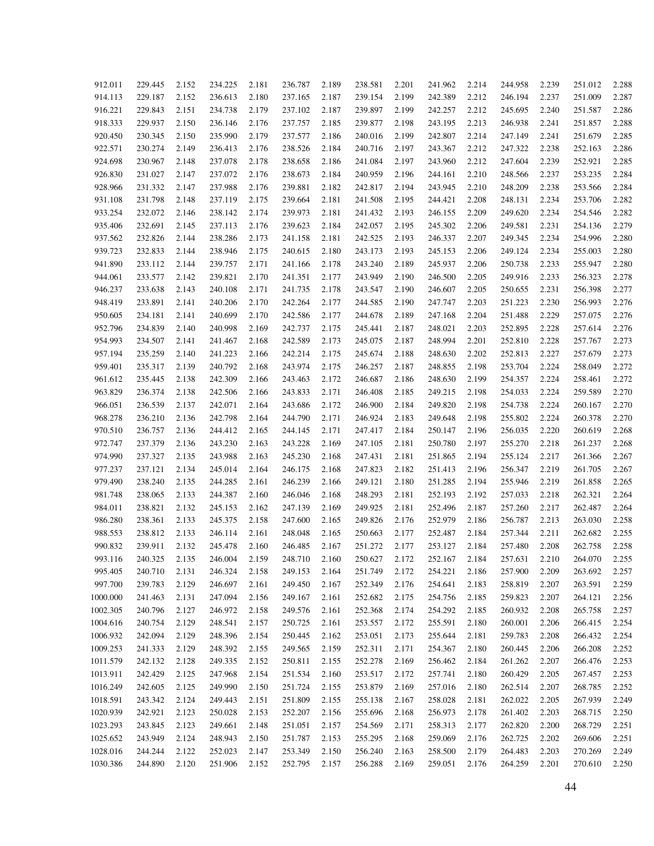| 912.011  | 229.445 | 2.152 | 234.225 | 2.181 | 236.787 | 2.189 | 238.581 | 2.201 | 241.962 | 2.214 | 244.958 | 2.239 | 251.012 | 2.288 |
|----------|---------|-------|---------|-------|---------|-------|---------|-------|---------|-------|---------|-------|---------|-------|
| 914.113  | 229.187 | 2.152 | 236.613 | 2.180 | 237.165 | 2.187 | 239.154 | 2.199 | 242.389 | 2.212 | 246.194 | 2.237 | 251.009 | 2.287 |
| 916.221  | 229.843 | 2.151 | 234.738 | 2.179 | 237.102 | 2.187 | 239.897 | 2.199 | 242.257 | 2.212 | 245.695 | 2.240 | 251.587 | 2.286 |
| 918.333  | 229.937 | 2.150 | 236.146 | 2.176 | 237.757 | 2.185 | 239.877 | 2.198 | 243.195 | 2.213 | 246.938 | 2.241 | 251.857 | 2.288 |
| 920.450  | 230.345 | 2.150 | 235.990 | 2.179 | 237.577 | 2.186 | 240.016 | 2.199 | 242.807 | 2.214 | 247.149 | 2.241 | 251.679 | 2.285 |
| 922.571  | 230.274 | 2.149 | 236.413 | 2.176 | 238.526 | 2.184 | 240.716 | 2.197 | 243.367 | 2.212 | 247.322 | 2.238 | 252.163 | 2.286 |
| 924.698  | 230.967 | 2.148 | 237.078 | 2.178 | 238.658 | 2.186 | 241.084 | 2.197 | 243.960 | 2.212 | 247.604 | 2.239 | 252.921 | 2.285 |
| 926.830  | 231.027 | 2.147 | 237.072 | 2.176 | 238.673 | 2.184 | 240.959 | 2.196 | 244.161 | 2.210 | 248.566 | 2.237 | 253.235 | 2.284 |
| 928.966  | 231.332 | 2.147 | 237.988 | 2.176 | 239.881 | 2.182 | 242.817 | 2.194 | 243.945 | 2.210 | 248.209 | 2.238 | 253.566 | 2.284 |
| 931.108  | 231.798 | 2.148 | 237.119 | 2.175 | 239.664 | 2.181 | 241.508 | 2.195 | 244.421 | 2.208 | 248.131 | 2.234 | 253.706 | 2.282 |
| 933.254  | 232.072 | 2.146 | 238.142 | 2.174 | 239.973 | 2.181 | 241.432 | 2.193 | 246.155 | 2.209 | 249.620 | 2.234 | 254.546 | 2.282 |
| 935.406  | 232.691 | 2.145 | 237.113 | 2.176 | 239.623 | 2.184 | 242.057 | 2.195 | 245.302 | 2.206 | 249.581 | 2.231 | 254.136 | 2.279 |
| 937.562  | 232.826 | 2.144 | 238.286 | 2.173 | 241.158 | 2.181 | 242.525 | 2.193 | 246.337 | 2.207 | 249.345 | 2.234 | 254.996 | 2.280 |
| 939.723  | 232.833 | 2.144 | 238.946 | 2.175 | 240.615 | 2.180 | 243.173 | 2.193 | 245.153 | 2.206 | 249.124 | 2.234 | 255.003 | 2.280 |
| 941.890  | 233.112 | 2.144 | 239.757 | 2.171 | 241.166 | 2.178 | 243.240 | 2.189 | 245.937 | 2.206 | 250.738 | 2.233 | 255.947 | 2.280 |
| 944.061  | 233.577 | 2.142 | 239.821 | 2.170 | 241.351 | 2.177 | 243.949 | 2.190 | 246.500 | 2.205 | 249.916 | 2.233 | 256.323 | 2.278 |
| 946.237  | 233.638 | 2.143 | 240.108 | 2.171 | 241.735 | 2.178 | 243.547 | 2.190 | 246.607 | 2.205 | 250.655 | 2.231 | 256.398 | 2.277 |
| 948.419  | 233.891 | 2.141 | 240.206 | 2.170 | 242.264 | 2.177 | 244.585 | 2.190 | 247.747 | 2.203 | 251.223 | 2.230 | 256.993 | 2.276 |
| 950.605  | 234.181 | 2.141 | 240.699 | 2.170 | 242.586 | 2.177 | 244.678 | 2.189 | 247.168 | 2.204 | 251.488 | 2.229 | 257.075 | 2.276 |
| 952.796  | 234.839 | 2.140 | 240.998 | 2.169 | 242.737 | 2.175 | 245.441 | 2.187 | 248.021 | 2.203 | 252.895 | 2.228 | 257.614 | 2.276 |
| 954.993  | 234.507 | 2.141 | 241.467 | 2.168 | 242.589 | 2.173 | 245.075 | 2.187 | 248.994 | 2.201 | 252.810 | 2.228 | 257.767 | 2.273 |
| 957.194  | 235.259 | 2.140 | 241.223 | 2.166 | 242.214 | 2.175 | 245.674 | 2.188 | 248.630 | 2.202 | 252.813 | 2.227 | 257.679 | 2.273 |
|          | 235.317 |       | 240.792 |       | 243.974 |       | 246.257 |       | 248.855 |       |         | 2.224 | 258.049 | 2.272 |
| 959.401  |         | 2.139 |         | 2.168 |         | 2.175 |         | 2.187 |         | 2.198 | 253.704 |       |         |       |
| 961.612  | 235.445 | 2.138 | 242.309 | 2.166 | 243.463 | 2.172 | 246.687 | 2.186 | 248.630 | 2.199 | 254.357 | 2.224 | 258.461 | 2.272 |
| 963.829  | 236.374 | 2.138 | 242.506 | 2.166 | 243.833 | 2.171 | 246.408 | 2.185 | 249.215 | 2.198 | 254.033 | 2.224 | 259.589 | 2.270 |
| 966.051  | 236.539 | 2.137 | 242.071 | 2.164 | 243.686 | 2.172 | 246.900 | 2.184 | 249.820 | 2.198 | 254.738 | 2.224 | 260.167 | 2.270 |
| 968.278  | 236.210 | 2.136 | 242.798 | 2.164 | 244.790 | 2.171 | 246.924 | 2.183 | 249.648 | 2.198 | 255.802 | 2.224 | 260.378 | 2.270 |
| 970.510  | 236.757 | 2.136 | 244.412 | 2.165 | 244.145 | 2.171 | 247.417 | 2.184 | 250.147 | 2.196 | 256.035 | 2.220 | 260.619 | 2.268 |
| 972.747  | 237.379 | 2.136 | 243.230 | 2.163 | 243.228 | 2.169 | 247.105 | 2.181 | 250.780 | 2.197 | 255.270 | 2.218 | 261.237 | 2.268 |
| 974.990  | 237.327 | 2.135 | 243.988 | 2.163 | 245.230 | 2.168 | 247.431 | 2.181 | 251.865 | 2.194 | 255.124 | 2.217 | 261.366 | 2.267 |
| 977.237  | 237.121 | 2.134 | 245.014 | 2.164 | 246.175 | 2.168 | 247.823 | 2.182 | 251.413 | 2.196 | 256.347 | 2.219 | 261.705 | 2.267 |
| 979.490  | 238.240 | 2.135 | 244.285 | 2.161 | 246.239 | 2.166 | 249.121 | 2.180 | 251.285 | 2.194 | 255.946 | 2.219 | 261.858 | 2.265 |
| 981.748  | 238.065 | 2.133 | 244.387 | 2.160 | 246.046 | 2.168 | 248.293 | 2.181 | 252.193 | 2.192 | 257.033 | 2.218 | 262.321 | 2.264 |
| 984.011  | 238.821 | 2.132 | 245.153 | 2.162 | 247.139 | 2.169 | 249.925 | 2.181 | 252.496 | 2.187 | 257.260 | 2.217 | 262.487 | 2.264 |
| 986.280  | 238.361 | 2.133 | 245.375 | 2.158 | 247.600 | 2.165 | 249.826 | 2.176 | 252.979 | 2.186 | 256.787 | 2.213 | 263.030 | 2.258 |
| 988.553  | 238.812 | 2.133 | 246.114 | 2.161 | 248.048 | 2.165 | 250.663 | 2.177 | 252.487 | 2.184 | 257.344 | 2.211 | 262.682 | 2.255 |
| 990.832  | 239.911 | 2.132 | 245.478 | 2.160 | 246.485 | 2.167 | 251.272 | 2.177 | 253.127 | 2.184 | 257.480 | 2.208 | 262.758 | 2.258 |
| 993.116  | 240.325 | 2.135 | 246.004 | 2.159 | 248.710 | 2.160 | 250.627 | 2.172 | 252.167 | 2.184 | 257.631 | 2.210 | 264.070 | 2.255 |
| 995.405  | 240.710 | 2.131 | 246.324 | 2.158 | 249.153 | 2.164 | 251.749 | 2.172 | 254.221 | 2.186 | 257.900 | 2.209 | 263.692 | 2.257 |
| 997.700  | 239.783 | 2.129 | 246.697 | 2.161 | 249.450 | 2.167 | 252.349 | 2.176 | 254.641 | 2.183 | 258.819 | 2.207 | 263.591 | 2.259 |
| 1000.000 | 241.463 | 2.131 | 247.094 | 2.156 | 249.167 | 2.161 | 252.682 | 2.175 | 254.756 | 2.185 | 259.823 | 2.207 | 264.121 | 2.256 |
| 1002.305 | 240.796 | 2.127 | 246.972 | 2.158 | 249.576 | 2.161 | 252.368 | 2.174 | 254.292 | 2.185 | 260.932 | 2.208 | 265.758 | 2.257 |
| 1004.616 | 240.754 | 2.129 | 248.541 | 2.157 | 250.725 | 2.161 | 253.557 | 2.172 | 255.591 | 2.180 | 260.001 | 2.206 | 266.415 | 2.254 |
| 1006.932 | 242.094 | 2.129 | 248.396 | 2.154 | 250.445 | 2.162 | 253.051 | 2.173 | 255.644 | 2.181 | 259.783 | 2.208 | 266.432 | 2.254 |
| 1009.253 | 241.333 | 2.129 | 248.392 | 2.155 | 249.565 | 2.159 | 252.311 | 2.171 | 254.367 | 2.180 | 260.445 | 2.206 | 266.208 | 2.252 |
| 1011.579 | 242.132 | 2.128 | 249.335 | 2.152 | 250.811 | 2.155 | 252.278 | 2.169 | 256.462 | 2.184 | 261.262 | 2.207 | 266.476 | 2.253 |
| 1013.911 | 242.429 | 2.125 | 247.968 | 2.154 | 251.534 | 2.160 | 253.517 | 2.172 | 257.741 | 2.180 | 260.429 | 2.205 | 267.457 | 2.253 |
| 1016.249 | 242.605 | 2.125 | 249.990 | 2.150 | 251.724 | 2.155 | 253.879 | 2.169 | 257.016 | 2.180 | 262.514 | 2.207 | 268.785 | 2.252 |
| 1018.591 | 243.342 | 2.124 | 249.443 | 2.151 | 251.809 | 2.155 | 255.138 | 2.167 | 258.028 | 2.181 | 262.022 | 2.205 | 267.939 | 2.249 |
| 1020.939 | 242.921 | 2.123 | 250.028 | 2.153 | 252.207 | 2.156 | 255.696 | 2.168 | 256.973 | 2.178 | 261.402 | 2.203 | 268.715 | 2.250 |
| 1023.293 | 243.845 | 2.123 | 249.661 | 2.148 | 251.051 | 2.157 | 254.569 | 2.171 | 258.313 | 2.177 | 262.820 | 2.200 | 268.729 | 2.251 |
| 1025.652 | 243.949 | 2.124 | 248.943 | 2.150 | 251.787 | 2.153 | 255.295 | 2.168 | 259.069 | 2.176 | 262.725 | 2.202 | 269.606 | 2.251 |
| 1028.016 | 244.244 | 2.122 | 252.023 | 2.147 | 253.349 | 2.150 | 256.240 | 2.163 | 258.500 | 2.179 | 264.483 | 2.203 | 270.269 | 2.249 |
| 1030.386 | 244.890 | 2.120 | 251.906 | 2.152 | 252.795 | 2.157 | 256.288 | 2.169 | 259.051 | 2.176 | 264.259 | 2.201 | 270.610 | 2.250 |
|          |         |       |         |       |         |       |         |       |         |       |         |       |         |       |